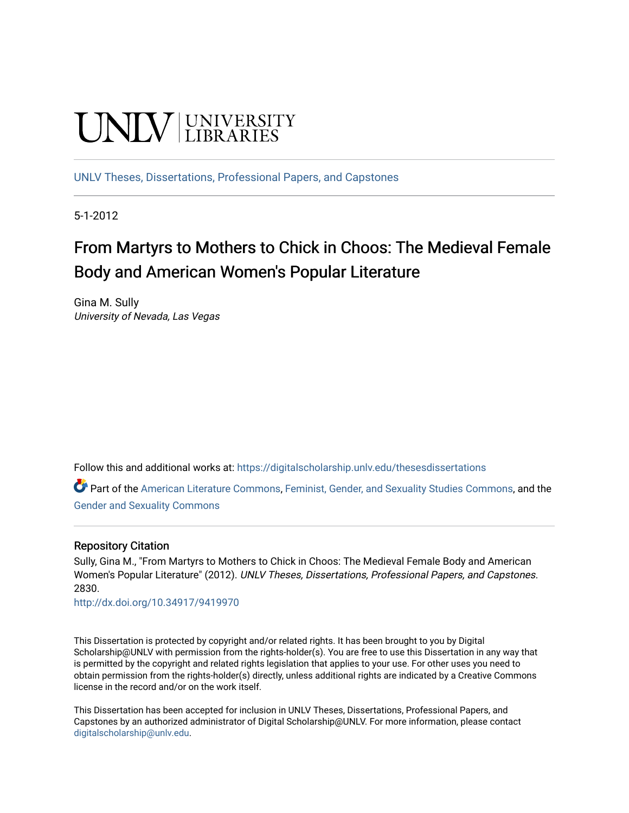# **UNIVERSITY**

[UNLV Theses, Dissertations, Professional Papers, and Capstones](https://digitalscholarship.unlv.edu/thesesdissertations)

5-1-2012

# From Martyrs to Mothers to Chick in Choos: The Medieval Female Body and American Women's Popular Literature

Gina M. Sully University of Nevada, Las Vegas

Follow this and additional works at: [https://digitalscholarship.unlv.edu/thesesdissertations](https://digitalscholarship.unlv.edu/thesesdissertations?utm_source=digitalscholarship.unlv.edu%2Fthesesdissertations%2F2830&utm_medium=PDF&utm_campaign=PDFCoverPages)

Part of the [American Literature Commons](http://network.bepress.com/hgg/discipline/441?utm_source=digitalscholarship.unlv.edu%2Fthesesdissertations%2F2830&utm_medium=PDF&utm_campaign=PDFCoverPages), [Feminist, Gender, and Sexuality Studies Commons,](http://network.bepress.com/hgg/discipline/559?utm_source=digitalscholarship.unlv.edu%2Fthesesdissertations%2F2830&utm_medium=PDF&utm_campaign=PDFCoverPages) and the [Gender and Sexuality Commons](http://network.bepress.com/hgg/discipline/420?utm_source=digitalscholarship.unlv.edu%2Fthesesdissertations%2F2830&utm_medium=PDF&utm_campaign=PDFCoverPages)

#### Repository Citation

Sully, Gina M., "From Martyrs to Mothers to Chick in Choos: The Medieval Female Body and American Women's Popular Literature" (2012). UNLV Theses, Dissertations, Professional Papers, and Capstones. 2830.

<http://dx.doi.org/10.34917/9419970>

This Dissertation is protected by copyright and/or related rights. It has been brought to you by Digital Scholarship@UNLV with permission from the rights-holder(s). You are free to use this Dissertation in any way that is permitted by the copyright and related rights legislation that applies to your use. For other uses you need to obtain permission from the rights-holder(s) directly, unless additional rights are indicated by a Creative Commons license in the record and/or on the work itself.

This Dissertation has been accepted for inclusion in UNLV Theses, Dissertations, Professional Papers, and Capstones by an authorized administrator of Digital Scholarship@UNLV. For more information, please contact [digitalscholarship@unlv.edu](mailto:digitalscholarship@unlv.edu).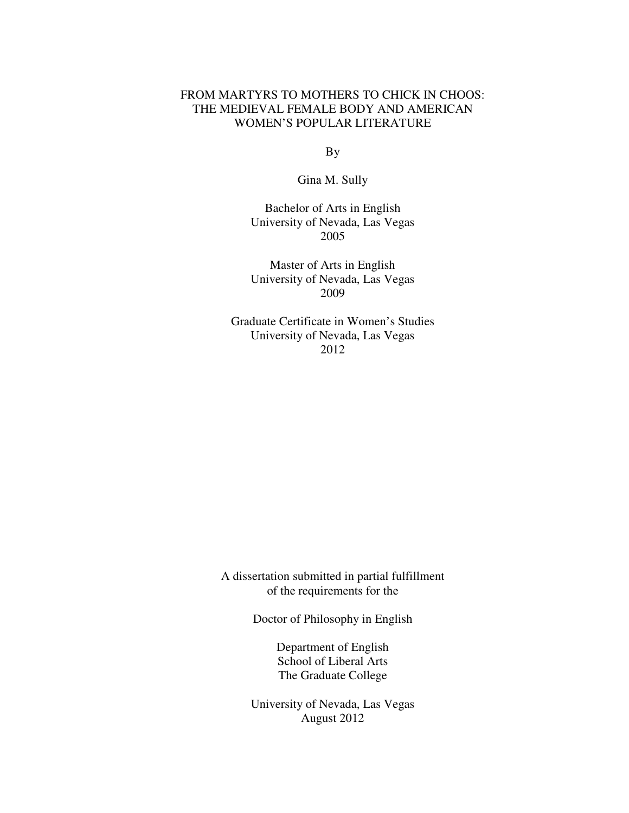#### FROM MARTYRS TO MOTHERS TO CHICK IN CHOOS: THE MEDIEVAL FEMALE BODY AND AMERICAN WOMEN'S POPULAR LITERATURE

By

Gina M. Sully

Bachelor of Arts in English University of Nevada, Las Vegas 2005

Master of Arts in English University of Nevada, Las Vegas 2009

Graduate Certificate in Women's Studies University of Nevada, Las Vegas 2012

A dissertation submitted in partial fulfillment of the requirements for the

Doctor of Philosophy in English

Department of English School of Liberal Arts The Graduate College

University of Nevada, Las Vegas August 2012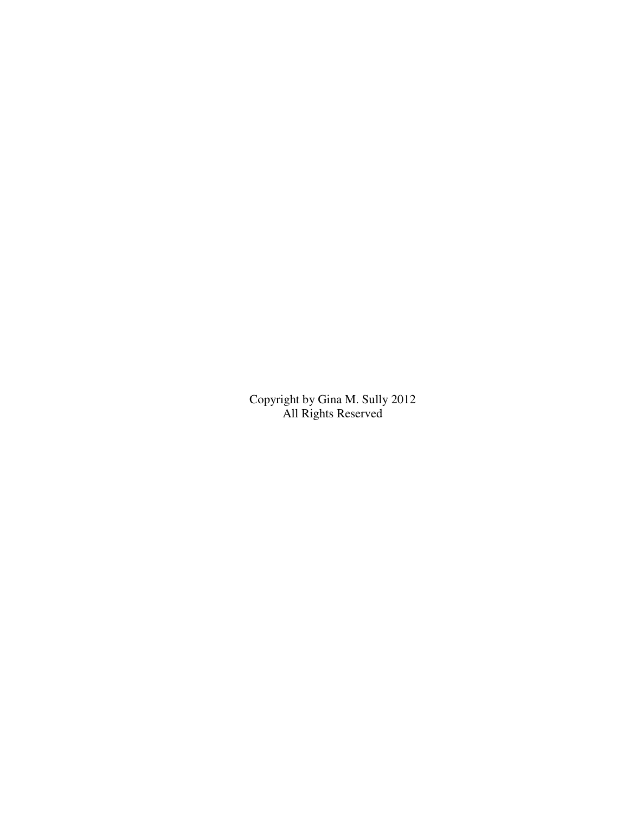Copyright by Gina M. Sully 2012 All Rights Reserved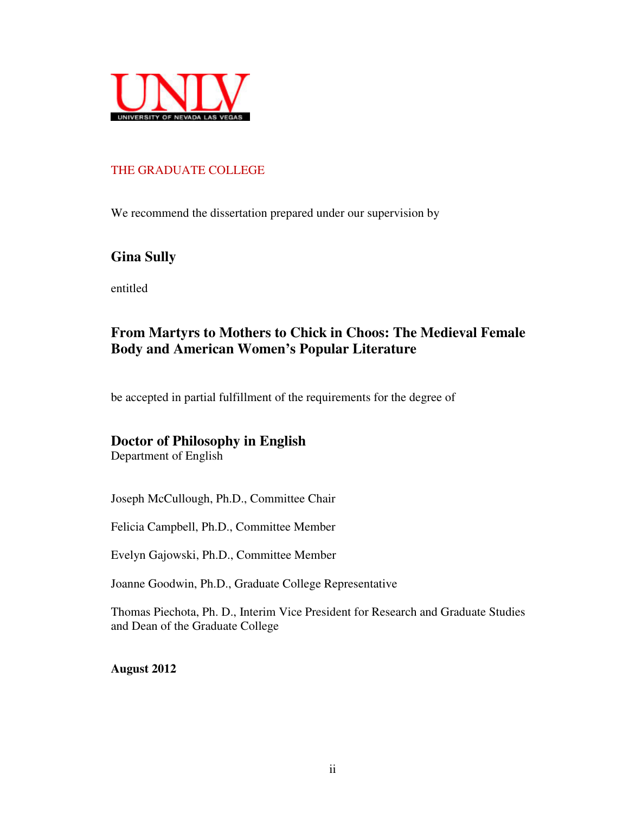

### THE GRADUATE COLLEGE

We recommend the dissertation prepared under our supervision by

# **Gina Sully**

entitled

# **From Martyrs to Mothers to Chick in Choos: The Medieval Female Body and American Women's Popular Literature**

be accepted in partial fulfillment of the requirements for the degree of

## **Doctor of Philosophy in English**

Department of English

Joseph McCullough, Ph.D., Committee Chair

Felicia Campbell, Ph.D., Committee Member

Evelyn Gajowski, Ph.D., Committee Member

Joanne Goodwin, Ph.D., Graduate College Representative

Thomas Piechota, Ph. D., Interim Vice President for Research and Graduate Studies and Dean of the Graduate College

**August 2012**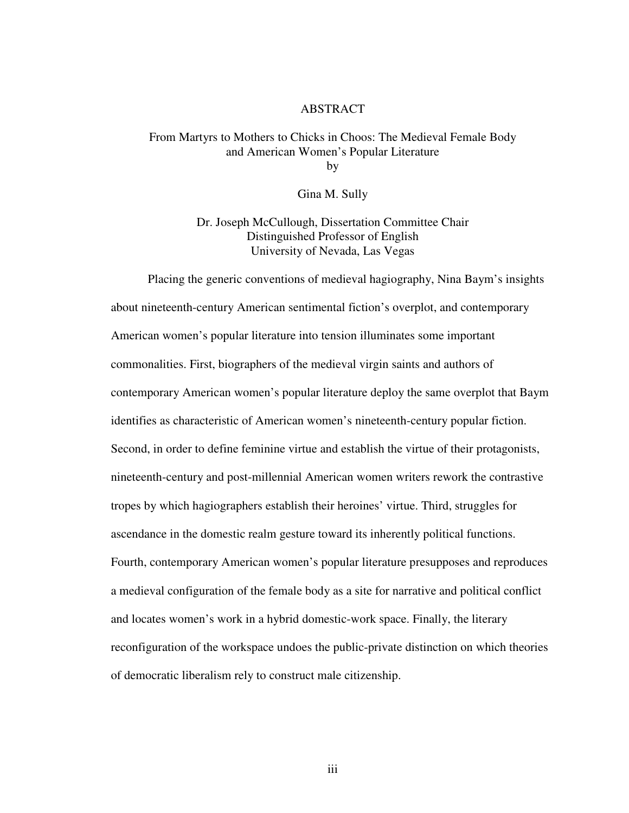#### ABSTRACT

#### From Martyrs to Mothers to Chicks in Choos: The Medieval Female Body and American Women's Popular Literature by

Gina M. Sully

Dr. Joseph McCullough, Dissertation Committee Chair Distinguished Professor of English University of Nevada, Las Vegas

Placing the generic conventions of medieval hagiography, Nina Baym's insights about nineteenth-century American sentimental fiction's overplot, and contemporary American women's popular literature into tension illuminates some important commonalities. First, biographers of the medieval virgin saints and authors of contemporary American women's popular literature deploy the same overplot that Baym identifies as characteristic of American women's nineteenth-century popular fiction. Second, in order to define feminine virtue and establish the virtue of their protagonists, nineteenth-century and post-millennial American women writers rework the contrastive tropes by which hagiographers establish their heroines' virtue. Third, struggles for ascendance in the domestic realm gesture toward its inherently political functions. Fourth, contemporary American women's popular literature presupposes and reproduces a medieval configuration of the female body as a site for narrative and political conflict and locates women's work in a hybrid domestic-work space. Finally, the literary reconfiguration of the workspace undoes the public-private distinction on which theories of democratic liberalism rely to construct male citizenship.

iii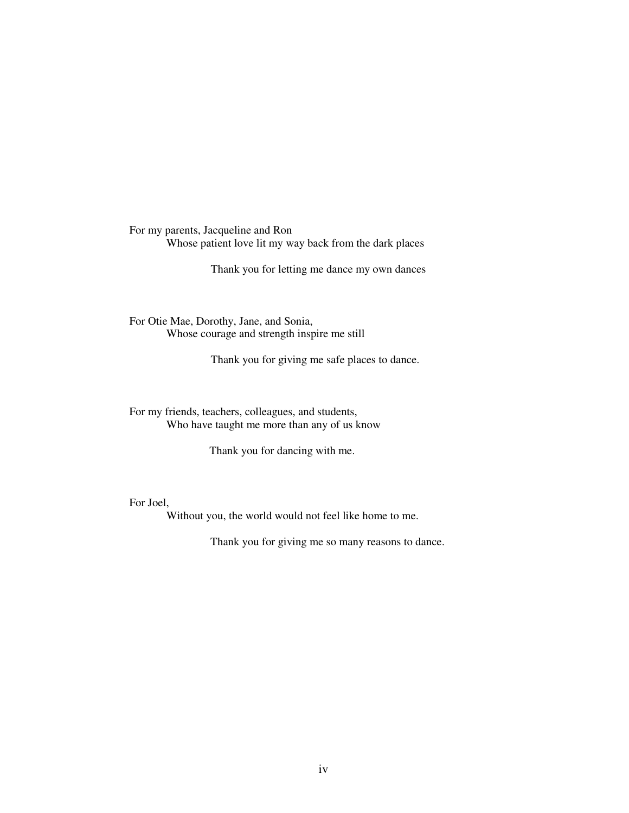For my parents, Jacqueline and Ron Whose patient love lit my way back from the dark places

Thank you for letting me dance my own dances

For Otie Mae, Dorothy, Jane, and Sonia, Whose courage and strength inspire me still

Thank you for giving me safe places to dance.

For my friends, teachers, colleagues, and students, Who have taught me more than any of us know

Thank you for dancing with me.

#### For Joel,

Without you, the world would not feel like home to me.

Thank you for giving me so many reasons to dance.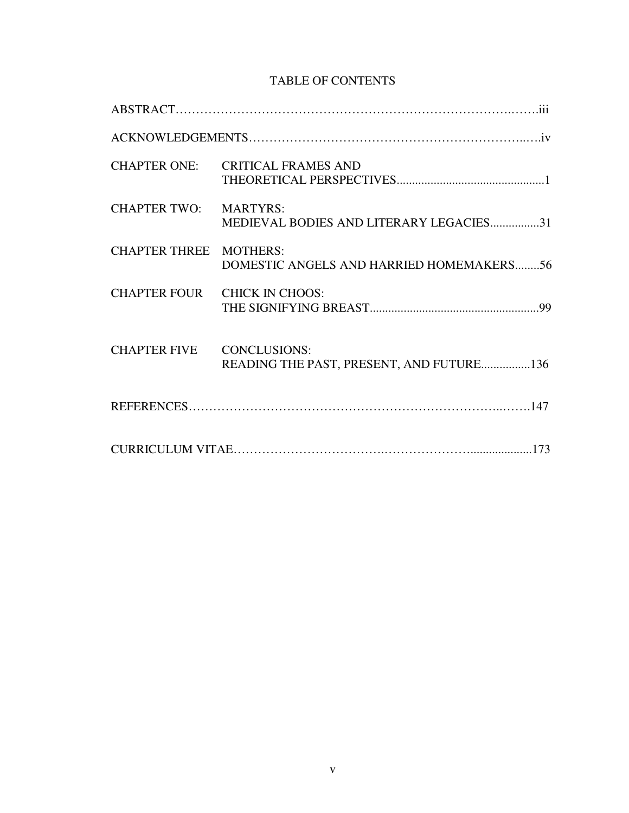## TABLE OF CONTENTS

|                                  | CHAPTER ONE: CRITICAL FRAMES AND         |
|----------------------------------|------------------------------------------|
| <b>CHAPTER TWO: MARTYRS:</b>     | MEDIEVAL BODIES AND LITERARY LEGACIES31  |
| <b>CHAPTER THREE MOTHERS:</b>    | DOMESTIC ANGELS AND HARRIED HOMEMAKERS56 |
|                                  | <b>CHAPTER FOUR CHICK IN CHOOS:</b>      |
| <b>CHAPTER FIVE CONCLUSIONS:</b> | READING THE PAST, PRESENT, AND FUTURE136 |
|                                  |                                          |
|                                  |                                          |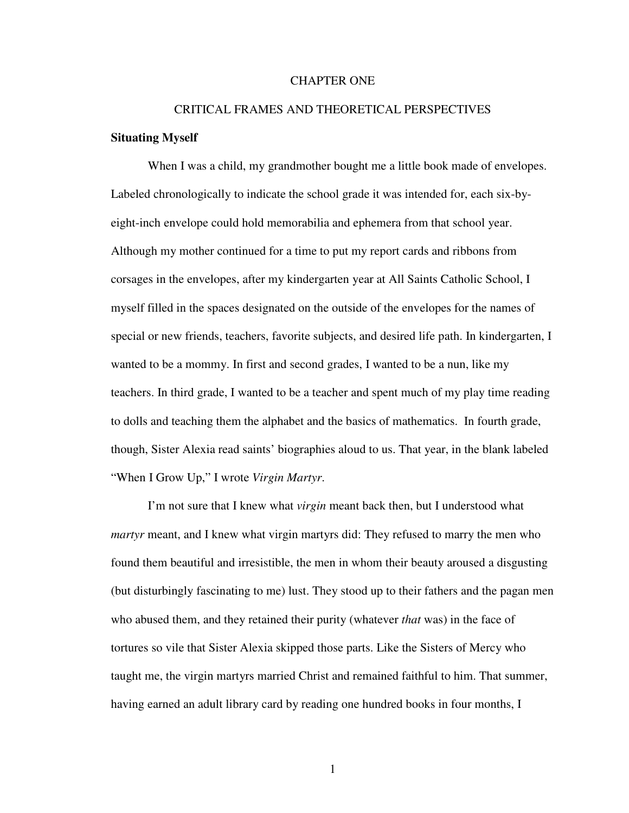#### CHAPTER ONE

# CRITICAL FRAMES AND THEORETICAL PERSPECTIVES

#### **Situating Myself**

When I was a child, my grandmother bought me a little book made of envelopes. Labeled chronologically to indicate the school grade it was intended for, each six-byeight-inch envelope could hold memorabilia and ephemera from that school year. Although my mother continued for a time to put my report cards and ribbons from corsages in the envelopes, after my kindergarten year at All Saints Catholic School, I myself filled in the spaces designated on the outside of the envelopes for the names of special or new friends, teachers, favorite subjects, and desired life path. In kindergarten, I wanted to be a mommy. In first and second grades, I wanted to be a nun, like my teachers. In third grade, I wanted to be a teacher and spent much of my play time reading to dolls and teaching them the alphabet and the basics of mathematics. In fourth grade, though, Sister Alexia read saints' biographies aloud to us. That year, in the blank labeled "When I Grow Up," I wrote *Virgin Martyr*.

I'm not sure that I knew what *virgin* meant back then, but I understood what *martyr* meant, and I knew what virgin martyrs did: They refused to marry the men who found them beautiful and irresistible, the men in whom their beauty aroused a disgusting (but disturbingly fascinating to me) lust. They stood up to their fathers and the pagan men who abused them, and they retained their purity (whatever *that* was) in the face of tortures so vile that Sister Alexia skipped those parts. Like the Sisters of Mercy who taught me, the virgin martyrs married Christ and remained faithful to him. That summer, having earned an adult library card by reading one hundred books in four months, I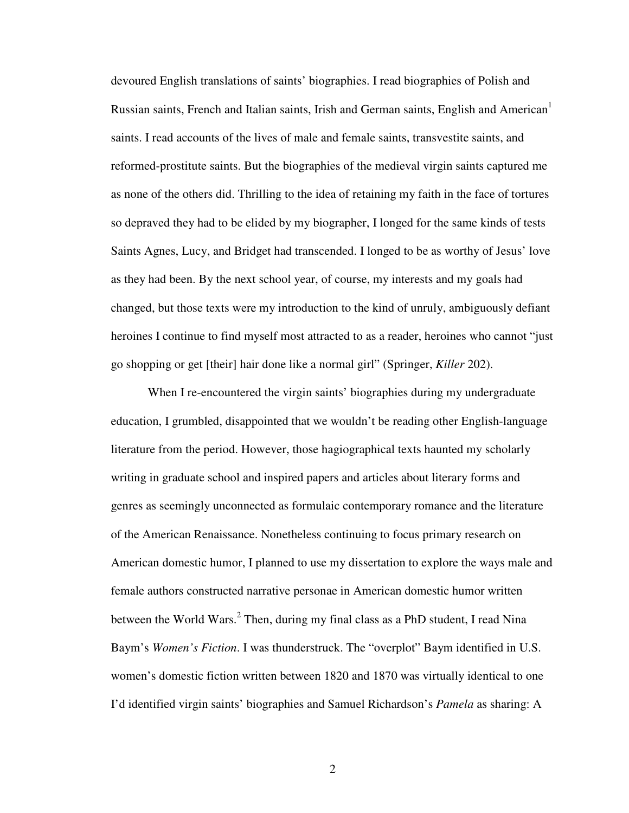devoured English translations of saints' biographies. I read biographies of Polish and Russian saints, French and Italian saints, Irish and German saints, English and American<sup>1</sup> saints. I read accounts of the lives of male and female saints, transvestite saints, and reformed-prostitute saints. But the biographies of the medieval virgin saints captured me as none of the others did. Thrilling to the idea of retaining my faith in the face of tortures so depraved they had to be elided by my biographer, I longed for the same kinds of tests Saints Agnes, Lucy, and Bridget had transcended. I longed to be as worthy of Jesus' love as they had been. By the next school year, of course, my interests and my goals had changed, but those texts were my introduction to the kind of unruly, ambiguously defiant heroines I continue to find myself most attracted to as a reader, heroines who cannot "just go shopping or get [their] hair done like a normal girl" (Springer, *Killer* 202).

When I re-encountered the virgin saints' biographies during my undergraduate education, I grumbled, disappointed that we wouldn't be reading other English-language literature from the period. However, those hagiographical texts haunted my scholarly writing in graduate school and inspired papers and articles about literary forms and genres as seemingly unconnected as formulaic contemporary romance and the literature of the American Renaissance. Nonetheless continuing to focus primary research on American domestic humor, I planned to use my dissertation to explore the ways male and female authors constructed narrative personae in American domestic humor written between the World Wars.<sup>2</sup> Then, during my final class as a PhD student, I read Nina Baym's *Women's Fiction*. I was thunderstruck. The "overplot" Baym identified in U.S. women's domestic fiction written between 1820 and 1870 was virtually identical to one I'd identified virgin saints' biographies and Samuel Richardson's *Pamela* as sharing: A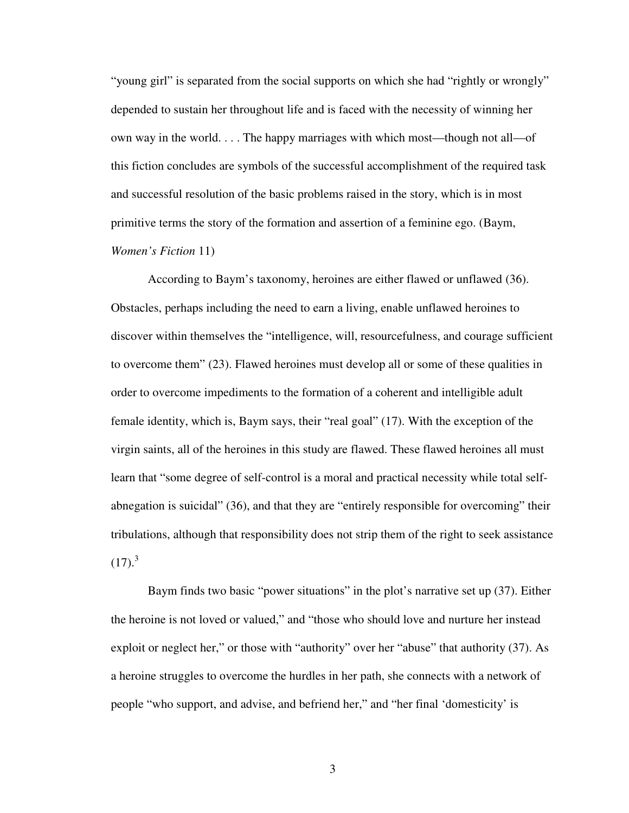"young girl" is separated from the social supports on which she had "rightly or wrongly" depended to sustain her throughout life and is faced with the necessity of winning her own way in the world. . . . The happy marriages with which most—though not all—of this fiction concludes are symbols of the successful accomplishment of the required task and successful resolution of the basic problems raised in the story, which is in most primitive terms the story of the formation and assertion of a feminine ego. (Baym, *Women's Fiction* 11)

According to Baym's taxonomy, heroines are either flawed or unflawed (36). Obstacles, perhaps including the need to earn a living, enable unflawed heroines to discover within themselves the "intelligence, will, resourcefulness, and courage sufficient to overcome them" (23). Flawed heroines must develop all or some of these qualities in order to overcome impediments to the formation of a coherent and intelligible adult female identity, which is, Baym says, their "real goal" (17). With the exception of the virgin saints, all of the heroines in this study are flawed. These flawed heroines all must learn that "some degree of self-control is a moral and practical necessity while total selfabnegation is suicidal" (36), and that they are "entirely responsible for overcoming" their tribulations, although that responsibility does not strip them of the right to seek assistance  $(17).^{3}$ 

Baym finds two basic "power situations" in the plot's narrative set up (37). Either the heroine is not loved or valued," and "those who should love and nurture her instead exploit or neglect her," or those with "authority" over her "abuse" that authority (37). As a heroine struggles to overcome the hurdles in her path, she connects with a network of people "who support, and advise, and befriend her," and "her final 'domesticity' is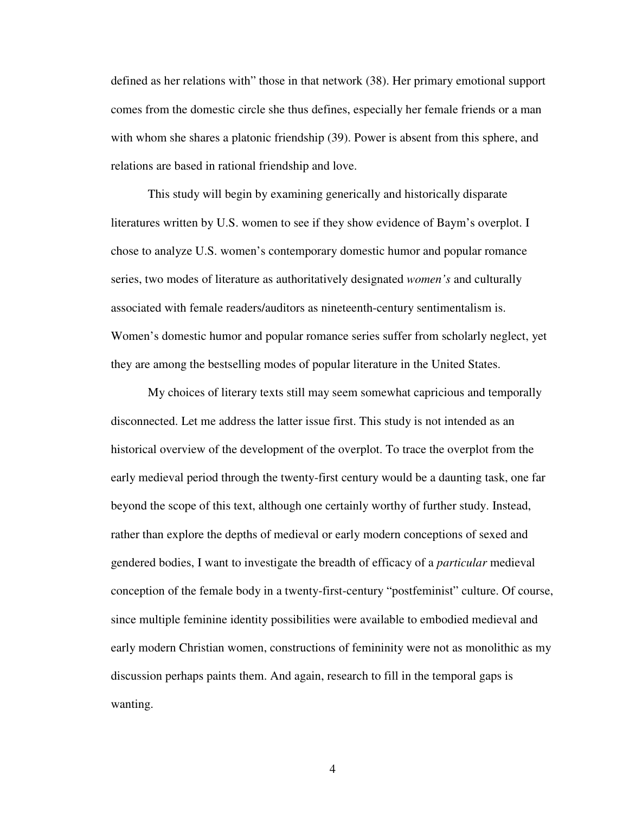defined as her relations with" those in that network (38). Her primary emotional support comes from the domestic circle she thus defines, especially her female friends or a man with whom she shares a platonic friendship (39). Power is absent from this sphere, and relations are based in rational friendship and love.

This study will begin by examining generically and historically disparate literatures written by U.S. women to see if they show evidence of Baym's overplot. I chose to analyze U.S. women's contemporary domestic humor and popular romance series, two modes of literature as authoritatively designated *women's* and culturally associated with female readers/auditors as nineteenth-century sentimentalism is. Women's domestic humor and popular romance series suffer from scholarly neglect, yet they are among the bestselling modes of popular literature in the United States.

My choices of literary texts still may seem somewhat capricious and temporally disconnected. Let me address the latter issue first. This study is not intended as an historical overview of the development of the overplot. To trace the overplot from the early medieval period through the twenty-first century would be a daunting task, one far beyond the scope of this text, although one certainly worthy of further study. Instead, rather than explore the depths of medieval or early modern conceptions of sexed and gendered bodies, I want to investigate the breadth of efficacy of a *particular* medieval conception of the female body in a twenty-first-century "postfeminist" culture. Of course, since multiple feminine identity possibilities were available to embodied medieval and early modern Christian women, constructions of femininity were not as monolithic as my discussion perhaps paints them. And again, research to fill in the temporal gaps is wanting.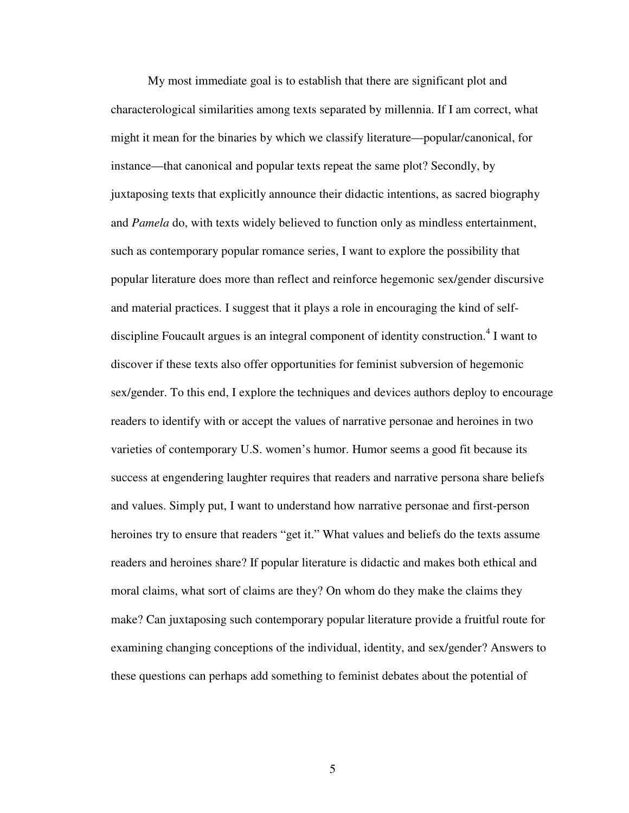My most immediate goal is to establish that there are significant plot and characterological similarities among texts separated by millennia. If I am correct, what might it mean for the binaries by which we classify literature—popular/canonical, for instance—that canonical and popular texts repeat the same plot? Secondly, by juxtaposing texts that explicitly announce their didactic intentions, as sacred biography and *Pamela* do, with texts widely believed to function only as mindless entertainment, such as contemporary popular romance series, I want to explore the possibility that popular literature does more than reflect and reinforce hegemonic sex/gender discursive and material practices. I suggest that it plays a role in encouraging the kind of selfdiscipline Foucault argues is an integral component of identity construction.<sup>4</sup> I want to discover if these texts also offer opportunities for feminist subversion of hegemonic sex/gender. To this end, I explore the techniques and devices authors deploy to encourage readers to identify with or accept the values of narrative personae and heroines in two varieties of contemporary U.S. women's humor. Humor seems a good fit because its success at engendering laughter requires that readers and narrative persona share beliefs and values. Simply put, I want to understand how narrative personae and first-person heroines try to ensure that readers "get it." What values and beliefs do the texts assume readers and heroines share? If popular literature is didactic and makes both ethical and moral claims, what sort of claims are they? On whom do they make the claims they make? Can juxtaposing such contemporary popular literature provide a fruitful route for examining changing conceptions of the individual, identity, and sex/gender? Answers to these questions can perhaps add something to feminist debates about the potential of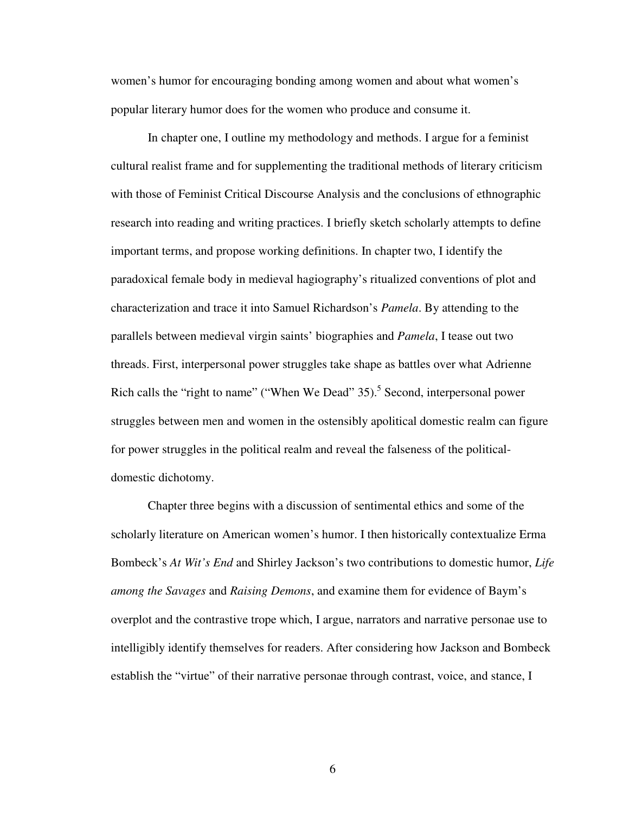women's humor for encouraging bonding among women and about what women's popular literary humor does for the women who produce and consume it.

In chapter one, I outline my methodology and methods. I argue for a feminist cultural realist frame and for supplementing the traditional methods of literary criticism with those of Feminist Critical Discourse Analysis and the conclusions of ethnographic research into reading and writing practices. I briefly sketch scholarly attempts to define important terms, and propose working definitions. In chapter two, I identify the paradoxical female body in medieval hagiography's ritualized conventions of plot and characterization and trace it into Samuel Richardson's *Pamela*. By attending to the parallels between medieval virgin saints' biographies and *Pamela*, I tease out two threads. First, interpersonal power struggles take shape as battles over what Adrienne Rich calls the "right to name" ("When We Dead"  $35$ ).<sup>5</sup> Second, interpersonal power struggles between men and women in the ostensibly apolitical domestic realm can figure for power struggles in the political realm and reveal the falseness of the politicaldomestic dichotomy.

Chapter three begins with a discussion of sentimental ethics and some of the scholarly literature on American women's humor. I then historically contextualize Erma Bombeck's *At Wit's End* and Shirley Jackson's two contributions to domestic humor, *Life among the Savages* and *Raising Demons*, and examine them for evidence of Baym's overplot and the contrastive trope which, I argue, narrators and narrative personae use to intelligibly identify themselves for readers. After considering how Jackson and Bombeck establish the "virtue" of their narrative personae through contrast, voice, and stance, I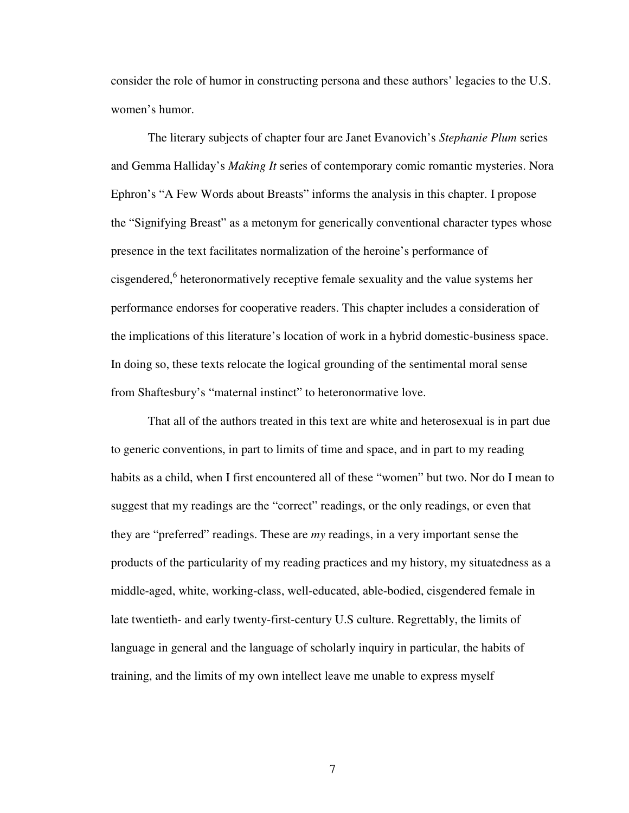consider the role of humor in constructing persona and these authors' legacies to the U.S. women's humor.

The literary subjects of chapter four are Janet Evanovich's *Stephanie Plum* series and Gemma Halliday's *Making It* series of contemporary comic romantic mysteries. Nora Ephron's "A Few Words about Breasts" informs the analysis in this chapter. I propose the "Signifying Breast" as a metonym for generically conventional character types whose presence in the text facilitates normalization of the heroine's performance of cisgendered, <sup>6</sup> heteronormatively receptive female sexuality and the value systems her performance endorses for cooperative readers. This chapter includes a consideration of the implications of this literature's location of work in a hybrid domestic-business space. In doing so, these texts relocate the logical grounding of the sentimental moral sense from Shaftesbury's "maternal instinct" to heteronormative love.

That all of the authors treated in this text are white and heterosexual is in part due to generic conventions, in part to limits of time and space, and in part to my reading habits as a child, when I first encountered all of these "women" but two. Nor do I mean to suggest that my readings are the "correct" readings, or the only readings, or even that they are "preferred" readings. These are *my* readings, in a very important sense the products of the particularity of my reading practices and my history, my situatedness as a middle-aged, white, working-class, well-educated, able-bodied, cisgendered female in late twentieth- and early twenty-first-century U.S culture. Regrettably, the limits of language in general and the language of scholarly inquiry in particular, the habits of training, and the limits of my own intellect leave me unable to express myself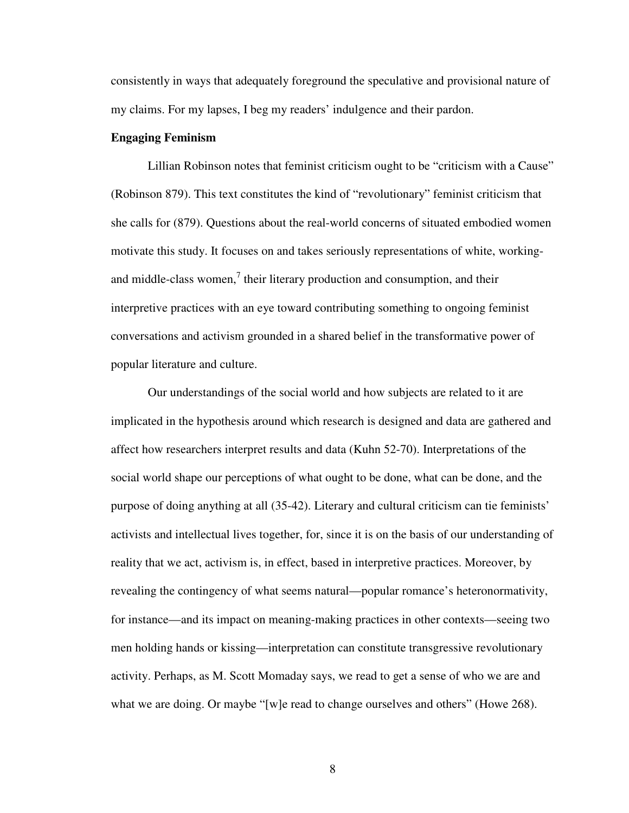consistently in ways that adequately foreground the speculative and provisional nature of my claims. For my lapses, I beg my readers' indulgence and their pardon.

#### **Engaging Feminism**

Lillian Robinson notes that feminist criticism ought to be "criticism with a Cause" (Robinson 879). This text constitutes the kind of "revolutionary" feminist criticism that she calls for (879). Questions about the real-world concerns of situated embodied women motivate this study. It focuses on and takes seriously representations of white, workingand middle-class women, $<sup>7</sup>$  their literary production and consumption, and their</sup> interpretive practices with an eye toward contributing something to ongoing feminist conversations and activism grounded in a shared belief in the transformative power of popular literature and culture.

Our understandings of the social world and how subjects are related to it are implicated in the hypothesis around which research is designed and data are gathered and affect how researchers interpret results and data (Kuhn 52-70). Interpretations of the social world shape our perceptions of what ought to be done, what can be done, and the purpose of doing anything at all (35-42). Literary and cultural criticism can tie feminists' activists and intellectual lives together, for, since it is on the basis of our understanding of reality that we act, activism is, in effect, based in interpretive practices. Moreover, by revealing the contingency of what seems natural—popular romance's heteronormativity, for instance—and its impact on meaning-making practices in other contexts—seeing two men holding hands or kissing—interpretation can constitute transgressive revolutionary activity. Perhaps, as M. Scott Momaday says, we read to get a sense of who we are and what we are doing. Or maybe "[w]e read to change ourselves and others" (Howe 268).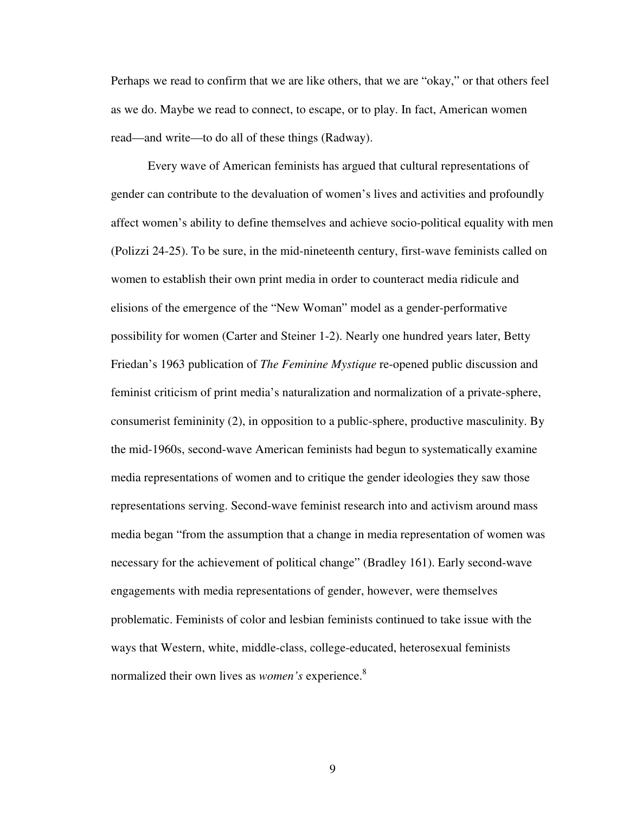Perhaps we read to confirm that we are like others, that we are "okay," or that others feel as we do. Maybe we read to connect, to escape, or to play. In fact, American women read—and write—to do all of these things (Radway).

Every wave of American feminists has argued that cultural representations of gender can contribute to the devaluation of women's lives and activities and profoundly affect women's ability to define themselves and achieve socio-political equality with men (Polizzi 24-25). To be sure, in the mid-nineteenth century, first-wave feminists called on women to establish their own print media in order to counteract media ridicule and elisions of the emergence of the "New Woman" model as a gender-performative possibility for women (Carter and Steiner 1-2). Nearly one hundred years later, Betty Friedan's 1963 publication of *The Feminine Mystique* re-opened public discussion and feminist criticism of print media's naturalization and normalization of a private-sphere, consumerist femininity (2), in opposition to a public-sphere, productive masculinity. By the mid-1960s, second-wave American feminists had begun to systematically examine media representations of women and to critique the gender ideologies they saw those representations serving. Second-wave feminist research into and activism around mass media began "from the assumption that a change in media representation of women was necessary for the achievement of political change" (Bradley 161). Early second-wave engagements with media representations of gender, however, were themselves problematic. Feminists of color and lesbian feminists continued to take issue with the ways that Western, white, middle-class, college-educated, heterosexual feminists normalized their own lives as *women's* experience.<sup>8</sup>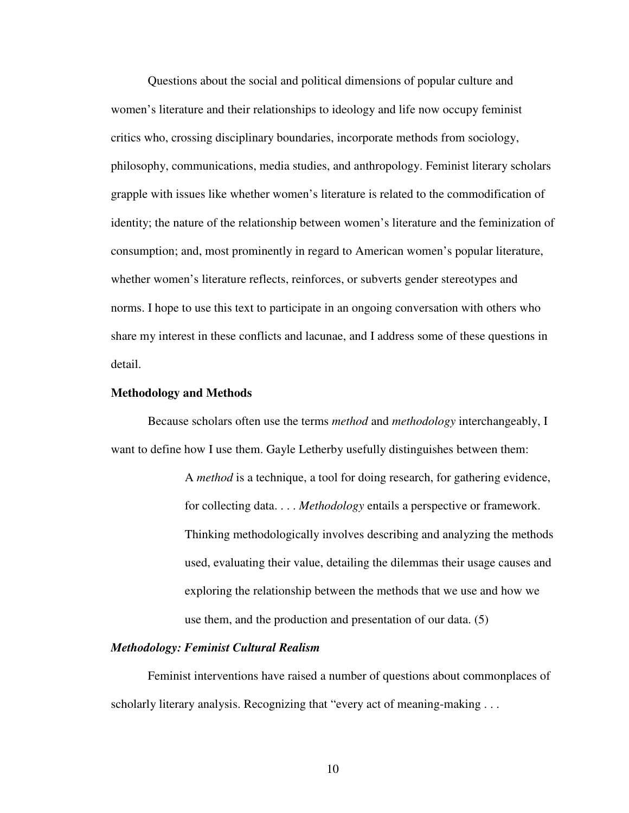Questions about the social and political dimensions of popular culture and women's literature and their relationships to ideology and life now occupy feminist critics who, crossing disciplinary boundaries, incorporate methods from sociology, philosophy, communications, media studies, and anthropology. Feminist literary scholars grapple with issues like whether women's literature is related to the commodification of identity; the nature of the relationship between women's literature and the feminization of consumption; and, most prominently in regard to American women's popular literature, whether women's literature reflects, reinforces, or subverts gender stereotypes and norms. I hope to use this text to participate in an ongoing conversation with others who share my interest in these conflicts and lacunae, and I address some of these questions in detail.

#### **Methodology and Methods**

Because scholars often use the terms *method* and *methodology* interchangeably, I want to define how I use them. Gayle Letherby usefully distinguishes between them:

> A *method* is a technique, a tool for doing research, for gathering evidence, for collecting data. . . . *Methodology* entails a perspective or framework. Thinking methodologically involves describing and analyzing the methods used, evaluating their value, detailing the dilemmas their usage causes and exploring the relationship between the methods that we use and how we use them, and the production and presentation of our data. (5)

#### *Methodology: Feminist Cultural Realism*

Feminist interventions have raised a number of questions about commonplaces of scholarly literary analysis. Recognizing that "every act of meaning-making . . .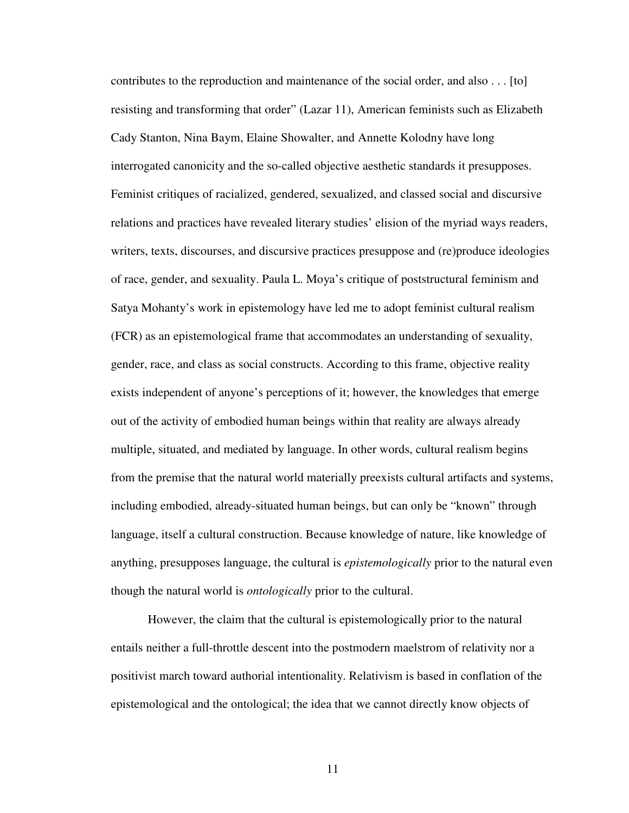contributes to the reproduction and maintenance of the social order, and also . . . [to] resisting and transforming that order" (Lazar 11), American feminists such as Elizabeth Cady Stanton, Nina Baym, Elaine Showalter, and Annette Kolodny have long interrogated canonicity and the so-called objective aesthetic standards it presupposes. Feminist critiques of racialized, gendered, sexualized, and classed social and discursive relations and practices have revealed literary studies' elision of the myriad ways readers, writers, texts, discourses, and discursive practices presuppose and (re)produce ideologies of race, gender, and sexuality. Paula L. Moya's critique of poststructural feminism and Satya Mohanty's work in epistemology have led me to adopt feminist cultural realism (FCR) as an epistemological frame that accommodates an understanding of sexuality, gender, race, and class as social constructs. According to this frame, objective reality exists independent of anyone's perceptions of it; however, the knowledges that emerge out of the activity of embodied human beings within that reality are always already multiple, situated, and mediated by language. In other words, cultural realism begins from the premise that the natural world materially preexists cultural artifacts and systems, including embodied, already-situated human beings, but can only be "known" through language, itself a cultural construction. Because knowledge of nature, like knowledge of anything, presupposes language, the cultural is *epistemologically* prior to the natural even though the natural world is *ontologically* prior to the cultural.

However, the claim that the cultural is epistemologically prior to the natural entails neither a full-throttle descent into the postmodern maelstrom of relativity nor a positivist march toward authorial intentionality. Relativism is based in conflation of the epistemological and the ontological; the idea that we cannot directly know objects of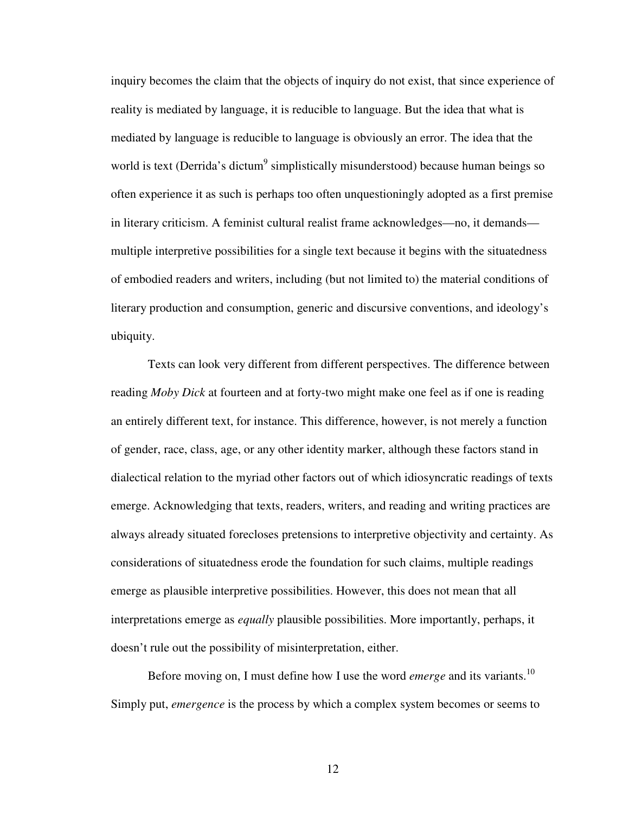inquiry becomes the claim that the objects of inquiry do not exist, that since experience of reality is mediated by language, it is reducible to language. But the idea that what is mediated by language is reducible to language is obviously an error. The idea that the world is text (Derrida's dictum<sup>9</sup> simplistically misunderstood) because human beings so often experience it as such is perhaps too often unquestioningly adopted as a first premise in literary criticism. A feminist cultural realist frame acknowledges—no, it demands multiple interpretive possibilities for a single text because it begins with the situatedness of embodied readers and writers, including (but not limited to) the material conditions of literary production and consumption, generic and discursive conventions, and ideology's ubiquity.

Texts can look very different from different perspectives. The difference between reading *Moby Dick* at fourteen and at forty-two might make one feel as if one is reading an entirely different text, for instance. This difference, however, is not merely a function of gender, race, class, age, or any other identity marker, although these factors stand in dialectical relation to the myriad other factors out of which idiosyncratic readings of texts emerge. Acknowledging that texts, readers, writers, and reading and writing practices are always already situated forecloses pretensions to interpretive objectivity and certainty. As considerations of situatedness erode the foundation for such claims, multiple readings emerge as plausible interpretive possibilities. However, this does not mean that all interpretations emerge as *equally* plausible possibilities. More importantly, perhaps, it doesn't rule out the possibility of misinterpretation, either.

Before moving on, I must define how I use the word *emerge* and its variants.<sup>10</sup> Simply put, *emergence* is the process by which a complex system becomes or seems to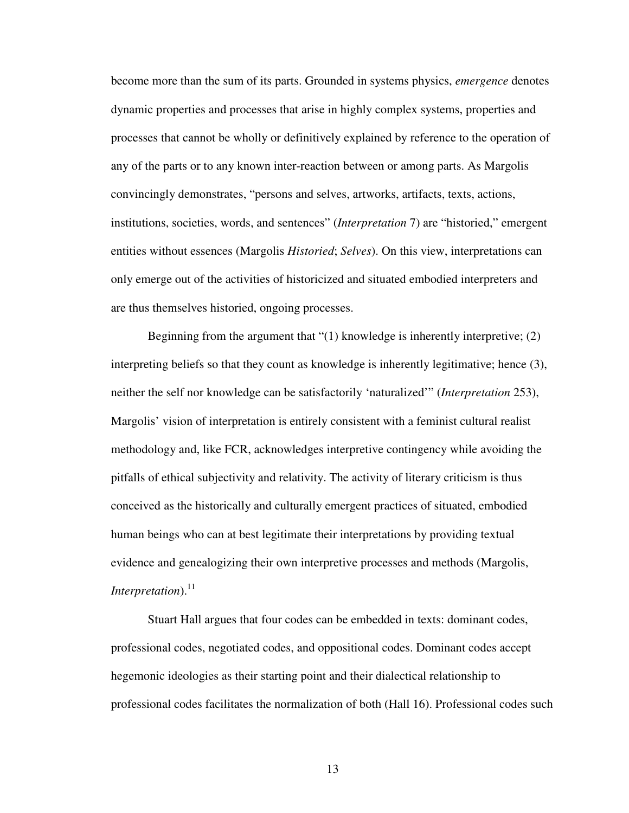become more than the sum of its parts. Grounded in systems physics, *emergence* denotes dynamic properties and processes that arise in highly complex systems, properties and processes that cannot be wholly or definitively explained by reference to the operation of any of the parts or to any known inter-reaction between or among parts. As Margolis convincingly demonstrates, "persons and selves, artworks, artifacts, texts, actions, institutions, societies, words, and sentences" *(Interpretation 7)* are "historied," emergent entities without essences (Margolis *Historied*; *Selves*). On this view, interpretations can only emerge out of the activities of historicized and situated embodied interpreters and are thus themselves historied, ongoing processes.

Beginning from the argument that "(1) knowledge is inherently interpretive; (2) interpreting beliefs so that they count as knowledge is inherently legitimative; hence (3), neither the self nor knowledge can be satisfactorily 'naturalized'" (*Interpretation* 253), Margolis' vision of interpretation is entirely consistent with a feminist cultural realist methodology and, like FCR, acknowledges interpretive contingency while avoiding the pitfalls of ethical subjectivity and relativity. The activity of literary criticism is thus conceived as the historically and culturally emergent practices of situated, embodied human beings who can at best legitimate their interpretations by providing textual evidence and genealogizing their own interpretive processes and methods (Margolis, *Interpretation*).<sup>11</sup>

Stuart Hall argues that four codes can be embedded in texts: dominant codes, professional codes, negotiated codes, and oppositional codes. Dominant codes accept hegemonic ideologies as their starting point and their dialectical relationship to professional codes facilitates the normalization of both (Hall 16). Professional codes such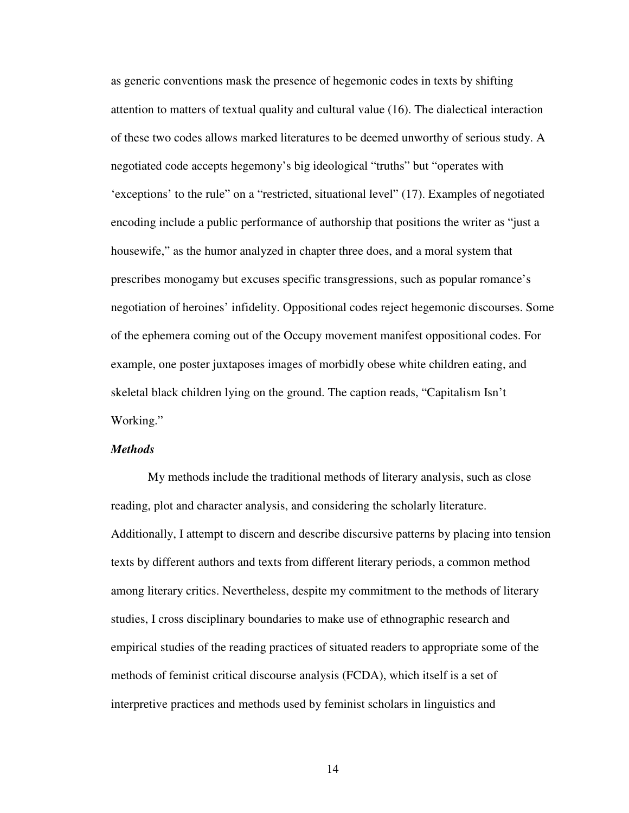as generic conventions mask the presence of hegemonic codes in texts by shifting attention to matters of textual quality and cultural value (16). The dialectical interaction of these two codes allows marked literatures to be deemed unworthy of serious study. A negotiated code accepts hegemony's big ideological "truths" but "operates with 'exceptions' to the rule" on a "restricted, situational level" (17). Examples of negotiated encoding include a public performance of authorship that positions the writer as "just a housewife," as the humor analyzed in chapter three does, and a moral system that prescribes monogamy but excuses specific transgressions, such as popular romance's negotiation of heroines' infidelity. Oppositional codes reject hegemonic discourses. Some of the ephemera coming out of the Occupy movement manifest oppositional codes. For example, one poster juxtaposes images of morbidly obese white children eating, and skeletal black children lying on the ground. The caption reads, "Capitalism Isn't Working."

#### *Methods*

My methods include the traditional methods of literary analysis, such as close reading, plot and character analysis, and considering the scholarly literature. Additionally, I attempt to discern and describe discursive patterns by placing into tension texts by different authors and texts from different literary periods, a common method among literary critics. Nevertheless, despite my commitment to the methods of literary studies, I cross disciplinary boundaries to make use of ethnographic research and empirical studies of the reading practices of situated readers to appropriate some of the methods of feminist critical discourse analysis (FCDA), which itself is a set of interpretive practices and methods used by feminist scholars in linguistics and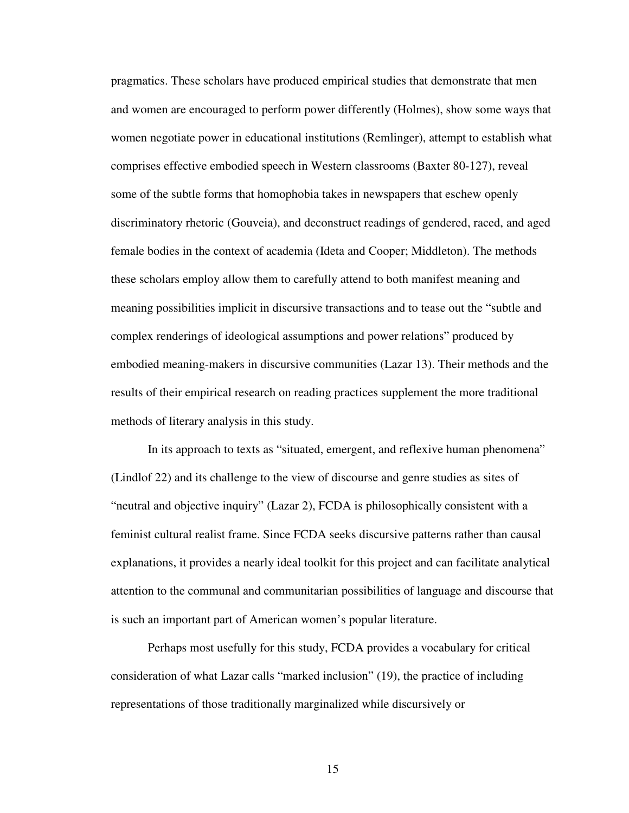pragmatics. These scholars have produced empirical studies that demonstrate that men and women are encouraged to perform power differently (Holmes), show some ways that women negotiate power in educational institutions (Remlinger), attempt to establish what comprises effective embodied speech in Western classrooms (Baxter 80-127), reveal some of the subtle forms that homophobia takes in newspapers that eschew openly discriminatory rhetoric (Gouveia), and deconstruct readings of gendered, raced, and aged female bodies in the context of academia (Ideta and Cooper; Middleton). The methods these scholars employ allow them to carefully attend to both manifest meaning and meaning possibilities implicit in discursive transactions and to tease out the "subtle and complex renderings of ideological assumptions and power relations" produced by embodied meaning-makers in discursive communities (Lazar 13). Their methods and the results of their empirical research on reading practices supplement the more traditional methods of literary analysis in this study.

In its approach to texts as "situated, emergent, and reflexive human phenomena" (Lindlof 22) and its challenge to the view of discourse and genre studies as sites of "neutral and objective inquiry" (Lazar 2), FCDA is philosophically consistent with a feminist cultural realist frame. Since FCDA seeks discursive patterns rather than causal explanations, it provides a nearly ideal toolkit for this project and can facilitate analytical attention to the communal and communitarian possibilities of language and discourse that is such an important part of American women's popular literature.

Perhaps most usefully for this study, FCDA provides a vocabulary for critical consideration of what Lazar calls "marked inclusion" (19), the practice of including representations of those traditionally marginalized while discursively or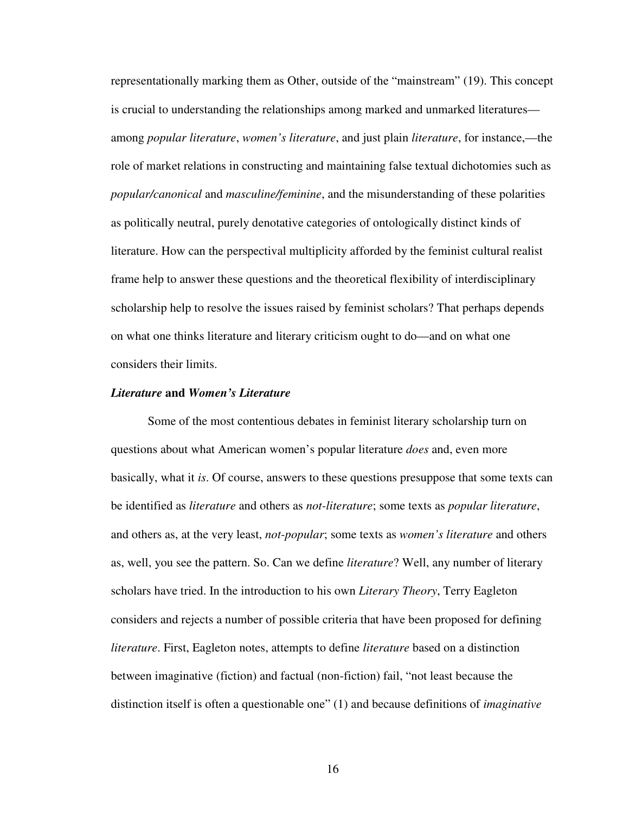representationally marking them as Other, outside of the "mainstream" (19). This concept is crucial to understanding the relationships among marked and unmarked literatures among *popular literature*, *women's literature*, and just plain *literature*, for instance,—the role of market relations in constructing and maintaining false textual dichotomies such as *popular/canonical* and *masculine/feminine*, and the misunderstanding of these polarities as politically neutral, purely denotative categories of ontologically distinct kinds of literature. How can the perspectival multiplicity afforded by the feminist cultural realist frame help to answer these questions and the theoretical flexibility of interdisciplinary scholarship help to resolve the issues raised by feminist scholars? That perhaps depends on what one thinks literature and literary criticism ought to do—and on what one considers their limits.

#### *Literature* **and** *Women's Literature*

Some of the most contentious debates in feminist literary scholarship turn on questions about what American women's popular literature *does* and, even more basically, what it *is*. Of course, answers to these questions presuppose that some texts can be identified as *literature* and others as *not-literature*; some texts as *popular literature*, and others as, at the very least, *not-popular*; some texts as *women's literature* and others as, well, you see the pattern. So. Can we define *literature*? Well, any number of literary scholars have tried. In the introduction to his own *Literary Theory*, Terry Eagleton considers and rejects a number of possible criteria that have been proposed for defining *literature*. First, Eagleton notes, attempts to define *literature* based on a distinction between imaginative (fiction) and factual (non-fiction) fail, "not least because the distinction itself is often a questionable one" (1) and because definitions of *imaginative*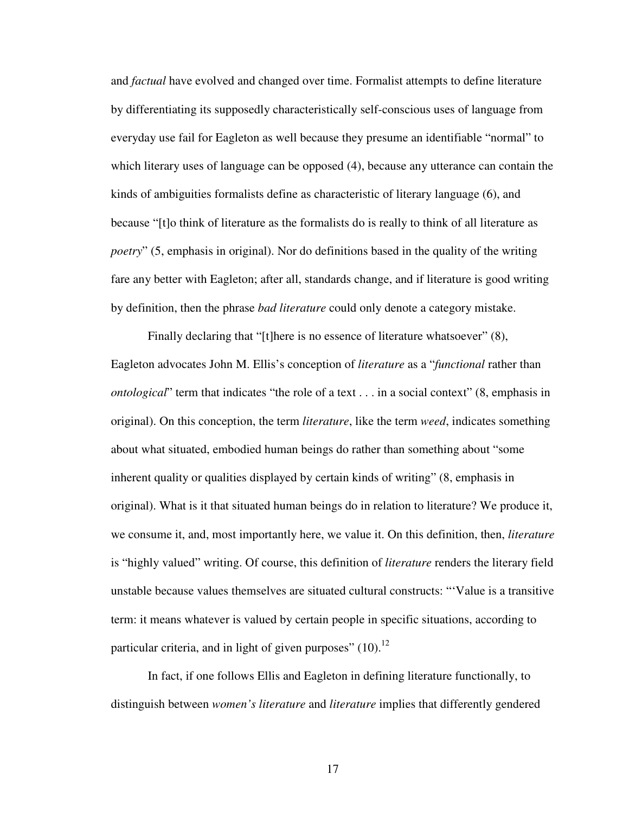and *factual* have evolved and changed over time. Formalist attempts to define literature by differentiating its supposedly characteristically self-conscious uses of language from everyday use fail for Eagleton as well because they presume an identifiable "normal" to which literary uses of language can be opposed (4), because any utterance can contain the kinds of ambiguities formalists define as characteristic of literary language (6), and because "[t]o think of literature as the formalists do is really to think of all literature as *poetry*" (5, emphasis in original). Nor do definitions based in the quality of the writing fare any better with Eagleton; after all, standards change, and if literature is good writing by definition, then the phrase *bad literature* could only denote a category mistake.

Finally declaring that "[t]here is no essence of literature whatsoever" (8), Eagleton advocates John M. Ellis's conception of *literature* as a "*functional* rather than *ontological*" term that indicates "the role of a text . . . in a social context" (8, emphasis in original). On this conception, the term *literature*, like the term *weed*, indicates something about what situated, embodied human beings do rather than something about "some inherent quality or qualities displayed by certain kinds of writing" (8, emphasis in original). What is it that situated human beings do in relation to literature? We produce it, we consume it, and, most importantly here, we value it. On this definition, then, *literature* is "highly valued" writing. Of course, this definition of *literature* renders the literary field unstable because values themselves are situated cultural constructs: "'Value is a transitive term: it means whatever is valued by certain people in specific situations, according to particular criteria, and in light of given purposes"  $(10)^{12}$ 

In fact, if one follows Ellis and Eagleton in defining literature functionally, to distinguish between *women's literature* and *literature* implies that differently gendered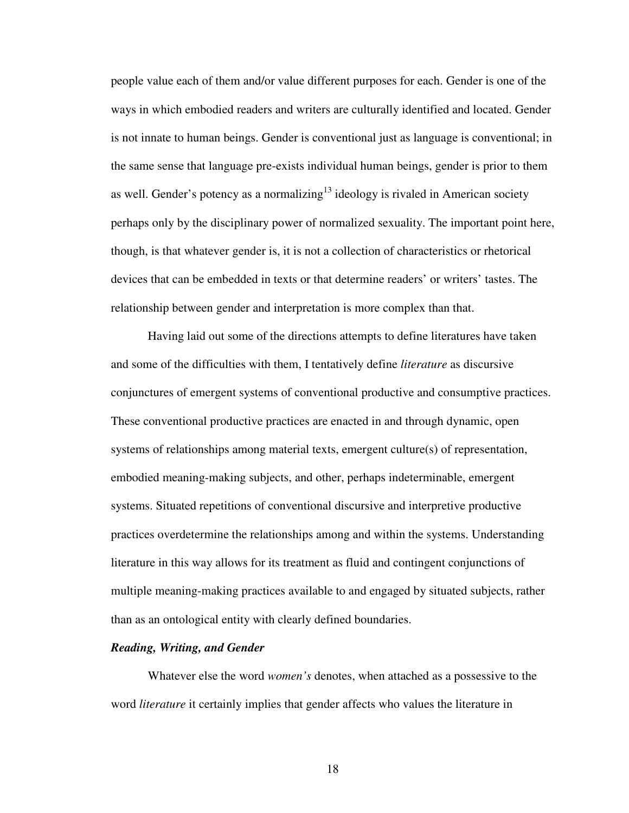people value each of them and/or value different purposes for each. Gender is one of the ways in which embodied readers and writers are culturally identified and located. Gender is not innate to human beings. Gender is conventional just as language is conventional; in the same sense that language pre-exists individual human beings, gender is prior to them as well. Gender's potency as a normalizing<sup>13</sup> ideology is rivaled in American society perhaps only by the disciplinary power of normalized sexuality. The important point here, though, is that whatever gender is, it is not a collection of characteristics or rhetorical devices that can be embedded in texts or that determine readers' or writers' tastes. The relationship between gender and interpretation is more complex than that.

Having laid out some of the directions attempts to define literatures have taken and some of the difficulties with them, I tentatively define *literature* as discursive conjunctures of emergent systems of conventional productive and consumptive practices. These conventional productive practices are enacted in and through dynamic, open systems of relationships among material texts, emergent culture(s) of representation, embodied meaning-making subjects, and other, perhaps indeterminable, emergent systems. Situated repetitions of conventional discursive and interpretive productive practices overdetermine the relationships among and within the systems. Understanding literature in this way allows for its treatment as fluid and contingent conjunctions of multiple meaning-making practices available to and engaged by situated subjects, rather than as an ontological entity with clearly defined boundaries.

#### *Reading, Writing, and Gender*

Whatever else the word *women's* denotes, when attached as a possessive to the word *literature* it certainly implies that gender affects who values the literature in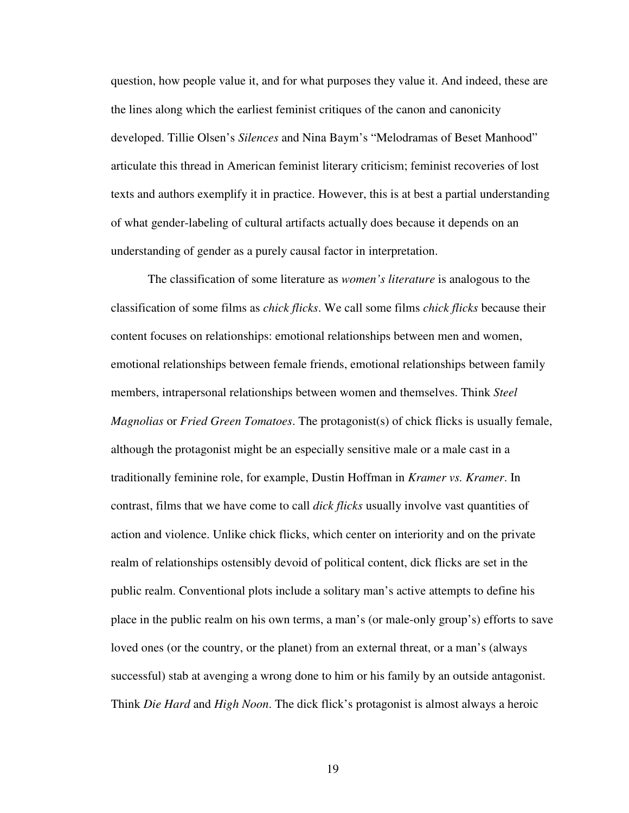question, how people value it, and for what purposes they value it. And indeed, these are the lines along which the earliest feminist critiques of the canon and canonicity developed. Tillie Olsen's *Silences* and Nina Baym's "Melodramas of Beset Manhood" articulate this thread in American feminist literary criticism; feminist recoveries of lost texts and authors exemplify it in practice. However, this is at best a partial understanding of what gender-labeling of cultural artifacts actually does because it depends on an understanding of gender as a purely causal factor in interpretation.

The classification of some literature as *women's literature* is analogous to the classification of some films as *chick flicks*. We call some films *chick flicks* because their content focuses on relationships: emotional relationships between men and women, emotional relationships between female friends, emotional relationships between family members, intrapersonal relationships between women and themselves. Think *Steel Magnolias* or *Fried Green Tomatoes*. The protagonist(s) of chick flicks is usually female, although the protagonist might be an especially sensitive male or a male cast in a traditionally feminine role, for example, Dustin Hoffman in *Kramer vs. Kramer*. In contrast, films that we have come to call *dick flicks* usually involve vast quantities of action and violence. Unlike chick flicks, which center on interiority and on the private realm of relationships ostensibly devoid of political content, dick flicks are set in the public realm. Conventional plots include a solitary man's active attempts to define his place in the public realm on his own terms, a man's (or male-only group's) efforts to save loved ones (or the country, or the planet) from an external threat, or a man's (always successful) stab at avenging a wrong done to him or his family by an outside antagonist. Think *Die Hard* and *High Noon*. The dick flick's protagonist is almost always a heroic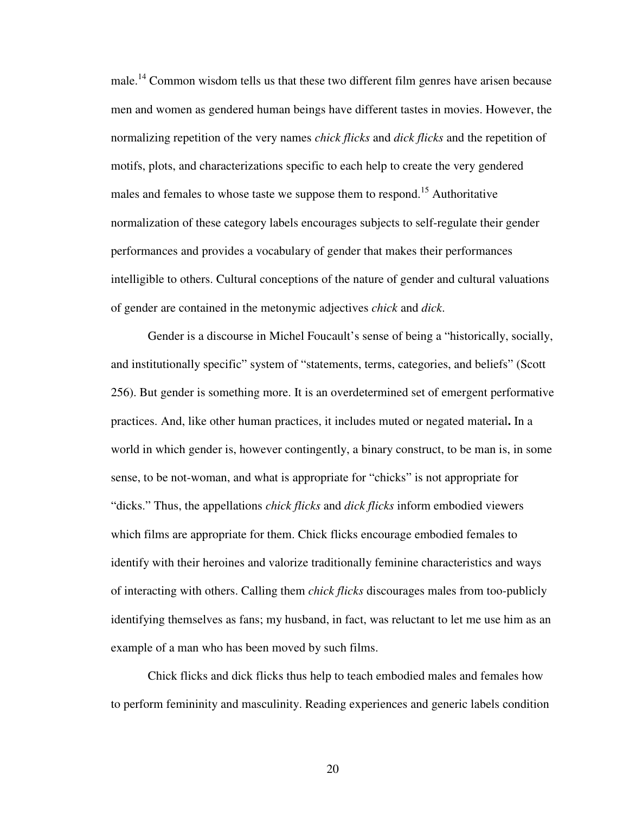male.<sup>14</sup> Common wisdom tells us that these two different film genres have arisen because men and women as gendered human beings have different tastes in movies. However, the normalizing repetition of the very names *chick flicks* and *dick flicks* and the repetition of motifs, plots, and characterizations specific to each help to create the very gendered males and females to whose taste we suppose them to respond.<sup>15</sup> Authoritative normalization of these category labels encourages subjects to self-regulate their gender performances and provides a vocabulary of gender that makes their performances intelligible to others. Cultural conceptions of the nature of gender and cultural valuations of gender are contained in the metonymic adjectives *chick* and *dick*.

Gender is a discourse in Michel Foucault's sense of being a "historically, socially, and institutionally specific" system of "statements, terms, categories, and beliefs" (Scott 256). But gender is something more. It is an overdetermined set of emergent performative practices. And, like other human practices, it includes muted or negated material**.** In a world in which gender is, however contingently, a binary construct, to be man is, in some sense, to be not-woman, and what is appropriate for "chicks" is not appropriate for "dicks." Thus, the appellations *chick flicks* and *dick flicks* inform embodied viewers which films are appropriate for them. Chick flicks encourage embodied females to identify with their heroines and valorize traditionally feminine characteristics and ways of interacting with others. Calling them *chick flicks* discourages males from too-publicly identifying themselves as fans; my husband, in fact, was reluctant to let me use him as an example of a man who has been moved by such films.

Chick flicks and dick flicks thus help to teach embodied males and females how to perform femininity and masculinity. Reading experiences and generic labels condition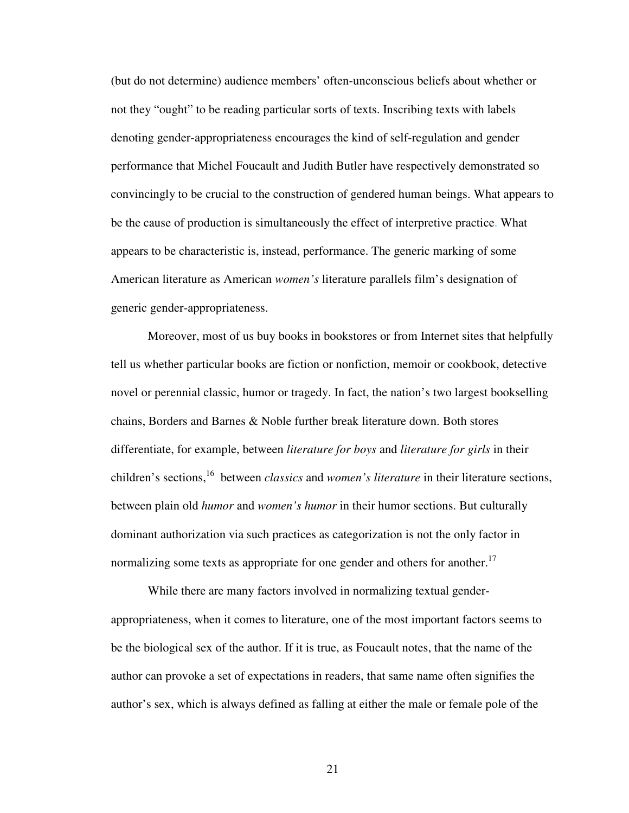(but do not determine) audience members' often-unconscious beliefs about whether or not they "ought" to be reading particular sorts of texts. Inscribing texts with labels denoting gender-appropriateness encourages the kind of self-regulation and gender performance that Michel Foucault and Judith Butler have respectively demonstrated so convincingly to be crucial to the construction of gendered human beings. What appears to be the cause of production is simultaneously the effect of interpretive practice. What appears to be characteristic is, instead, performance. The generic marking of some American literature as American *women's* literature parallels film's designation of generic gender-appropriateness.

Moreover, most of us buy books in bookstores or from Internet sites that helpfully tell us whether particular books are fiction or nonfiction, memoir or cookbook, detective novel or perennial classic, humor or tragedy. In fact, the nation's two largest bookselling chains, Borders and Barnes & Noble further break literature down. Both stores differentiate, for example, between *literature for boys* and *literature for girls* in their children's sections,<sup>16</sup> between *classics* and *women's literature* in their literature sections, between plain old *humor* and *women's humor* in their humor sections. But culturally dominant authorization via such practices as categorization is not the only factor in normalizing some texts as appropriate for one gender and others for another.<sup>17</sup>

While there are many factors involved in normalizing textual genderappropriateness, when it comes to literature, one of the most important factors seems to be the biological sex of the author. If it is true, as Foucault notes, that the name of the author can provoke a set of expectations in readers, that same name often signifies the author's sex, which is always defined as falling at either the male or female pole of the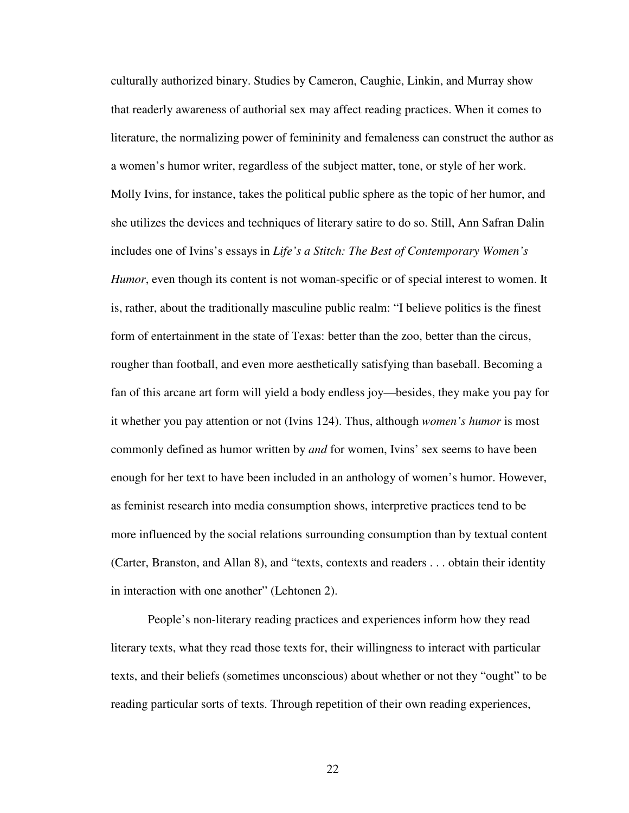culturally authorized binary. Studies by Cameron, Caughie, Linkin, and Murray show that readerly awareness of authorial sex may affect reading practices. When it comes to literature, the normalizing power of femininity and femaleness can construct the author as a women's humor writer, regardless of the subject matter, tone, or style of her work. Molly Ivins, for instance, takes the political public sphere as the topic of her humor, and she utilizes the devices and techniques of literary satire to do so. Still, Ann Safran Dalin includes one of Ivins's essays in *Life's a Stitch: The Best of Contemporary Women's Humor*, even though its content is not woman-specific or of special interest to women. It is, rather, about the traditionally masculine public realm: "I believe politics is the finest form of entertainment in the state of Texas: better than the zoo, better than the circus, rougher than football, and even more aesthetically satisfying than baseball. Becoming a fan of this arcane art form will yield a body endless joy—besides, they make you pay for it whether you pay attention or not (Ivins 124). Thus, although *women's humor* is most commonly defined as humor written by *and* for women, Ivins' sex seems to have been enough for her text to have been included in an anthology of women's humor. However, as feminist research into media consumption shows, interpretive practices tend to be more influenced by the social relations surrounding consumption than by textual content (Carter, Branston, and Allan 8), and "texts, contexts and readers . . . obtain their identity in interaction with one another" (Lehtonen 2).

People's non-literary reading practices and experiences inform how they read literary texts, what they read those texts for, their willingness to interact with particular texts, and their beliefs (sometimes unconscious) about whether or not they "ought" to be reading particular sorts of texts. Through repetition of their own reading experiences,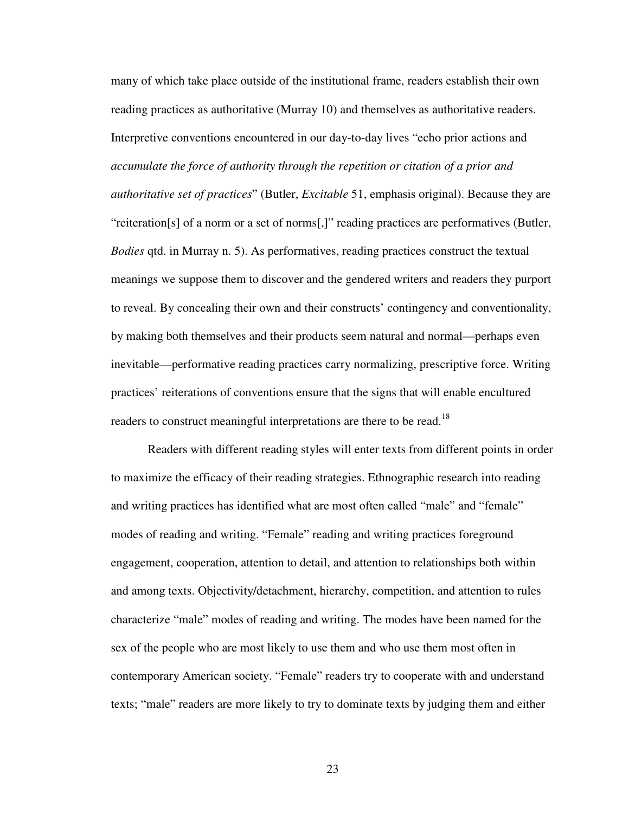many of which take place outside of the institutional frame, readers establish their own reading practices as authoritative (Murray 10) and themselves as authoritative readers. Interpretive conventions encountered in our day-to-day lives "echo prior actions and *accumulate the force of authority through the repetition or citation of a prior and authoritative set of practices*" (Butler, *Excitable* 51, emphasis original). Because they are "reiteration[s] of a norm or a set of norms[,]" reading practices are performatives (Butler, *Bodies* qtd. in Murray n. 5). As performatives, reading practices construct the textual meanings we suppose them to discover and the gendered writers and readers they purport to reveal. By concealing their own and their constructs' contingency and conventionality, by making both themselves and their products seem natural and normal—perhaps even inevitable—performative reading practices carry normalizing, prescriptive force. Writing practices' reiterations of conventions ensure that the signs that will enable encultured readers to construct meaningful interpretations are there to be read.<sup>18</sup>

Readers with different reading styles will enter texts from different points in order to maximize the efficacy of their reading strategies. Ethnographic research into reading and writing practices has identified what are most often called "male" and "female" modes of reading and writing. "Female" reading and writing practices foreground engagement, cooperation, attention to detail, and attention to relationships both within and among texts. Objectivity/detachment, hierarchy, competition, and attention to rules characterize "male" modes of reading and writing. The modes have been named for the sex of the people who are most likely to use them and who use them most often in contemporary American society. "Female" readers try to cooperate with and understand texts; "male" readers are more likely to try to dominate texts by judging them and either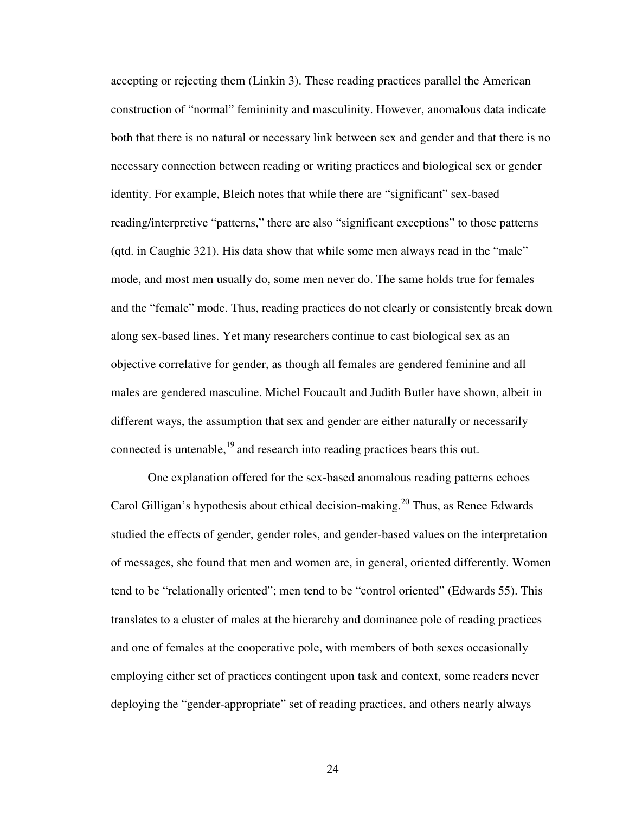accepting or rejecting them (Linkin 3). These reading practices parallel the American construction of "normal" femininity and masculinity. However, anomalous data indicate both that there is no natural or necessary link between sex and gender and that there is no necessary connection between reading or writing practices and biological sex or gender identity. For example, Bleich notes that while there are "significant" sex-based reading/interpretive "patterns," there are also "significant exceptions" to those patterns (qtd. in Caughie 321). His data show that while some men always read in the "male" mode, and most men usually do, some men never do. The same holds true for females and the "female" mode. Thus, reading practices do not clearly or consistently break down along sex-based lines. Yet many researchers continue to cast biological sex as an objective correlative for gender, as though all females are gendered feminine and all males are gendered masculine. Michel Foucault and Judith Butler have shown, albeit in different ways, the assumption that sex and gender are either naturally or necessarily connected is untenable,  $19$  and research into reading practices bears this out.

One explanation offered for the sex-based anomalous reading patterns echoes Carol Gilligan's hypothesis about ethical decision-making.<sup>20</sup> Thus, as Renee Edwards studied the effects of gender, gender roles, and gender-based values on the interpretation of messages, she found that men and women are, in general, oriented differently. Women tend to be "relationally oriented"; men tend to be "control oriented" (Edwards 55). This translates to a cluster of males at the hierarchy and dominance pole of reading practices and one of females at the cooperative pole, with members of both sexes occasionally employing either set of practices contingent upon task and context, some readers never deploying the "gender-appropriate" set of reading practices, and others nearly always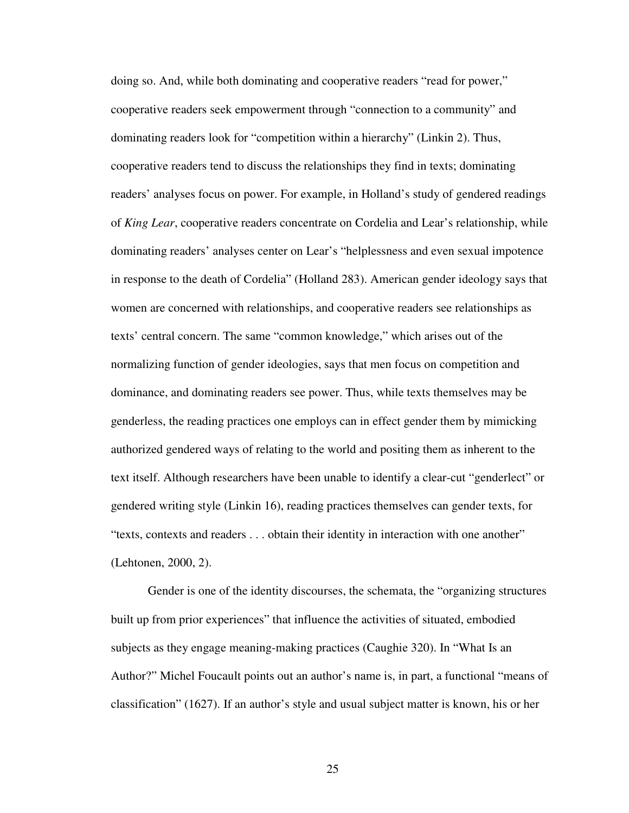doing so. And, while both dominating and cooperative readers "read for power," cooperative readers seek empowerment through "connection to a community" and dominating readers look for "competition within a hierarchy" (Linkin 2). Thus, cooperative readers tend to discuss the relationships they find in texts; dominating readers' analyses focus on power. For example, in Holland's study of gendered readings of *King Lear*, cooperative readers concentrate on Cordelia and Lear's relationship, while dominating readers' analyses center on Lear's "helplessness and even sexual impotence in response to the death of Cordelia" (Holland 283). American gender ideology says that women are concerned with relationships, and cooperative readers see relationships as texts' central concern. The same "common knowledge," which arises out of the normalizing function of gender ideologies, says that men focus on competition and dominance, and dominating readers see power. Thus, while texts themselves may be genderless, the reading practices one employs can in effect gender them by mimicking authorized gendered ways of relating to the world and positing them as inherent to the text itself. Although researchers have been unable to identify a clear-cut "genderlect" or gendered writing style (Linkin 16), reading practices themselves can gender texts, for "texts, contexts and readers . . . obtain their identity in interaction with one another" (Lehtonen, 2000, 2).

Gender is one of the identity discourses, the schemata, the "organizing structures built up from prior experiences" that influence the activities of situated, embodied subjects as they engage meaning-making practices (Caughie 320). In "What Is an Author?" Michel Foucault points out an author's name is, in part, a functional "means of classification" (1627). If an author's style and usual subject matter is known, his or her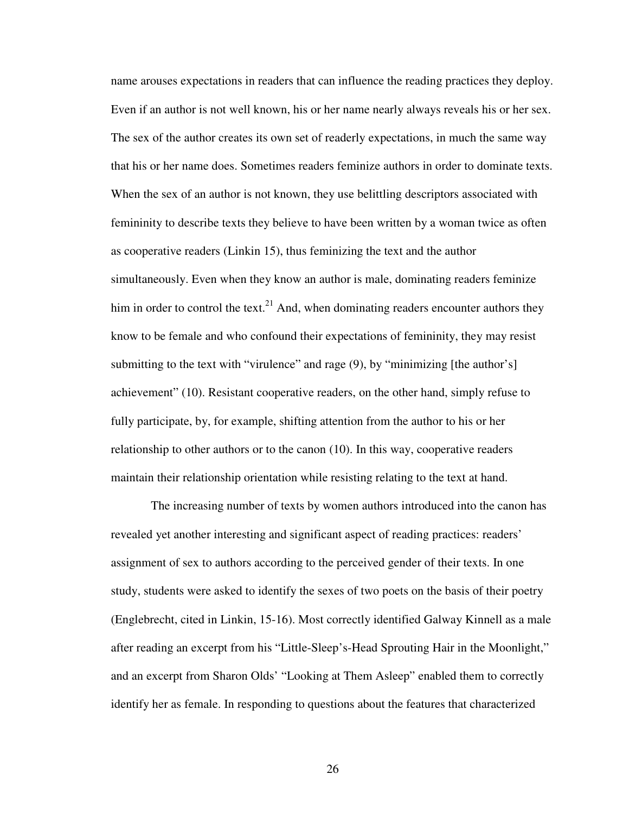name arouses expectations in readers that can influence the reading practices they deploy. Even if an author is not well known, his or her name nearly always reveals his or her sex. The sex of the author creates its own set of readerly expectations, in much the same way that his or her name does. Sometimes readers feminize authors in order to dominate texts. When the sex of an author is not known, they use belittling descriptors associated with femininity to describe texts they believe to have been written by a woman twice as often as cooperative readers (Linkin 15), thus feminizing the text and the author simultaneously. Even when they know an author is male, dominating readers feminize him in order to control the text.<sup>21</sup> And, when dominating readers encounter authors they know to be female and who confound their expectations of femininity, they may resist submitting to the text with "virulence" and rage (9), by "minimizing [the author's] achievement" (10). Resistant cooperative readers, on the other hand, simply refuse to fully participate, by, for example, shifting attention from the author to his or her relationship to other authors or to the canon (10). In this way, cooperative readers maintain their relationship orientation while resisting relating to the text at hand.

 The increasing number of texts by women authors introduced into the canon has revealed yet another interesting and significant aspect of reading practices: readers' assignment of sex to authors according to the perceived gender of their texts. In one study, students were asked to identify the sexes of two poets on the basis of their poetry (Englebrecht, cited in Linkin, 15-16). Most correctly identified Galway Kinnell as a male after reading an excerpt from his "Little-Sleep's-Head Sprouting Hair in the Moonlight," and an excerpt from Sharon Olds' "Looking at Them Asleep" enabled them to correctly identify her as female. In responding to questions about the features that characterized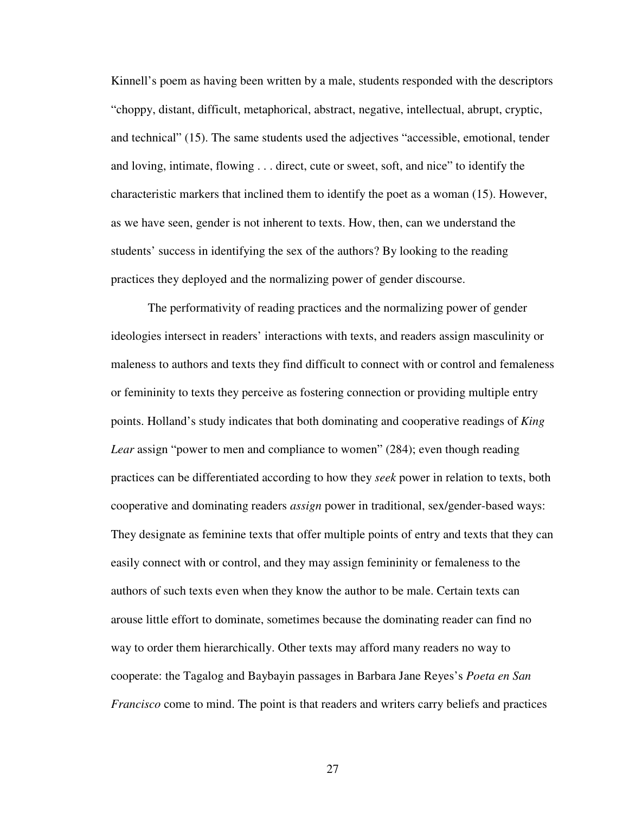Kinnell's poem as having been written by a male, students responded with the descriptors "choppy, distant, difficult, metaphorical, abstract, negative, intellectual, abrupt, cryptic, and technical" (15). The same students used the adjectives "accessible, emotional, tender and loving, intimate, flowing . . . direct, cute or sweet, soft, and nice" to identify the characteristic markers that inclined them to identify the poet as a woman (15). However, as we have seen, gender is not inherent to texts. How, then, can we understand the students' success in identifying the sex of the authors? By looking to the reading practices they deployed and the normalizing power of gender discourse.

The performativity of reading practices and the normalizing power of gender ideologies intersect in readers' interactions with texts, and readers assign masculinity or maleness to authors and texts they find difficult to connect with or control and femaleness or femininity to texts they perceive as fostering connection or providing multiple entry points. Holland's study indicates that both dominating and cooperative readings of *King Lear* assign "power to men and compliance to women" (284); even though reading practices can be differentiated according to how they *seek* power in relation to texts, both cooperative and dominating readers *assign* power in traditional, sex/gender-based ways: They designate as feminine texts that offer multiple points of entry and texts that they can easily connect with or control, and they may assign femininity or femaleness to the authors of such texts even when they know the author to be male. Certain texts can arouse little effort to dominate, sometimes because the dominating reader can find no way to order them hierarchically. Other texts may afford many readers no way to cooperate: the Tagalog and Baybayin passages in Barbara Jane Reyes's *Poeta en San Francisco* come to mind. The point is that readers and writers carry beliefs and practices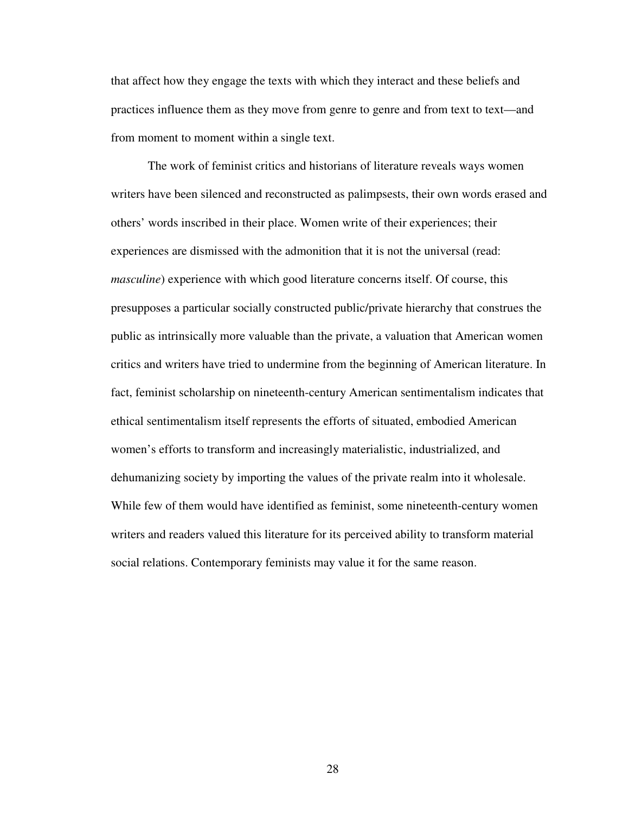that affect how they engage the texts with which they interact and these beliefs and practices influence them as they move from genre to genre and from text to text—and from moment to moment within a single text.

The work of feminist critics and historians of literature reveals ways women writers have been silenced and reconstructed as palimpsests, their own words erased and others' words inscribed in their place. Women write of their experiences; their experiences are dismissed with the admonition that it is not the universal (read: *masculine*) experience with which good literature concerns itself. Of course, this presupposes a particular socially constructed public/private hierarchy that construes the public as intrinsically more valuable than the private, a valuation that American women critics and writers have tried to undermine from the beginning of American literature. In fact, feminist scholarship on nineteenth-century American sentimentalism indicates that ethical sentimentalism itself represents the efforts of situated, embodied American women's efforts to transform and increasingly materialistic, industrialized, and dehumanizing society by importing the values of the private realm into it wholesale. While few of them would have identified as feminist, some nineteenth-century women writers and readers valued this literature for its perceived ability to transform material social relations. Contemporary feminists may value it for the same reason.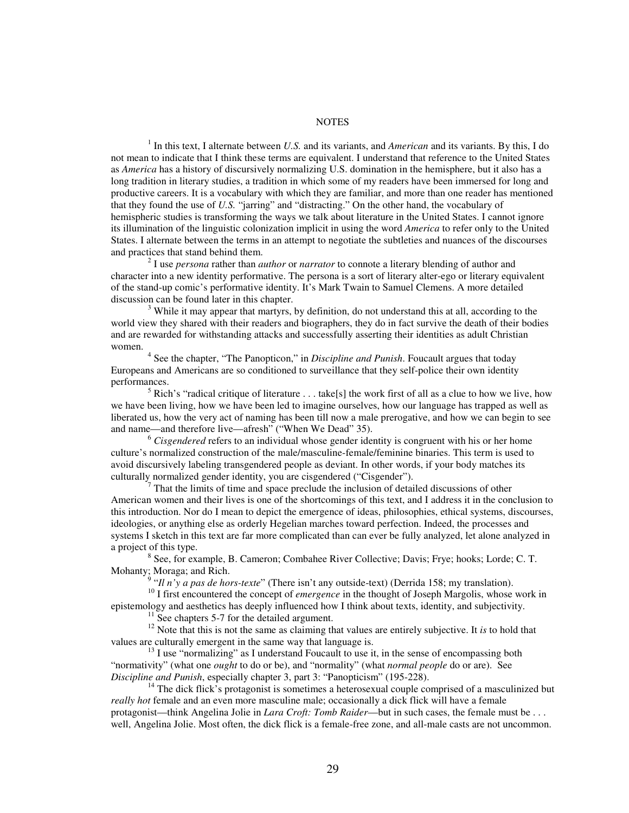#### **NOTES**

<sup>1</sup> In this text, I alternate between *U.S.* and its variants, and *American* and its variants. By this, I do not mean to indicate that I think these terms are equivalent. I understand that reference to the United States as *America* has a history of discursively normalizing U.S. domination in the hemisphere, but it also has a long tradition in literary studies, a tradition in which some of my readers have been immersed for long and productive careers. It is a vocabulary with which they are familiar, and more than one reader has mentioned that they found the use of *U.S.* "jarring" and "distracting." On the other hand, the vocabulary of hemispheric studies is transforming the ways we talk about literature in the United States. I cannot ignore its illumination of the linguistic colonization implicit in using the word *America* to refer only to the United States. I alternate between the terms in an attempt to negotiate the subtleties and nuances of the discourses and practices that stand behind them.

2 I use *persona* rather than *author* or *narrator* to connote a literary blending of author and character into a new identity performative. The persona is a sort of literary alter-ego or literary equivalent of the stand-up comic's performative identity. It's Mark Twain to Samuel Clemens. A more detailed discussion can be found later in this chapter.

<sup>3</sup> While it may appear that martyrs, by definition, do not understand this at all, according to the world view they shared with their readers and biographers, they do in fact survive the death of their bodies and are rewarded for withstanding attacks and successfully asserting their identities as adult Christian women.

<sup>4</sup> See the chapter, "The Panopticon," in *Discipline and Punish*. Foucault argues that today Europeans and Americans are so conditioned to surveillance that they self-police their own identity performances.

<sup>5</sup> Rich's "radical critique of literature ... take[s] the work first of all as a clue to how we live, how we have been living, how we have been led to imagine ourselves, how our language has trapped as well as liberated us, how the very act of naming has been till now a male prerogative, and how we can begin to see and name—and therefore live—afresh" ("When We Dead" 35).

<sup>6</sup> *Cisgendered* refers to an individual whose gender identity is congruent with his or her home culture's normalized construction of the male/masculine-female/feminine binaries. This term is used to avoid discursively labeling transgendered people as deviant. In other words, if your body matches its culturally normalized gender identity, you are cisgendered ("Cisgender").

7 That the limits of time and space preclude the inclusion of detailed discussions of other American women and their lives is one of the shortcomings of this text, and I address it in the conclusion to this introduction. Nor do I mean to depict the emergence of ideas, philosophies, ethical systems, discourses, ideologies, or anything else as orderly Hegelian marches toward perfection. Indeed, the processes and systems I sketch in this text are far more complicated than can ever be fully analyzed, let alone analyzed in a project of this type.

<sup>8</sup> See, for example, B. Cameron; Combahee River Collective; Davis; Frye; hooks; Lorde; C. T. Mohanty; Moraga; and Rich.<br><sup>9</sup> "*Il n'y a pas de hors-texte*" (There isn't any outside-text) (Derrida 158; my translation).

<sup>10</sup> I first encountered the concept of *emergence* in the thought of Joseph Margolis, whose work in epistemology and aesthetics has deeply influenced how I think about texts, identity, and subjectivity.

 $11$  See chapters 5-7 for the detailed argument.

<sup>12</sup> Note that this is not the same as claiming that values are entirely subjective. It *is* to hold that values are culturally emergent in the same way that language is.

 $13$  I use "normalizing" as I understand Foucault to use it, in the sense of encompassing both "normativity" (what one *ought* to do or be), and "normality" (what *normal people* do or are). See *Discipline and Punish*, especially chapter 3, part 3: "Panopticism" (195-228).

<sup>14</sup> The dick flick's protagonist is sometimes a heterosexual couple comprised of a masculinized but *really hot* female and an even more masculine male; occasionally a dick flick will have a female protagonist—think Angelina Jolie in *Lara Croft: Tomb Raider*—but in such cases, the female must be . . . well, Angelina Jolie. Most often, the dick flick is a female-free zone, and all-male casts are not uncommon.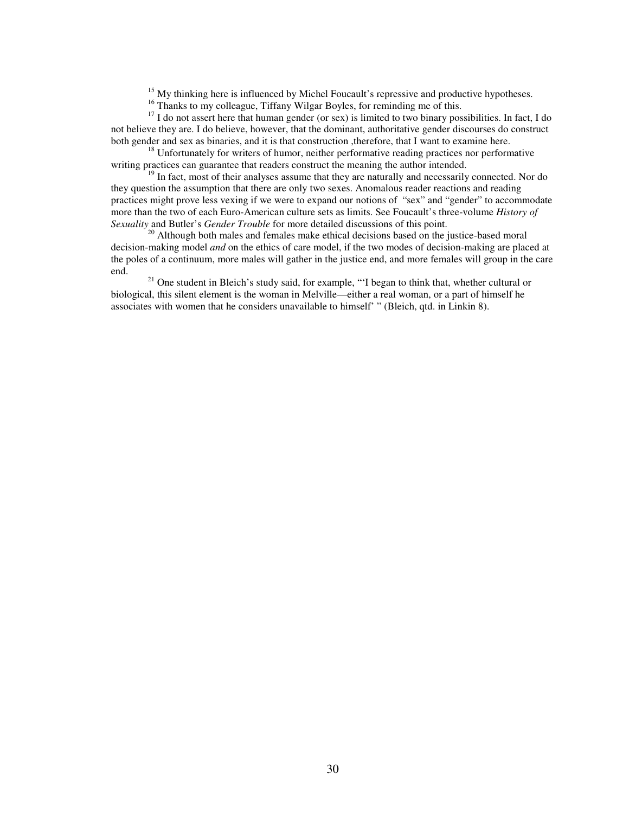$15$  My thinking here is influenced by Michel Foucault's repressive and productive hypotheses.

<sup>16</sup> Thanks to my colleague, Tiffany Wilgar Boyles, for reminding me of this.

<sup>17</sup> I do not assert here that human gender (or sex) is limited to two binary possibilities. In fact, I do not believe they are. I do believe, however, that the dominant, authoritative gender discourses do construct both gender and sex as binaries, and it is that construction ,therefore, that I want to examine here.

 $18$  Unfortunately for writers of humor, neither performative reading practices nor performative writing practices can guarantee that readers construct the meaning the author intended.

 $19$  In fact, most of their analyses assume that they are naturally and necessarily connected. Nor do they question the assumption that there are only two sexes. Anomalous reader reactions and reading practices might prove less vexing if we were to expand our notions of "sex" and "gender" to accommodate more than the two of each Euro-American culture sets as limits. See Foucault's three-volume *History of Sexuality* and Butler's *Gender Trouble* for more detailed discussions of this point.

 $20$  Although both males and females make ethical decisions based on the justice-based moral decision-making model *and* on the ethics of care model, if the two modes of decision-making are placed at the poles of a continuum, more males will gather in the justice end, and more females will group in the care end.

<sup>21</sup> One student in Bleich's study said, for example, "'I began to think that, whether cultural or biological, this silent element is the woman in Melville—either a real woman, or a part of himself he associates with women that he considers unavailable to himself' " (Bleich, qtd. in Linkin 8).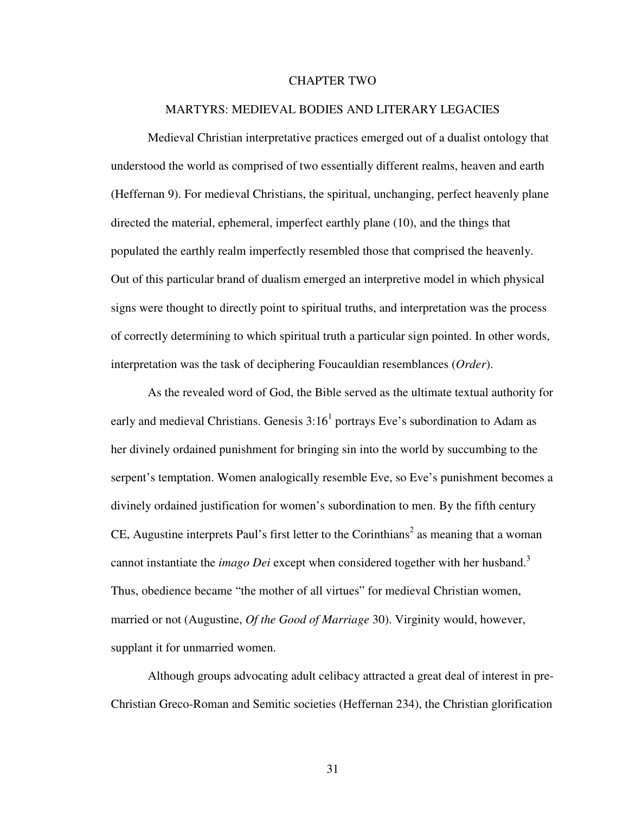# CHAPTER TWO

# MARTYRS: MEDIEVAL BODIES AND LITERARY LEGACIES

Medieval Christian interpretative practices emerged out of a dualist ontology that understood the world as comprised of two essentially different realms, heaven and earth (Heffernan 9). For medieval Christians, the spiritual, unchanging, perfect heavenly plane directed the material, ephemeral, imperfect earthly plane (10), and the things that populated the earthly realm imperfectly resembled those that comprised the heavenly. Out of this particular brand of dualism emerged an interpretive model in which physical signs were thought to directly point to spiritual truths, and interpretation was the process of correctly determining to which spiritual truth a particular sign pointed. In other words, interpretation was the task of deciphering Foucauldian resemblances (*Order*).

As the revealed word of God, the Bible served as the ultimate textual authority for early and medieval Christians. Genesis  $3:16<sup>1</sup>$  portrays Eve's subordination to Adam as her divinely ordained punishment for bringing sin into the world by succumbing to the serpent's temptation. Women analogically resemble Eve, so Eve's punishment becomes a divinely ordained justification for women's subordination to men. By the fifth century CE, Augustine interprets Paul's first letter to the Corinthians<sup>2</sup> as meaning that a woman cannot instantiate the *imago Dei* except when considered together with her husband.<sup>3</sup> Thus, obedience became "the mother of all virtues" for medieval Christian women, married or not (Augustine, *Of the Good of Marriage* 30). Virginity would, however, supplant it for unmarried women.

Although groups advocating adult celibacy attracted a great deal of interest in pre-Christian Greco-Roman and Semitic societies (Heffernan 234), the Christian glorification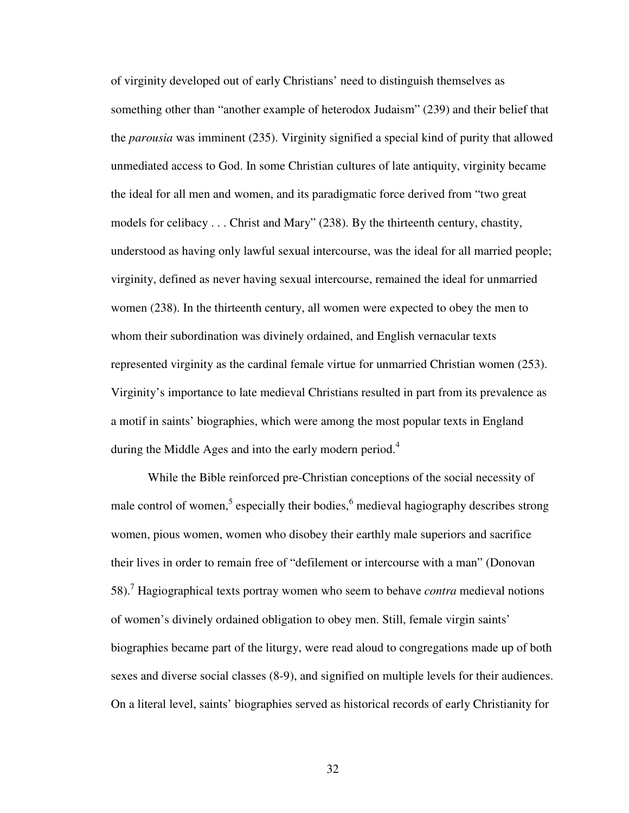of virginity developed out of early Christians' need to distinguish themselves as something other than "another example of heterodox Judaism" (239) and their belief that the *parousia* was imminent (235). Virginity signified a special kind of purity that allowed unmediated access to God. In some Christian cultures of late antiquity, virginity became the ideal for all men and women, and its paradigmatic force derived from "two great models for celibacy . . . Christ and Mary" (238). By the thirteenth century, chastity, understood as having only lawful sexual intercourse, was the ideal for all married people; virginity, defined as never having sexual intercourse, remained the ideal for unmarried women (238). In the thirteenth century, all women were expected to obey the men to whom their subordination was divinely ordained, and English vernacular texts represented virginity as the cardinal female virtue for unmarried Christian women (253). Virginity's importance to late medieval Christians resulted in part from its prevalence as a motif in saints' biographies, which were among the most popular texts in England during the Middle Ages and into the early modern period.<sup>4</sup>

While the Bible reinforced pre-Christian conceptions of the social necessity of male control of women,<sup>5</sup> especially their bodies,<sup>6</sup> medieval hagiography describes strong women, pious women, women who disobey their earthly male superiors and sacrifice their lives in order to remain free of "defilement or intercourse with a man" (Donovan 58).<sup>7</sup> Hagiographical texts portray women who seem to behave *contra* medieval notions of women's divinely ordained obligation to obey men. Still, female virgin saints' biographies became part of the liturgy, were read aloud to congregations made up of both sexes and diverse social classes (8-9), and signified on multiple levels for their audiences. On a literal level, saints' biographies served as historical records of early Christianity for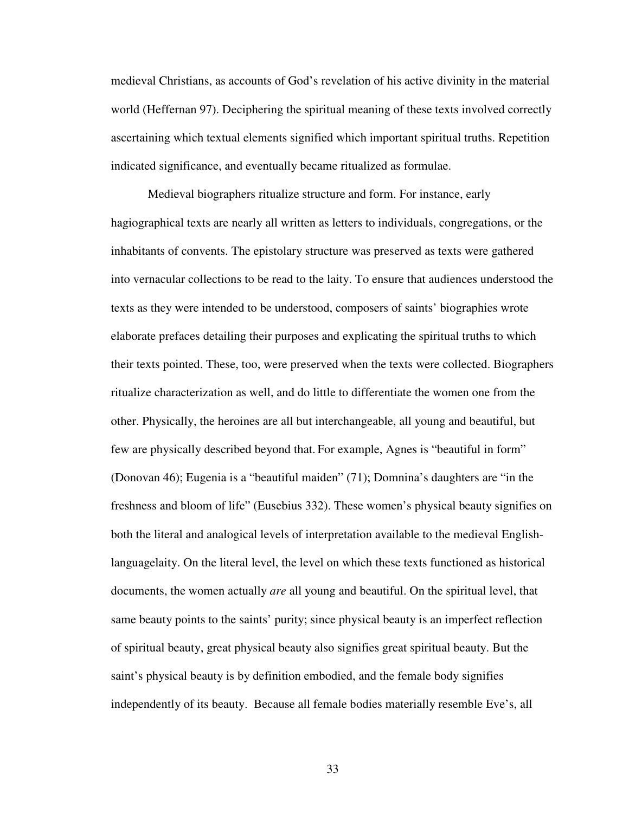medieval Christians, as accounts of God's revelation of his active divinity in the material world (Heffernan 97). Deciphering the spiritual meaning of these texts involved correctly ascertaining which textual elements signified which important spiritual truths. Repetition indicated significance, and eventually became ritualized as formulae.

Medieval biographers ritualize structure and form. For instance, early hagiographical texts are nearly all written as letters to individuals, congregations, or the inhabitants of convents. The epistolary structure was preserved as texts were gathered into vernacular collections to be read to the laity. To ensure that audiences understood the texts as they were intended to be understood, composers of saints' biographies wrote elaborate prefaces detailing their purposes and explicating the spiritual truths to which their texts pointed. These, too, were preserved when the texts were collected. Biographers ritualize characterization as well, and do little to differentiate the women one from the other. Physically, the heroines are all but interchangeable, all young and beautiful, but few are physically described beyond that. For example, Agnes is "beautiful in form" (Donovan 46); Eugenia is a "beautiful maiden" (71); Domnina's daughters are "in the freshness and bloom of life" (Eusebius 332). These women's physical beauty signifies on both the literal and analogical levels of interpretation available to the medieval Englishlanguagelaity. On the literal level, the level on which these texts functioned as historical documents, the women actually *are* all young and beautiful. On the spiritual level, that same beauty points to the saints' purity; since physical beauty is an imperfect reflection of spiritual beauty, great physical beauty also signifies great spiritual beauty. But the saint's physical beauty is by definition embodied, and the female body signifies independently of its beauty. Because all female bodies materially resemble Eve's, all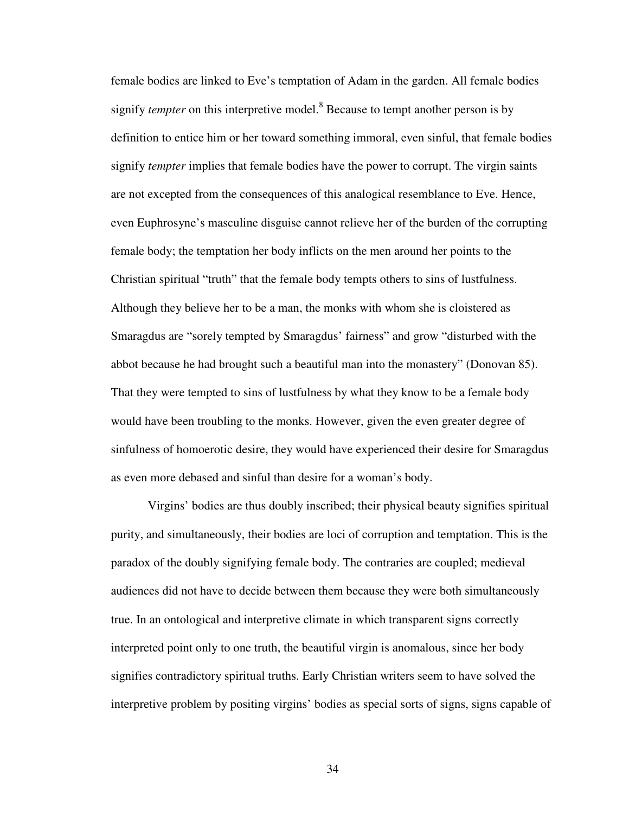female bodies are linked to Eve's temptation of Adam in the garden. All female bodies signify *tempter* on this interpretive model.<sup>8</sup> Because to tempt another person is by definition to entice him or her toward something immoral, even sinful, that female bodies signify *tempter* implies that female bodies have the power to corrupt. The virgin saints are not excepted from the consequences of this analogical resemblance to Eve. Hence, even Euphrosyne's masculine disguise cannot relieve her of the burden of the corrupting female body; the temptation her body inflicts on the men around her points to the Christian spiritual "truth" that the female body tempts others to sins of lustfulness. Although they believe her to be a man, the monks with whom she is cloistered as Smaragdus are "sorely tempted by Smaragdus' fairness" and grow "disturbed with the abbot because he had brought such a beautiful man into the monastery" (Donovan 85). That they were tempted to sins of lustfulness by what they know to be a female body would have been troubling to the monks. However, given the even greater degree of sinfulness of homoerotic desire, they would have experienced their desire for Smaragdus as even more debased and sinful than desire for a woman's body.

Virgins' bodies are thus doubly inscribed; their physical beauty signifies spiritual purity, and simultaneously, their bodies are loci of corruption and temptation. This is the paradox of the doubly signifying female body. The contraries are coupled; medieval audiences did not have to decide between them because they were both simultaneously true. In an ontological and interpretive climate in which transparent signs correctly interpreted point only to one truth, the beautiful virgin is anomalous, since her body signifies contradictory spiritual truths. Early Christian writers seem to have solved the interpretive problem by positing virgins' bodies as special sorts of signs, signs capable of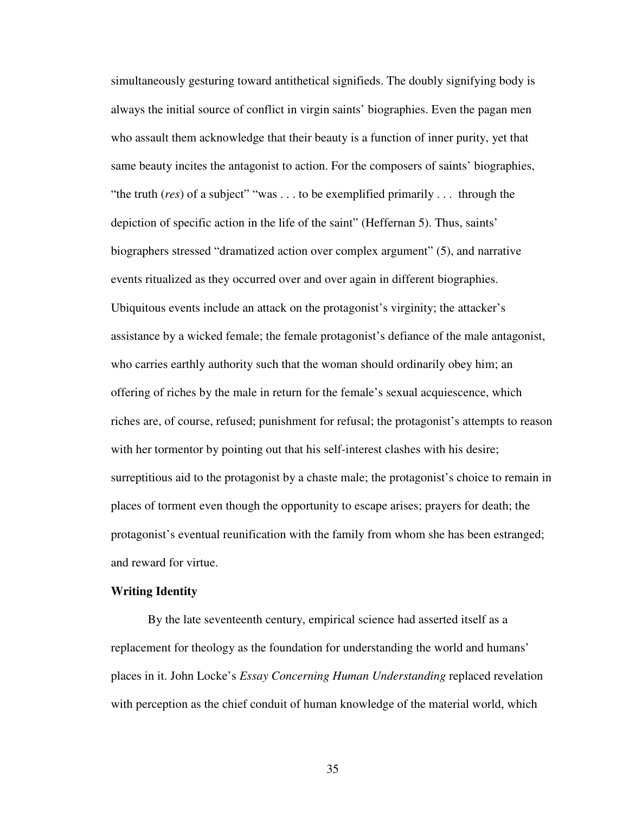simultaneously gesturing toward antithetical signifieds. The doubly signifying body is always the initial source of conflict in virgin saints' biographies. Even the pagan men who assault them acknowledge that their beauty is a function of inner purity, yet that same beauty incites the antagonist to action. For the composers of saints' biographies, "the truth (*res*) of a subject" "was . . . to be exemplified primarily . . . through the depiction of specific action in the life of the saint" (Heffernan 5). Thus, saints' biographers stressed "dramatized action over complex argument" (5), and narrative events ritualized as they occurred over and over again in different biographies. Ubiquitous events include an attack on the protagonist's virginity; the attacker's assistance by a wicked female; the female protagonist's defiance of the male antagonist, who carries earthly authority such that the woman should ordinarily obey him; an offering of riches by the male in return for the female's sexual acquiescence, which riches are, of course, refused; punishment for refusal; the protagonist's attempts to reason with her tormentor by pointing out that his self-interest clashes with his desire; surreptitious aid to the protagonist by a chaste male; the protagonist's choice to remain in places of torment even though the opportunity to escape arises; prayers for death; the protagonist's eventual reunification with the family from whom she has been estranged; and reward for virtue.

# **Writing Identity**

By the late seventeenth century, empirical science had asserted itself as a replacement for theology as the foundation for understanding the world and humans' places in it. John Locke's *Essay Concerning Human Understanding* replaced revelation with perception as the chief conduit of human knowledge of the material world, which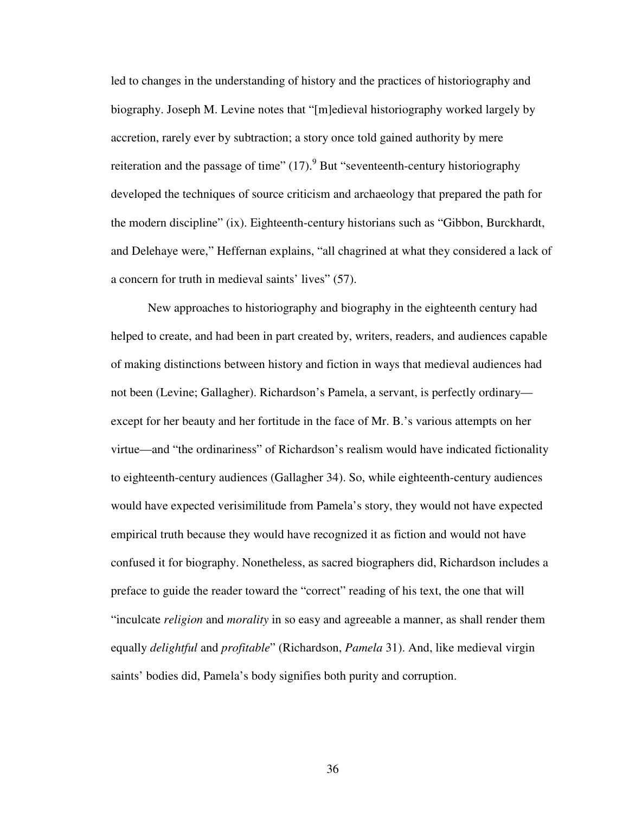led to changes in the understanding of history and the practices of historiography and biography. Joseph M. Levine notes that "[m]edieval historiography worked largely by accretion, rarely ever by subtraction; a story once told gained authority by mere reiteration and the passage of time"  $(17)$ . But "seventeenth-century historiography developed the techniques of source criticism and archaeology that prepared the path for the modern discipline" (ix). Eighteenth-century historians such as "Gibbon, Burckhardt, and Delehaye were," Heffernan explains, "all chagrined at what they considered a lack of a concern for truth in medieval saints' lives" (57).

New approaches to historiography and biography in the eighteenth century had helped to create, and had been in part created by, writers, readers, and audiences capable of making distinctions between history and fiction in ways that medieval audiences had not been (Levine; Gallagher). Richardson's Pamela, a servant, is perfectly ordinary except for her beauty and her fortitude in the face of Mr. B.'s various attempts on her virtue—and "the ordinariness" of Richardson's realism would have indicated fictionality to eighteenth-century audiences (Gallagher 34). So, while eighteenth-century audiences would have expected verisimilitude from Pamela's story, they would not have expected empirical truth because they would have recognized it as fiction and would not have confused it for biography. Nonetheless, as sacred biographers did, Richardson includes a preface to guide the reader toward the "correct" reading of his text, the one that will "inculcate *religion* and *morality* in so easy and agreeable a manner, as shall render them equally *delightful* and *profitable*" (Richardson, *Pamela* 31). And, like medieval virgin saints' bodies did, Pamela's body signifies both purity and corruption.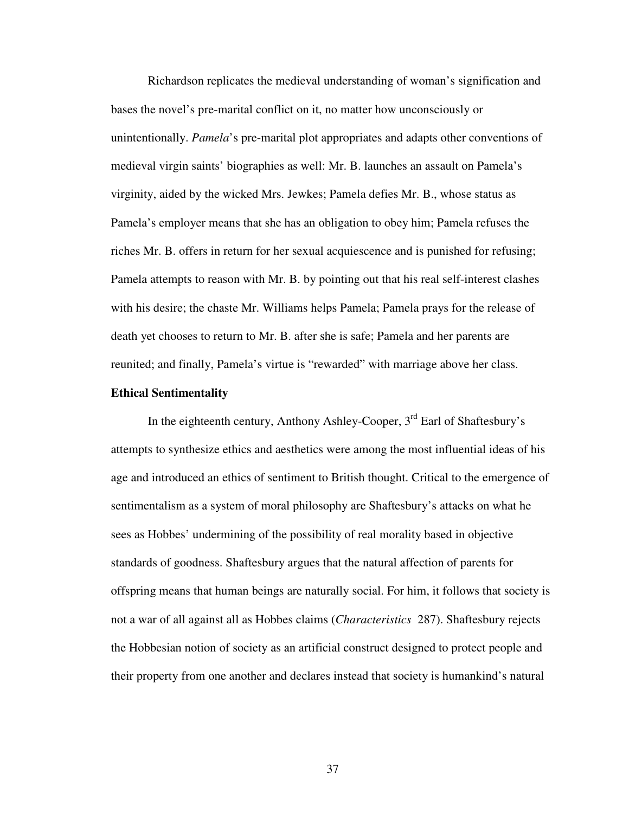Richardson replicates the medieval understanding of woman's signification and bases the novel's pre-marital conflict on it, no matter how unconsciously or unintentionally. *Pamela*'s pre-marital plot appropriates and adapts other conventions of medieval virgin saints' biographies as well: Mr. B. launches an assault on Pamela's virginity, aided by the wicked Mrs. Jewkes; Pamela defies Mr. B., whose status as Pamela's employer means that she has an obligation to obey him; Pamela refuses the riches Mr. B. offers in return for her sexual acquiescence and is punished for refusing; Pamela attempts to reason with Mr. B. by pointing out that his real self-interest clashes with his desire; the chaste Mr. Williams helps Pamela; Pamela prays for the release of death yet chooses to return to Mr. B. after she is safe; Pamela and her parents are reunited; and finally, Pamela's virtue is "rewarded" with marriage above her class.

# **Ethical Sentimentality**

In the eighteenth century, Anthony Ashley-Cooper,  $3<sup>rd</sup>$  Earl of Shaftesbury's attempts to synthesize ethics and aesthetics were among the most influential ideas of his age and introduced an ethics of sentiment to British thought. Critical to the emergence of sentimentalism as a system of moral philosophy are Shaftesbury's attacks on what he sees as Hobbes' undermining of the possibility of real morality based in objective standards of goodness. Shaftesbury argues that the natural affection of parents for offspring means that human beings are naturally social. For him, it follows that society is not a war of all against all as Hobbes claims (*Characteristics* 287). Shaftesbury rejects the Hobbesian notion of society as an artificial construct designed to protect people and their property from one another and declares instead that society is humankind's natural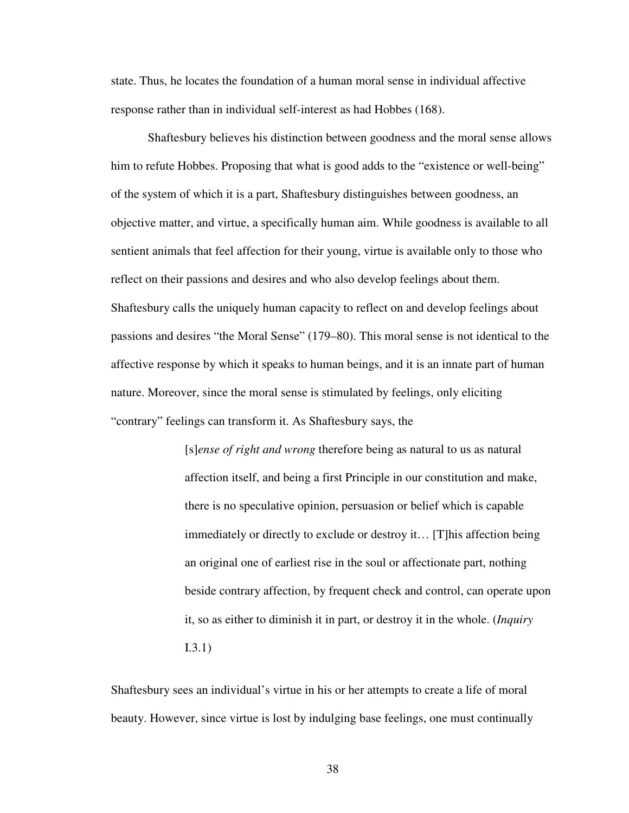state. Thus, he locates the foundation of a human moral sense in individual affective response rather than in individual self-interest as had Hobbes (168).

Shaftesbury believes his distinction between goodness and the moral sense allows him to refute Hobbes. Proposing that what is good adds to the "existence or well-being" of the system of which it is a part, Shaftesbury distinguishes between goodness, an objective matter, and virtue, a specifically human aim. While goodness is available to all sentient animals that feel affection for their young, virtue is available only to those who reflect on their passions and desires and who also develop feelings about them. Shaftesbury calls the uniquely human capacity to reflect on and develop feelings about passions and desires "the Moral Sense" (179–80). This moral sense is not identical to the affective response by which it speaks to human beings, and it is an innate part of human nature. Moreover, since the moral sense is stimulated by feelings, only eliciting "contrary" feelings can transform it. As Shaftesbury says, the

> [s]*ense of right and wrong* therefore being as natural to us as natural affection itself, and being a first Principle in our constitution and make, there is no speculative opinion, persuasion or belief which is capable immediately or directly to exclude or destroy it… [T]his affection being an original one of earliest rise in the soul or affectionate part, nothing beside contrary affection, by frequent check and control, can operate upon it, so as either to diminish it in part, or destroy it in the whole. (*Inquiry*  I.3.1)

Shaftesbury sees an individual's virtue in his or her attempts to create a life of moral beauty. However, since virtue is lost by indulging base feelings, one must continually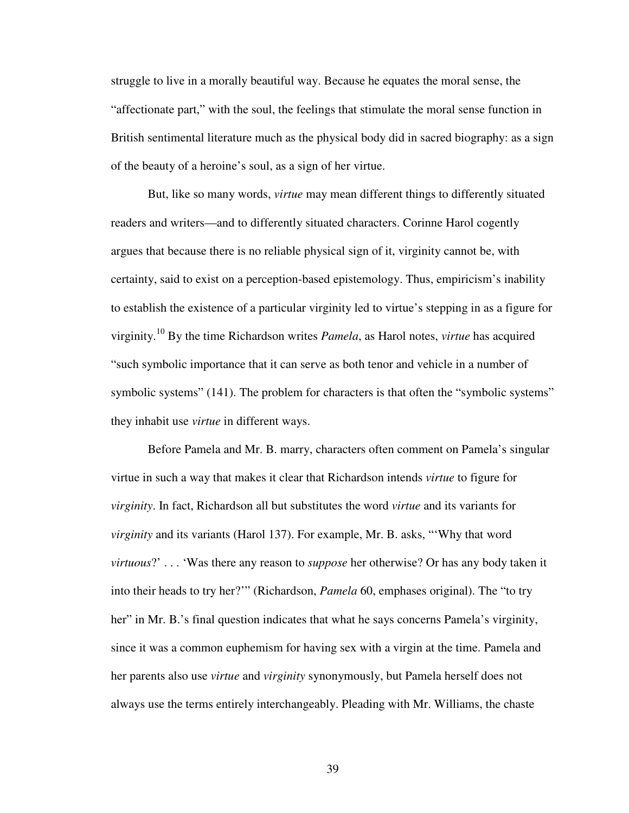struggle to live in a morally beautiful way. Because he equates the moral sense, the "affectionate part," with the soul, the feelings that stimulate the moral sense function in British sentimental literature much as the physical body did in sacred biography: as a sign of the beauty of a heroine's soul, as a sign of her virtue.

But, like so many words, *virtue* may mean different things to differently situated readers and writers—and to differently situated characters. Corinne Harol cogently argues that because there is no reliable physical sign of it, virginity cannot be, with certainty, said to exist on a perception-based epistemology. Thus, empiricism's inability to establish the existence of a particular virginity led to virtue's stepping in as a figure for virginity.<sup>10</sup> By the time Richardson writes *Pamela*, as Harol notes, *virtue* has acquired "such symbolic importance that it can serve as both tenor and vehicle in a number of symbolic systems" (141). The problem for characters is that often the "symbolic systems" they inhabit use *virtue* in different ways.

Before Pamela and Mr. B. marry, characters often comment on Pamela's singular virtue in such a way that makes it clear that Richardson intends *virtue* to figure for *virginity*. In fact, Richardson all but substitutes the word *virtue* and its variants for *virginity* and its variants (Harol 137). For example, Mr. B. asks, "'Why that word *virtuous*?' . . . 'Was there any reason to *suppose* her otherwise? Or has any body taken it into their heads to try her?'" (Richardson, *Pamela* 60, emphases original). The "to try her" in Mr. B.'s final question indicates that what he says concerns Pamela's virginity, since it was a common euphemism for having sex with a virgin at the time. Pamela and her parents also use *virtue* and *virginity* synonymously, but Pamela herself does not always use the terms entirely interchangeably. Pleading with Mr. Williams, the chaste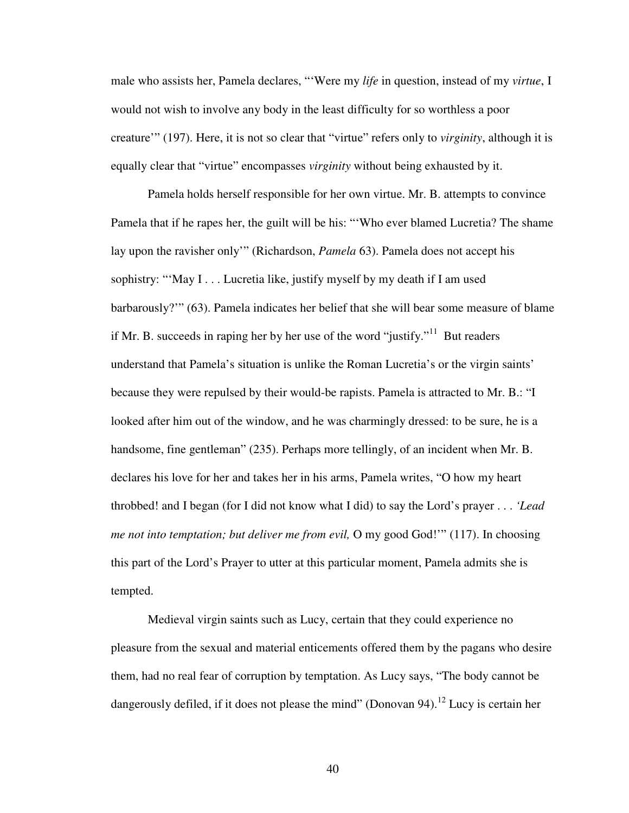male who assists her, Pamela declares, "'Were my *life* in question, instead of my *virtue*, I would not wish to involve any body in the least difficulty for so worthless a poor creature'" (197). Here, it is not so clear that "virtue" refers only to *virginity*, although it is equally clear that "virtue" encompasses *virginity* without being exhausted by it.

Pamela holds herself responsible for her own virtue. Mr. B. attempts to convince Pamela that if he rapes her, the guilt will be his: "'Who ever blamed Lucretia? The shame lay upon the ravisher only'" (Richardson, *Pamela* 63). Pamela does not accept his sophistry: "'May I . . . Lucretia like, justify myself by my death if I am used barbarously?'" (63). Pamela indicates her belief that she will bear some measure of blame if Mr. B. succeeds in raping her by her use of the word "justify."<sup>11</sup> But readers understand that Pamela's situation is unlike the Roman Lucretia's or the virgin saints' because they were repulsed by their would-be rapists. Pamela is attracted to Mr. B.: "I looked after him out of the window, and he was charmingly dressed: to be sure, he is a handsome, fine gentleman" (235). Perhaps more tellingly, of an incident when Mr. B. declares his love for her and takes her in his arms, Pamela writes, "O how my heart throbbed! and I began (for I did not know what I did) to say the Lord's prayer . . . *'Lead me not into temptation; but deliver me from evil,* O my good God!'" (117). In choosing this part of the Lord's Prayer to utter at this particular moment, Pamela admits she is tempted.

Medieval virgin saints such as Lucy, certain that they could experience no pleasure from the sexual and material enticements offered them by the pagans who desire them, had no real fear of corruption by temptation. As Lucy says, "The body cannot be dangerously defiled, if it does not please the mind" (Donovan 94).<sup>12</sup> Lucy is certain her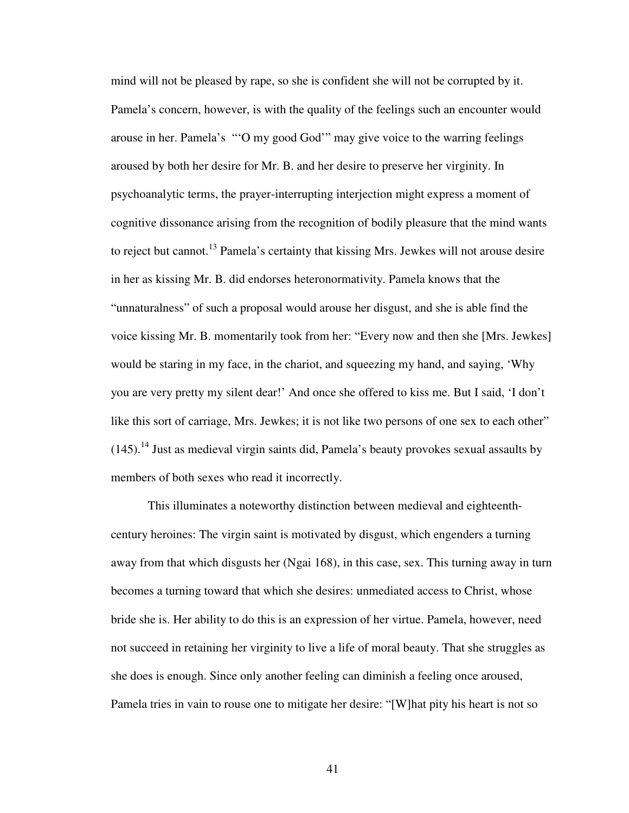mind will not be pleased by rape, so she is confident she will not be corrupted by it. Pamela's concern, however, is with the quality of the feelings such an encounter would arouse in her. Pamela's "'O my good God'" may give voice to the warring feelings aroused by both her desire for Mr. B. and her desire to preserve her virginity. In psychoanalytic terms, the prayer-interrupting interjection might express a moment of cognitive dissonance arising from the recognition of bodily pleasure that the mind wants to reject but cannot.<sup>13</sup> Pamela's certainty that kissing Mrs. Jewkes will not arouse desire in her as kissing Mr. B. did endorses heteronormativity. Pamela knows that the "unnaturalness" of such a proposal would arouse her disgust, and she is able find the voice kissing Mr. B. momentarily took from her: "Every now and then she [Mrs. Jewkes] would be staring in my face, in the chariot, and squeezing my hand, and saying, 'Why you are very pretty my silent dear!' And once she offered to kiss me. But I said, 'I don't like this sort of carriage, Mrs. Jewkes; it is not like two persons of one sex to each other"  $(145)$ .<sup>14</sup> Just as medieval virgin saints did, Pamela's beauty provokes sexual assaults by members of both sexes who read it incorrectly.

This illuminates a noteworthy distinction between medieval and eighteenthcentury heroines: The virgin saint is motivated by disgust, which engenders a turning away from that which disgusts her (Ngai 168), in this case, sex. This turning away in turn becomes a turning toward that which she desires: unmediated access to Christ, whose bride she is. Her ability to do this is an expression of her virtue. Pamela, however, need not succeed in retaining her virginity to live a life of moral beauty. That she struggles as she does is enough. Since only another feeling can diminish a feeling once aroused, Pamela tries in vain to rouse one to mitigate her desire: "[W]hat pity his heart is not so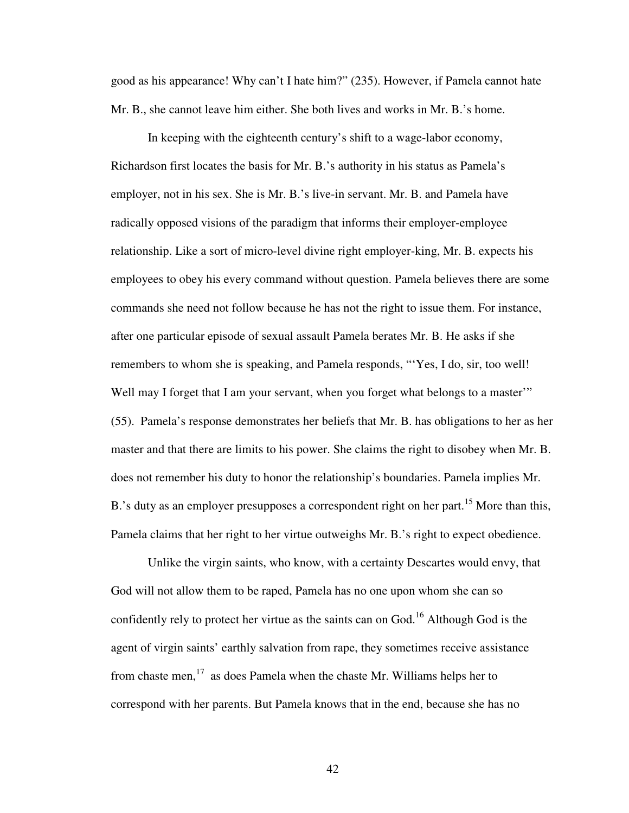good as his appearance! Why can't I hate him?" (235). However, if Pamela cannot hate Mr. B., she cannot leave him either. She both lives and works in Mr. B.'s home.

In keeping with the eighteenth century's shift to a wage-labor economy, Richardson first locates the basis for Mr. B.'s authority in his status as Pamela's employer, not in his sex. She is Mr. B.'s live-in servant. Mr. B. and Pamela have radically opposed visions of the paradigm that informs their employer-employee relationship. Like a sort of micro-level divine right employer-king, Mr. B. expects his employees to obey his every command without question. Pamela believes there are some commands she need not follow because he has not the right to issue them. For instance, after one particular episode of sexual assault Pamela berates Mr. B. He asks if she remembers to whom she is speaking, and Pamela responds, "'Yes, I do, sir, too well! Well may I forget that I am your servant, when you forget what belongs to a master" (55). Pamela's response demonstrates her beliefs that Mr. B. has obligations to her as her master and that there are limits to his power. She claims the right to disobey when Mr. B. does not remember his duty to honor the relationship's boundaries. Pamela implies Mr. B.'s duty as an employer presupposes a correspondent right on her part.<sup>15</sup> More than this, Pamela claims that her right to her virtue outweighs Mr. B.'s right to expect obedience.

Unlike the virgin saints, who know, with a certainty Descartes would envy, that God will not allow them to be raped, Pamela has no one upon whom she can so confidently rely to protect her virtue as the saints can on God.<sup>16</sup> Although God is the agent of virgin saints' earthly salvation from rape, they sometimes receive assistance from chaste men, $17$  as does Pamela when the chaste Mr. Williams helps her to correspond with her parents. But Pamela knows that in the end, because she has no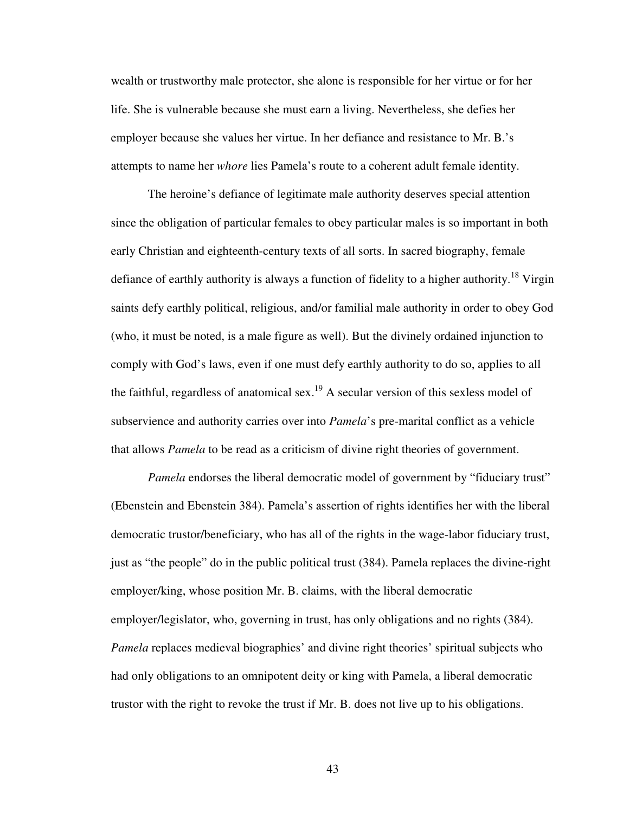wealth or trustworthy male protector, she alone is responsible for her virtue or for her life. She is vulnerable because she must earn a living. Nevertheless, she defies her employer because she values her virtue. In her defiance and resistance to Mr. B.'s attempts to name her *whore* lies Pamela's route to a coherent adult female identity.

The heroine's defiance of legitimate male authority deserves special attention since the obligation of particular females to obey particular males is so important in both early Christian and eighteenth-century texts of all sorts. In sacred biography, female defiance of earthly authority is always a function of fidelity to a higher authority.<sup>18</sup> Virgin saints defy earthly political, religious, and/or familial male authority in order to obey God (who, it must be noted, is a male figure as well). But the divinely ordained injunction to comply with God's laws, even if one must defy earthly authority to do so, applies to all the faithful, regardless of anatomical sex.<sup>19</sup> A secular version of this sexless model of subservience and authority carries over into *Pamela*'s pre-marital conflict as a vehicle that allows *Pamela* to be read as a criticism of divine right theories of government.

*Pamela* endorses the liberal democratic model of government by "fiduciary trust" (Ebenstein and Ebenstein 384). Pamela's assertion of rights identifies her with the liberal democratic trustor/beneficiary, who has all of the rights in the wage-labor fiduciary trust, just as "the people" do in the public political trust (384). Pamela replaces the divine-right employer/king, whose position Mr. B. claims, with the liberal democratic employer/legislator, who, governing in trust, has only obligations and no rights (384). *Pamela* replaces medieval biographies' and divine right theories' spiritual subjects who had only obligations to an omnipotent deity or king with Pamela, a liberal democratic trustor with the right to revoke the trust if Mr. B. does not live up to his obligations.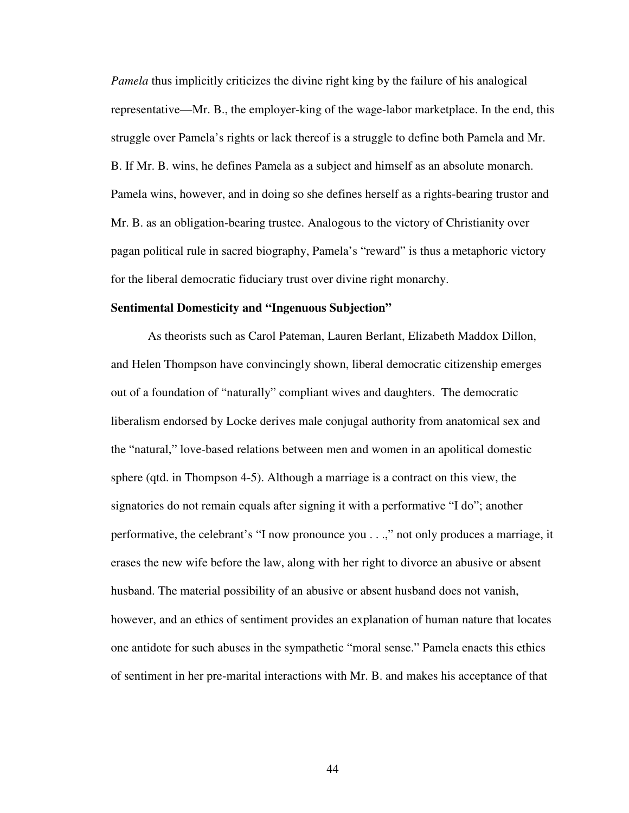*Pamela* thus implicitly criticizes the divine right king by the failure of his analogical representative—Mr. B., the employer-king of the wage-labor marketplace. In the end, this struggle over Pamela's rights or lack thereof is a struggle to define both Pamela and Mr. B. If Mr. B. wins, he defines Pamela as a subject and himself as an absolute monarch. Pamela wins, however, and in doing so she defines herself as a rights-bearing trustor and Mr. B. as an obligation-bearing trustee. Analogous to the victory of Christianity over pagan political rule in sacred biography, Pamela's "reward" is thus a metaphoric victory for the liberal democratic fiduciary trust over divine right monarchy.

# **Sentimental Domesticity and "Ingenuous Subjection"**

As theorists such as Carol Pateman, Lauren Berlant, Elizabeth Maddox Dillon, and Helen Thompson have convincingly shown, liberal democratic citizenship emerges out of a foundation of "naturally" compliant wives and daughters. The democratic liberalism endorsed by Locke derives male conjugal authority from anatomical sex and the "natural," love-based relations between men and women in an apolitical domestic sphere (qtd. in Thompson 4-5). Although a marriage is a contract on this view, the signatories do not remain equals after signing it with a performative "I do"; another performative, the celebrant's "I now pronounce you . . .," not only produces a marriage, it erases the new wife before the law, along with her right to divorce an abusive or absent husband. The material possibility of an abusive or absent husband does not vanish, however, and an ethics of sentiment provides an explanation of human nature that locates one antidote for such abuses in the sympathetic "moral sense." Pamela enacts this ethics of sentiment in her pre-marital interactions with Mr. B. and makes his acceptance of that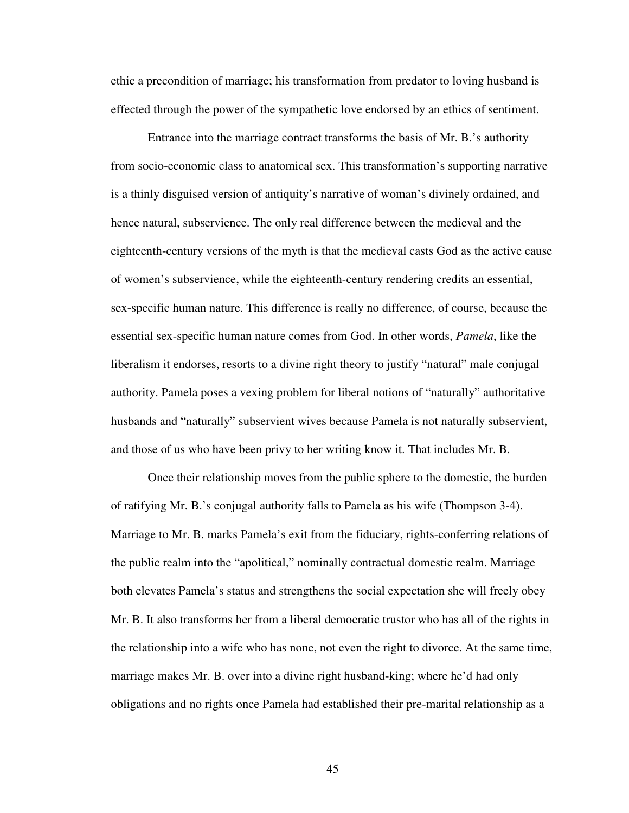ethic a precondition of marriage; his transformation from predator to loving husband is effected through the power of the sympathetic love endorsed by an ethics of sentiment.

Entrance into the marriage contract transforms the basis of Mr. B.'s authority from socio-economic class to anatomical sex. This transformation's supporting narrative is a thinly disguised version of antiquity's narrative of woman's divinely ordained, and hence natural, subservience. The only real difference between the medieval and the eighteenth-century versions of the myth is that the medieval casts God as the active cause of women's subservience, while the eighteenth-century rendering credits an essential, sex-specific human nature. This difference is really no difference, of course, because the essential sex-specific human nature comes from God. In other words, *Pamela*, like the liberalism it endorses, resorts to a divine right theory to justify "natural" male conjugal authority. Pamela poses a vexing problem for liberal notions of "naturally" authoritative husbands and "naturally" subservient wives because Pamela is not naturally subservient, and those of us who have been privy to her writing know it. That includes Mr. B.

Once their relationship moves from the public sphere to the domestic, the burden of ratifying Mr. B.'s conjugal authority falls to Pamela as his wife (Thompson 3-4). Marriage to Mr. B. marks Pamela's exit from the fiduciary, rights-conferring relations of the public realm into the "apolitical," nominally contractual domestic realm. Marriage both elevates Pamela's status and strengthens the social expectation she will freely obey Mr. B. It also transforms her from a liberal democratic trustor who has all of the rights in the relationship into a wife who has none, not even the right to divorce. At the same time, marriage makes Mr. B. over into a divine right husband-king; where he'd had only obligations and no rights once Pamela had established their pre-marital relationship as a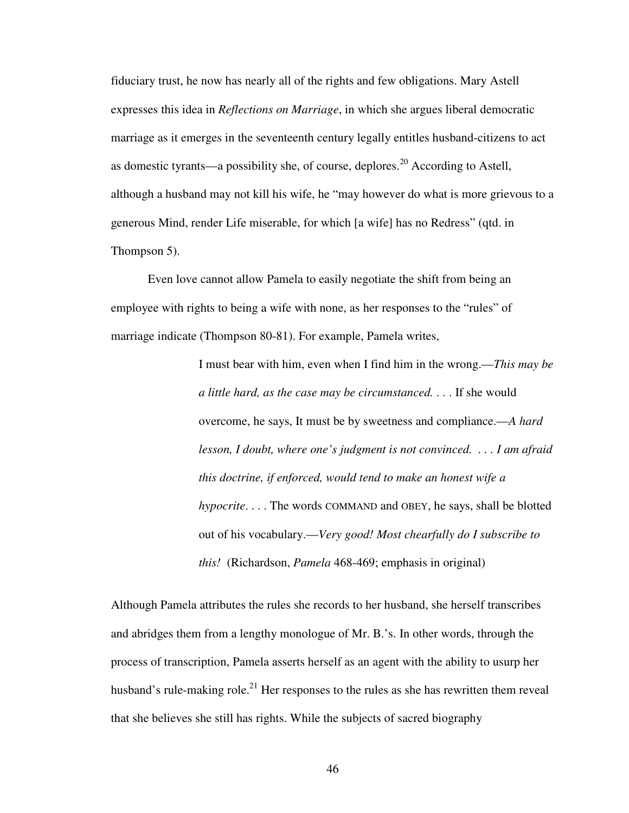fiduciary trust, he now has nearly all of the rights and few obligations. Mary Astell expresses this idea in *Reflections on Marriage*, in which she argues liberal democratic marriage as it emerges in the seventeenth century legally entitles husband-citizens to act as domestic tyrants—a possibility she, of course, deplores.<sup>20</sup> According to Astell, although a husband may not kill his wife, he "may however do what is more grievous to a generous Mind, render Life miserable, for which [a wife] has no Redress" (qtd. in Thompson 5).

Even love cannot allow Pamela to easily negotiate the shift from being an employee with rights to being a wife with none, as her responses to the "rules" of marriage indicate (Thompson 80-81). For example, Pamela writes,

> I must bear with him, even when I find him in the wrong.—*This may be a little hard, as the case may be circumstanced.* . . . If she would overcome, he says, It must be by sweetness and compliance.—*A hard lesson, I doubt, where one's judgment is not convinced. . . . I am afraid this doctrine, if enforced, would tend to make an honest wife a hypocrite*. . . . The words COMMAND and OBEY, he says, shall be blotted out of his vocabulary.—*Very good! Most chearfully do I subscribe to this!* (Richardson, *Pamela* 468-469; emphasis in original)

Although Pamela attributes the rules she records to her husband, she herself transcribes and abridges them from a lengthy monologue of Mr. B.'s. In other words, through the process of transcription, Pamela asserts herself as an agent with the ability to usurp her husband's rule-making role.<sup>21</sup> Her responses to the rules as she has rewritten them reveal that she believes she still has rights. While the subjects of sacred biography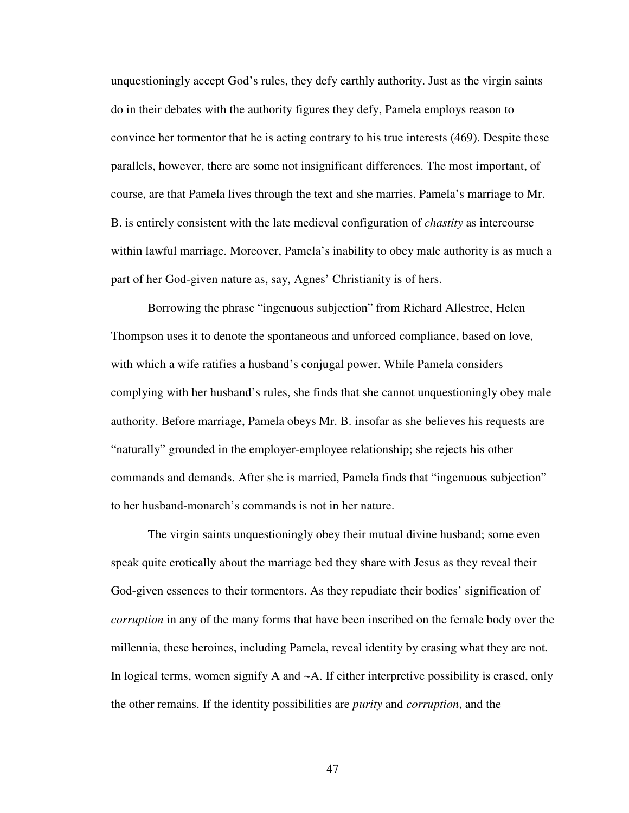unquestioningly accept God's rules, they defy earthly authority. Just as the virgin saints do in their debates with the authority figures they defy, Pamela employs reason to convince her tormentor that he is acting contrary to his true interests (469). Despite these parallels, however, there are some not insignificant differences. The most important, of course, are that Pamela lives through the text and she marries. Pamela's marriage to Mr. B. is entirely consistent with the late medieval configuration of *chastity* as intercourse within lawful marriage. Moreover, Pamela's inability to obey male authority is as much a part of her God-given nature as, say, Agnes' Christianity is of hers.

Borrowing the phrase "ingenuous subjection" from Richard Allestree, Helen Thompson uses it to denote the spontaneous and unforced compliance, based on love, with which a wife ratifies a husband's conjugal power. While Pamela considers complying with her husband's rules, she finds that she cannot unquestioningly obey male authority. Before marriage, Pamela obeys Mr. B. insofar as she believes his requests are "naturally" grounded in the employer-employee relationship; she rejects his other commands and demands. After she is married, Pamela finds that "ingenuous subjection" to her husband-monarch's commands is not in her nature.

The virgin saints unquestioningly obey their mutual divine husband; some even speak quite erotically about the marriage bed they share with Jesus as they reveal their God-given essences to their tormentors. As they repudiate their bodies' signification of *corruption* in any of the many forms that have been inscribed on the female body over the millennia, these heroines, including Pamela, reveal identity by erasing what they are not. In logical terms, women signify A and  $\sim$  A. If either interpretive possibility is erased, only the other remains. If the identity possibilities are *purity* and *corruption*, and the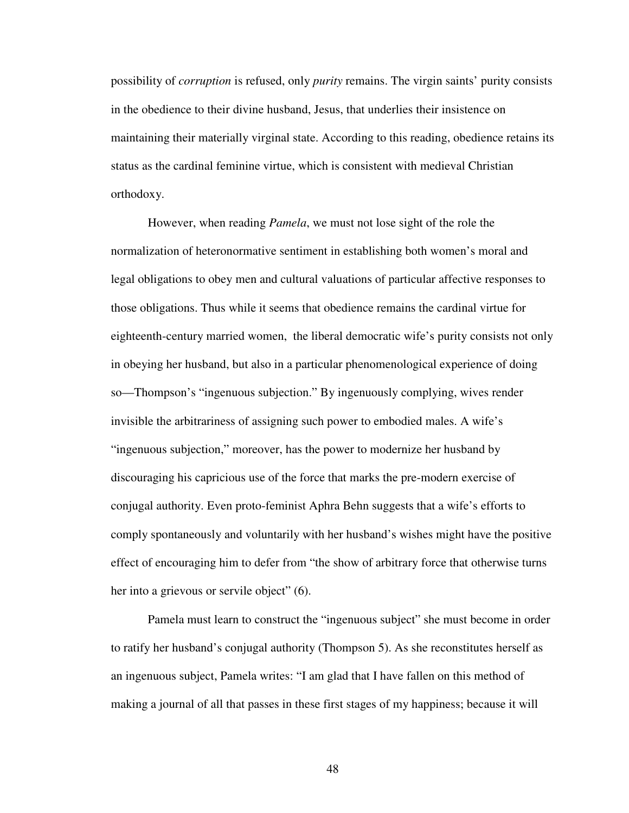possibility of *corruption* is refused, only *purity* remains. The virgin saints' purity consists in the obedience to their divine husband, Jesus, that underlies their insistence on maintaining their materially virginal state. According to this reading, obedience retains its status as the cardinal feminine virtue, which is consistent with medieval Christian orthodoxy.

However, when reading *Pamela*, we must not lose sight of the role the normalization of heteronormative sentiment in establishing both women's moral and legal obligations to obey men and cultural valuations of particular affective responses to those obligations. Thus while it seems that obedience remains the cardinal virtue for eighteenth-century married women, the liberal democratic wife's purity consists not only in obeying her husband, but also in a particular phenomenological experience of doing so—Thompson's "ingenuous subjection." By ingenuously complying, wives render invisible the arbitrariness of assigning such power to embodied males. A wife's "ingenuous subjection," moreover, has the power to modernize her husband by discouraging his capricious use of the force that marks the pre-modern exercise of conjugal authority. Even proto-feminist Aphra Behn suggests that a wife's efforts to comply spontaneously and voluntarily with her husband's wishes might have the positive effect of encouraging him to defer from "the show of arbitrary force that otherwise turns her into a grievous or servile object" (6).

Pamela must learn to construct the "ingenuous subject" she must become in order to ratify her husband's conjugal authority (Thompson 5). As she reconstitutes herself as an ingenuous subject, Pamela writes: "I am glad that I have fallen on this method of making a journal of all that passes in these first stages of my happiness; because it will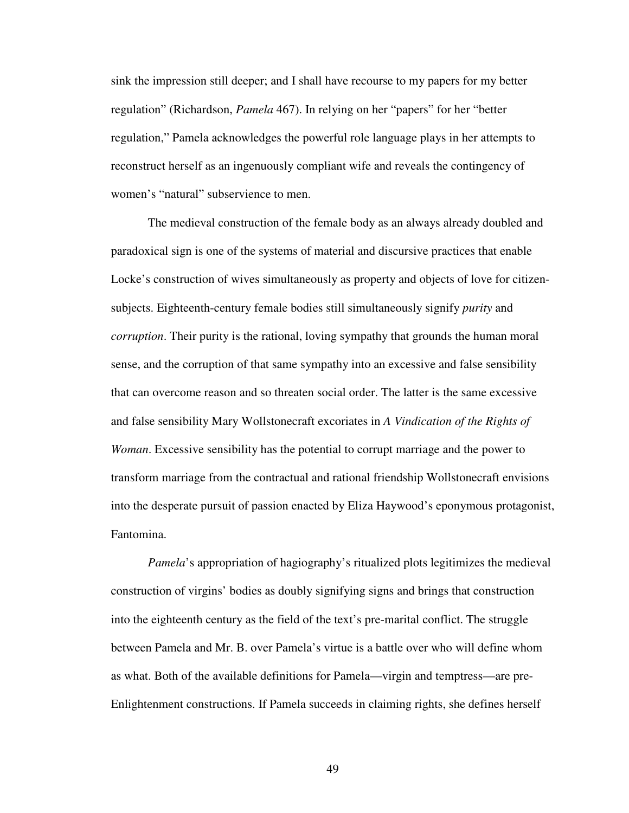sink the impression still deeper; and I shall have recourse to my papers for my better regulation" (Richardson, *Pamela* 467). In relying on her "papers" for her "better regulation," Pamela acknowledges the powerful role language plays in her attempts to reconstruct herself as an ingenuously compliant wife and reveals the contingency of women's "natural" subservience to men.

The medieval construction of the female body as an always already doubled and paradoxical sign is one of the systems of material and discursive practices that enable Locke's construction of wives simultaneously as property and objects of love for citizensubjects. Eighteenth-century female bodies still simultaneously signify *purity* and *corruption*. Their purity is the rational, loving sympathy that grounds the human moral sense, and the corruption of that same sympathy into an excessive and false sensibility that can overcome reason and so threaten social order. The latter is the same excessive and false sensibility Mary Wollstonecraft excoriates in *A Vindication of the Rights of Woman*. Excessive sensibility has the potential to corrupt marriage and the power to transform marriage from the contractual and rational friendship Wollstonecraft envisions into the desperate pursuit of passion enacted by Eliza Haywood's eponymous protagonist, Fantomina.

*Pamela*'s appropriation of hagiography's ritualized plots legitimizes the medieval construction of virgins' bodies as doubly signifying signs and brings that construction into the eighteenth century as the field of the text's pre-marital conflict. The struggle between Pamela and Mr. B. over Pamela's virtue is a battle over who will define whom as what. Both of the available definitions for Pamela—virgin and temptress—are pre-Enlightenment constructions. If Pamela succeeds in claiming rights, she defines herself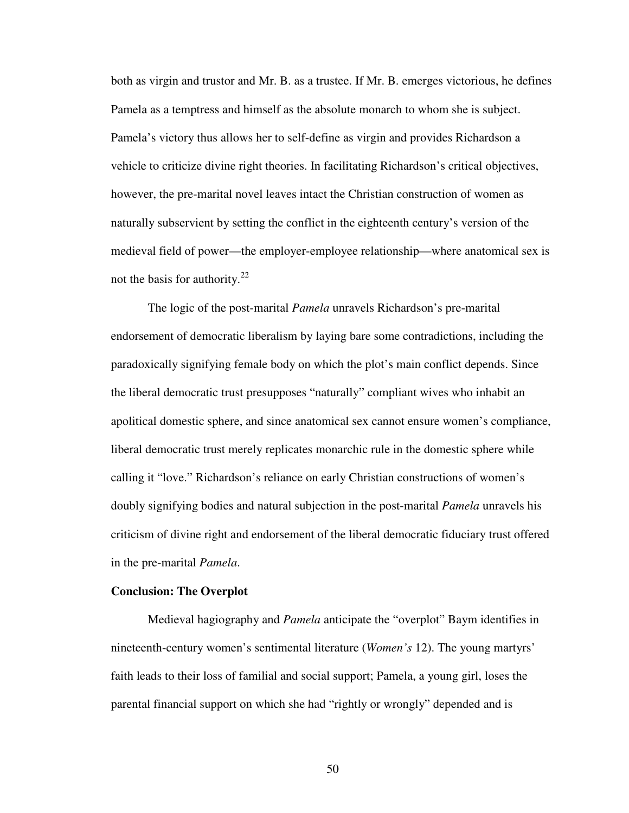both as virgin and trustor and Mr. B. as a trustee. If Mr. B. emerges victorious, he defines Pamela as a temptress and himself as the absolute monarch to whom she is subject. Pamela's victory thus allows her to self-define as virgin and provides Richardson a vehicle to criticize divine right theories. In facilitating Richardson's critical objectives, however, the pre-marital novel leaves intact the Christian construction of women as naturally subservient by setting the conflict in the eighteenth century's version of the medieval field of power—the employer-employee relationship—where anatomical sex is not the basis for authority.<sup>22</sup>

The logic of the post-marital *Pamela* unravels Richardson's pre-marital endorsement of democratic liberalism by laying bare some contradictions, including the paradoxically signifying female body on which the plot's main conflict depends. Since the liberal democratic trust presupposes "naturally" compliant wives who inhabit an apolitical domestic sphere, and since anatomical sex cannot ensure women's compliance, liberal democratic trust merely replicates monarchic rule in the domestic sphere while calling it "love." Richardson's reliance on early Christian constructions of women's doubly signifying bodies and natural subjection in the post-marital *Pamela* unravels his criticism of divine right and endorsement of the liberal democratic fiduciary trust offered in the pre-marital *Pamela*.

# **Conclusion: The Overplot**

Medieval hagiography and *Pamela* anticipate the "overplot" Baym identifies in nineteenth-century women's sentimental literature (*Women's* 12). The young martyrs' faith leads to their loss of familial and social support; Pamela, a young girl, loses the parental financial support on which she had "rightly or wrongly" depended and is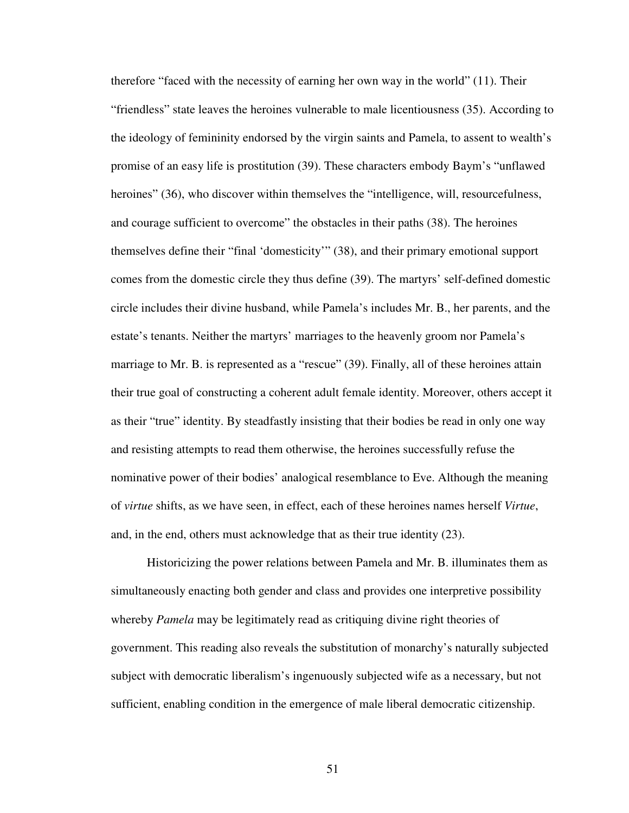therefore "faced with the necessity of earning her own way in the world" (11). Their "friendless" state leaves the heroines vulnerable to male licentiousness (35). According to the ideology of femininity endorsed by the virgin saints and Pamela, to assent to wealth's promise of an easy life is prostitution (39). These characters embody Baym's "unflawed heroines" (36), who discover within themselves the "intelligence, will, resourcefulness, and courage sufficient to overcome" the obstacles in their paths (38). The heroines themselves define their "final 'domesticity'" (38), and their primary emotional support comes from the domestic circle they thus define (39). The martyrs' self-defined domestic circle includes their divine husband, while Pamela's includes Mr. B., her parents, and the estate's tenants. Neither the martyrs' marriages to the heavenly groom nor Pamela's marriage to Mr. B. is represented as a "rescue" (39). Finally, all of these heroines attain their true goal of constructing a coherent adult female identity. Moreover, others accept it as their "true" identity. By steadfastly insisting that their bodies be read in only one way and resisting attempts to read them otherwise, the heroines successfully refuse the nominative power of their bodies' analogical resemblance to Eve. Although the meaning of *virtue* shifts, as we have seen, in effect, each of these heroines names herself *Virtue*, and, in the end, others must acknowledge that as their true identity (23).

Historicizing the power relations between Pamela and Mr. B. illuminates them as simultaneously enacting both gender and class and provides one interpretive possibility whereby *Pamela* may be legitimately read as critiquing divine right theories of government. This reading also reveals the substitution of monarchy's naturally subjected subject with democratic liberalism's ingenuously subjected wife as a necessary, but not sufficient, enabling condition in the emergence of male liberal democratic citizenship.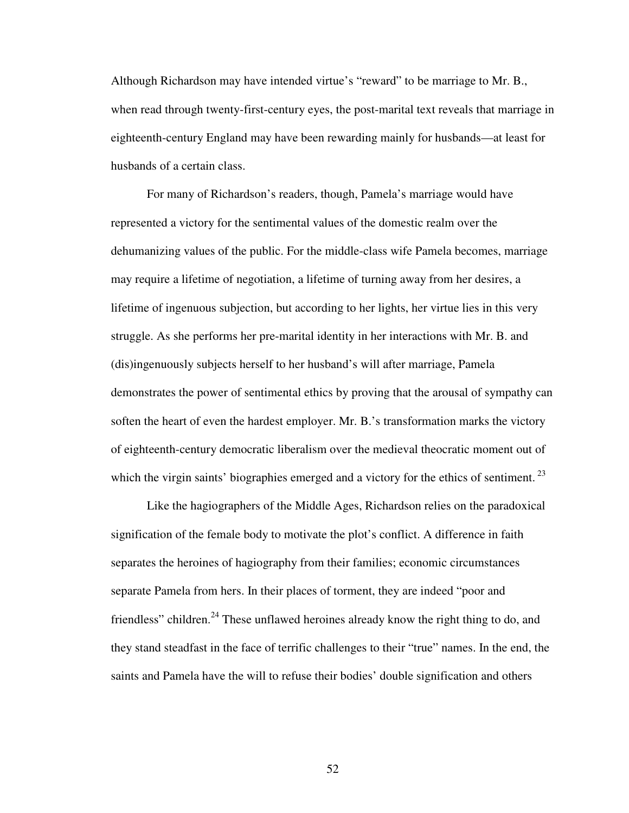Although Richardson may have intended virtue's "reward" to be marriage to Mr. B., when read through twenty-first-century eyes, the post-marital text reveals that marriage in eighteenth-century England may have been rewarding mainly for husbands—at least for husbands of a certain class.

For many of Richardson's readers, though, Pamela's marriage would have represented a victory for the sentimental values of the domestic realm over the dehumanizing values of the public. For the middle-class wife Pamela becomes, marriage may require a lifetime of negotiation, a lifetime of turning away from her desires, a lifetime of ingenuous subjection, but according to her lights, her virtue lies in this very struggle. As she performs her pre-marital identity in her interactions with Mr. B. and (dis)ingenuously subjects herself to her husband's will after marriage, Pamela demonstrates the power of sentimental ethics by proving that the arousal of sympathy can soften the heart of even the hardest employer. Mr. B.'s transformation marks the victory of eighteenth-century democratic liberalism over the medieval theocratic moment out of which the virgin saints' biographies emerged and a victory for the ethics of sentiment.<sup>23</sup>

Like the hagiographers of the Middle Ages, Richardson relies on the paradoxical signification of the female body to motivate the plot's conflict. A difference in faith separates the heroines of hagiography from their families; economic circumstances separate Pamela from hers. In their places of torment, they are indeed "poor and friendless" children.<sup>24</sup> These unflawed heroines already know the right thing to do, and they stand steadfast in the face of terrific challenges to their "true" names. In the end, the saints and Pamela have the will to refuse their bodies' double signification and others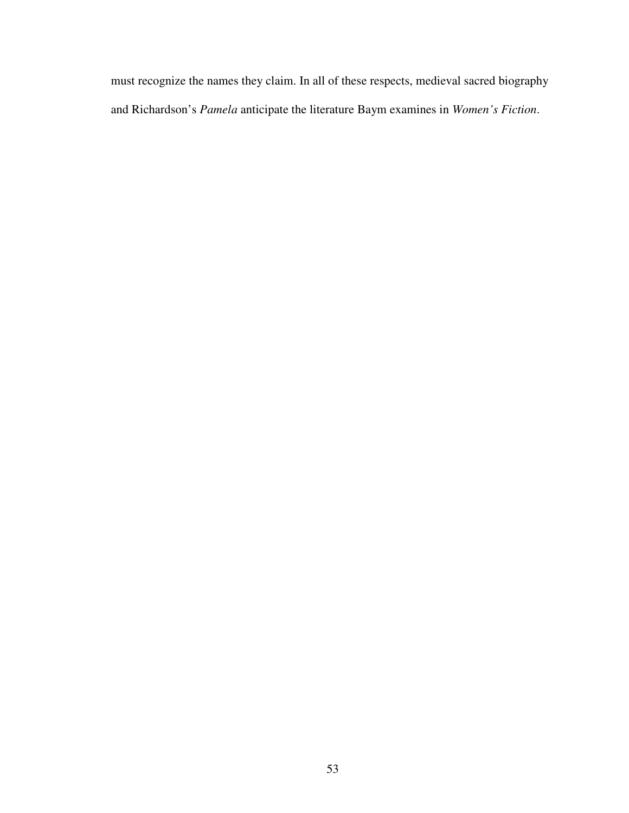must recognize the names they claim. In all of these respects, medieval sacred biography and Richardson's *Pamela* anticipate the literature Baym examines in *Women's Fiction*.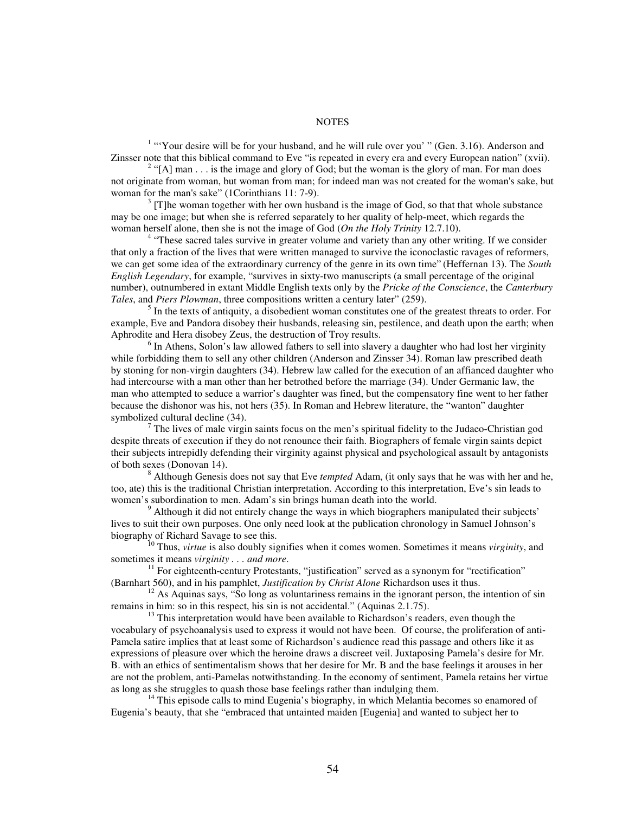#### **NOTES**

 $1$  "Your desire will be for your husband, and he will rule over you' " (Gen. 3.16). Anderson and Zinsser note that this biblical command to Eve "is repeated in every era and every European nation" (xvii).

 $2$  "[A] man . . . is the image and glory of God; but the woman is the glory of man. For man does not originate from woman, but woman from man; for indeed man was not created for the woman's sake, but woman for the man's sake" (1Corinthians 11: 7-9).

 $3$  [T]he woman together with her own husband is the image of God, so that that whole substance may be one image; but when she is referred separately to her quality of help-meet, which regards the woman herself alone, then she is not the image of God (*On the Holy Trinity* 12.7.10).

<sup>4</sup> "These sacred tales survive in greater volume and variety than any other writing. If we consider that only a fraction of the lives that were written managed to survive the iconoclastic ravages of reformers, we can get some idea of the extraordinary currency of the genre in its own time" (Heffernan 13). The *South English Legendary*, for example, "survives in sixty-two manuscripts (a small percentage of the original number), outnumbered in extant Middle English texts only by the *Pricke of the Conscience*, the *Canterbury Tales*, and *Piers Plowman*, three compositions written a century later" (259).

<sup>5</sup> In the texts of antiquity, a disobedient woman constitutes one of the greatest threats to order. For example, Eve and Pandora disobey their husbands, releasing sin, pestilence, and death upon the earth; when Aphrodite and Hera disobey Zeus, the destruction of Troy results.

 $<sup>6</sup>$  In Athens, Solon's law allowed fathers to sell into slavery a daughter who had lost her virginity</sup> while forbidding them to sell any other children (Anderson and Zinsser 34). Roman law prescribed death by stoning for non-virgin daughters (34). Hebrew law called for the execution of an affianced daughter who had intercourse with a man other than her betrothed before the marriage (34). Under Germanic law, the man who attempted to seduce a warrior's daughter was fined, but the compensatory fine went to her father because the dishonor was his, not hers (35). In Roman and Hebrew literature, the "wanton" daughter symbolized cultural decline (34).

 $<sup>7</sup>$  The lives of male virgin saints focus on the men's spiritual fidelity to the Judaeo-Christian god</sup> despite threats of execution if they do not renounce their faith. Biographers of female virgin saints depict their subjects intrepidly defending their virginity against physical and psychological assault by antagonists of both sexes (Donovan 14).

<sup>8</sup> Although Genesis does not say that Eve *tempted* Adam, (it only says that he was with her and he, too, ate) this is the traditional Christian interpretation. According to this interpretation, Eve's sin leads to women's subordination to men. Adam's sin brings human death into the world.

<sup>9</sup> Although it did not entirely change the ways in which biographers manipulated their subjects' lives to suit their own purposes. One only need look at the publication chronology in Samuel Johnson's biography of Richard Savage to see this.

<sup>10</sup> Thus, *virtue* is also doubly signifies when it comes women. Sometimes it means *virginity*, and sometimes it means *virginity . . . and more*.

 $11$  For eighteenth-century Protestants, "justification" served as a synonym for "rectification" (Barnhart 560), and in his pamphlet, *Justification by Christ Alone* Richardson uses it thus.

 $12$  As Aquinas says, "So long as voluntariness remains in the ignorant person, the intention of sin remains in him: so in this respect, his sin is not accidental." (Aquinas 2.1.75).

 $13$  This interpretation would have been available to Richardson's readers, even though the vocabulary of psychoanalysis used to express it would not have been. Of course, the proliferation of anti-Pamela satire implies that at least some of Richardson's audience read this passage and others like it as expressions of pleasure over which the heroine draws a discreet veil. Juxtaposing Pamela's desire for Mr. B. with an ethics of sentimentalism shows that her desire for Mr. B and the base feelings it arouses in her are not the problem, anti-Pamelas notwithstanding. In the economy of sentiment, Pamela retains her virtue as long as she struggles to quash those base feelings rather than indulging them.

<sup>14</sup> This episode calls to mind Eugenia's biography, in which Melantia becomes so enamored of Eugenia's beauty, that she "embraced that untainted maiden [Eugenia] and wanted to subject her to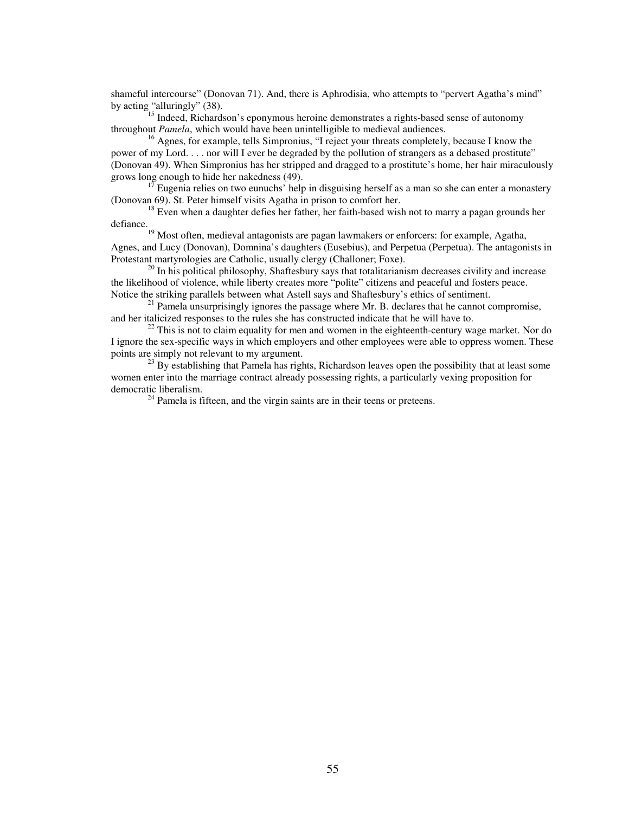shameful intercourse" (Donovan 71). And, there is Aphrodisia, who attempts to "pervert Agatha's mind" by acting "alluringly" (38).

<sup>15</sup> Indeed, Richardson's eponymous heroine demonstrates a rights-based sense of autonomy throughout *Pamela*, which would have been unintelligible to medieval audiences.

<sup>16</sup> Agnes, for example, tells Simpronius, "I reject your threats completely, because I know the power of my Lord. . . . nor will I ever be degraded by the pollution of strangers as a debased prostitute" (Donovan 49). When Simpronius has her stripped and dragged to a prostitute's home, her hair miraculously grows long enough to hide her nakedness (49).

 $17$  Eugenia relies on two eunuchs' help in disguising herself as a man so she can enter a monastery (Donovan 69). St. Peter himself visits Agatha in prison to comfort her.

 $18$  Even when a daughter defies her father, her faith-based wish not to marry a pagan grounds her defiance.

<sup>19</sup> Most often, medieval antagonists are pagan lawmakers or enforcers: for example, Agatha, Agnes, and Lucy (Donovan), Domnina's daughters (Eusebius), and Perpetua (Perpetua). The antagonists in Protestant martyrologies are Catholic, usually clergy (Challoner; Foxe).

 $^{20}$  In his political philosophy, Shaftesbury says that totalitarianism decreases civility and increase the likelihood of violence, while liberty creates more "polite" citizens and peaceful and fosters peace. Notice the striking parallels between what Astell says and Shaftesbury's ethics of sentiment.

<sup>21</sup> Pamela unsurprisingly ignores the passage where Mr. B. declares that he cannot compromise, and her italicized responses to the rules she has constructed indicate that he will have to.

 $22$ <sup>22</sup> This is not to claim equality for men and women in the eighteenth-century wage market. Nor do I ignore the sex-specific ways in which employers and other employees were able to oppress women. These points are simply not relevant to my argument.

 $^{23}$  By establishing that Pamela has rights, Richardson leaves open the possibility that at least some women enter into the marriage contract already possessing rights, a particularly vexing proposition for democratic liberalism.

 $24$  Pamela is fifteen, and the virgin saints are in their teens or preteens.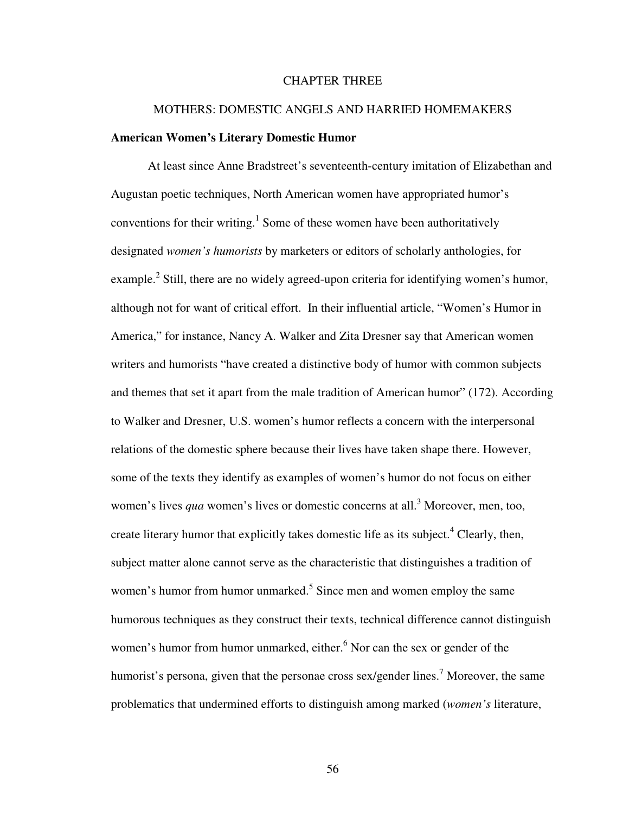# CHAPTER THREE

# MOTHERS: DOMESTIC ANGELS AND HARRIED HOMEMAKERS **American Women's Literary Domestic Humor**

At least since Anne Bradstreet's seventeenth-century imitation of Elizabethan and Augustan poetic techniques, North American women have appropriated humor's conventions for their writing.<sup>1</sup> Some of these women have been authoritatively designated *women's humorists* by marketers or editors of scholarly anthologies, for example.<sup>2</sup> Still, there are no widely agreed-upon criteria for identifying women's humor, although not for want of critical effort. In their influential article, "Women's Humor in America," for instance, Nancy A. Walker and Zita Dresner say that American women writers and humorists "have created a distinctive body of humor with common subjects and themes that set it apart from the male tradition of American humor" (172). According to Walker and Dresner, U.S. women's humor reflects a concern with the interpersonal relations of the domestic sphere because their lives have taken shape there. However, some of the texts they identify as examples of women's humor do not focus on either women's lives *qua* women's lives or domestic concerns at all.<sup>3</sup> Moreover, men, too, create literary humor that explicitly takes domestic life as its subject.<sup>4</sup> Clearly, then, subject matter alone cannot serve as the characteristic that distinguishes a tradition of women's humor from humor unmarked.<sup>5</sup> Since men and women employ the same humorous techniques as they construct their texts, technical difference cannot distinguish women's humor from humor unmarked, either.<sup>6</sup> Nor can the sex or gender of the humorist's persona, given that the personae cross sex/gender lines.<sup>7</sup> Moreover, the same problematics that undermined efforts to distinguish among marked (*women's* literature,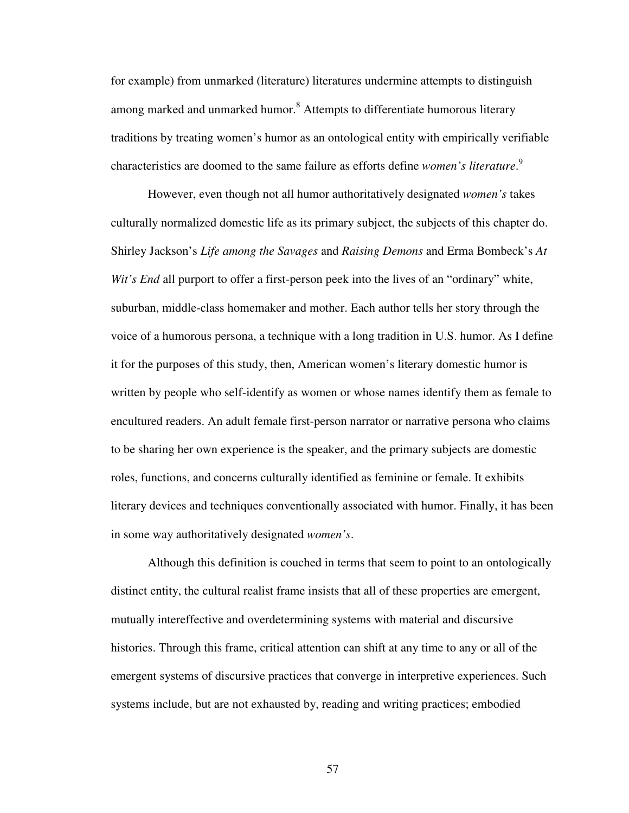for example) from unmarked (literature) literatures undermine attempts to distinguish among marked and unmarked humor.<sup>8</sup> Attempts to differentiate humorous literary traditions by treating women's humor as an ontological entity with empirically verifiable characteristics are doomed to the same failure as efforts define *women's literature*. 9

However, even though not all humor authoritatively designated *women's* takes culturally normalized domestic life as its primary subject, the subjects of this chapter do. Shirley Jackson's *Life among the Savages* and *Raising Demons* and Erma Bombeck's *At Wit's End* all purport to offer a first-person peek into the lives of an "ordinary" white, suburban, middle-class homemaker and mother. Each author tells her story through the voice of a humorous persona, a technique with a long tradition in U.S. humor. As I define it for the purposes of this study, then, American women's literary domestic humor is written by people who self-identify as women or whose names identify them as female to encultured readers. An adult female first-person narrator or narrative persona who claims to be sharing her own experience is the speaker, and the primary subjects are domestic roles, functions, and concerns culturally identified as feminine or female. It exhibits literary devices and techniques conventionally associated with humor. Finally, it has been in some way authoritatively designated *women's*.

Although this definition is couched in terms that seem to point to an ontologically distinct entity, the cultural realist frame insists that all of these properties are emergent, mutually intereffective and overdetermining systems with material and discursive histories. Through this frame, critical attention can shift at any time to any or all of the emergent systems of discursive practices that converge in interpretive experiences. Such systems include, but are not exhausted by, reading and writing practices; embodied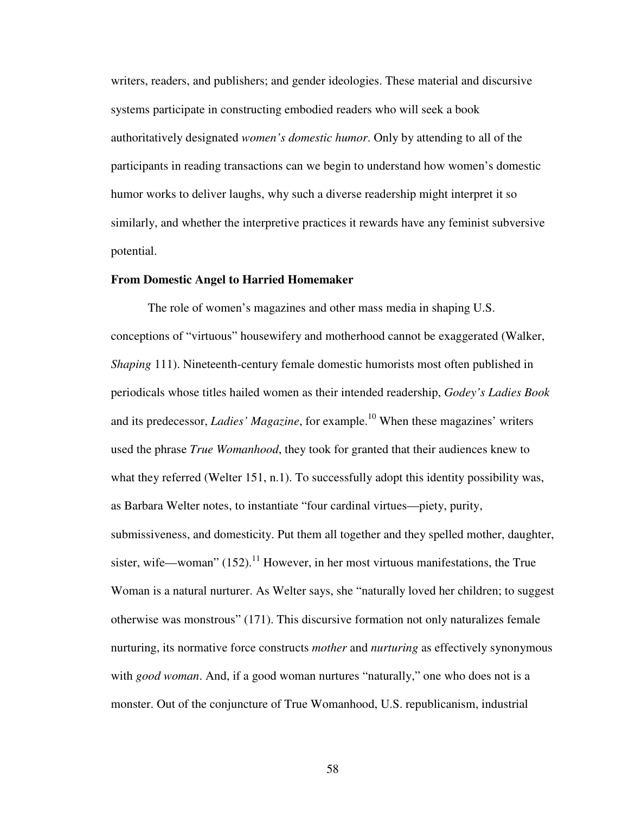writers, readers, and publishers; and gender ideologies. These material and discursive systems participate in constructing embodied readers who will seek a book authoritatively designated *women's domestic humor*. Only by attending to all of the participants in reading transactions can we begin to understand how women's domestic humor works to deliver laughs, why such a diverse readership might interpret it so similarly, and whether the interpretive practices it rewards have any feminist subversive potential.

### **From Domestic Angel to Harried Homemaker**

The role of women's magazines and other mass media in shaping U.S. conceptions of "virtuous" housewifery and motherhood cannot be exaggerated (Walker, *Shaping* 111). Nineteenth-century female domestic humorists most often published in periodicals whose titles hailed women as their intended readership, *Godey's Ladies Book* and its predecessor, *Ladies' Magazine*, for example.<sup>10</sup> When these magazines' writers used the phrase *True Womanhood*, they took for granted that their audiences knew to what they referred (Welter 151, n.1). To successfully adopt this identity possibility was, as Barbara Welter notes, to instantiate "four cardinal virtues—piety, purity, submissiveness, and domesticity. Put them all together and they spelled mother, daughter, sister, wife—woman"  $(152)$ .<sup>11</sup> However, in her most virtuous manifestations, the True Woman is a natural nurturer. As Welter says, she "naturally loved her children; to suggest otherwise was monstrous" (171). This discursive formation not only naturalizes female nurturing, its normative force constructs *mother* and *nurturing* as effectively synonymous with *good woman*. And, if a good woman nurtures "naturally," one who does not is a monster. Out of the conjuncture of True Womanhood, U.S. republicanism, industrial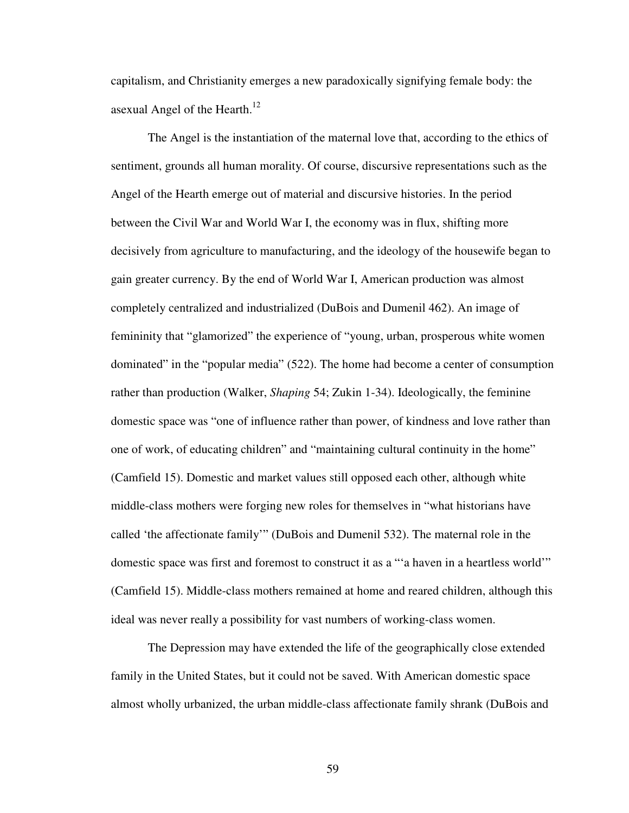capitalism, and Christianity emerges a new paradoxically signifying female body: the asexual Angel of the Hearth.<sup>12</sup>

The Angel is the instantiation of the maternal love that, according to the ethics of sentiment, grounds all human morality. Of course, discursive representations such as the Angel of the Hearth emerge out of material and discursive histories. In the period between the Civil War and World War I, the economy was in flux, shifting more decisively from agriculture to manufacturing, and the ideology of the housewife began to gain greater currency. By the end of World War I, American production was almost completely centralized and industrialized (DuBois and Dumenil 462). An image of femininity that "glamorized" the experience of "young, urban, prosperous white women dominated" in the "popular media" (522). The home had become a center of consumption rather than production (Walker, *Shaping* 54; Zukin 1-34). Ideologically, the feminine domestic space was "one of influence rather than power, of kindness and love rather than one of work, of educating children" and "maintaining cultural continuity in the home" (Camfield 15). Domestic and market values still opposed each other, although white middle-class mothers were forging new roles for themselves in "what historians have called 'the affectionate family'" (DuBois and Dumenil 532). The maternal role in the domestic space was first and foremost to construct it as a "'a haven in a heartless world'" (Camfield 15). Middle-class mothers remained at home and reared children, although this ideal was never really a possibility for vast numbers of working-class women.

The Depression may have extended the life of the geographically close extended family in the United States, but it could not be saved. With American domestic space almost wholly urbanized, the urban middle-class affectionate family shrank (DuBois and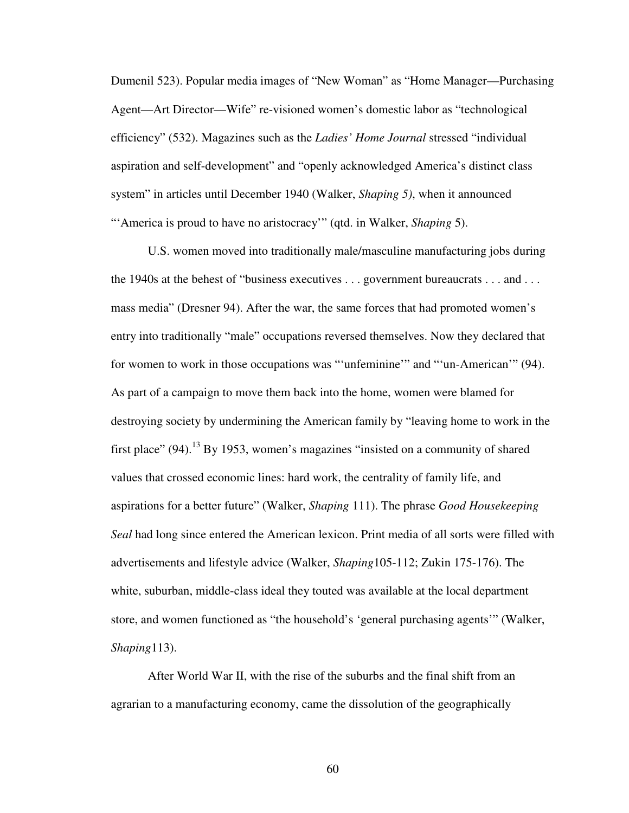Dumenil 523). Popular media images of "New Woman" as "Home Manager—Purchasing Agent—Art Director—Wife" re-visioned women's domestic labor as "technological efficiency" (532). Magazines such as the *Ladies' Home Journal* stressed "individual aspiration and self-development" and "openly acknowledged America's distinct class system" in articles until December 1940 (Walker, *Shaping 5)*, when it announced "'America is proud to have no aristocracy'" (qtd. in Walker, *Shaping* 5).

U.S. women moved into traditionally male/masculine manufacturing jobs during the 1940s at the behest of "business executives . . . government bureaucrats . . . and . . . mass media" (Dresner 94). After the war, the same forces that had promoted women's entry into traditionally "male" occupations reversed themselves. Now they declared that for women to work in those occupations was "'unfeminine'" and "'un-American'" (94). As part of a campaign to move them back into the home, women were blamed for destroying society by undermining the American family by "leaving home to work in the first place" (94).<sup>13</sup> By 1953, women's magazines "insisted on a community of shared values that crossed economic lines: hard work, the centrality of family life, and aspirations for a better future" (Walker, *Shaping* 111). The phrase *Good Housekeeping Seal* had long since entered the American lexicon. Print media of all sorts were filled with advertisements and lifestyle advice (Walker, *Shaping*105-112; Zukin 175-176). The white, suburban, middle-class ideal they touted was available at the local department store, and women functioned as "the household's 'general purchasing agents'" (Walker, *Shaping*113).

After World War II, with the rise of the suburbs and the final shift from an agrarian to a manufacturing economy, came the dissolution of the geographically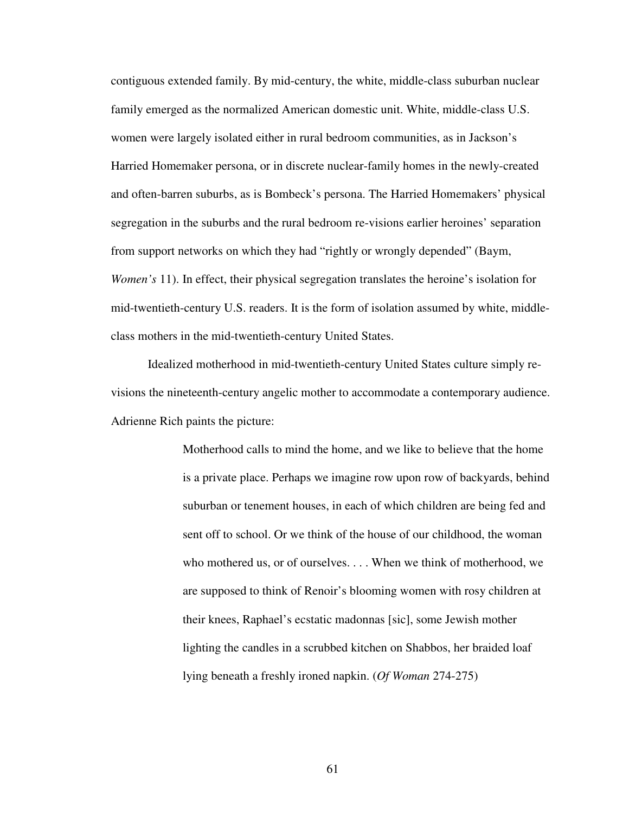contiguous extended family. By mid-century, the white, middle-class suburban nuclear family emerged as the normalized American domestic unit. White, middle-class U.S. women were largely isolated either in rural bedroom communities, as in Jackson's Harried Homemaker persona, or in discrete nuclear-family homes in the newly-created and often-barren suburbs, as is Bombeck's persona. The Harried Homemakers' physical segregation in the suburbs and the rural bedroom re-visions earlier heroines' separation from support networks on which they had "rightly or wrongly depended" (Baym, *Women's* 11). In effect, their physical segregation translates the heroine's isolation for mid-twentieth-century U.S. readers. It is the form of isolation assumed by white, middleclass mothers in the mid-twentieth-century United States.

Idealized motherhood in mid-twentieth-century United States culture simply revisions the nineteenth-century angelic mother to accommodate a contemporary audience. Adrienne Rich paints the picture:

> Motherhood calls to mind the home, and we like to believe that the home is a private place. Perhaps we imagine row upon row of backyards, behind suburban or tenement houses, in each of which children are being fed and sent off to school. Or we think of the house of our childhood, the woman who mothered us, or of ourselves. . . . When we think of motherhood, we are supposed to think of Renoir's blooming women with rosy children at their knees, Raphael's ecstatic madonnas [sic], some Jewish mother lighting the candles in a scrubbed kitchen on Shabbos, her braided loaf lying beneath a freshly ironed napkin. (*Of Woman* 274-275)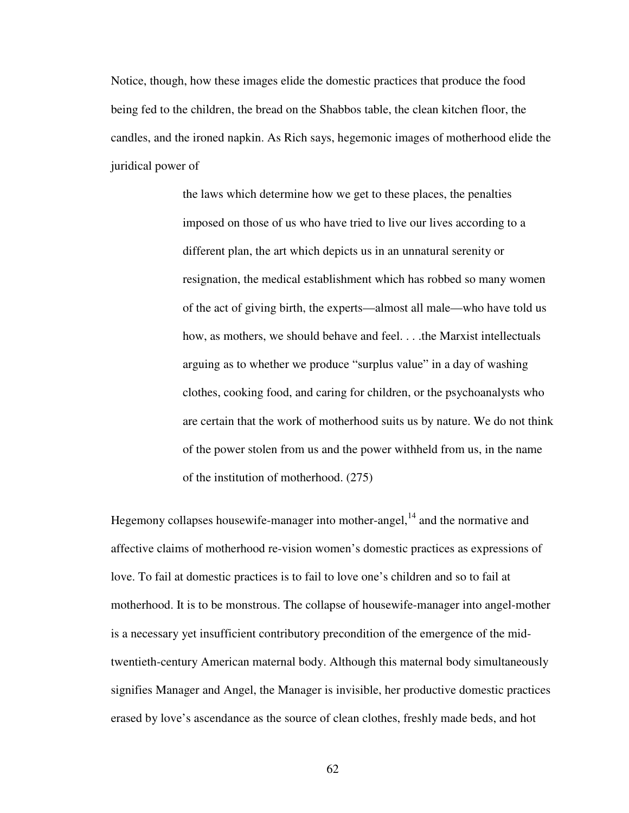Notice, though, how these images elide the domestic practices that produce the food being fed to the children, the bread on the Shabbos table, the clean kitchen floor, the candles, and the ironed napkin. As Rich says, hegemonic images of motherhood elide the juridical power of

> the laws which determine how we get to these places, the penalties imposed on those of us who have tried to live our lives according to a different plan, the art which depicts us in an unnatural serenity or resignation, the medical establishment which has robbed so many women of the act of giving birth, the experts—almost all male—who have told us how, as mothers, we should behave and feel. . . .the Marxist intellectuals arguing as to whether we produce "surplus value" in a day of washing clothes, cooking food, and caring for children, or the psychoanalysts who are certain that the work of motherhood suits us by nature. We do not think of the power stolen from us and the power withheld from us, in the name of the institution of motherhood. (275)

Hegemony collapses housewife-manager into mother-angel, $14$  and the normative and affective claims of motherhood re-vision women's domestic practices as expressions of love. To fail at domestic practices is to fail to love one's children and so to fail at motherhood. It is to be monstrous. The collapse of housewife-manager into angel-mother is a necessary yet insufficient contributory precondition of the emergence of the midtwentieth-century American maternal body. Although this maternal body simultaneously signifies Manager and Angel, the Manager is invisible, her productive domestic practices erased by love's ascendance as the source of clean clothes, freshly made beds, and hot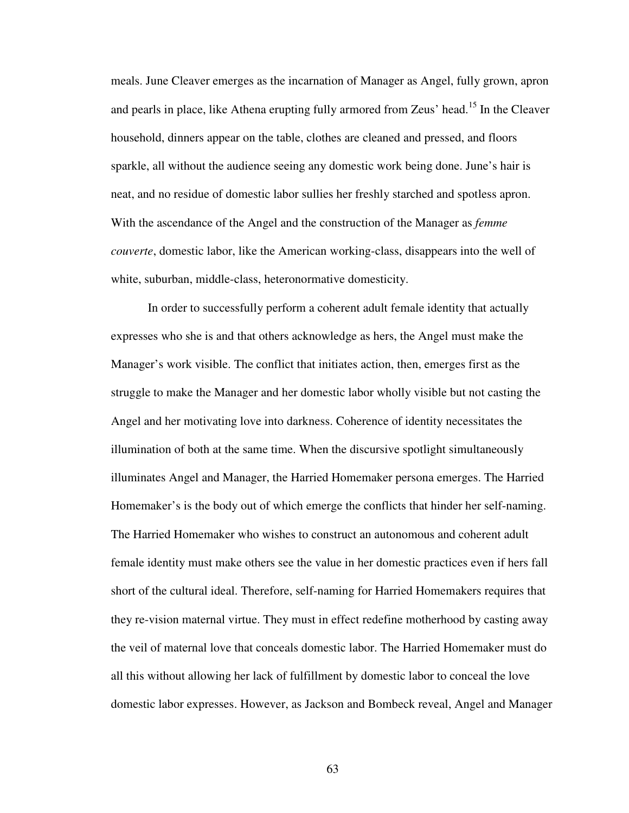meals. June Cleaver emerges as the incarnation of Manager as Angel, fully grown, apron and pearls in place, like Athena erupting fully armored from Zeus' head.<sup>15</sup> In the Cleaver household, dinners appear on the table, clothes are cleaned and pressed, and floors sparkle, all without the audience seeing any domestic work being done. June's hair is neat, and no residue of domestic labor sullies her freshly starched and spotless apron. With the ascendance of the Angel and the construction of the Manager as *femme couverte*, domestic labor, like the American working-class, disappears into the well of white, suburban, middle-class, heteronormative domesticity.

In order to successfully perform a coherent adult female identity that actually expresses who she is and that others acknowledge as hers, the Angel must make the Manager's work visible. The conflict that initiates action, then, emerges first as the struggle to make the Manager and her domestic labor wholly visible but not casting the Angel and her motivating love into darkness. Coherence of identity necessitates the illumination of both at the same time. When the discursive spotlight simultaneously illuminates Angel and Manager, the Harried Homemaker persona emerges. The Harried Homemaker's is the body out of which emerge the conflicts that hinder her self-naming. The Harried Homemaker who wishes to construct an autonomous and coherent adult female identity must make others see the value in her domestic practices even if hers fall short of the cultural ideal. Therefore, self-naming for Harried Homemakers requires that they re-vision maternal virtue. They must in effect redefine motherhood by casting away the veil of maternal love that conceals domestic labor. The Harried Homemaker must do all this without allowing her lack of fulfillment by domestic labor to conceal the love domestic labor expresses. However, as Jackson and Bombeck reveal, Angel and Manager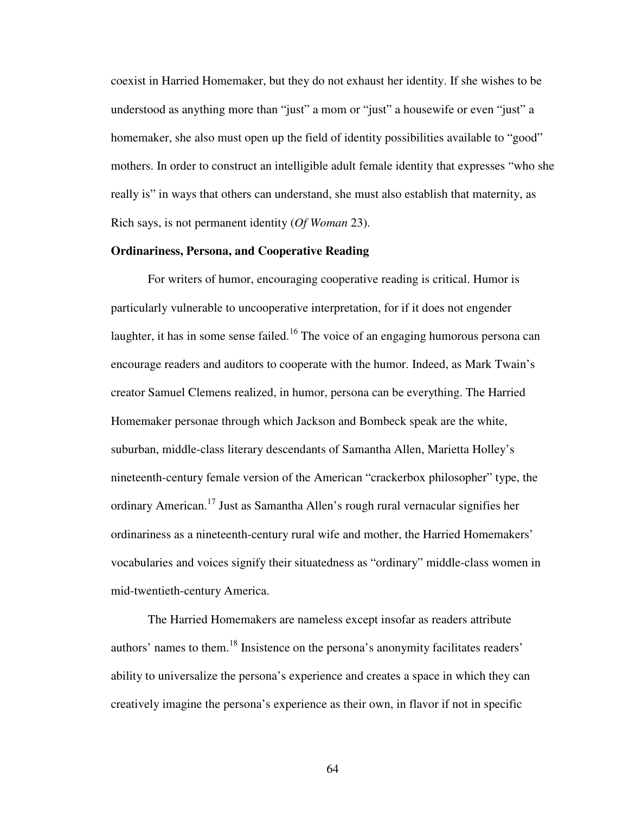coexist in Harried Homemaker, but they do not exhaust her identity. If she wishes to be understood as anything more than "just" a mom or "just" a housewife or even "just" a homemaker, she also must open up the field of identity possibilities available to "good" mothers. In order to construct an intelligible adult female identity that expresses "who she really is" in ways that others can understand, she must also establish that maternity, as Rich says, is not permanent identity (*Of Woman* 23).

# **Ordinariness, Persona, and Cooperative Reading**

For writers of humor, encouraging cooperative reading is critical. Humor is particularly vulnerable to uncooperative interpretation, for if it does not engender laughter, it has in some sense failed.<sup>16</sup> The voice of an engaging humorous persona can encourage readers and auditors to cooperate with the humor. Indeed, as Mark Twain's creator Samuel Clemens realized, in humor, persona can be everything. The Harried Homemaker personae through which Jackson and Bombeck speak are the white, suburban, middle-class literary descendants of Samantha Allen, Marietta Holley's nineteenth-century female version of the American "crackerbox philosopher" type, the ordinary American.<sup>17</sup> Just as Samantha Allen's rough rural vernacular signifies her ordinariness as a nineteenth-century rural wife and mother, the Harried Homemakers' vocabularies and voices signify their situatedness as "ordinary" middle-class women in mid-twentieth-century America.

The Harried Homemakers are nameless except insofar as readers attribute authors' names to them.<sup>18</sup> Insistence on the persona's anonymity facilitates readers' ability to universalize the persona's experience and creates a space in which they can creatively imagine the persona's experience as their own, in flavor if not in specific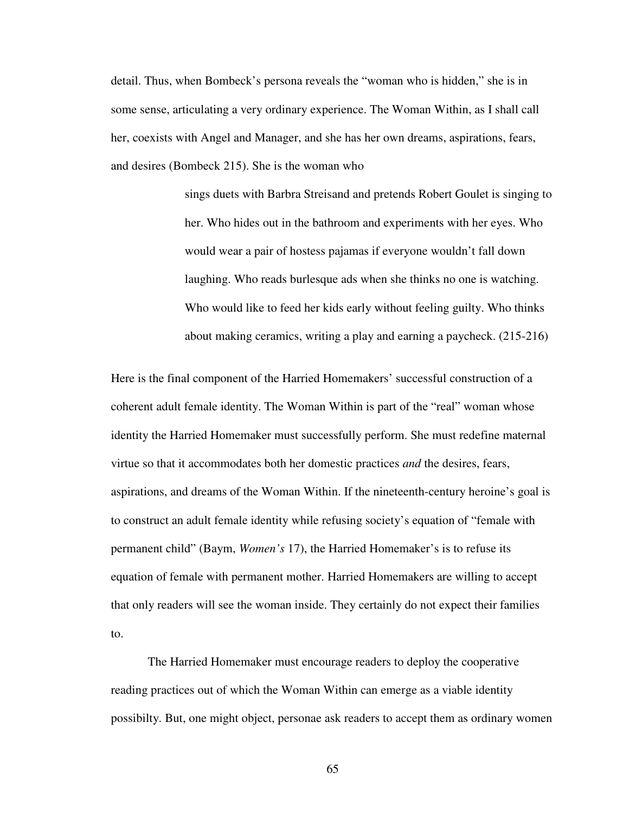detail. Thus, when Bombeck's persona reveals the "woman who is hidden," she is in some sense, articulating a very ordinary experience. The Woman Within, as I shall call her, coexists with Angel and Manager, and she has her own dreams, aspirations, fears, and desires (Bombeck 215). She is the woman who

> sings duets with Barbra Streisand and pretends Robert Goulet is singing to her. Who hides out in the bathroom and experiments with her eyes. Who would wear a pair of hostess pajamas if everyone wouldn't fall down laughing. Who reads burlesque ads when she thinks no one is watching. Who would like to feed her kids early without feeling guilty. Who thinks about making ceramics, writing a play and earning a paycheck. (215-216)

Here is the final component of the Harried Homemakers' successful construction of a coherent adult female identity. The Woman Within is part of the "real" woman whose identity the Harried Homemaker must successfully perform. She must redefine maternal virtue so that it accommodates both her domestic practices *and* the desires, fears, aspirations, and dreams of the Woman Within. If the nineteenth-century heroine's goal is to construct an adult female identity while refusing society's equation of "female with permanent child" (Baym, *Women's* 17), the Harried Homemaker's is to refuse its equation of female with permanent mother. Harried Homemakers are willing to accept that only readers will see the woman inside. They certainly do not expect their families to.

The Harried Homemaker must encourage readers to deploy the cooperative reading practices out of which the Woman Within can emerge as a viable identity possibilty. But, one might object, personae ask readers to accept them as ordinary women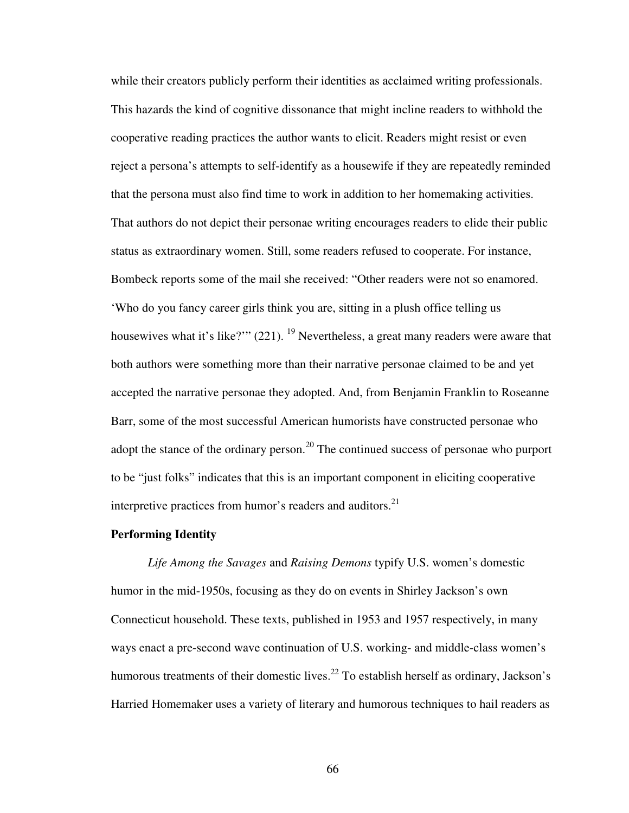while their creators publicly perform their identities as acclaimed writing professionals. This hazards the kind of cognitive dissonance that might incline readers to withhold the cooperative reading practices the author wants to elicit. Readers might resist or even reject a persona's attempts to self-identify as a housewife if they are repeatedly reminded that the persona must also find time to work in addition to her homemaking activities. That authors do not depict their personae writing encourages readers to elide their public status as extraordinary women. Still, some readers refused to cooperate. For instance, Bombeck reports some of the mail she received: "Other readers were not so enamored. 'Who do you fancy career girls think you are, sitting in a plush office telling us housewives what it's like?'"  $(221)$ . <sup>19</sup> Nevertheless, a great many readers were aware that both authors were something more than their narrative personae claimed to be and yet accepted the narrative personae they adopted. And, from Benjamin Franklin to Roseanne Barr, some of the most successful American humorists have constructed personae who adopt the stance of the ordinary person.<sup>20</sup> The continued success of personae who purport to be "just folks" indicates that this is an important component in eliciting cooperative interpretive practices from humor's readers and auditors. $21$ 

## **Performing Identity**

*Life Among the Savages* and *Raising Demons* typify U.S. women's domestic humor in the mid-1950s, focusing as they do on events in Shirley Jackson's own Connecticut household. These texts, published in 1953 and 1957 respectively, in many ways enact a pre-second wave continuation of U.S. working- and middle-class women's humorous treatments of their domestic lives.<sup>22</sup> To establish herself as ordinary, Jackson's Harried Homemaker uses a variety of literary and humorous techniques to hail readers as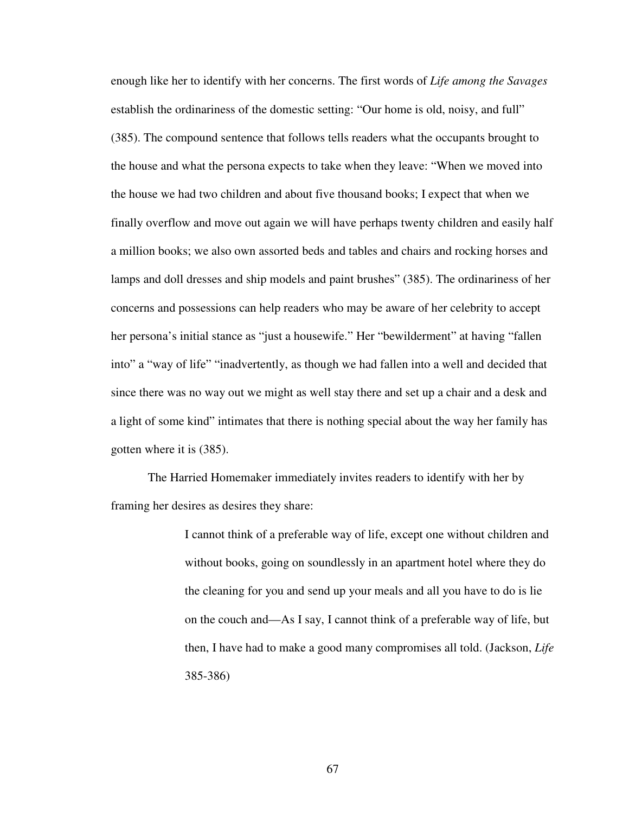enough like her to identify with her concerns. The first words of *Life among the Savages*  establish the ordinariness of the domestic setting: "Our home is old, noisy, and full" (385). The compound sentence that follows tells readers what the occupants brought to the house and what the persona expects to take when they leave: "When we moved into the house we had two children and about five thousand books; I expect that when we finally overflow and move out again we will have perhaps twenty children and easily half a million books; we also own assorted beds and tables and chairs and rocking horses and lamps and doll dresses and ship models and paint brushes" (385). The ordinariness of her concerns and possessions can help readers who may be aware of her celebrity to accept her persona's initial stance as "just a housewife." Her "bewilderment" at having "fallen into" a "way of life" "inadvertently, as though we had fallen into a well and decided that since there was no way out we might as well stay there and set up a chair and a desk and a light of some kind" intimates that there is nothing special about the way her family has gotten where it is (385).

The Harried Homemaker immediately invites readers to identify with her by framing her desires as desires they share:

> I cannot think of a preferable way of life, except one without children and without books, going on soundlessly in an apartment hotel where they do the cleaning for you and send up your meals and all you have to do is lie on the couch and—As I say, I cannot think of a preferable way of life, but then, I have had to make a good many compromises all told. (Jackson, *Life*  385-386)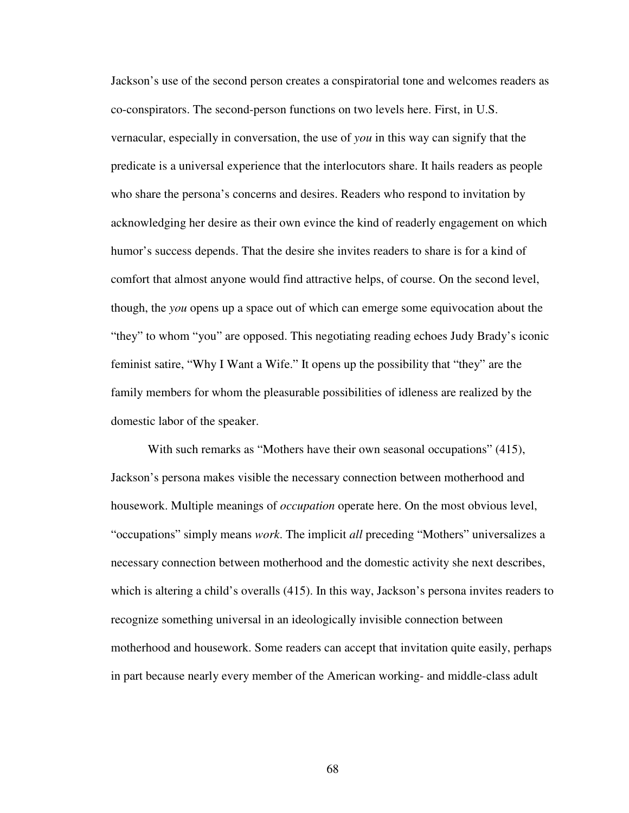Jackson's use of the second person creates a conspiratorial tone and welcomes readers as co-conspirators. The second-person functions on two levels here. First, in U.S. vernacular, especially in conversation, the use of *you* in this way can signify that the predicate is a universal experience that the interlocutors share. It hails readers as people who share the persona's concerns and desires. Readers who respond to invitation by acknowledging her desire as their own evince the kind of readerly engagement on which humor's success depends. That the desire she invites readers to share is for a kind of comfort that almost anyone would find attractive helps, of course. On the second level, though, the *you* opens up a space out of which can emerge some equivocation about the "they" to whom "you" are opposed. This negotiating reading echoes Judy Brady's iconic feminist satire, "Why I Want a Wife." It opens up the possibility that "they" are the family members for whom the pleasurable possibilities of idleness are realized by the domestic labor of the speaker.

With such remarks as "Mothers have their own seasonal occupations" (415), Jackson's persona makes visible the necessary connection between motherhood and housework. Multiple meanings of *occupation* operate here. On the most obvious level, "occupations" simply means *work*. The implicit *all* preceding "Mothers" universalizes a necessary connection between motherhood and the domestic activity she next describes, which is altering a child's overalls (415). In this way, Jackson's persona invites readers to recognize something universal in an ideologically invisible connection between motherhood and housework. Some readers can accept that invitation quite easily, perhaps in part because nearly every member of the American working- and middle-class adult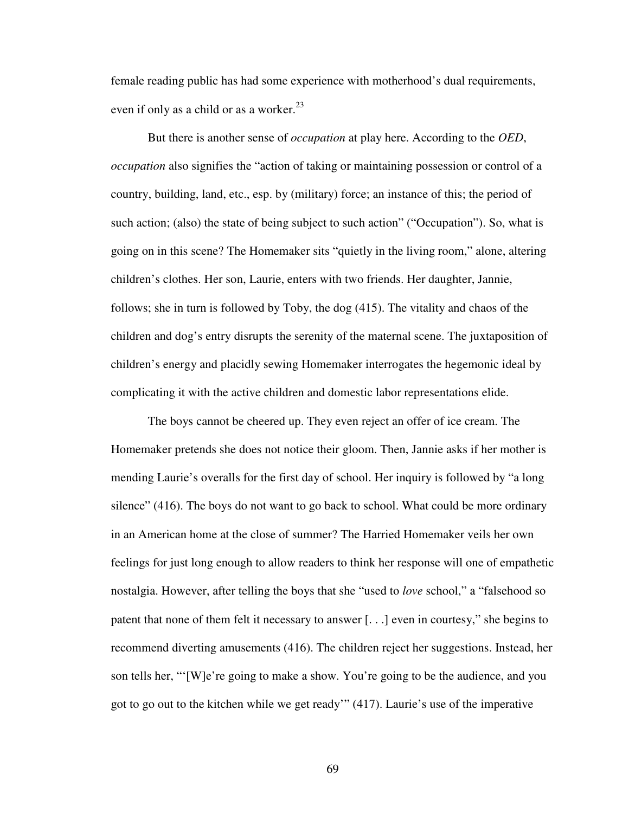female reading public has had some experience with motherhood's dual requirements, even if only as a child or as a worker.<sup>23</sup>

But there is another sense of *occupation* at play here. According to the *OED*, *occupation* also signifies the "action of taking or maintaining possession or control of a country, building, land, etc., esp. by (military) force; an instance of this; the period of such action; (also) the state of being subject to such action" ("Occupation"). So, what is going on in this scene? The Homemaker sits "quietly in the living room," alone, altering children's clothes. Her son, Laurie, enters with two friends. Her daughter, Jannie, follows; she in turn is followed by Toby, the dog (415). The vitality and chaos of the children and dog's entry disrupts the serenity of the maternal scene. The juxtaposition of children's energy and placidly sewing Homemaker interrogates the hegemonic ideal by complicating it with the active children and domestic labor representations elide.

The boys cannot be cheered up. They even reject an offer of ice cream. The Homemaker pretends she does not notice their gloom. Then, Jannie asks if her mother is mending Laurie's overalls for the first day of school. Her inquiry is followed by "a long silence" (416). The boys do not want to go back to school. What could be more ordinary in an American home at the close of summer? The Harried Homemaker veils her own feelings for just long enough to allow readers to think her response will one of empathetic nostalgia. However, after telling the boys that she "used to *love* school," a "falsehood so patent that none of them felt it necessary to answer [. . .] even in courtesy," she begins to recommend diverting amusements (416). The children reject her suggestions. Instead, her son tells her, "'[W]e're going to make a show. You're going to be the audience, and you got to go out to the kitchen while we get ready'" (417). Laurie's use of the imperative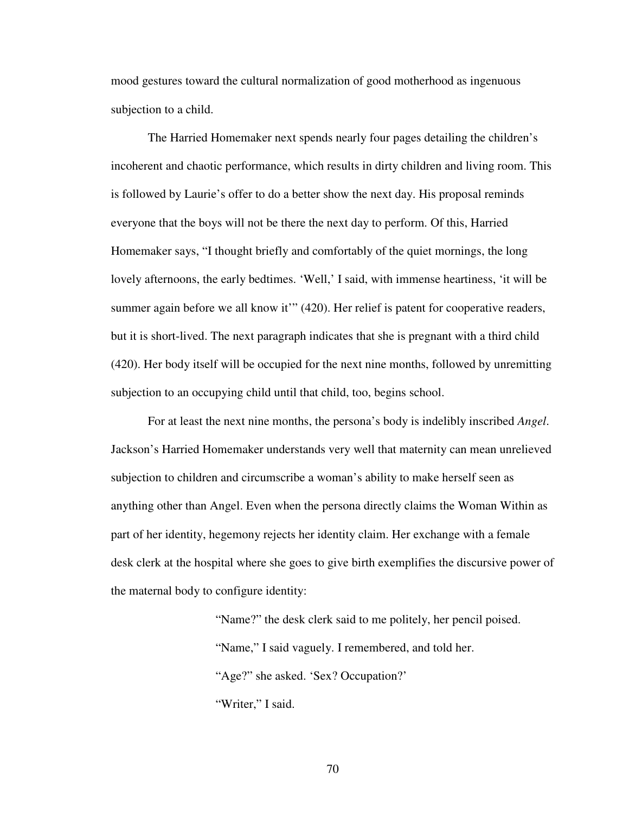mood gestures toward the cultural normalization of good motherhood as ingenuous subjection to a child.

The Harried Homemaker next spends nearly four pages detailing the children's incoherent and chaotic performance, which results in dirty children and living room. This is followed by Laurie's offer to do a better show the next day. His proposal reminds everyone that the boys will not be there the next day to perform. Of this, Harried Homemaker says, "I thought briefly and comfortably of the quiet mornings, the long lovely afternoons, the early bedtimes. 'Well,' I said, with immense heartiness, 'it will be summer again before we all know it" (420). Her relief is patent for cooperative readers, but it is short-lived. The next paragraph indicates that she is pregnant with a third child (420). Her body itself will be occupied for the next nine months, followed by unremitting subjection to an occupying child until that child, too, begins school.

For at least the next nine months, the persona's body is indelibly inscribed *Angel*. Jackson's Harried Homemaker understands very well that maternity can mean unrelieved subjection to children and circumscribe a woman's ability to make herself seen as anything other than Angel. Even when the persona directly claims the Woman Within as part of her identity, hegemony rejects her identity claim. Her exchange with a female desk clerk at the hospital where she goes to give birth exemplifies the discursive power of the maternal body to configure identity:

> "Name?" the desk clerk said to me politely, her pencil poised. "Name," I said vaguely. I remembered, and told her. "Age?" she asked. 'Sex? Occupation?' "Writer," I said.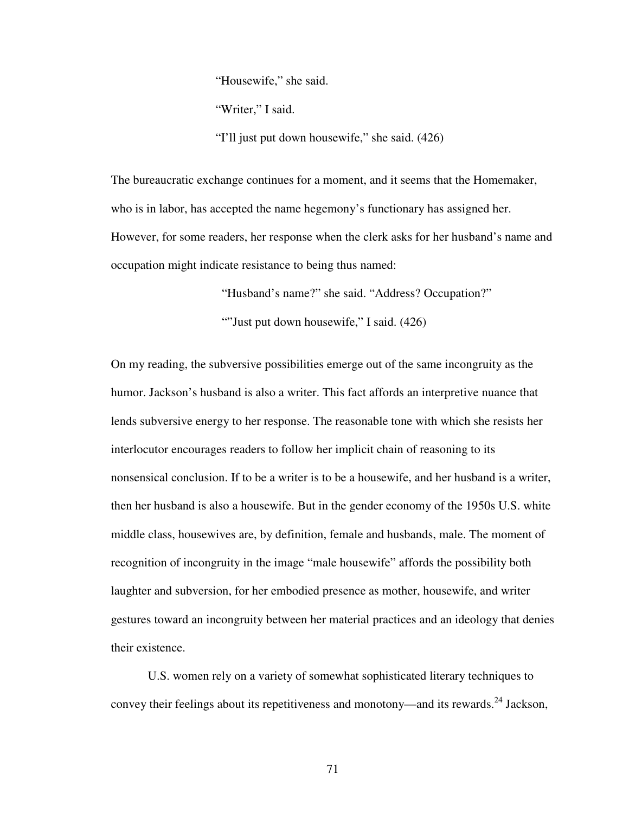"Housewife," she said.

"Writer," I said.

"I'll just put down housewife," she said. (426)

The bureaucratic exchange continues for a moment, and it seems that the Homemaker, who is in labor, has accepted the name hegemony's functionary has assigned her. However, for some readers, her response when the clerk asks for her husband's name and occupation might indicate resistance to being thus named:

"Husband's name?" she said. "Address? Occupation?"

""Just put down housewife," I said. (426)

On my reading, the subversive possibilities emerge out of the same incongruity as the humor. Jackson's husband is also a writer. This fact affords an interpretive nuance that lends subversive energy to her response. The reasonable tone with which she resists her interlocutor encourages readers to follow her implicit chain of reasoning to its nonsensical conclusion. If to be a writer is to be a housewife, and her husband is a writer, then her husband is also a housewife. But in the gender economy of the 1950s U.S. white middle class, housewives are, by definition, female and husbands, male. The moment of recognition of incongruity in the image "male housewife" affords the possibility both laughter and subversion, for her embodied presence as mother, housewife, and writer gestures toward an incongruity between her material practices and an ideology that denies their existence.

U.S. women rely on a variety of somewhat sophisticated literary techniques to convey their feelings about its repetitiveness and monotony—and its rewards.<sup>24</sup> Jackson,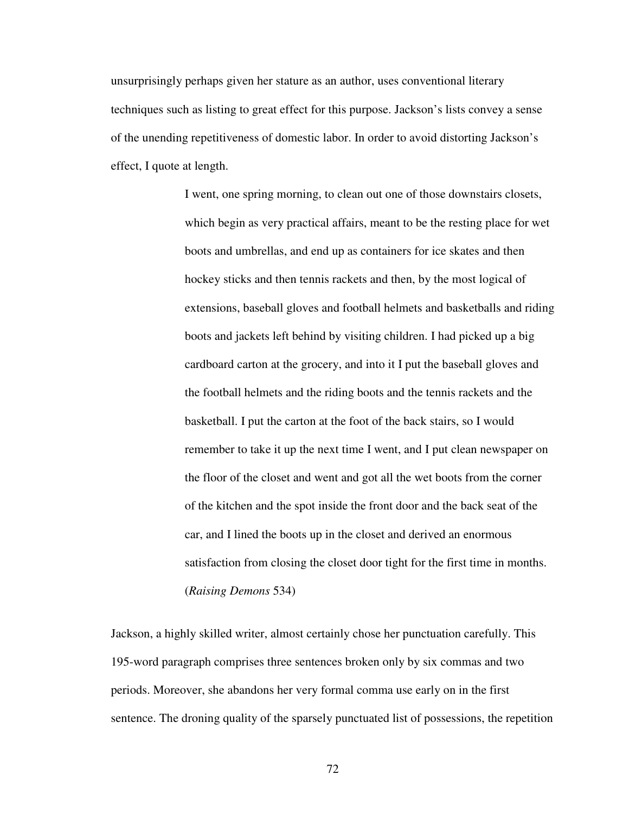unsurprisingly perhaps given her stature as an author, uses conventional literary techniques such as listing to great effect for this purpose. Jackson's lists convey a sense of the unending repetitiveness of domestic labor. In order to avoid distorting Jackson's effect, I quote at length.

> I went, one spring morning, to clean out one of those downstairs closets, which begin as very practical affairs, meant to be the resting place for wet boots and umbrellas, and end up as containers for ice skates and then hockey sticks and then tennis rackets and then, by the most logical of extensions, baseball gloves and football helmets and basketballs and riding boots and jackets left behind by visiting children. I had picked up a big cardboard carton at the grocery, and into it I put the baseball gloves and the football helmets and the riding boots and the tennis rackets and the basketball. I put the carton at the foot of the back stairs, so I would remember to take it up the next time I went, and I put clean newspaper on the floor of the closet and went and got all the wet boots from the corner of the kitchen and the spot inside the front door and the back seat of the car, and I lined the boots up in the closet and derived an enormous satisfaction from closing the closet door tight for the first time in months. (*Raising Demons* 534)

Jackson, a highly skilled writer, almost certainly chose her punctuation carefully. This 195-word paragraph comprises three sentences broken only by six commas and two periods. Moreover, she abandons her very formal comma use early on in the first sentence. The droning quality of the sparsely punctuated list of possessions, the repetition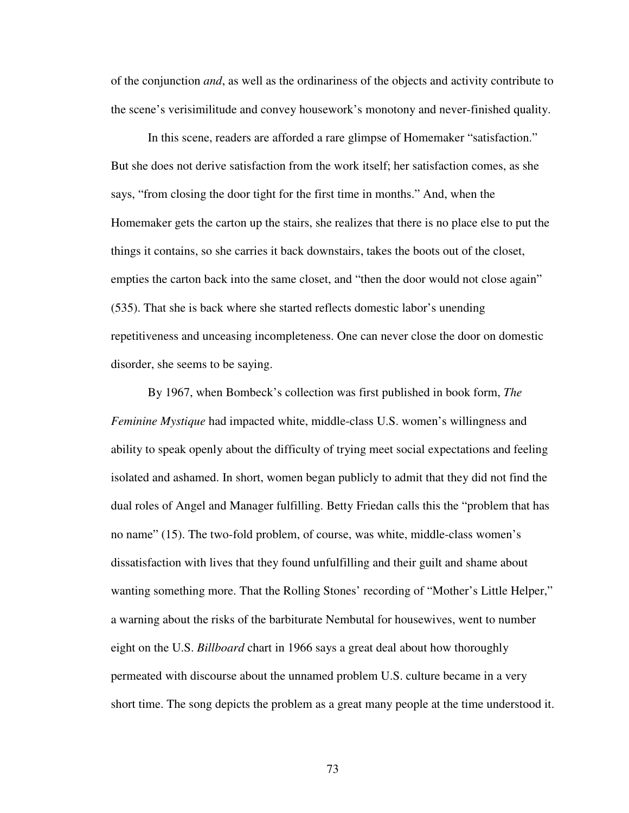of the conjunction *and*, as well as the ordinariness of the objects and activity contribute to the scene's verisimilitude and convey housework's monotony and never-finished quality.

In this scene, readers are afforded a rare glimpse of Homemaker "satisfaction." But she does not derive satisfaction from the work itself; her satisfaction comes, as she says, "from closing the door tight for the first time in months." And, when the Homemaker gets the carton up the stairs, she realizes that there is no place else to put the things it contains, so she carries it back downstairs, takes the boots out of the closet, empties the carton back into the same closet, and "then the door would not close again" (535). That she is back where she started reflects domestic labor's unending repetitiveness and unceasing incompleteness. One can never close the door on domestic disorder, she seems to be saying.

By 1967, when Bombeck's collection was first published in book form, *The Feminine Mystique* had impacted white, middle-class U.S. women's willingness and ability to speak openly about the difficulty of trying meet social expectations and feeling isolated and ashamed. In short, women began publicly to admit that they did not find the dual roles of Angel and Manager fulfilling. Betty Friedan calls this the "problem that has no name" (15). The two-fold problem, of course, was white, middle-class women's dissatisfaction with lives that they found unfulfilling and their guilt and shame about wanting something more. That the Rolling Stones' recording of "Mother's Little Helper," a warning about the risks of the barbiturate Nembutal for housewives, went to number eight on the U.S. *Billboard* chart in 1966 says a great deal about how thoroughly permeated with discourse about the unnamed problem U.S. culture became in a very short time. The song depicts the problem as a great many people at the time understood it.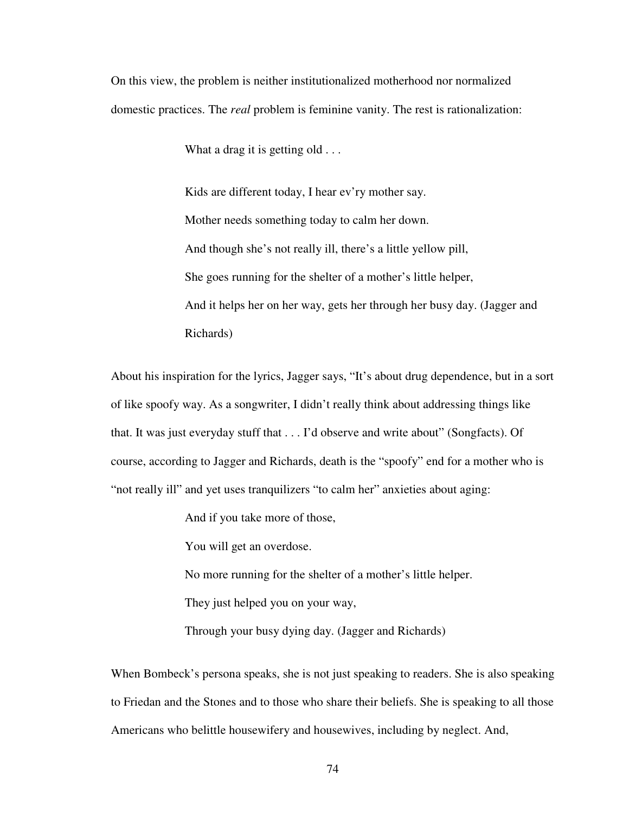On this view, the problem is neither institutionalized motherhood nor normalized domestic practices. The *real* problem is feminine vanity. The rest is rationalization:

What a drag it is getting old . . .

Kids are different today, I hear ev'ry mother say. Mother needs something today to calm her down. And though she's not really ill, there's a little yellow pill, She goes running for the shelter of a mother's little helper, And it helps her on her way, gets her through her busy day. (Jagger and Richards)

About his inspiration for the lyrics, Jagger says, "It's about drug dependence, but in a sort of like spoofy way. As a songwriter, I didn't really think about addressing things like that. It was just everyday stuff that . . . I'd observe and write about" (Songfacts). Of course, according to Jagger and Richards, death is the "spoofy" end for a mother who is "not really ill" and yet uses tranquilizers "to calm her" anxieties about aging:

And if you take more of those,

You will get an overdose.

No more running for the shelter of a mother's little helper.

They just helped you on your way,

Through your busy dying day. (Jagger and Richards)

When Bombeck's persona speaks, she is not just speaking to readers. She is also speaking to Friedan and the Stones and to those who share their beliefs. She is speaking to all those Americans who belittle housewifery and housewives, including by neglect. And,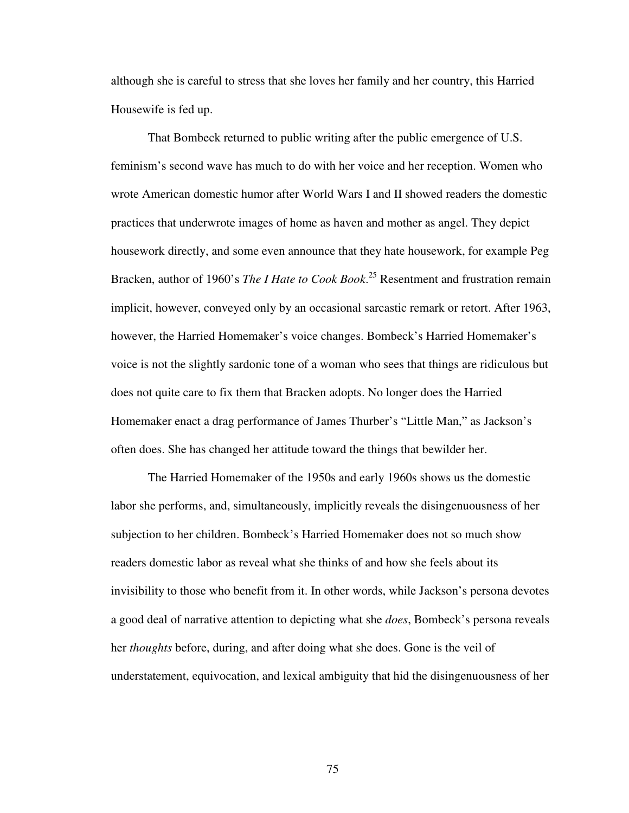although she is careful to stress that she loves her family and her country, this Harried Housewife is fed up.

That Bombeck returned to public writing after the public emergence of U.S. feminism's second wave has much to do with her voice and her reception. Women who wrote American domestic humor after World Wars I and II showed readers the domestic practices that underwrote images of home as haven and mother as angel. They depict housework directly, and some even announce that they hate housework, for example Peg Bracken, author of 1960's *The I Hate to Cook Book*. <sup>25</sup> Resentment and frustration remain implicit, however, conveyed only by an occasional sarcastic remark or retort. After 1963, however, the Harried Homemaker's voice changes. Bombeck's Harried Homemaker's voice is not the slightly sardonic tone of a woman who sees that things are ridiculous but does not quite care to fix them that Bracken adopts. No longer does the Harried Homemaker enact a drag performance of James Thurber's "Little Man," as Jackson's often does. She has changed her attitude toward the things that bewilder her.

The Harried Homemaker of the 1950s and early 1960s shows us the domestic labor she performs, and, simultaneously, implicitly reveals the disingenuousness of her subjection to her children. Bombeck's Harried Homemaker does not so much show readers domestic labor as reveal what she thinks of and how she feels about its invisibility to those who benefit from it. In other words, while Jackson's persona devotes a good deal of narrative attention to depicting what she *does*, Bombeck's persona reveals her *thoughts* before, during, and after doing what she does. Gone is the veil of understatement, equivocation, and lexical ambiguity that hid the disingenuousness of her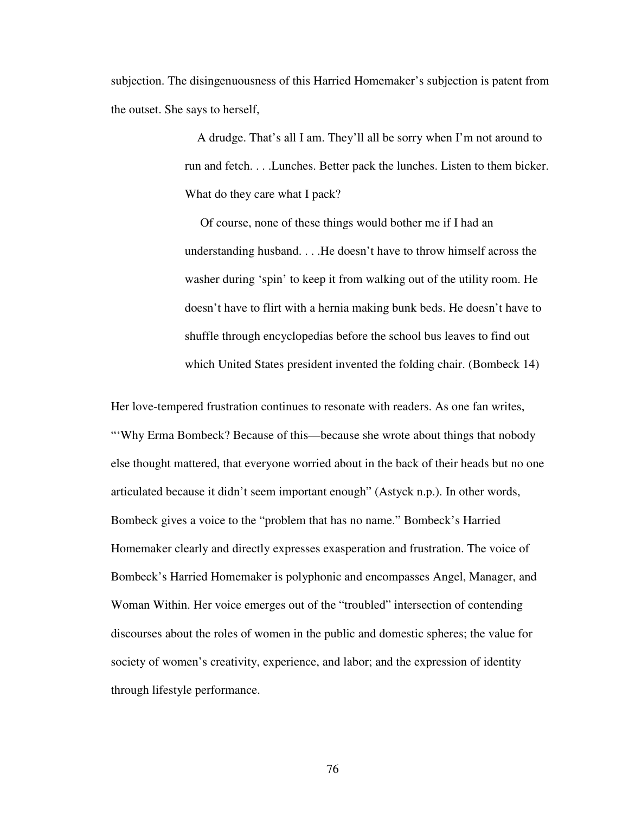subjection. The disingenuousness of this Harried Homemaker's subjection is patent from the outset. She says to herself,

> A drudge. That's all I am. They'll all be sorry when I'm not around to run and fetch. . . .Lunches. Better pack the lunches. Listen to them bicker. What do they care what I pack?

 Of course, none of these things would bother me if I had an understanding husband. . . .He doesn't have to throw himself across the washer during 'spin' to keep it from walking out of the utility room. He doesn't have to flirt with a hernia making bunk beds. He doesn't have to shuffle through encyclopedias before the school bus leaves to find out which United States president invented the folding chair. (Bombeck 14)

Her love-tempered frustration continues to resonate with readers. As one fan writes, "'Why Erma Bombeck? Because of this—because she wrote about things that nobody else thought mattered, that everyone worried about in the back of their heads but no one articulated because it didn't seem important enough" (Astyck n.p.). In other words, Bombeck gives a voice to the "problem that has no name." Bombeck's Harried Homemaker clearly and directly expresses exasperation and frustration. The voice of Bombeck's Harried Homemaker is polyphonic and encompasses Angel, Manager, and Woman Within. Her voice emerges out of the "troubled" intersection of contending discourses about the roles of women in the public and domestic spheres; the value for society of women's creativity, experience, and labor; and the expression of identity through lifestyle performance.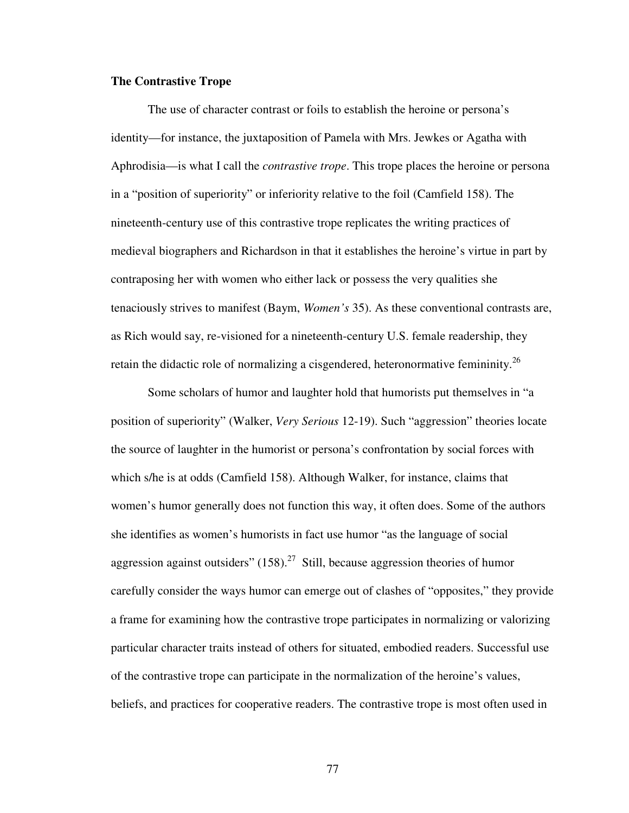# **The Contrastive Trope**

The use of character contrast or foils to establish the heroine or persona's identity—for instance, the juxtaposition of Pamela with Mrs. Jewkes or Agatha with Aphrodisia—is what I call the *contrastive trope*. This trope places the heroine or persona in a "position of superiority" or inferiority relative to the foil (Camfield 158). The nineteenth-century use of this contrastive trope replicates the writing practices of medieval biographers and Richardson in that it establishes the heroine's virtue in part by contraposing her with women who either lack or possess the very qualities she tenaciously strives to manifest (Baym, *Women's* 35). As these conventional contrasts are, as Rich would say, re-visioned for a nineteenth-century U.S. female readership, they retain the didactic role of normalizing a cisgendered, heteronormative femininity.<sup>26</sup>

Some scholars of humor and laughter hold that humorists put themselves in "a position of superiority" (Walker, *Very Serious* 12-19). Such "aggression" theories locate the source of laughter in the humorist or persona's confrontation by social forces with which s/he is at odds (Camfield 158). Although Walker, for instance, claims that women's humor generally does not function this way, it often does. Some of the authors she identifies as women's humorists in fact use humor "as the language of social aggression against outsiders"  $(158)^{27}$  Still, because aggression theories of humor carefully consider the ways humor can emerge out of clashes of "opposites," they provide a frame for examining how the contrastive trope participates in normalizing or valorizing particular character traits instead of others for situated, embodied readers. Successful use of the contrastive trope can participate in the normalization of the heroine's values, beliefs, and practices for cooperative readers. The contrastive trope is most often used in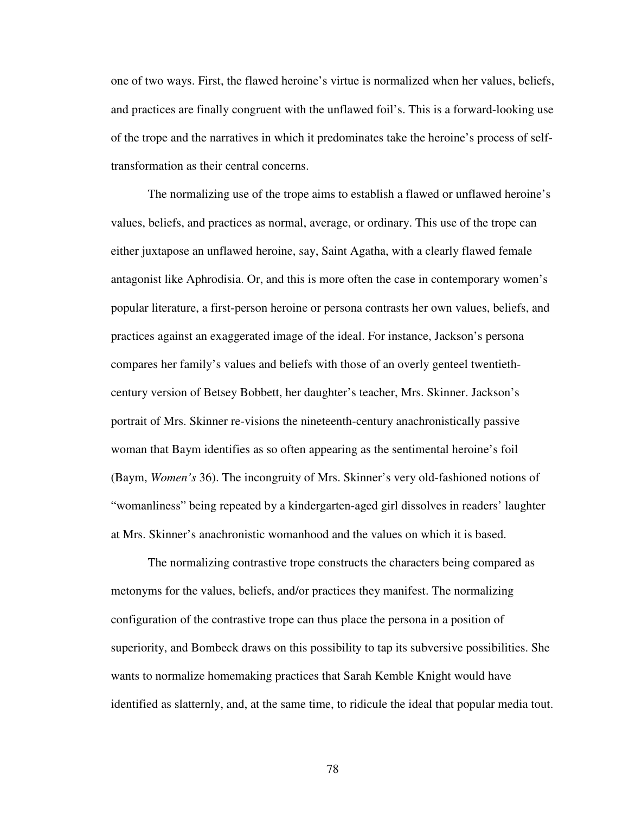one of two ways. First, the flawed heroine's virtue is normalized when her values, beliefs, and practices are finally congruent with the unflawed foil's. This is a forward-looking use of the trope and the narratives in which it predominates take the heroine's process of selftransformation as their central concerns.

The normalizing use of the trope aims to establish a flawed or unflawed heroine's values, beliefs, and practices as normal, average, or ordinary. This use of the trope can either juxtapose an unflawed heroine, say, Saint Agatha, with a clearly flawed female antagonist like Aphrodisia. Or, and this is more often the case in contemporary women's popular literature, a first-person heroine or persona contrasts her own values, beliefs, and practices against an exaggerated image of the ideal. For instance, Jackson's persona compares her family's values and beliefs with those of an overly genteel twentiethcentury version of Betsey Bobbett, her daughter's teacher, Mrs. Skinner. Jackson's portrait of Mrs. Skinner re-visions the nineteenth-century anachronistically passive woman that Baym identifies as so often appearing as the sentimental heroine's foil (Baym, *Women's* 36). The incongruity of Mrs. Skinner's very old-fashioned notions of "womanliness" being repeated by a kindergarten-aged girl dissolves in readers' laughter at Mrs. Skinner's anachronistic womanhood and the values on which it is based.

The normalizing contrastive trope constructs the characters being compared as metonyms for the values, beliefs, and/or practices they manifest. The normalizing configuration of the contrastive trope can thus place the persona in a position of superiority, and Bombeck draws on this possibility to tap its subversive possibilities. She wants to normalize homemaking practices that Sarah Kemble Knight would have identified as slatternly, and, at the same time, to ridicule the ideal that popular media tout.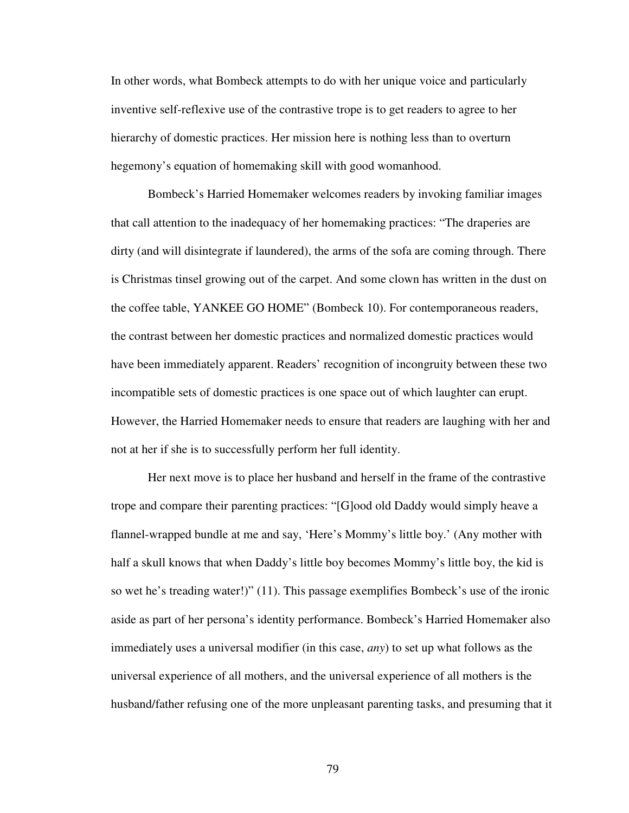In other words, what Bombeck attempts to do with her unique voice and particularly inventive self-reflexive use of the contrastive trope is to get readers to agree to her hierarchy of domestic practices. Her mission here is nothing less than to overturn hegemony's equation of homemaking skill with good womanhood.

Bombeck's Harried Homemaker welcomes readers by invoking familiar images that call attention to the inadequacy of her homemaking practices: "The draperies are dirty (and will disintegrate if laundered), the arms of the sofa are coming through. There is Christmas tinsel growing out of the carpet. And some clown has written in the dust on the coffee table, YANKEE GO HOME" (Bombeck 10). For contemporaneous readers, the contrast between her domestic practices and normalized domestic practices would have been immediately apparent. Readers' recognition of incongruity between these two incompatible sets of domestic practices is one space out of which laughter can erupt. However, the Harried Homemaker needs to ensure that readers are laughing with her and not at her if she is to successfully perform her full identity.

Her next move is to place her husband and herself in the frame of the contrastive trope and compare their parenting practices: "[G]ood old Daddy would simply heave a flannel-wrapped bundle at me and say, 'Here's Mommy's little boy.' (Any mother with half a skull knows that when Daddy's little boy becomes Mommy's little boy, the kid is so wet he's treading water!)" (11). This passage exemplifies Bombeck's use of the ironic aside as part of her persona's identity performance. Bombeck's Harried Homemaker also immediately uses a universal modifier (in this case, *any*) to set up what follows as the universal experience of all mothers, and the universal experience of all mothers is the husband/father refusing one of the more unpleasant parenting tasks, and presuming that it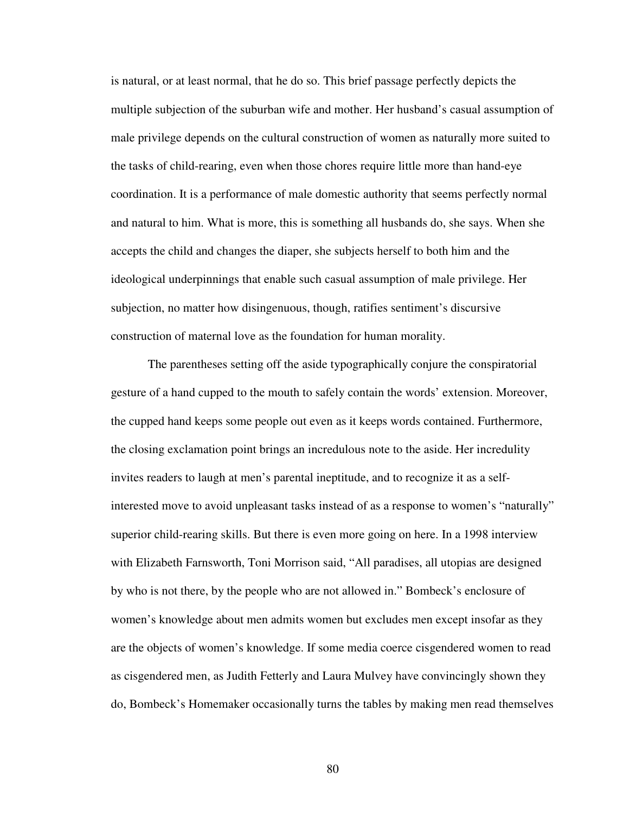is natural, or at least normal, that he do so. This brief passage perfectly depicts the multiple subjection of the suburban wife and mother. Her husband's casual assumption of male privilege depends on the cultural construction of women as naturally more suited to the tasks of child-rearing, even when those chores require little more than hand-eye coordination. It is a performance of male domestic authority that seems perfectly normal and natural to him. What is more, this is something all husbands do, she says. When she accepts the child and changes the diaper, she subjects herself to both him and the ideological underpinnings that enable such casual assumption of male privilege. Her subjection, no matter how disingenuous, though, ratifies sentiment's discursive construction of maternal love as the foundation for human morality.

The parentheses setting off the aside typographically conjure the conspiratorial gesture of a hand cupped to the mouth to safely contain the words' extension. Moreover, the cupped hand keeps some people out even as it keeps words contained. Furthermore, the closing exclamation point brings an incredulous note to the aside. Her incredulity invites readers to laugh at men's parental ineptitude, and to recognize it as a selfinterested move to avoid unpleasant tasks instead of as a response to women's "naturally" superior child-rearing skills. But there is even more going on here. In a 1998 interview with Elizabeth Farnsworth, Toni Morrison said, "All paradises, all utopias are designed by who is not there, by the people who are not allowed in." Bombeck's enclosure of women's knowledge about men admits women but excludes men except insofar as they are the objects of women's knowledge. If some media coerce cisgendered women to read as cisgendered men, as Judith Fetterly and Laura Mulvey have convincingly shown they do, Bombeck's Homemaker occasionally turns the tables by making men read themselves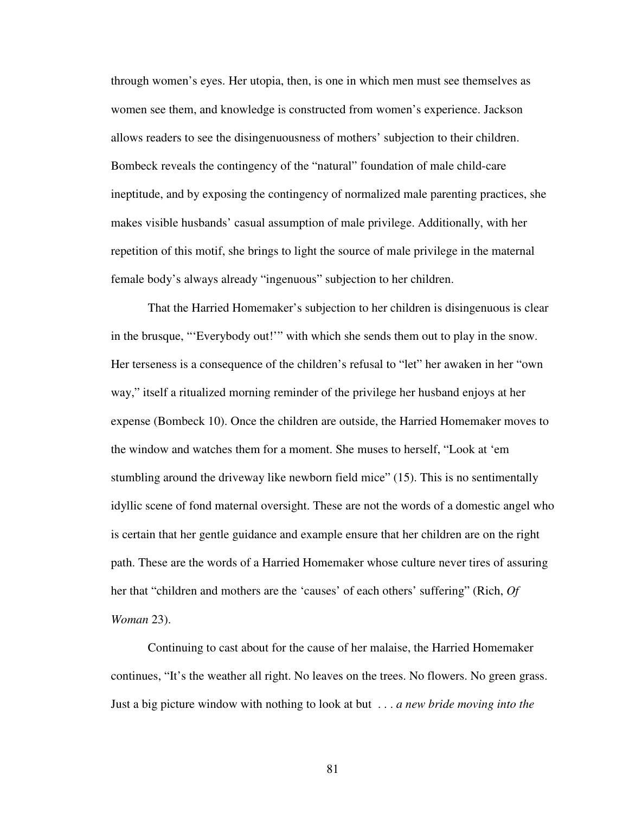through women's eyes. Her utopia, then, is one in which men must see themselves as women see them, and knowledge is constructed from women's experience. Jackson allows readers to see the disingenuousness of mothers' subjection to their children. Bombeck reveals the contingency of the "natural" foundation of male child-care ineptitude, and by exposing the contingency of normalized male parenting practices, she makes visible husbands' casual assumption of male privilege. Additionally, with her repetition of this motif, she brings to light the source of male privilege in the maternal female body's always already "ingenuous" subjection to her children.

That the Harried Homemaker's subjection to her children is disingenuous is clear in the brusque, "'Everybody out!'" with which she sends them out to play in the snow. Her terseness is a consequence of the children's refusal to "let" her awaken in her "own way," itself a ritualized morning reminder of the privilege her husband enjoys at her expense (Bombeck 10). Once the children are outside, the Harried Homemaker moves to the window and watches them for a moment. She muses to herself, "Look at 'em stumbling around the driveway like newborn field mice" (15). This is no sentimentally idyllic scene of fond maternal oversight. These are not the words of a domestic angel who is certain that her gentle guidance and example ensure that her children are on the right path. These are the words of a Harried Homemaker whose culture never tires of assuring her that "children and mothers are the 'causes' of each others' suffering" (Rich, *Of Woman* 23).

Continuing to cast about for the cause of her malaise, the Harried Homemaker continues, "It's the weather all right. No leaves on the trees. No flowers. No green grass. Just a big picture window with nothing to look at but . . . *a new bride moving into the*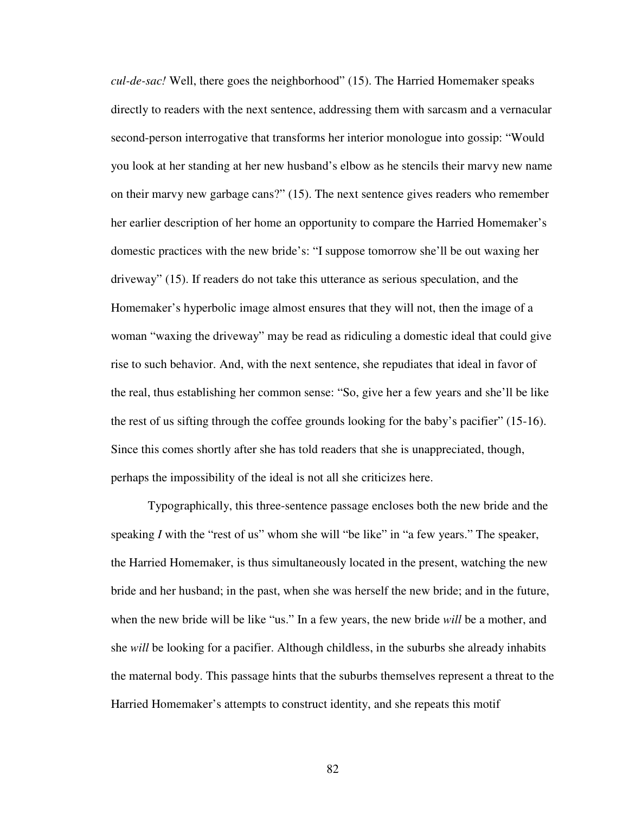*cul-de-sac!* Well, there goes the neighborhood" (15). The Harried Homemaker speaks directly to readers with the next sentence, addressing them with sarcasm and a vernacular second-person interrogative that transforms her interior monologue into gossip: "Would you look at her standing at her new husband's elbow as he stencils their marvy new name on their marvy new garbage cans?" (15). The next sentence gives readers who remember her earlier description of her home an opportunity to compare the Harried Homemaker's domestic practices with the new bride's: "I suppose tomorrow she'll be out waxing her driveway" (15). If readers do not take this utterance as serious speculation, and the Homemaker's hyperbolic image almost ensures that they will not, then the image of a woman "waxing the driveway" may be read as ridiculing a domestic ideal that could give rise to such behavior. And, with the next sentence, she repudiates that ideal in favor of the real, thus establishing her common sense: "So, give her a few years and she'll be like the rest of us sifting through the coffee grounds looking for the baby's pacifier" (15-16). Since this comes shortly after she has told readers that she is unappreciated, though, perhaps the impossibility of the ideal is not all she criticizes here.

Typographically, this three-sentence passage encloses both the new bride and the speaking *I* with the "rest of us" whom she will "be like" in "a few years." The speaker, the Harried Homemaker, is thus simultaneously located in the present, watching the new bride and her husband; in the past, when she was herself the new bride; and in the future, when the new bride will be like "us." In a few years, the new bride *will* be a mother, and she *will* be looking for a pacifier. Although childless, in the suburbs she already inhabits the maternal body. This passage hints that the suburbs themselves represent a threat to the Harried Homemaker's attempts to construct identity, and she repeats this motif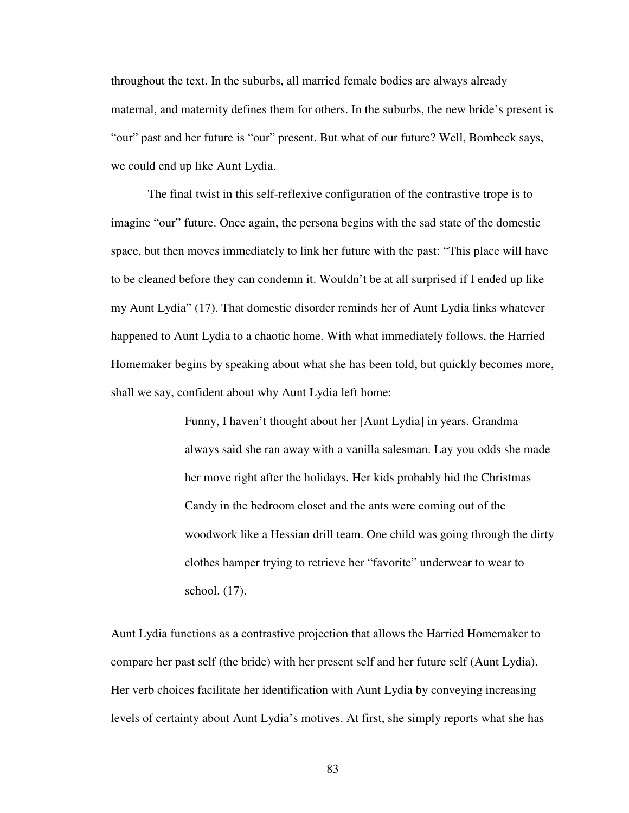throughout the text. In the suburbs, all married female bodies are always already maternal, and maternity defines them for others. In the suburbs, the new bride's present is "our" past and her future is "our" present. But what of our future? Well, Bombeck says, we could end up like Aunt Lydia.

The final twist in this self-reflexive configuration of the contrastive trope is to imagine "our" future. Once again, the persona begins with the sad state of the domestic space, but then moves immediately to link her future with the past: "This place will have to be cleaned before they can condemn it. Wouldn't be at all surprised if I ended up like my Aunt Lydia" (17). That domestic disorder reminds her of Aunt Lydia links whatever happened to Aunt Lydia to a chaotic home. With what immediately follows, the Harried Homemaker begins by speaking about what she has been told, but quickly becomes more, shall we say, confident about why Aunt Lydia left home:

> Funny, I haven't thought about her [Aunt Lydia] in years. Grandma always said she ran away with a vanilla salesman. Lay you odds she made her move right after the holidays. Her kids probably hid the Christmas Candy in the bedroom closet and the ants were coming out of the woodwork like a Hessian drill team. One child was going through the dirty clothes hamper trying to retrieve her "favorite" underwear to wear to school. (17).

Aunt Lydia functions as a contrastive projection that allows the Harried Homemaker to compare her past self (the bride) with her present self and her future self (Aunt Lydia). Her verb choices facilitate her identification with Aunt Lydia by conveying increasing levels of certainty about Aunt Lydia's motives. At first, she simply reports what she has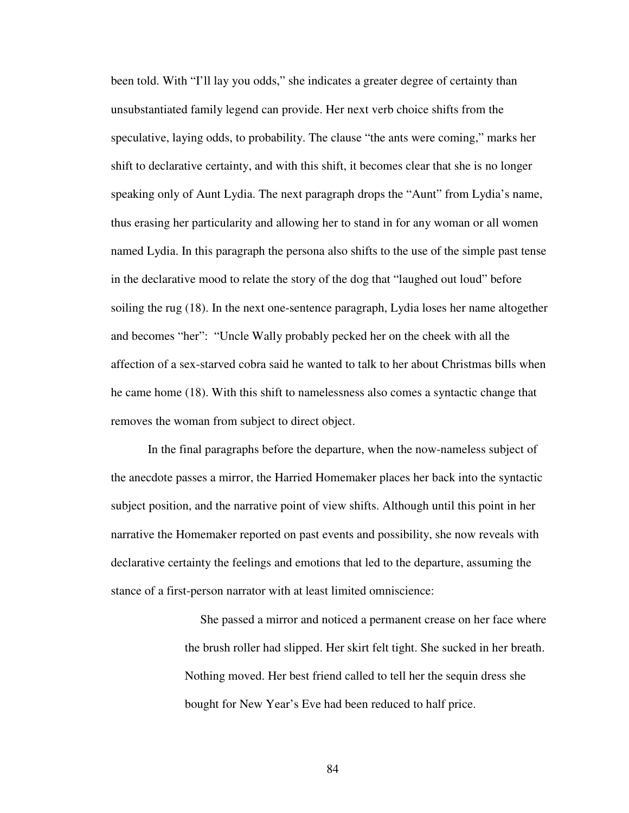been told. With "I'll lay you odds," she indicates a greater degree of certainty than unsubstantiated family legend can provide. Her next verb choice shifts from the speculative, laying odds, to probability. The clause "the ants were coming," marks her shift to declarative certainty, and with this shift, it becomes clear that she is no longer speaking only of Aunt Lydia. The next paragraph drops the "Aunt" from Lydia's name, thus erasing her particularity and allowing her to stand in for any woman or all women named Lydia. In this paragraph the persona also shifts to the use of the simple past tense in the declarative mood to relate the story of the dog that "laughed out loud" before soiling the rug (18). In the next one-sentence paragraph, Lydia loses her name altogether and becomes "her": "Uncle Wally probably pecked her on the cheek with all the affection of a sex-starved cobra said he wanted to talk to her about Christmas bills when he came home (18). With this shift to namelessness also comes a syntactic change that removes the woman from subject to direct object.

In the final paragraphs before the departure, when the now-nameless subject of the anecdote passes a mirror, the Harried Homemaker places her back into the syntactic subject position, and the narrative point of view shifts. Although until this point in her narrative the Homemaker reported on past events and possibility, she now reveals with declarative certainty the feelings and emotions that led to the departure, assuming the stance of a first-person narrator with at least limited omniscience:

> She passed a mirror and noticed a permanent crease on her face where the brush roller had slipped. Her skirt felt tight. She sucked in her breath. Nothing moved. Her best friend called to tell her the sequin dress she bought for New Year's Eve had been reduced to half price.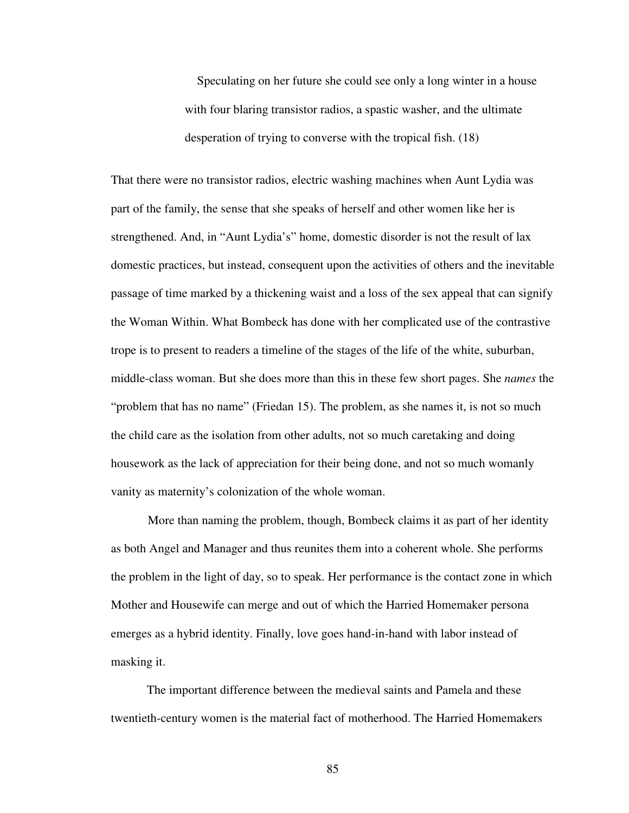Speculating on her future she could see only a long winter in a house with four blaring transistor radios, a spastic washer, and the ultimate desperation of trying to converse with the tropical fish. (18)

That there were no transistor radios, electric washing machines when Aunt Lydia was part of the family, the sense that she speaks of herself and other women like her is strengthened. And, in "Aunt Lydia's" home, domestic disorder is not the result of lax domestic practices, but instead, consequent upon the activities of others and the inevitable passage of time marked by a thickening waist and a loss of the sex appeal that can signify the Woman Within. What Bombeck has done with her complicated use of the contrastive trope is to present to readers a timeline of the stages of the life of the white, suburban, middle-class woman. But she does more than this in these few short pages. She *names* the "problem that has no name" (Friedan 15). The problem, as she names it, is not so much the child care as the isolation from other adults, not so much caretaking and doing housework as the lack of appreciation for their being done, and not so much womanly vanity as maternity's colonization of the whole woman.

More than naming the problem, though, Bombeck claims it as part of her identity as both Angel and Manager and thus reunites them into a coherent whole. She performs the problem in the light of day, so to speak. Her performance is the contact zone in which Mother and Housewife can merge and out of which the Harried Homemaker persona emerges as a hybrid identity. Finally, love goes hand-in-hand with labor instead of masking it.

The important difference between the medieval saints and Pamela and these twentieth-century women is the material fact of motherhood. The Harried Homemakers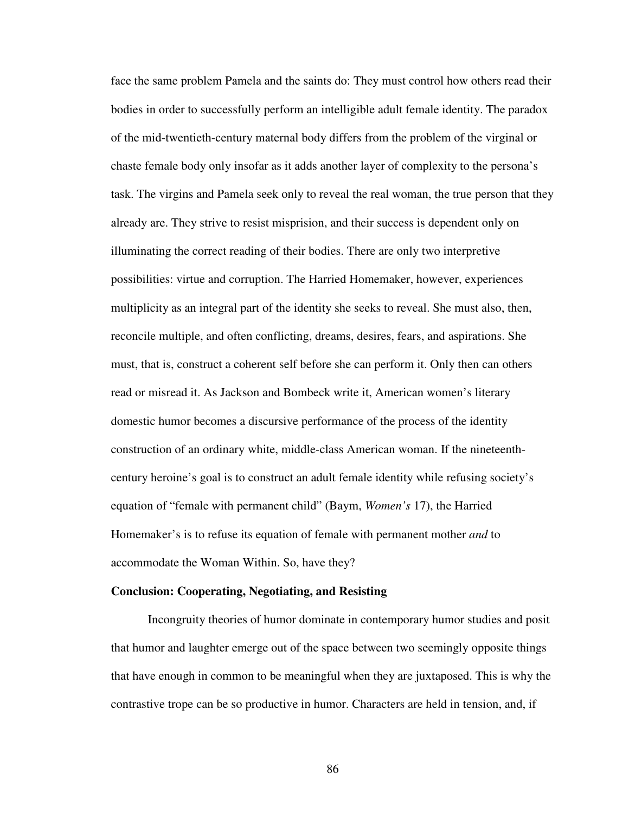face the same problem Pamela and the saints do: They must control how others read their bodies in order to successfully perform an intelligible adult female identity. The paradox of the mid-twentieth-century maternal body differs from the problem of the virginal or chaste female body only insofar as it adds another layer of complexity to the persona's task. The virgins and Pamela seek only to reveal the real woman, the true person that they already are. They strive to resist misprision, and their success is dependent only on illuminating the correct reading of their bodies. There are only two interpretive possibilities: virtue and corruption. The Harried Homemaker, however, experiences multiplicity as an integral part of the identity she seeks to reveal. She must also, then, reconcile multiple, and often conflicting, dreams, desires, fears, and aspirations. She must, that is, construct a coherent self before she can perform it. Only then can others read or misread it. As Jackson and Bombeck write it, American women's literary domestic humor becomes a discursive performance of the process of the identity construction of an ordinary white, middle-class American woman. If the nineteenthcentury heroine's goal is to construct an adult female identity while refusing society's equation of "female with permanent child" (Baym, *Women's* 17), the Harried Homemaker's is to refuse its equation of female with permanent mother *and* to accommodate the Woman Within. So, have they?

### **Conclusion: Cooperating, Negotiating, and Resisting**

Incongruity theories of humor dominate in contemporary humor studies and posit that humor and laughter emerge out of the space between two seemingly opposite things that have enough in common to be meaningful when they are juxtaposed. This is why the contrastive trope can be so productive in humor. Characters are held in tension, and, if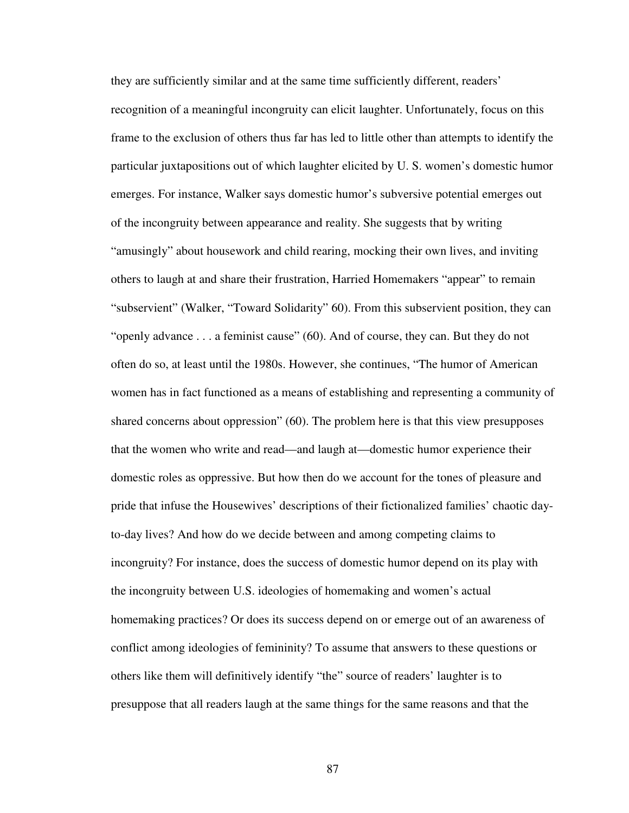they are sufficiently similar and at the same time sufficiently different, readers' recognition of a meaningful incongruity can elicit laughter. Unfortunately, focus on this frame to the exclusion of others thus far has led to little other than attempts to identify the particular juxtapositions out of which laughter elicited by U. S. women's domestic humor emerges. For instance, Walker says domestic humor's subversive potential emerges out of the incongruity between appearance and reality. She suggests that by writing "amusingly" about housework and child rearing, mocking their own lives, and inviting others to laugh at and share their frustration, Harried Homemakers "appear" to remain "subservient" (Walker, "Toward Solidarity" 60). From this subservient position, they can "openly advance . . . a feminist cause" (60). And of course, they can. But they do not often do so, at least until the 1980s. However, she continues, "The humor of American women has in fact functioned as a means of establishing and representing a community of shared concerns about oppression" (60). The problem here is that this view presupposes that the women who write and read—and laugh at—domestic humor experience their domestic roles as oppressive. But how then do we account for the tones of pleasure and pride that infuse the Housewives' descriptions of their fictionalized families' chaotic dayto-day lives? And how do we decide between and among competing claims to incongruity? For instance, does the success of domestic humor depend on its play with the incongruity between U.S. ideologies of homemaking and women's actual homemaking practices? Or does its success depend on or emerge out of an awareness of conflict among ideologies of femininity? To assume that answers to these questions or others like them will definitively identify "the" source of readers' laughter is to presuppose that all readers laugh at the same things for the same reasons and that the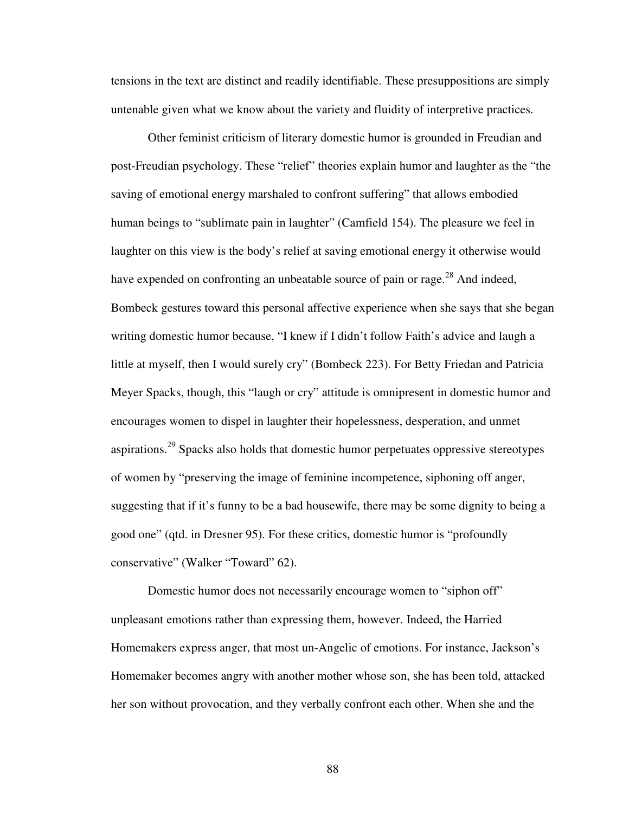tensions in the text are distinct and readily identifiable. These presuppositions are simply untenable given what we know about the variety and fluidity of interpretive practices.

Other feminist criticism of literary domestic humor is grounded in Freudian and post-Freudian psychology. These "relief" theories explain humor and laughter as the "the saving of emotional energy marshaled to confront suffering" that allows embodied human beings to "sublimate pain in laughter" (Camfield 154). The pleasure we feel in laughter on this view is the body's relief at saving emotional energy it otherwise would have expended on confronting an unbeatable source of pain or rage.<sup>28</sup> And indeed, Bombeck gestures toward this personal affective experience when she says that she began writing domestic humor because, "I knew if I didn't follow Faith's advice and laugh a little at myself, then I would surely cry" (Bombeck 223). For Betty Friedan and Patricia Meyer Spacks, though, this "laugh or cry" attitude is omnipresent in domestic humor and encourages women to dispel in laughter their hopelessness, desperation, and unmet aspirations.<sup>29</sup> Spacks also holds that domestic humor perpetuates oppressive stereotypes of women by "preserving the image of feminine incompetence, siphoning off anger, suggesting that if it's funny to be a bad housewife, there may be some dignity to being a good one" (qtd. in Dresner 95). For these critics, domestic humor is "profoundly conservative" (Walker "Toward" 62).

Domestic humor does not necessarily encourage women to "siphon off" unpleasant emotions rather than expressing them, however. Indeed, the Harried Homemakers express anger, that most un-Angelic of emotions. For instance, Jackson's Homemaker becomes angry with another mother whose son, she has been told, attacked her son without provocation, and they verbally confront each other. When she and the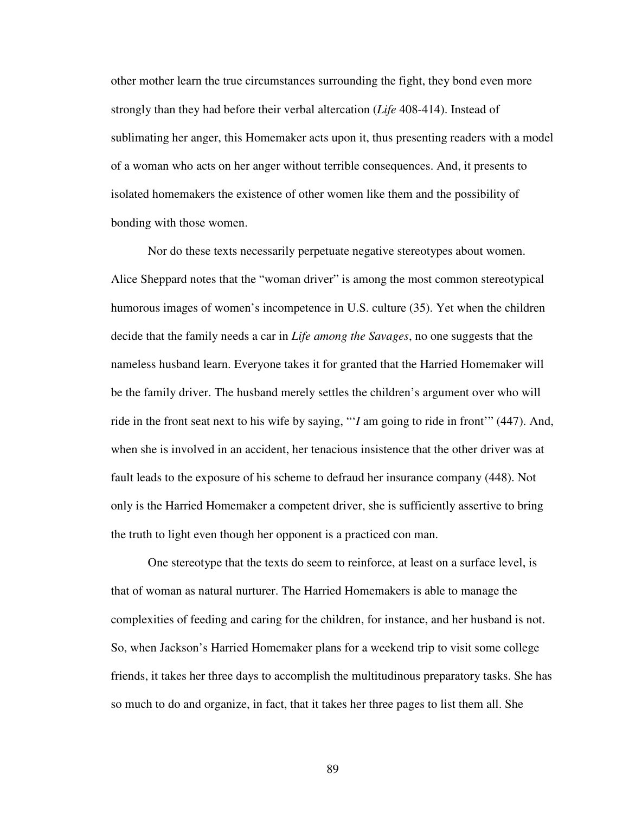other mother learn the true circumstances surrounding the fight, they bond even more strongly than they had before their verbal altercation (*Life* 408-414). Instead of sublimating her anger, this Homemaker acts upon it, thus presenting readers with a model of a woman who acts on her anger without terrible consequences. And, it presents to isolated homemakers the existence of other women like them and the possibility of bonding with those women.

Nor do these texts necessarily perpetuate negative stereotypes about women. Alice Sheppard notes that the "woman driver" is among the most common stereotypical humorous images of women's incompetence in U.S. culture (35). Yet when the children decide that the family needs a car in *Life among the Savages*, no one suggests that the nameless husband learn. Everyone takes it for granted that the Harried Homemaker will be the family driver. The husband merely settles the children's argument over who will ride in the front seat next to his wife by saying, "'*I* am going to ride in front'" (447). And, when she is involved in an accident, her tenacious insistence that the other driver was at fault leads to the exposure of his scheme to defraud her insurance company (448). Not only is the Harried Homemaker a competent driver, she is sufficiently assertive to bring the truth to light even though her opponent is a practiced con man.

One stereotype that the texts do seem to reinforce, at least on a surface level, is that of woman as natural nurturer. The Harried Homemakers is able to manage the complexities of feeding and caring for the children, for instance, and her husband is not. So, when Jackson's Harried Homemaker plans for a weekend trip to visit some college friends, it takes her three days to accomplish the multitudinous preparatory tasks. She has so much to do and organize, in fact, that it takes her three pages to list them all. She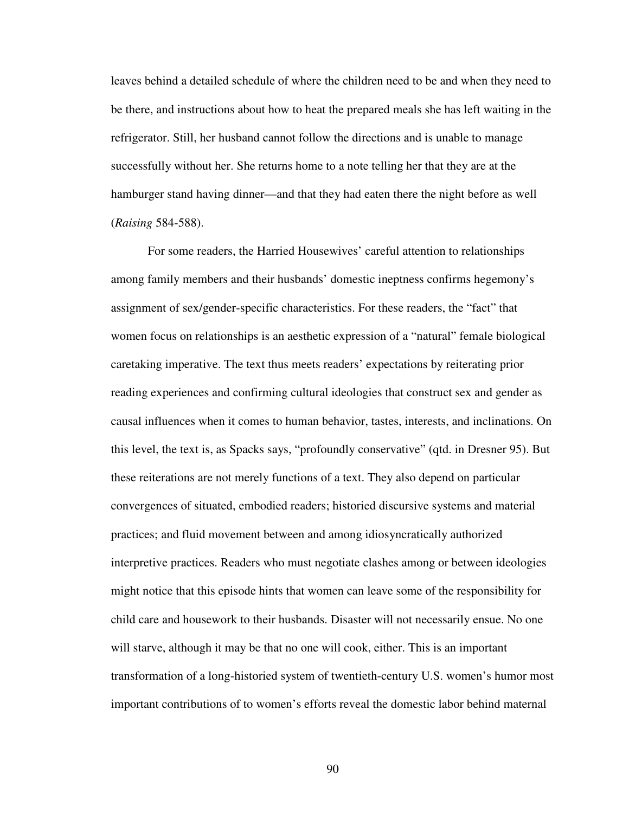leaves behind a detailed schedule of where the children need to be and when they need to be there, and instructions about how to heat the prepared meals she has left waiting in the refrigerator. Still, her husband cannot follow the directions and is unable to manage successfully without her. She returns home to a note telling her that they are at the hamburger stand having dinner—and that they had eaten there the night before as well (*Raising* 584-588).

For some readers, the Harried Housewives' careful attention to relationships among family members and their husbands' domestic ineptness confirms hegemony's assignment of sex/gender-specific characteristics. For these readers, the "fact" that women focus on relationships is an aesthetic expression of a "natural" female biological caretaking imperative. The text thus meets readers' expectations by reiterating prior reading experiences and confirming cultural ideologies that construct sex and gender as causal influences when it comes to human behavior, tastes, interests, and inclinations. On this level, the text is, as Spacks says, "profoundly conservative" (qtd. in Dresner 95). But these reiterations are not merely functions of a text. They also depend on particular convergences of situated, embodied readers; historied discursive systems and material practices; and fluid movement between and among idiosyncratically authorized interpretive practices. Readers who must negotiate clashes among or between ideologies might notice that this episode hints that women can leave some of the responsibility for child care and housework to their husbands. Disaster will not necessarily ensue. No one will starve, although it may be that no one will cook, either. This is an important transformation of a long-historied system of twentieth-century U.S. women's humor most important contributions of to women's efforts reveal the domestic labor behind maternal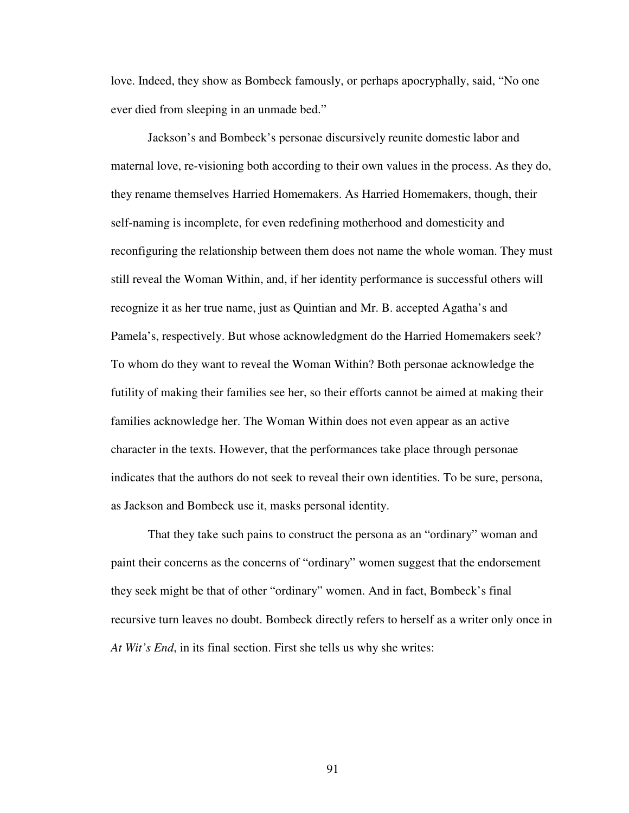love. Indeed, they show as Bombeck famously, or perhaps apocryphally, said, "No one ever died from sleeping in an unmade bed."

Jackson's and Bombeck's personae discursively reunite domestic labor and maternal love, re-visioning both according to their own values in the process. As they do, they rename themselves Harried Homemakers. As Harried Homemakers, though, their self-naming is incomplete, for even redefining motherhood and domesticity and reconfiguring the relationship between them does not name the whole woman. They must still reveal the Woman Within, and, if her identity performance is successful others will recognize it as her true name, just as Quintian and Mr. B. accepted Agatha's and Pamela's, respectively. But whose acknowledgment do the Harried Homemakers seek? To whom do they want to reveal the Woman Within? Both personae acknowledge the futility of making their families see her, so their efforts cannot be aimed at making their families acknowledge her. The Woman Within does not even appear as an active character in the texts. However, that the performances take place through personae indicates that the authors do not seek to reveal their own identities. To be sure, persona, as Jackson and Bombeck use it, masks personal identity.

That they take such pains to construct the persona as an "ordinary" woman and paint their concerns as the concerns of "ordinary" women suggest that the endorsement they seek might be that of other "ordinary" women. And in fact, Bombeck's final recursive turn leaves no doubt. Bombeck directly refers to herself as a writer only once in *At Wit's End*, in its final section. First she tells us why she writes: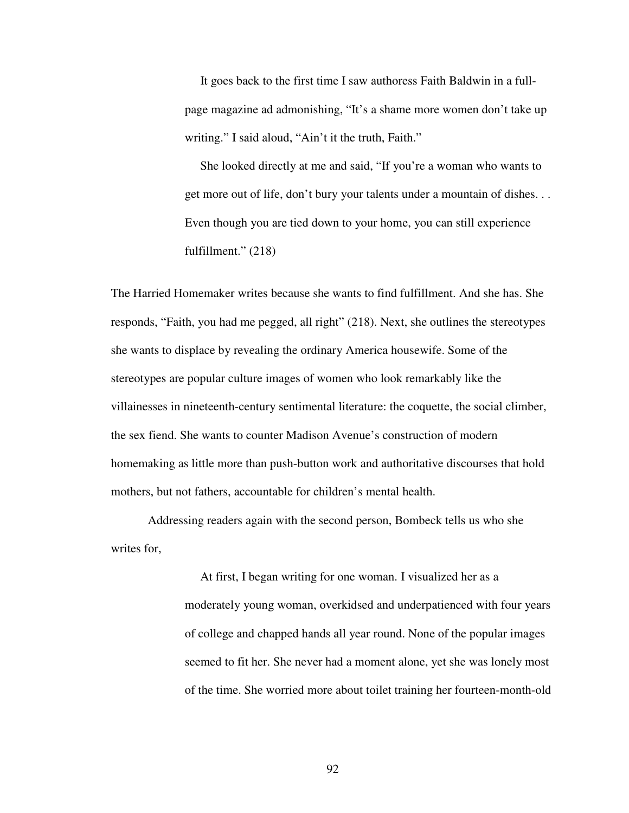It goes back to the first time I saw authoress Faith Baldwin in a fullpage magazine ad admonishing, "It's a shame more women don't take up writing." I said aloud, "Ain't it the truth, Faith."

 She looked directly at me and said, "If you're a woman who wants to get more out of life, don't bury your talents under a mountain of dishes. . . Even though you are tied down to your home, you can still experience fulfillment." (218)

The Harried Homemaker writes because she wants to find fulfillment. And she has. She responds, "Faith, you had me pegged, all right" (218). Next, she outlines the stereotypes she wants to displace by revealing the ordinary America housewife. Some of the stereotypes are popular culture images of women who look remarkably like the villainesses in nineteenth-century sentimental literature: the coquette, the social climber, the sex fiend. She wants to counter Madison Avenue's construction of modern homemaking as little more than push-button work and authoritative discourses that hold mothers, but not fathers, accountable for children's mental health.

Addressing readers again with the second person, Bombeck tells us who she writes for,

> At first, I began writing for one woman. I visualized her as a moderately young woman, overkidsed and underpatienced with four years of college and chapped hands all year round. None of the popular images seemed to fit her. She never had a moment alone, yet she was lonely most of the time. She worried more about toilet training her fourteen-month-old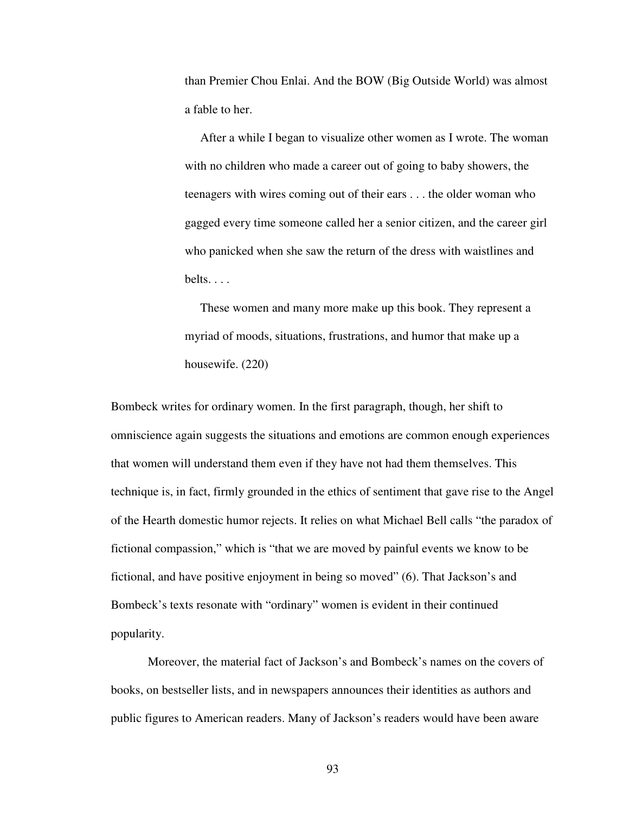than Premier Chou Enlai. And the BOW (Big Outside World) was almost a fable to her.

 After a while I began to visualize other women as I wrote. The woman with no children who made a career out of going to baby showers, the teenagers with wires coming out of their ears . . . the older woman who gagged every time someone called her a senior citizen, and the career girl who panicked when she saw the return of the dress with waistlines and belts. . . .

 These women and many more make up this book. They represent a myriad of moods, situations, frustrations, and humor that make up a housewife. (220)

Bombeck writes for ordinary women. In the first paragraph, though, her shift to omniscience again suggests the situations and emotions are common enough experiences that women will understand them even if they have not had them themselves. This technique is, in fact, firmly grounded in the ethics of sentiment that gave rise to the Angel of the Hearth domestic humor rejects. It relies on what Michael Bell calls "the paradox of fictional compassion," which is "that we are moved by painful events we know to be fictional, and have positive enjoyment in being so moved" (6). That Jackson's and Bombeck's texts resonate with "ordinary" women is evident in their continued popularity.

Moreover, the material fact of Jackson's and Bombeck's names on the covers of books, on bestseller lists, and in newspapers announces their identities as authors and public figures to American readers. Many of Jackson's readers would have been aware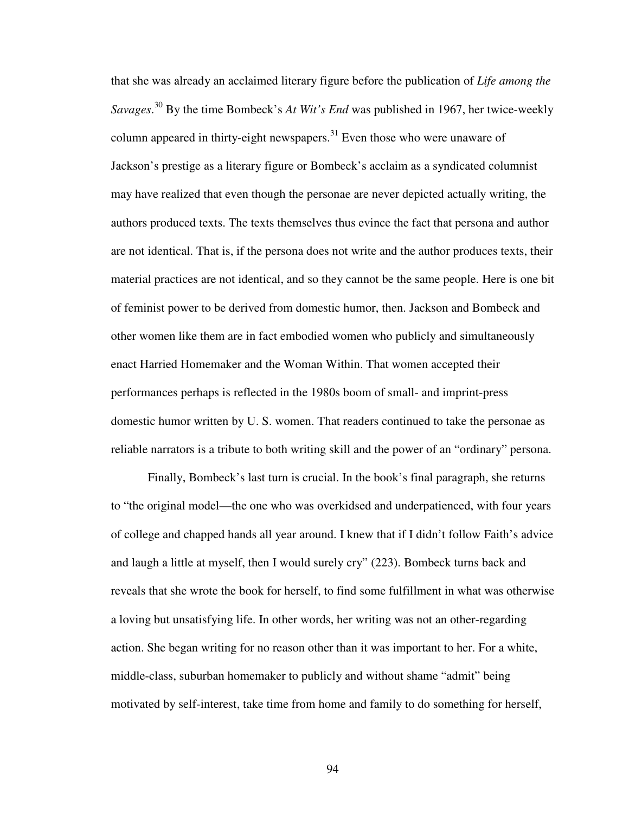that she was already an acclaimed literary figure before the publication of *Life among the Savages*. <sup>30</sup> By the time Bombeck's *At Wit's End* was published in 1967, her twice-weekly column appeared in thirty-eight newspapers.<sup>31</sup> Even those who were unaware of Jackson's prestige as a literary figure or Bombeck's acclaim as a syndicated columnist may have realized that even though the personae are never depicted actually writing, the authors produced texts. The texts themselves thus evince the fact that persona and author are not identical. That is, if the persona does not write and the author produces texts, their material practices are not identical, and so they cannot be the same people. Here is one bit of feminist power to be derived from domestic humor, then. Jackson and Bombeck and other women like them are in fact embodied women who publicly and simultaneously enact Harried Homemaker and the Woman Within. That women accepted their performances perhaps is reflected in the 1980s boom of small- and imprint-press domestic humor written by U. S. women. That readers continued to take the personae as reliable narrators is a tribute to both writing skill and the power of an "ordinary" persona.

Finally, Bombeck's last turn is crucial. In the book's final paragraph, she returns to "the original model—the one who was overkidsed and underpatienced, with four years of college and chapped hands all year around. I knew that if I didn't follow Faith's advice and laugh a little at myself, then I would surely cry" (223). Bombeck turns back and reveals that she wrote the book for herself, to find some fulfillment in what was otherwise a loving but unsatisfying life. In other words, her writing was not an other-regarding action. She began writing for no reason other than it was important to her. For a white, middle-class, suburban homemaker to publicly and without shame "admit" being motivated by self-interest, take time from home and family to do something for herself,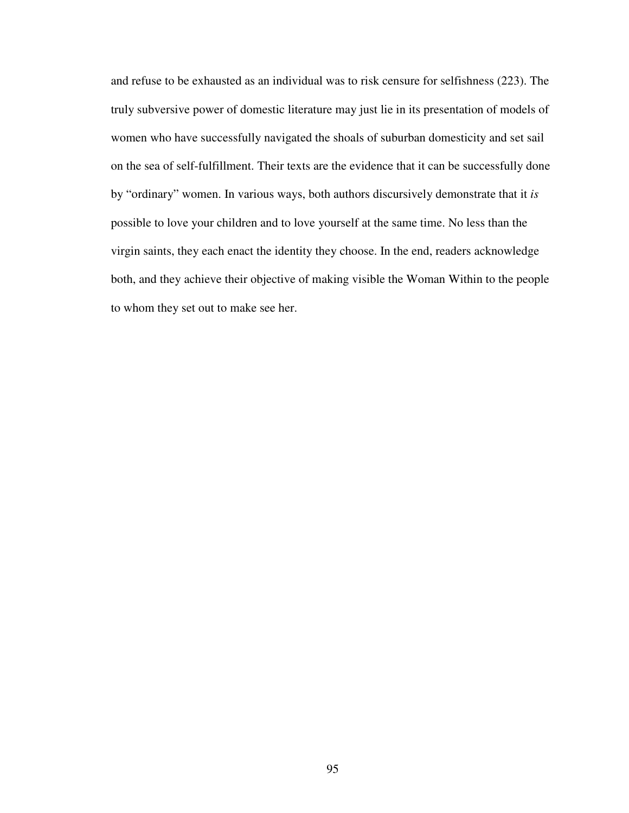and refuse to be exhausted as an individual was to risk censure for selfishness (223). The truly subversive power of domestic literature may just lie in its presentation of models of women who have successfully navigated the shoals of suburban domesticity and set sail on the sea of self-fulfillment. Their texts are the evidence that it can be successfully done by "ordinary" women. In various ways, both authors discursively demonstrate that it *is* possible to love your children and to love yourself at the same time. No less than the virgin saints, they each enact the identity they choose. In the end, readers acknowledge both, and they achieve their objective of making visible the Woman Within to the people to whom they set out to make see her.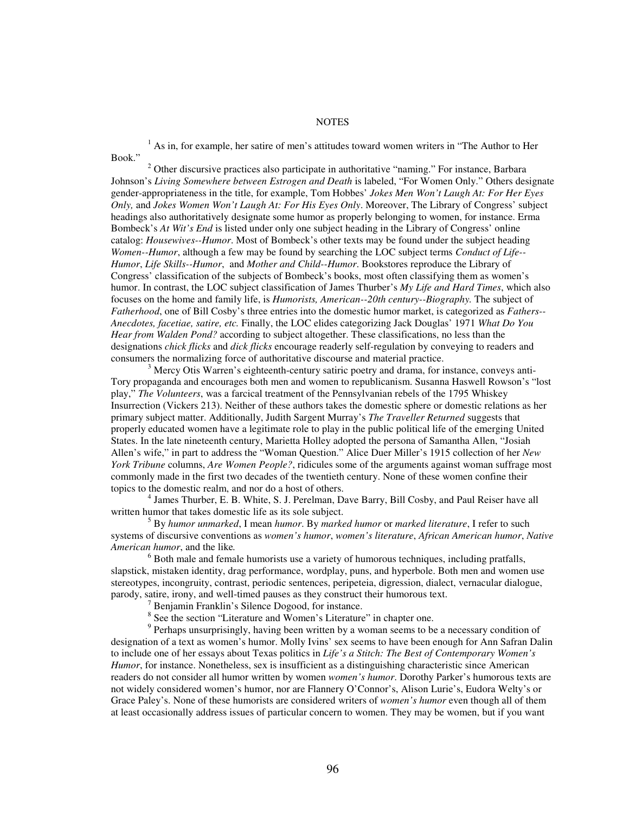#### **NOTES**

 $<sup>1</sup>$  As in, for example, her satire of men's attitudes toward women writers in "The Author to Her</sup> Book."

<sup>2</sup> Other discursive practices also participate in authoritative "naming." For instance, Barbara Johnson's *Living Somewhere between Estrogen and Death* is labeled, "For Women Only." Others designate gender-appropriateness in the title, for example, Tom Hobbes' *Jokes Men Won't Laugh At: For Her Eyes Only,* and *Jokes Women Won't Laugh At: For His Eyes Only*. Moreover, The Library of Congress' subject headings also authoritatively designate some humor as properly belonging to women, for instance. Erma Bombeck's *At Wit's End* is listed under only one subject heading in the Library of Congress' online catalog: *Housewives--Humor*. Most of Bombeck's other texts may be found under the subject heading *Women--Humor*, although a few may be found by searching the LOC subject terms *Conduct of Life-- Humor*, *Life Skills--Humor*, and *Mother and Child--Humor*. Bookstores reproduce the Library of Congress' classification of the subjects of Bombeck's books, most often classifying them as women's humor. In contrast, the LOC subject classification of James Thurber's *My Life and Hard Times*, which also focuses on the home and family life, is *Humorists, American--20th century--Biography.* The subject of *Fatherhood*, one of Bill Cosby's three entries into the domestic humor market, is categorized as *Fathers-- Anecdotes, facetiae, satire, etc.* Finally, the LOC elides categorizing Jack Douglas' 1971 *What Do You Hear from Walden Pond?* according to subject altogether. These classifications, no less than the designations *chick flicks* and *dick flicks* encourage readerly self-regulation by conveying to readers and consumers the normalizing force of authoritative discourse and material practice.

<sup>3</sup> Mercy Otis Warren's eighteenth-century satiric poetry and drama, for instance, conveys anti-Tory propaganda and encourages both men and women to republicanism. Susanna Haswell Rowson's "lost play," *The Volunteers*, was a farcical treatment of the Pennsylvanian rebels of the 1795 Whiskey Insurrection (Vickers 213). Neither of these authors takes the domestic sphere or domestic relations as her primary subject matter. Additionally, Judith Sargent Murray's *The Traveller Returned* suggests that properly educated women have a legitimate role to play in the public political life of the emerging United States. In the late nineteenth century, Marietta Holley adopted the persona of Samantha Allen, "Josiah Allen's wife," in part to address the "Woman Question." Alice Duer Miller's 1915 collection of her *New York Tribune* columns, *Are Women People?*, ridicules some of the arguments against woman suffrage most commonly made in the first two decades of the twentieth century. None of these women confine their topics to the domestic realm, and nor do a host of others.

<sup>4</sup> James Thurber, E. B. White, S. J. Perelman, Dave Barry, Bill Cosby, and Paul Reiser have all written humor that takes domestic life as its sole subject.

5 By *humor unmarked*, I mean *humor*. By *marked humor* or *marked literature*, I refer to such systems of discursive conventions as *women's humor*, *women's literature*, *African American humor*, *Native American humor*, and the like*.* 

<sup>6</sup> Both male and female humorists use a variety of humorous techniques, including pratfalls, slapstick, mistaken identity, drag performance, wordplay, puns, and hyperbole. Both men and women use stereotypes, incongruity, contrast, periodic sentences, peripeteia, digression, dialect, vernacular dialogue, parody, satire, irony, and well-timed pauses as they construct their humorous text.

7 Benjamin Franklin's Silence Dogood, for instance.

<sup>8</sup> See the section "Literature and Women's Literature" in chapter one.

<sup>9</sup> Perhaps unsurprisingly, having been written by a woman seems to be a necessary condition of designation of a text as women's humor. Molly Ivins' sex seems to have been enough for Ann Safran Dalin to include one of her essays about Texas politics in *Life's a Stitch: The Best of Contemporary Women's Humor*, for instance. Nonetheless, sex is insufficient as a distinguishing characteristic since American readers do not consider all humor written by women *women's humor*. Dorothy Parker's humorous texts are not widely considered women's humor, nor are Flannery O'Connor's, Alison Lurie's, Eudora Welty's or Grace Paley's. None of these humorists are considered writers of *women's humor* even though all of them at least occasionally address issues of particular concern to women. They may be women, but if you want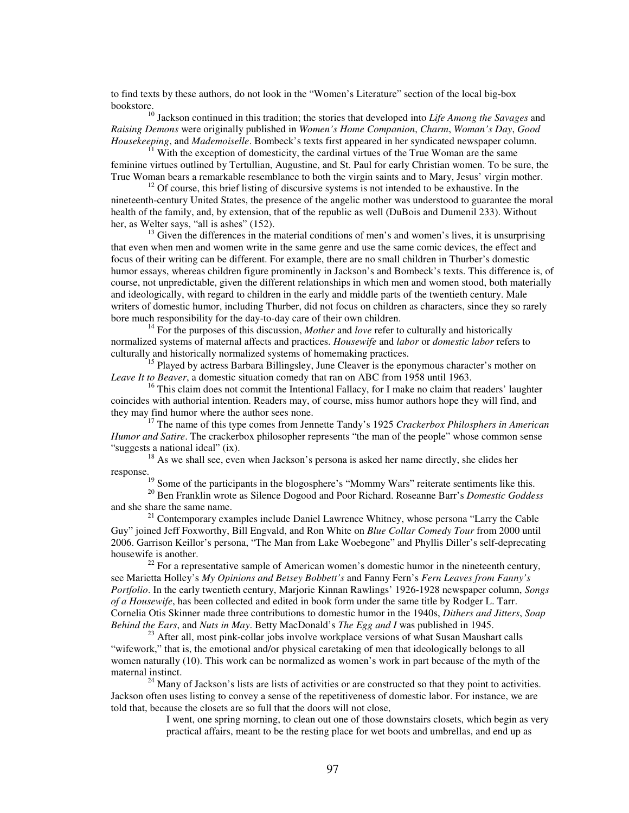to find texts by these authors, do not look in the "Women's Literature" section of the local big-box bookstore.

<sup>10</sup> Jackson continued in this tradition; the stories that developed into *Life Among the Savages* and *Raising Demons* were originally published in *Women's Home Companion*, *Charm*, *Woman's Day*, *Good Housekeeping*, and *Mademoiselle*. Bombeck's texts first appeared in her syndicated newspaper column.

<sup>1</sup> With the exception of domesticity, the cardinal virtues of the True Woman are the same feminine virtues outlined by Tertullian, Augustine, and St. Paul for early Christian women. To be sure, the True Woman bears a remarkable resemblance to both the virgin saints and to Mary, Jesus' virgin mother.

 $12^1$  Of course, this brief listing of discursive systems is not intended to be exhaustive. In the nineteenth-century United States, the presence of the angelic mother was understood to guarantee the moral health of the family, and, by extension, that of the republic as well (DuBois and Dumenil 233). Without her, as Welter says, "all is ashes" (152).

 $<sup>13</sup>$  Given the differences in the material conditions of men's and women's lives, it is unsurprising</sup> that even when men and women write in the same genre and use the same comic devices, the effect and focus of their writing can be different. For example, there are no small children in Thurber's domestic humor essays, whereas children figure prominently in Jackson's and Bombeck's texts. This difference is, of course, not unpredictable, given the different relationships in which men and women stood, both materially and ideologically, with regard to children in the early and middle parts of the twentieth century. Male writers of domestic humor, including Thurber, did not focus on children as characters, since they so rarely bore much responsibility for the day-to-day care of their own children.

<sup>14</sup> For the purposes of this discussion, *Mother* and *love* refer to culturally and historically normalized systems of maternal affects and practices. *Housewife* and *labor* or *domestic labor* refers to culturally and historically normalized systems of homemaking practices.

<sup>15</sup> Played by actress Barbara Billingsley, June Cleaver is the eponymous character's mother on *Leave It to Beaver*, a domestic situation comedy that ran on ABC from 1958 until 1963.

<sup>16</sup> This claim does not commit the Intentional Fallacy, for I make no claim that readers' laughter coincides with authorial intention. Readers may, of course, miss humor authors hope they will find, and they may find humor where the author sees none.

<sup>17</sup> The name of this type comes from Jennette Tandy's 1925 *Crackerbox Philosphers in American Humor and Satire*. The crackerbox philosopher represents "the man of the people" whose common sense "suggests a national ideal" (ix).

 $18$  As we shall see, even when Jackson's persona is asked her name directly, she elides her response.

 $19$  Some of the participants in the blogosphere's "Mommy Wars" reiterate sentiments like this.

<sup>20</sup> Ben Franklin wrote as Silence Dogood and Poor Richard. Roseanne Barr's *Domestic Goddess* and she share the same name.

<sup>21</sup> Contemporary examples include Daniel Lawrence Whitney, whose persona "Larry the Cable" Guy" joined Jeff Foxworthy, Bill Engvald, and Ron White on *Blue Collar Comedy Tour* from 2000 until 2006. Garrison Keillor's persona, "The Man from Lake Woebegone" and Phyllis Diller's self-deprecating housewife is another.

 $^{22}$  For a representative sample of American women's domestic humor in the nineteenth century, see Marietta Holley's *My Opinions and Betsey Bobbett's* and Fanny Fern's *Fern Leaves from Fanny's Portfolio*. In the early twentieth century, Marjorie Kinnan Rawlings' 1926-1928 newspaper column, *Songs of a Housewife*, has been collected and edited in book form under the same title by Rodger L. Tarr. Cornelia Otis Skinner made three contributions to domestic humor in the 1940s, *Dithers and Jitters*, *Soap Behind the Ears*, and *Nuts in May*. Betty MacDonald's *The Egg and I* was published in 1945.

 $2<sup>23</sup>$  After all, most pink-collar jobs involve workplace versions of what Susan Maushart calls "wifework," that is, the emotional and/or physical caretaking of men that ideologically belongs to all women naturally (10). This work can be normalized as women's work in part because of the myth of the maternal instinct.

 $^{24}$  Many of Jackson's lists are lists of activities or are constructed so that they point to activities. Jackson often uses listing to convey a sense of the repetitiveness of domestic labor. For instance, we are told that, because the closets are so full that the doors will not close,

 I went, one spring morning, to clean out one of those downstairs closets, which begin as very practical affairs, meant to be the resting place for wet boots and umbrellas, and end up as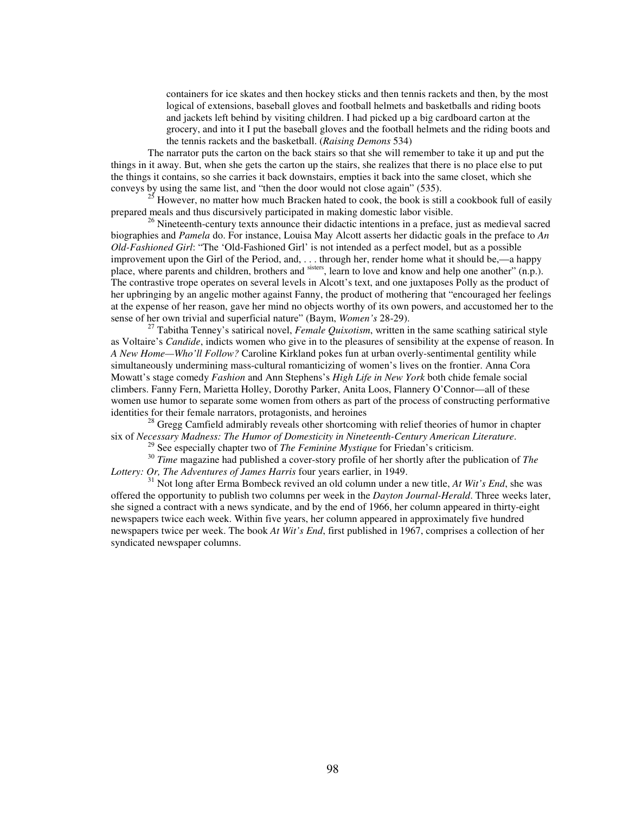containers for ice skates and then hockey sticks and then tennis rackets and then, by the most logical of extensions, baseball gloves and football helmets and basketballs and riding boots and jackets left behind by visiting children. I had picked up a big cardboard carton at the grocery, and into it I put the baseball gloves and the football helmets and the riding boots and the tennis rackets and the basketball. (*Raising Demons* 534)

The narrator puts the carton on the back stairs so that she will remember to take it up and put the things in it away. But, when she gets the carton up the stairs, she realizes that there is no place else to put the things it contains, so she carries it back downstairs, empties it back into the same closet, which she conveys by using the same list, and "then the door would not close again" (535).

<sup>25</sup> However, no matter how much Bracken hated to cook, the book is still a cookbook full of easily prepared meals and thus discursively participated in making domestic labor visible.

<sup>26</sup> Nineteenth-century texts announce their didactic intentions in a preface, just as medieval sacred biographies and *Pamela* do. For instance, Louisa May Alcott asserts her didactic goals in the preface to *An Old-Fashioned Girl*: "The 'Old-Fashioned Girl' is not intended as a perfect model, but as a possible improvement upon the Girl of the Period, and, ... through her, render home what it should be,—a happy place, where parents and children, brothers and sisters, learn to love and know and help one another" (n.p.). The contrastive trope operates on several levels in Alcott's text, and one juxtaposes Polly as the product of her upbringing by an angelic mother against Fanny, the product of mothering that "encouraged her feelings at the expense of her reason, gave her mind no objects worthy of its own powers, and accustomed her to the sense of her own trivial and superficial nature" (Baym, *Women's* 28-29).

<sup>27</sup> Tabitha Tenney's satirical novel, *Female Quixotism*, written in the same scathing satirical style as Voltaire's *Candide*, indicts women who give in to the pleasures of sensibility at the expense of reason. In *A New Home—Who'll Follow?* Caroline Kirkland pokes fun at urban overly-sentimental gentility while simultaneously undermining mass-cultural romanticizing of women's lives on the frontier. Anna Cora Mowatt's stage comedy *Fashion* and Ann Stephens's *High Life in New York* both chide female social climbers. Fanny Fern, Marietta Holley, Dorothy Parker, Anita Loos, Flannery O'Connor—all of these women use humor to separate some women from others as part of the process of constructing performative identities for their female narrators, protagonists, and heroines

<sup>28</sup> Gregg Camfield admirably reveals other shortcoming with relief theories of humor in chapter six of *Necessary Madness: The Humor of Domesticity in Nineteenth-Century American Literature*.

<sup>29</sup> See especially chapter two of *The Feminine Mystique* for Friedan's criticism.

<sup>30</sup> *Time* magazine had published a cover-story profile of her shortly after the publication of *The Lottery: Or, The Adventures of James Harris* four years earlier, in 1949.

<sup>31</sup> Not long after Erma Bombeck revived an old column under a new title, *At Wit's End*, she was offered the opportunity to publish two columns per week in the *Dayton Journal-Herald*. Three weeks later, she signed a contract with a news syndicate, and by the end of 1966, her column appeared in thirty-eight newspapers twice each week. Within five years, her column appeared in approximately five hundred newspapers twice per week. The book *At Wit's End*, first published in 1967, comprises a collection of her syndicated newspaper columns.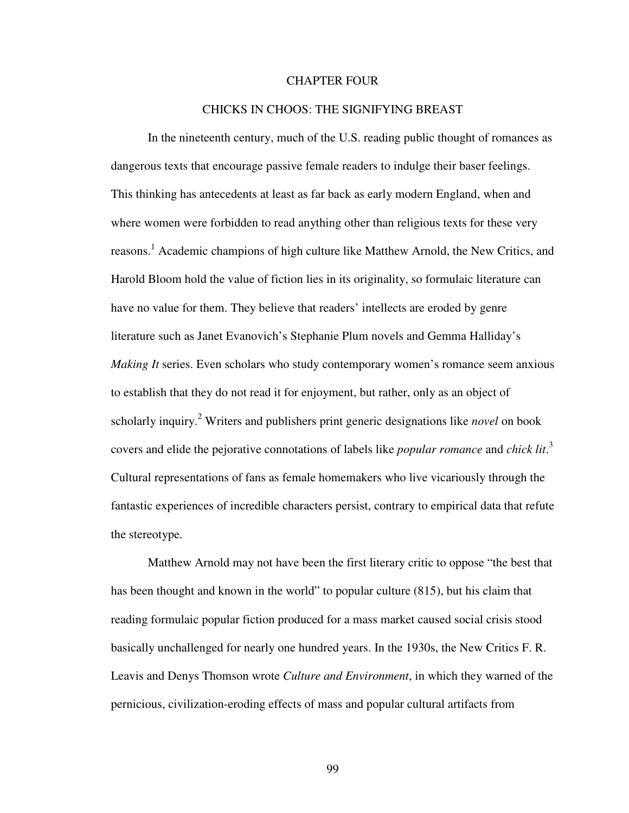### CHAPTER FOUR

# CHICKS IN CHOOS: THE SIGNIFYING BREAST

In the nineteenth century, much of the U.S. reading public thought of romances as dangerous texts that encourage passive female readers to indulge their baser feelings. This thinking has antecedents at least as far back as early modern England, when and where women were forbidden to read anything other than religious texts for these very reasons.<sup>1</sup> Academic champions of high culture like Matthew Arnold, the New Critics, and Harold Bloom hold the value of fiction lies in its originality, so formulaic literature can have no value for them. They believe that readers' intellects are eroded by genre literature such as Janet Evanovich's Stephanie Plum novels and Gemma Halliday's *Making It series.* Even scholars who study contemporary women's romance seem anxious to establish that they do not read it for enjoyment, but rather, only as an object of scholarly inquiry.<sup>2</sup> Writers and publishers print generic designations like *novel* on book covers and elide the pejorative connotations of labels like *popular romance* and *chick lit*. 3 Cultural representations of fans as female homemakers who live vicariously through the fantastic experiences of incredible characters persist, contrary to empirical data that refute the stereotype.

Matthew Arnold may not have been the first literary critic to oppose "the best that has been thought and known in the world" to popular culture (815), but his claim that reading formulaic popular fiction produced for a mass market caused social crisis stood basically unchallenged for nearly one hundred years. In the 1930s, the New Critics F. R. Leavis and Denys Thomson wrote *Culture and Environment*, in which they warned of the pernicious, civilization-eroding effects of mass and popular cultural artifacts from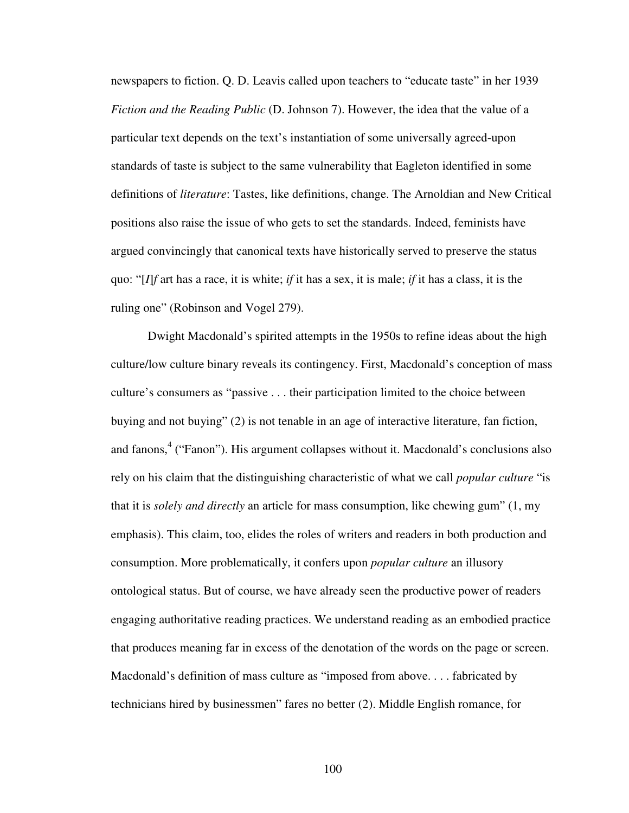newspapers to fiction. Q. D. Leavis called upon teachers to "educate taste" in her 1939 *Fiction and the Reading Public* (D. Johnson 7). However, the idea that the value of a particular text depends on the text's instantiation of some universally agreed-upon standards of taste is subject to the same vulnerability that Eagleton identified in some definitions of *literature*: Tastes, like definitions, change. The Arnoldian and New Critical positions also raise the issue of who gets to set the standards. Indeed, feminists have argued convincingly that canonical texts have historically served to preserve the status quo: "[*I*]*f* art has a race, it is white; *if* it has a sex, it is male; *if* it has a class, it is the ruling one" (Robinson and Vogel 279).

Dwight Macdonald's spirited attempts in the 1950s to refine ideas about the high culture/low culture binary reveals its contingency. First, Macdonald's conception of mass culture's consumers as "passive . . . their participation limited to the choice between buying and not buying" (2) is not tenable in an age of interactive literature, fan fiction, and fanons,<sup>4</sup> ("Fanon"). His argument collapses without it. Macdonald's conclusions also rely on his claim that the distinguishing characteristic of what we call *popular culture* "is that it is *solely and directly* an article for mass consumption, like chewing gum" (1, my emphasis). This claim, too, elides the roles of writers and readers in both production and consumption. More problematically, it confers upon *popular culture* an illusory ontological status. But of course, we have already seen the productive power of readers engaging authoritative reading practices. We understand reading as an embodied practice that produces meaning far in excess of the denotation of the words on the page or screen. Macdonald's definition of mass culture as "imposed from above. . . . fabricated by technicians hired by businessmen" fares no better (2). Middle English romance, for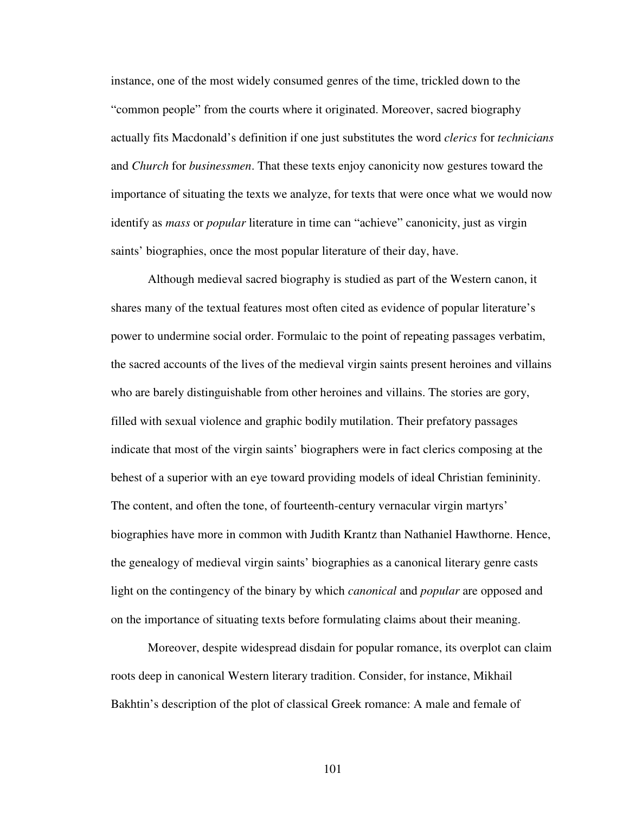instance, one of the most widely consumed genres of the time, trickled down to the "common people" from the courts where it originated. Moreover, sacred biography actually fits Macdonald's definition if one just substitutes the word *clerics* for *technicians* and *Church* for *businessmen*. That these texts enjoy canonicity now gestures toward the importance of situating the texts we analyze, for texts that were once what we would now identify as *mass* or *popular* literature in time can "achieve" canonicity, just as virgin saints' biographies, once the most popular literature of their day, have.

Although medieval sacred biography is studied as part of the Western canon, it shares many of the textual features most often cited as evidence of popular literature's power to undermine social order. Formulaic to the point of repeating passages verbatim, the sacred accounts of the lives of the medieval virgin saints present heroines and villains who are barely distinguishable from other heroines and villains. The stories are gory, filled with sexual violence and graphic bodily mutilation. Their prefatory passages indicate that most of the virgin saints' biographers were in fact clerics composing at the behest of a superior with an eye toward providing models of ideal Christian femininity. The content, and often the tone, of fourteenth-century vernacular virgin martyrs' biographies have more in common with Judith Krantz than Nathaniel Hawthorne. Hence, the genealogy of medieval virgin saints' biographies as a canonical literary genre casts light on the contingency of the binary by which *canonical* and *popular* are opposed and on the importance of situating texts before formulating claims about their meaning.

Moreover, despite widespread disdain for popular romance, its overplot can claim roots deep in canonical Western literary tradition. Consider, for instance, Mikhail Bakhtin's description of the plot of classical Greek romance: A male and female of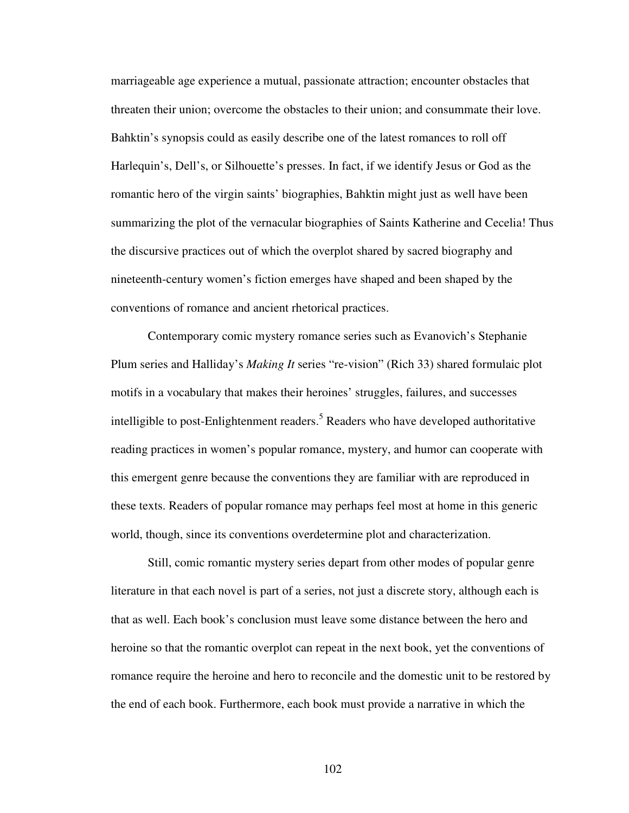marriageable age experience a mutual, passionate attraction; encounter obstacles that threaten their union; overcome the obstacles to their union; and consummate their love. Bahktin's synopsis could as easily describe one of the latest romances to roll off Harlequin's, Dell's, or Silhouette's presses. In fact, if we identify Jesus or God as the romantic hero of the virgin saints' biographies, Bahktin might just as well have been summarizing the plot of the vernacular biographies of Saints Katherine and Cecelia! Thus the discursive practices out of which the overplot shared by sacred biography and nineteenth-century women's fiction emerges have shaped and been shaped by the conventions of romance and ancient rhetorical practices.

Contemporary comic mystery romance series such as Evanovich's Stephanie Plum series and Halliday's *Making It* series "re-vision" (Rich 33) shared formulaic plot motifs in a vocabulary that makes their heroines' struggles, failures, and successes intelligible to post-Enlightenment readers.<sup>5</sup> Readers who have developed authoritative reading practices in women's popular romance, mystery, and humor can cooperate with this emergent genre because the conventions they are familiar with are reproduced in these texts. Readers of popular romance may perhaps feel most at home in this generic world, though, since its conventions overdetermine plot and characterization.

Still, comic romantic mystery series depart from other modes of popular genre literature in that each novel is part of a series, not just a discrete story, although each is that as well. Each book's conclusion must leave some distance between the hero and heroine so that the romantic overplot can repeat in the next book, yet the conventions of romance require the heroine and hero to reconcile and the domestic unit to be restored by the end of each book. Furthermore, each book must provide a narrative in which the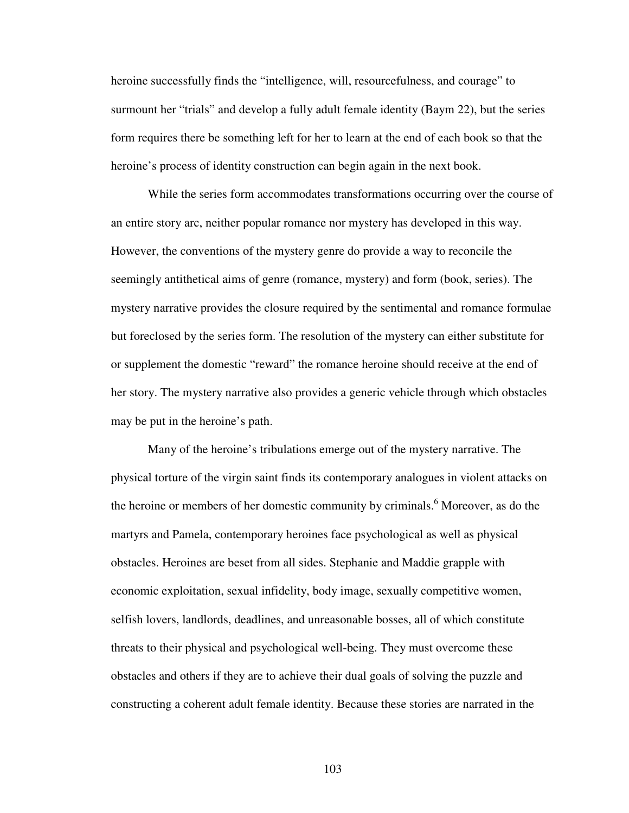heroine successfully finds the "intelligence, will, resourcefulness, and courage" to surmount her "trials" and develop a fully adult female identity (Baym 22), but the series form requires there be something left for her to learn at the end of each book so that the heroine's process of identity construction can begin again in the next book.

While the series form accommodates transformations occurring over the course of an entire story arc, neither popular romance nor mystery has developed in this way. However, the conventions of the mystery genre do provide a way to reconcile the seemingly antithetical aims of genre (romance, mystery) and form (book, series). The mystery narrative provides the closure required by the sentimental and romance formulae but foreclosed by the series form. The resolution of the mystery can either substitute for or supplement the domestic "reward" the romance heroine should receive at the end of her story. The mystery narrative also provides a generic vehicle through which obstacles may be put in the heroine's path.

Many of the heroine's tribulations emerge out of the mystery narrative. The physical torture of the virgin saint finds its contemporary analogues in violent attacks on the heroine or members of her domestic community by criminals.<sup>6</sup> Moreover, as do the martyrs and Pamela, contemporary heroines face psychological as well as physical obstacles. Heroines are beset from all sides. Stephanie and Maddie grapple with economic exploitation, sexual infidelity, body image, sexually competitive women, selfish lovers, landlords, deadlines, and unreasonable bosses, all of which constitute threats to their physical and psychological well-being. They must overcome these obstacles and others if they are to achieve their dual goals of solving the puzzle and constructing a coherent adult female identity. Because these stories are narrated in the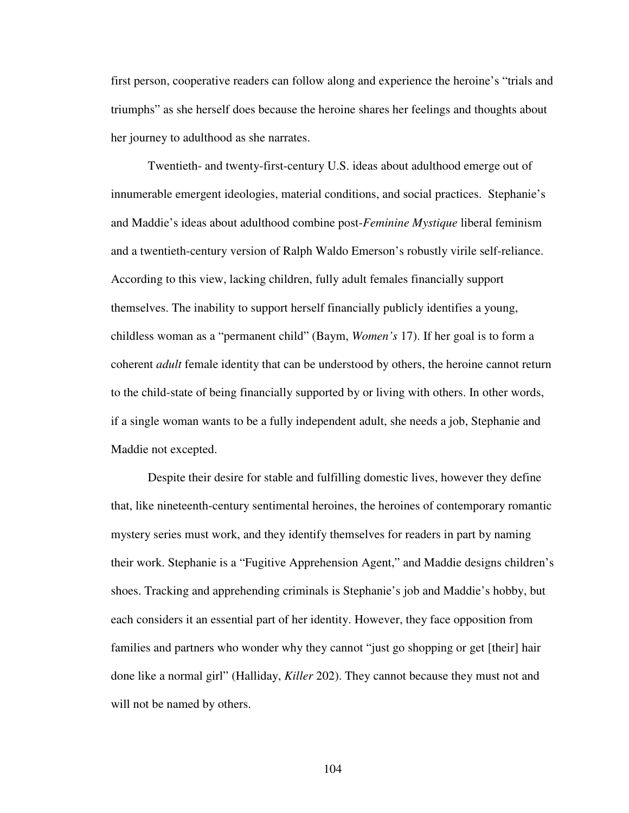first person, cooperative readers can follow along and experience the heroine's "trials and triumphs" as she herself does because the heroine shares her feelings and thoughts about her journey to adulthood as she narrates.

Twentieth- and twenty-first-century U.S. ideas about adulthood emerge out of innumerable emergent ideologies, material conditions, and social practices. Stephanie's and Maddie's ideas about adulthood combine post-*Feminine Mystique* liberal feminism and a twentieth-century version of Ralph Waldo Emerson's robustly virile self-reliance. According to this view, lacking children, fully adult females financially support themselves. The inability to support herself financially publicly identifies a young, childless woman as a "permanent child" (Baym, *Women's* 17). If her goal is to form a coherent *adult* female identity that can be understood by others, the heroine cannot return to the child-state of being financially supported by or living with others. In other words, if a single woman wants to be a fully independent adult, she needs a job, Stephanie and Maddie not excepted.

Despite their desire for stable and fulfilling domestic lives, however they define that, like nineteenth-century sentimental heroines, the heroines of contemporary romantic mystery series must work, and they identify themselves for readers in part by naming their work. Stephanie is a "Fugitive Apprehension Agent," and Maddie designs children's shoes. Tracking and apprehending criminals is Stephanie's job and Maddie's hobby, but each considers it an essential part of her identity. However, they face opposition from families and partners who wonder why they cannot "just go shopping or get [their] hair done like a normal girl" (Halliday, *Killer* 202). They cannot because they must not and will not be named by others.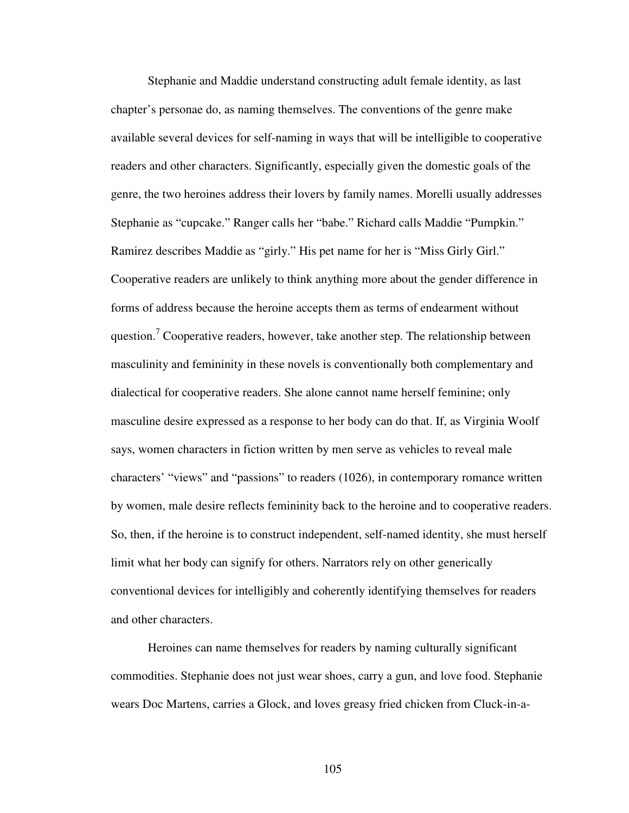Stephanie and Maddie understand constructing adult female identity, as last chapter's personae do, as naming themselves. The conventions of the genre make available several devices for self-naming in ways that will be intelligible to cooperative readers and other characters. Significantly, especially given the domestic goals of the genre, the two heroines address their lovers by family names. Morelli usually addresses Stephanie as "cupcake." Ranger calls her "babe." Richard calls Maddie "Pumpkin." Ramirez describes Maddie as "girly." His pet name for her is "Miss Girly Girl." Cooperative readers are unlikely to think anything more about the gender difference in forms of address because the heroine accepts them as terms of endearment without question.<sup>7</sup> Cooperative readers, however, take another step. The relationship between masculinity and femininity in these novels is conventionally both complementary and dialectical for cooperative readers. She alone cannot name herself feminine; only masculine desire expressed as a response to her body can do that. If, as Virginia Woolf says, women characters in fiction written by men serve as vehicles to reveal male characters' "views" and "passions" to readers (1026), in contemporary romance written by women, male desire reflects femininity back to the heroine and to cooperative readers. So, then, if the heroine is to construct independent, self-named identity, she must herself limit what her body can signify for others. Narrators rely on other generically conventional devices for intelligibly and coherently identifying themselves for readers and other characters.

Heroines can name themselves for readers by naming culturally significant commodities. Stephanie does not just wear shoes, carry a gun, and love food. Stephanie wears Doc Martens, carries a Glock, and loves greasy fried chicken from Cluck-in-a-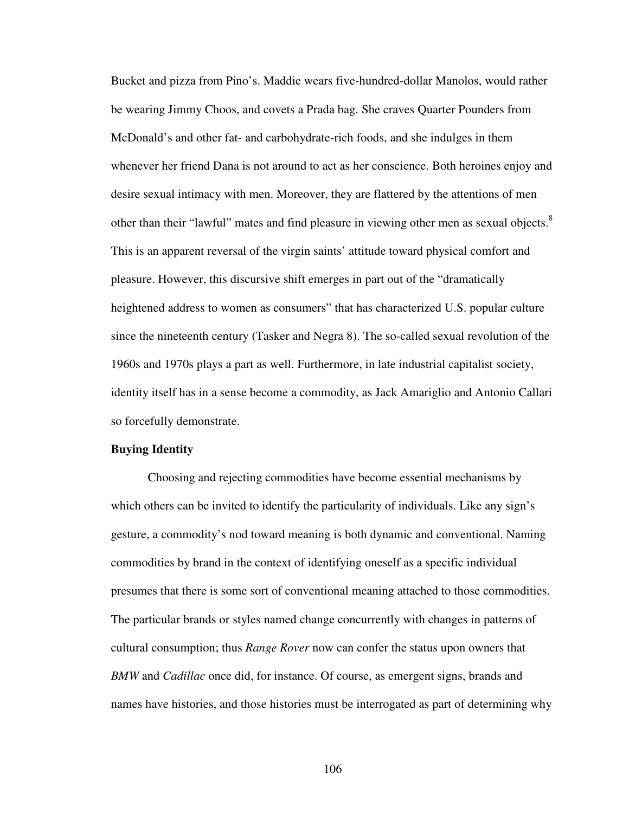Bucket and pizza from Pino's. Maddie wears five-hundred-dollar Manolos, would rather be wearing Jimmy Choos, and covets a Prada bag. She craves Quarter Pounders from McDonald's and other fat- and carbohydrate-rich foods, and she indulges in them whenever her friend Dana is not around to act as her conscience. Both heroines enjoy and desire sexual intimacy with men. Moreover, they are flattered by the attentions of men other than their "lawful" mates and find pleasure in viewing other men as sexual objects.<sup>8</sup> This is an apparent reversal of the virgin saints' attitude toward physical comfort and pleasure. However, this discursive shift emerges in part out of the "dramatically heightened address to women as consumers" that has characterized U.S. popular culture since the nineteenth century (Tasker and Negra 8). The so-called sexual revolution of the 1960s and 1970s plays a part as well. Furthermore, in late industrial capitalist society, identity itself has in a sense become a commodity, as Jack Amariglio and Antonio Callari so forcefully demonstrate.

#### **Buying Identity**

Choosing and rejecting commodities have become essential mechanisms by which others can be invited to identify the particularity of individuals. Like any sign's gesture, a commodity's nod toward meaning is both dynamic and conventional. Naming commodities by brand in the context of identifying oneself as a specific individual presumes that there is some sort of conventional meaning attached to those commodities. The particular brands or styles named change concurrently with changes in patterns of cultural consumption; thus *Range Rover* now can confer the status upon owners that *BMW* and *Cadillac* once did, for instance. Of course, as emergent signs, brands and names have histories, and those histories must be interrogated as part of determining why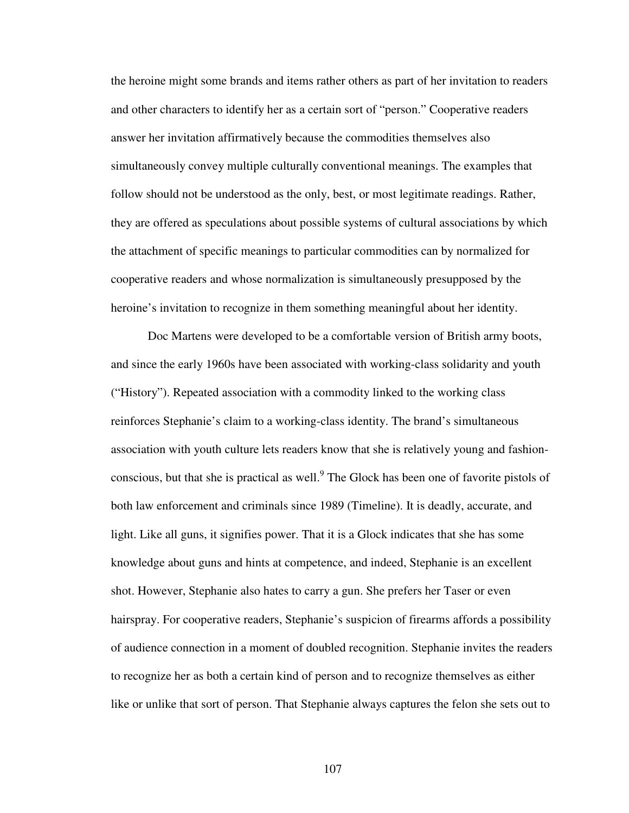the heroine might some brands and items rather others as part of her invitation to readers and other characters to identify her as a certain sort of "person." Cooperative readers answer her invitation affirmatively because the commodities themselves also simultaneously convey multiple culturally conventional meanings. The examples that follow should not be understood as the only, best, or most legitimate readings. Rather, they are offered as speculations about possible systems of cultural associations by which the attachment of specific meanings to particular commodities can by normalized for cooperative readers and whose normalization is simultaneously presupposed by the heroine's invitation to recognize in them something meaningful about her identity.

Doc Martens were developed to be a comfortable version of British army boots, and since the early 1960s have been associated with working-class solidarity and youth ("History"). Repeated association with a commodity linked to the working class reinforces Stephanie's claim to a working-class identity. The brand's simultaneous association with youth culture lets readers know that she is relatively young and fashionconscious, but that she is practical as well. $<sup>9</sup>$  The Glock has been one of favorite pistols of</sup> both law enforcement and criminals since 1989 (Timeline). It is deadly, accurate, and light. Like all guns, it signifies power. That it is a Glock indicates that she has some knowledge about guns and hints at competence, and indeed, Stephanie is an excellent shot. However, Stephanie also hates to carry a gun. She prefers her Taser or even hairspray. For cooperative readers, Stephanie's suspicion of firearms affords a possibility of audience connection in a moment of doubled recognition. Stephanie invites the readers to recognize her as both a certain kind of person and to recognize themselves as either like or unlike that sort of person. That Stephanie always captures the felon she sets out to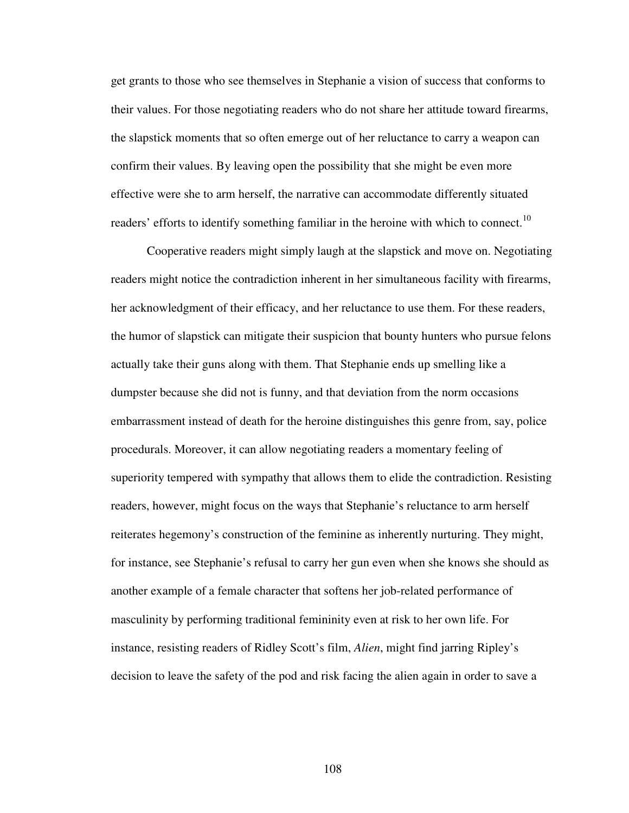get grants to those who see themselves in Stephanie a vision of success that conforms to their values. For those negotiating readers who do not share her attitude toward firearms, the slapstick moments that so often emerge out of her reluctance to carry a weapon can confirm their values. By leaving open the possibility that she might be even more effective were she to arm herself, the narrative can accommodate differently situated readers' efforts to identify something familiar in the heroine with which to connect.<sup>10</sup>

Cooperative readers might simply laugh at the slapstick and move on. Negotiating readers might notice the contradiction inherent in her simultaneous facility with firearms, her acknowledgment of their efficacy, and her reluctance to use them. For these readers, the humor of slapstick can mitigate their suspicion that bounty hunters who pursue felons actually take their guns along with them. That Stephanie ends up smelling like a dumpster because she did not is funny, and that deviation from the norm occasions embarrassment instead of death for the heroine distinguishes this genre from, say, police procedurals. Moreover, it can allow negotiating readers a momentary feeling of superiority tempered with sympathy that allows them to elide the contradiction. Resisting readers, however, might focus on the ways that Stephanie's reluctance to arm herself reiterates hegemony's construction of the feminine as inherently nurturing. They might, for instance, see Stephanie's refusal to carry her gun even when she knows she should as another example of a female character that softens her job-related performance of masculinity by performing traditional femininity even at risk to her own life. For instance, resisting readers of Ridley Scott's film, *Alien*, might find jarring Ripley's decision to leave the safety of the pod and risk facing the alien again in order to save a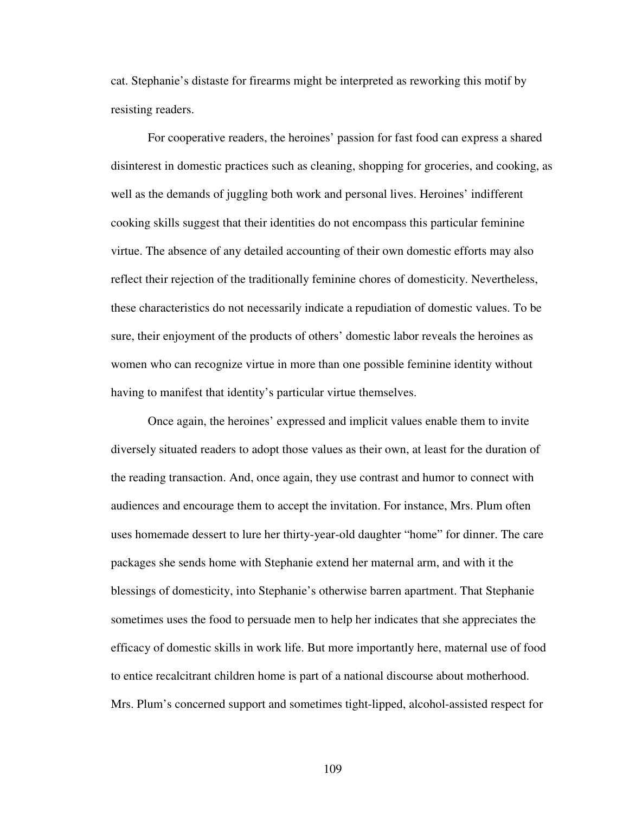cat. Stephanie's distaste for firearms might be interpreted as reworking this motif by resisting readers.

For cooperative readers, the heroines' passion for fast food can express a shared disinterest in domestic practices such as cleaning, shopping for groceries, and cooking, as well as the demands of juggling both work and personal lives. Heroines' indifferent cooking skills suggest that their identities do not encompass this particular feminine virtue. The absence of any detailed accounting of their own domestic efforts may also reflect their rejection of the traditionally feminine chores of domesticity. Nevertheless, these characteristics do not necessarily indicate a repudiation of domestic values. To be sure, their enjoyment of the products of others' domestic labor reveals the heroines as women who can recognize virtue in more than one possible feminine identity without having to manifest that identity's particular virtue themselves.

Once again, the heroines' expressed and implicit values enable them to invite diversely situated readers to adopt those values as their own, at least for the duration of the reading transaction. And, once again, they use contrast and humor to connect with audiences and encourage them to accept the invitation. For instance, Mrs. Plum often uses homemade dessert to lure her thirty-year-old daughter "home" for dinner. The care packages she sends home with Stephanie extend her maternal arm, and with it the blessings of domesticity, into Stephanie's otherwise barren apartment. That Stephanie sometimes uses the food to persuade men to help her indicates that she appreciates the efficacy of domestic skills in work life. But more importantly here, maternal use of food to entice recalcitrant children home is part of a national discourse about motherhood. Mrs. Plum's concerned support and sometimes tight-lipped, alcohol-assisted respect for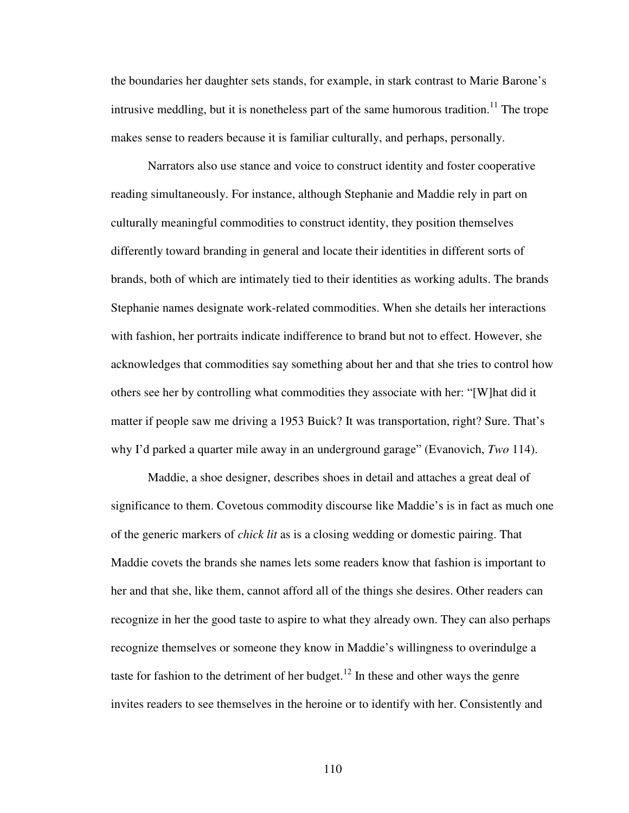the boundaries her daughter sets stands, for example, in stark contrast to Marie Barone's intrusive meddling, but it is nonetheless part of the same humorous tradition.<sup>11</sup> The trope makes sense to readers because it is familiar culturally, and perhaps, personally.

Narrators also use stance and voice to construct identity and foster cooperative reading simultaneously. For instance, although Stephanie and Maddie rely in part on culturally meaningful commodities to construct identity, they position themselves differently toward branding in general and locate their identities in different sorts of brands, both of which are intimately tied to their identities as working adults. The brands Stephanie names designate work-related commodities. When she details her interactions with fashion, her portraits indicate indifference to brand but not to effect. However, she acknowledges that commodities say something about her and that she tries to control how others see her by controlling what commodities they associate with her: "[W]hat did it matter if people saw me driving a 1953 Buick? It was transportation, right? Sure. That's why I'd parked a quarter mile away in an underground garage" (Evanovich, *Two* 114).

Maddie, a shoe designer, describes shoes in detail and attaches a great deal of significance to them. Covetous commodity discourse like Maddie's is in fact as much one of the generic markers of *chick lit* as is a closing wedding or domestic pairing. That Maddie covets the brands she names lets some readers know that fashion is important to her and that she, like them, cannot afford all of the things she desires. Other readers can recognize in her the good taste to aspire to what they already own. They can also perhaps recognize themselves or someone they know in Maddie's willingness to overindulge a taste for fashion to the detriment of her budget.<sup>12</sup> In these and other ways the genre invites readers to see themselves in the heroine or to identify with her. Consistently and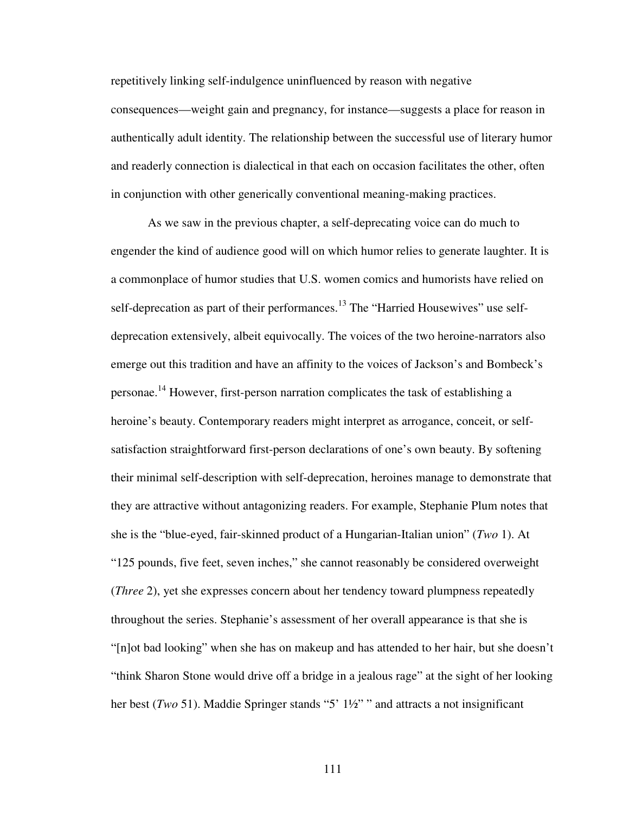repetitively linking self-indulgence uninfluenced by reason with negative consequences—weight gain and pregnancy, for instance—suggests a place for reason in authentically adult identity. The relationship between the successful use of literary humor and readerly connection is dialectical in that each on occasion facilitates the other, often in conjunction with other generically conventional meaning-making practices.

As we saw in the previous chapter, a self-deprecating voice can do much to engender the kind of audience good will on which humor relies to generate laughter. It is a commonplace of humor studies that U.S. women comics and humorists have relied on self-deprecation as part of their performances.<sup>13</sup> The "Harried Housewives" use selfdeprecation extensively, albeit equivocally. The voices of the two heroine-narrators also emerge out this tradition and have an affinity to the voices of Jackson's and Bombeck's personae.<sup>14</sup> However, first-person narration complicates the task of establishing a heroine's beauty. Contemporary readers might interpret as arrogance, conceit, or selfsatisfaction straightforward first-person declarations of one's own beauty. By softening their minimal self-description with self-deprecation, heroines manage to demonstrate that they are attractive without antagonizing readers. For example, Stephanie Plum notes that she is the "blue-eyed, fair-skinned product of a Hungarian-Italian union" (*Two* 1). At "125 pounds, five feet, seven inches," she cannot reasonably be considered overweight (*Three* 2), yet she expresses concern about her tendency toward plumpness repeatedly throughout the series. Stephanie's assessment of her overall appearance is that she is "[n]ot bad looking" when she has on makeup and has attended to her hair, but she doesn't "think Sharon Stone would drive off a bridge in a jealous rage" at the sight of her looking her best (*Two* 51). Maddie Springer stands "5' 1½" " and attracts a not insignificant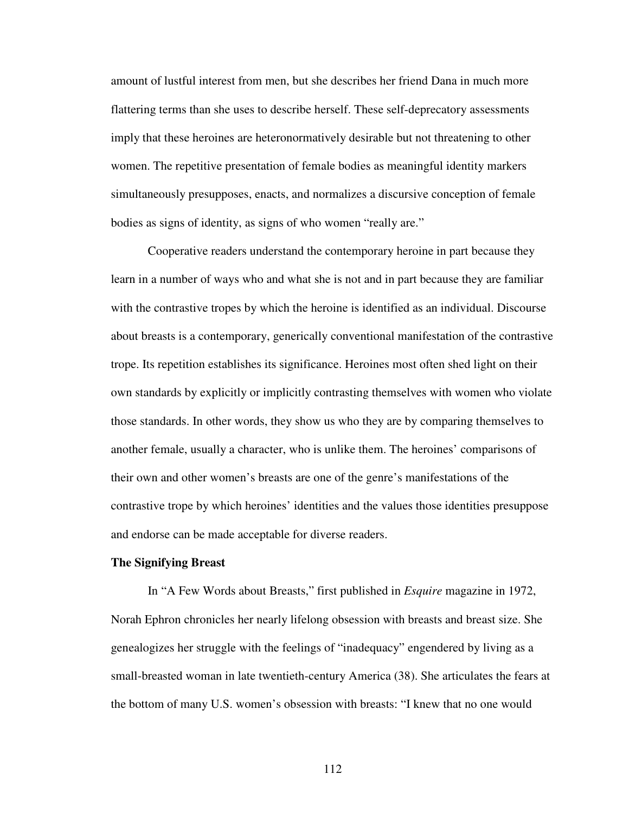amount of lustful interest from men, but she describes her friend Dana in much more flattering terms than she uses to describe herself. These self-deprecatory assessments imply that these heroines are heteronormatively desirable but not threatening to other women. The repetitive presentation of female bodies as meaningful identity markers simultaneously presupposes, enacts, and normalizes a discursive conception of female bodies as signs of identity, as signs of who women "really are."

Cooperative readers understand the contemporary heroine in part because they learn in a number of ways who and what she is not and in part because they are familiar with the contrastive tropes by which the heroine is identified as an individual. Discourse about breasts is a contemporary, generically conventional manifestation of the contrastive trope. Its repetition establishes its significance. Heroines most often shed light on their own standards by explicitly or implicitly contrasting themselves with women who violate those standards. In other words, they show us who they are by comparing themselves to another female, usually a character, who is unlike them. The heroines' comparisons of their own and other women's breasts are one of the genre's manifestations of the contrastive trope by which heroines' identities and the values those identities presuppose and endorse can be made acceptable for diverse readers.

#### **The Signifying Breast**

In "A Few Words about Breasts," first published in *Esquire* magazine in 1972, Norah Ephron chronicles her nearly lifelong obsession with breasts and breast size. She genealogizes her struggle with the feelings of "inadequacy" engendered by living as a small-breasted woman in late twentieth-century America (38). She articulates the fears at the bottom of many U.S. women's obsession with breasts: "I knew that no one would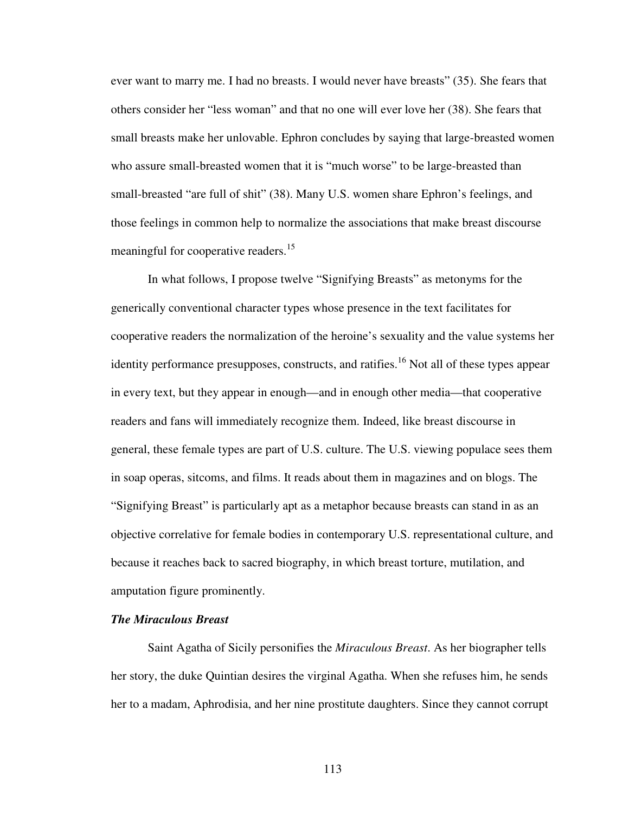ever want to marry me. I had no breasts. I would never have breasts" (35). She fears that others consider her "less woman" and that no one will ever love her (38). She fears that small breasts make her unlovable. Ephron concludes by saying that large-breasted women who assure small-breasted women that it is "much worse" to be large-breasted than small-breasted "are full of shit" (38). Many U.S. women share Ephron's feelings, and those feelings in common help to normalize the associations that make breast discourse meaningful for cooperative readers.<sup>15</sup>

In what follows, I propose twelve "Signifying Breasts" as metonyms for the generically conventional character types whose presence in the text facilitates for cooperative readers the normalization of the heroine's sexuality and the value systems her identity performance presupposes, constructs, and ratifies.<sup>16</sup> Not all of these types appear in every text, but they appear in enough—and in enough other media—that cooperative readers and fans will immediately recognize them. Indeed, like breast discourse in general, these female types are part of U.S. culture. The U.S. viewing populace sees them in soap operas, sitcoms, and films. It reads about them in magazines and on blogs. The "Signifying Breast" is particularly apt as a metaphor because breasts can stand in as an objective correlative for female bodies in contemporary U.S. representational culture, and because it reaches back to sacred biography, in which breast torture, mutilation, and amputation figure prominently.

# *The Miraculous Breast*

Saint Agatha of Sicily personifies the *Miraculous Breast*. As her biographer tells her story, the duke Quintian desires the virginal Agatha. When she refuses him, he sends her to a madam, Aphrodisia, and her nine prostitute daughters. Since they cannot corrupt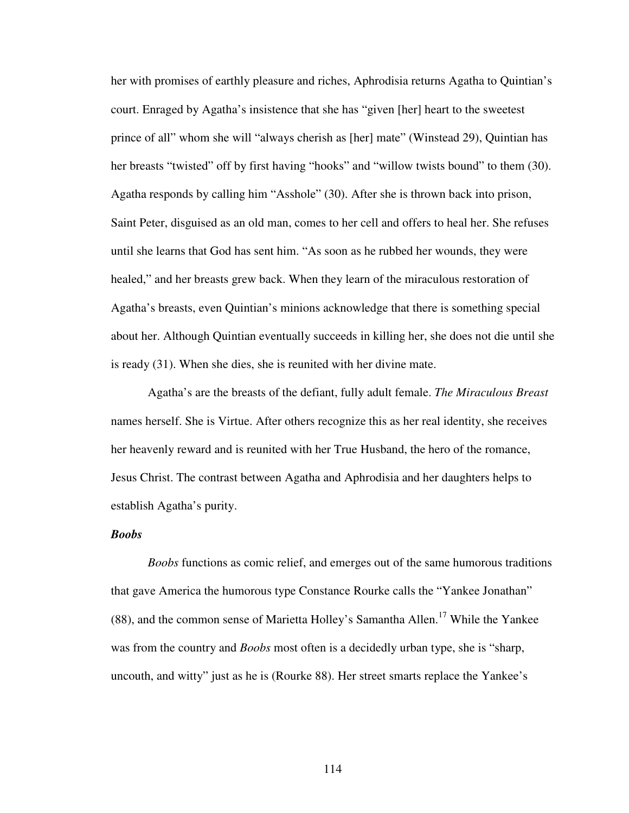her with promises of earthly pleasure and riches, Aphrodisia returns Agatha to Quintian's court. Enraged by Agatha's insistence that she has "given [her] heart to the sweetest prince of all" whom she will "always cherish as [her] mate" (Winstead 29), Quintian has her breasts "twisted" off by first having "hooks" and "willow twists bound" to them (30). Agatha responds by calling him "Asshole" (30). After she is thrown back into prison, Saint Peter, disguised as an old man, comes to her cell and offers to heal her. She refuses until she learns that God has sent him. "As soon as he rubbed her wounds, they were healed," and her breasts grew back. When they learn of the miraculous restoration of Agatha's breasts, even Quintian's minions acknowledge that there is something special about her. Although Quintian eventually succeeds in killing her, she does not die until she is ready (31). When she dies, she is reunited with her divine mate.

Agatha's are the breasts of the defiant, fully adult female. *The Miraculous Breast*  names herself. She is Virtue. After others recognize this as her real identity, she receives her heavenly reward and is reunited with her True Husband, the hero of the romance, Jesus Christ. The contrast between Agatha and Aphrodisia and her daughters helps to establish Agatha's purity.

# *Boobs*

*Boobs* functions as comic relief, and emerges out of the same humorous traditions that gave America the humorous type Constance Rourke calls the "Yankee Jonathan" (88), and the common sense of Marietta Holley's Samantha Allen.<sup>17</sup> While the Yankee was from the country and *Boobs* most often is a decidedly urban type, she is "sharp, uncouth, and witty" just as he is (Rourke 88). Her street smarts replace the Yankee's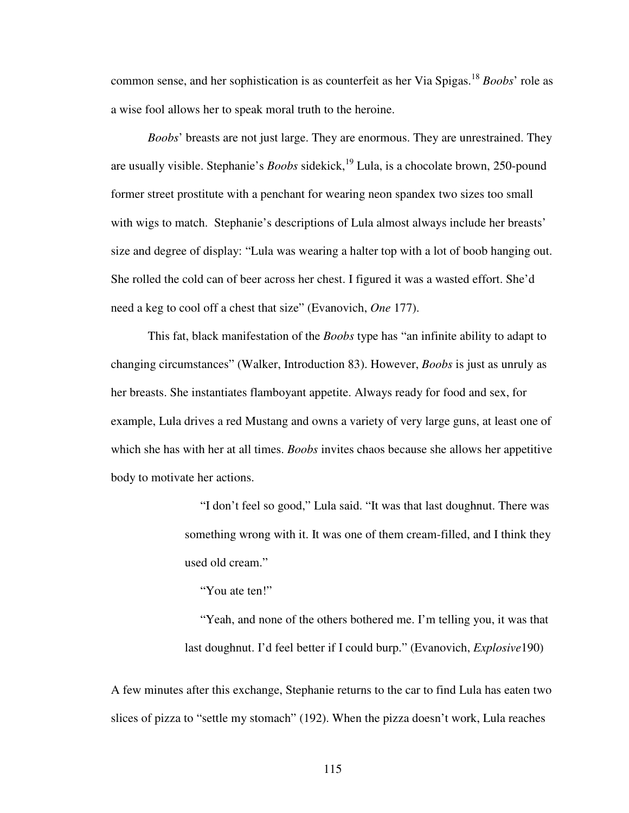common sense, and her sophistication is as counterfeit as her Via Spigas.<sup>18</sup> *Boobs*' role as a wise fool allows her to speak moral truth to the heroine.

*Boobs*' breasts are not just large. They are enormous. They are unrestrained. They are usually visible. Stephanie's *Boobs* sidekick,<sup>19</sup> Lula, is a chocolate brown, 250-pound former street prostitute with a penchant for wearing neon spandex two sizes too small with wigs to match. Stephanie's descriptions of Lula almost always include her breasts' size and degree of display: "Lula was wearing a halter top with a lot of boob hanging out. She rolled the cold can of beer across her chest. I figured it was a wasted effort. She'd need a keg to cool off a chest that size" (Evanovich, *One* 177).

This fat, black manifestation of the *Boobs* type has "an infinite ability to adapt to changing circumstances" (Walker, Introduction 83). However, *Boobs* is just as unruly as her breasts. She instantiates flamboyant appetite. Always ready for food and sex, for example, Lula drives a red Mustang and owns a variety of very large guns, at least one of which she has with her at all times. *Boobs* invites chaos because she allows her appetitive body to motivate her actions.

> "I don't feel so good," Lula said. "It was that last doughnut. There was something wrong with it. It was one of them cream-filled, and I think they used old cream."

"You ate ten!"

 "Yeah, and none of the others bothered me. I'm telling you, it was that last doughnut. I'd feel better if I could burp." (Evanovich, *Explosive*190)

A few minutes after this exchange, Stephanie returns to the car to find Lula has eaten two slices of pizza to "settle my stomach" (192). When the pizza doesn't work, Lula reaches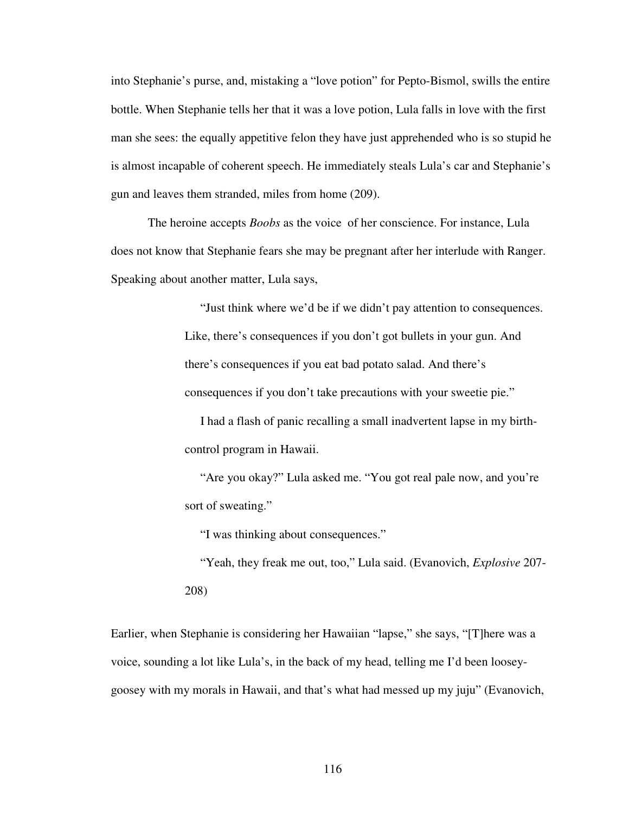into Stephanie's purse, and, mistaking a "love potion" for Pepto-Bismol, swills the entire bottle. When Stephanie tells her that it was a love potion, Lula falls in love with the first man she sees: the equally appetitive felon they have just apprehended who is so stupid he is almost incapable of coherent speech. He immediately steals Lula's car and Stephanie's gun and leaves them stranded, miles from home (209).

The heroine accepts *Boobs* as the voice of her conscience. For instance, Lula does not know that Stephanie fears she may be pregnant after her interlude with Ranger. Speaking about another matter, Lula says,

> "Just think where we'd be if we didn't pay attention to consequences. Like, there's consequences if you don't got bullets in your gun. And there's consequences if you eat bad potato salad. And there's consequences if you don't take precautions with your sweetie pie."

 I had a flash of panic recalling a small inadvertent lapse in my birthcontrol program in Hawaii.

 "Are you okay?" Lula asked me. "You got real pale now, and you're sort of sweating."

"I was thinking about consequences."

 "Yeah, they freak me out, too," Lula said. (Evanovich, *Explosive* 207- 208)

Earlier, when Stephanie is considering her Hawaiian "lapse," she says, "[T]here was a voice, sounding a lot like Lula's, in the back of my head, telling me I'd been looseygoosey with my morals in Hawaii, and that's what had messed up my juju" (Evanovich,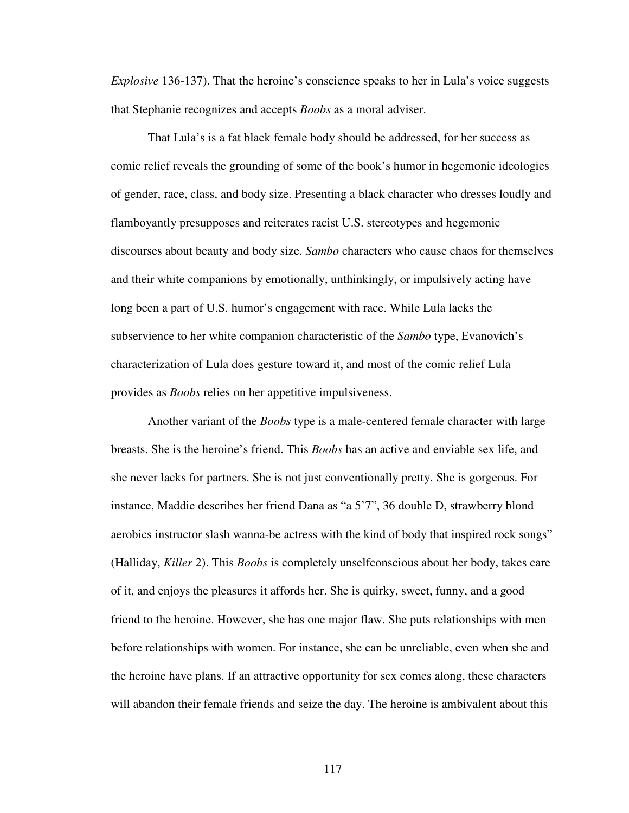*Explosive* 136-137). That the heroine's conscience speaks to her in Lula's voice suggests that Stephanie recognizes and accepts *Boobs* as a moral adviser.

That Lula's is a fat black female body should be addressed, for her success as comic relief reveals the grounding of some of the book's humor in hegemonic ideologies of gender, race, class, and body size. Presenting a black character who dresses loudly and flamboyantly presupposes and reiterates racist U.S. stereotypes and hegemonic discourses about beauty and body size. *Sambo* characters who cause chaos for themselves and their white companions by emotionally, unthinkingly, or impulsively acting have long been a part of U.S. humor's engagement with race. While Lula lacks the subservience to her white companion characteristic of the *Sambo* type, Evanovich's characterization of Lula does gesture toward it, and most of the comic relief Lula provides as *Boobs* relies on her appetitive impulsiveness.

Another variant of the *Boobs* type is a male-centered female character with large breasts. She is the heroine's friend. This *Boobs* has an active and enviable sex life, and she never lacks for partners. She is not just conventionally pretty. She is gorgeous. For instance, Maddie describes her friend Dana as "a 5'7", 36 double D, strawberry blond aerobics instructor slash wanna-be actress with the kind of body that inspired rock songs" (Halliday, *Killer* 2). This *Boobs* is completely unselfconscious about her body, takes care of it, and enjoys the pleasures it affords her. She is quirky, sweet, funny, and a good friend to the heroine. However, she has one major flaw. She puts relationships with men before relationships with women. For instance, she can be unreliable, even when she and the heroine have plans. If an attractive opportunity for sex comes along, these characters will abandon their female friends and seize the day. The heroine is ambivalent about this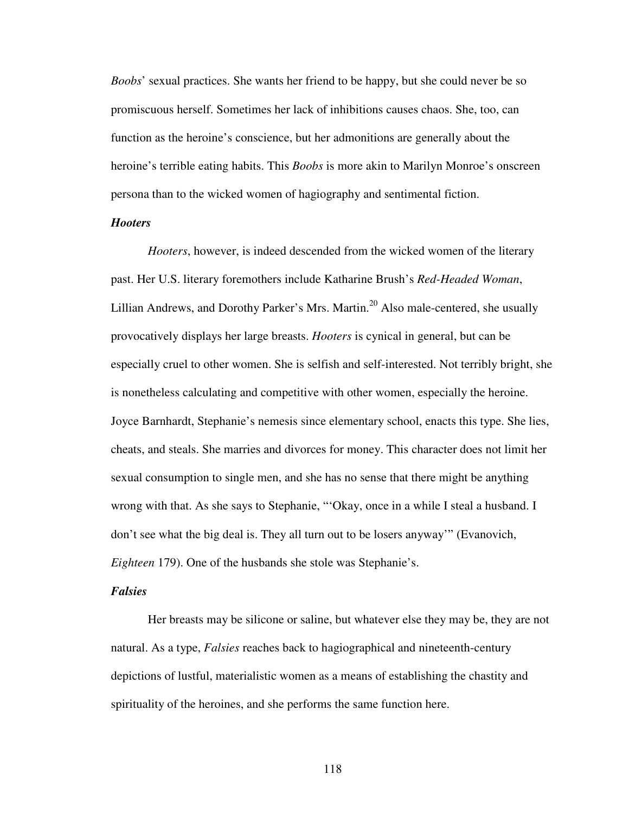*Boobs*' sexual practices. She wants her friend to be happy, but she could never be so promiscuous herself. Sometimes her lack of inhibitions causes chaos. She, too, can function as the heroine's conscience, but her admonitions are generally about the heroine's terrible eating habits. This *Boobs* is more akin to Marilyn Monroe's onscreen persona than to the wicked women of hagiography and sentimental fiction.

# *Hooters*

*Hooters*, however, is indeed descended from the wicked women of the literary past. Her U.S. literary foremothers include Katharine Brush's *Red-Headed Woman*, Lillian Andrews, and Dorothy Parker's Mrs. Martin.<sup>20</sup> Also male-centered, she usually provocatively displays her large breasts. *Hooters* is cynical in general, but can be especially cruel to other women. She is selfish and self-interested. Not terribly bright, she is nonetheless calculating and competitive with other women, especially the heroine. Joyce Barnhardt, Stephanie's nemesis since elementary school, enacts this type. She lies, cheats, and steals. She marries and divorces for money. This character does not limit her sexual consumption to single men, and she has no sense that there might be anything wrong with that. As she says to Stephanie, "'Okay, once in a while I steal a husband. I don't see what the big deal is. They all turn out to be losers anyway'" (Evanovich, *Eighteen* 179). One of the husbands she stole was Stephanie's.

### *Falsies*

Her breasts may be silicone or saline, but whatever else they may be, they are not natural. As a type, *Falsies* reaches back to hagiographical and nineteenth-century depictions of lustful, materialistic women as a means of establishing the chastity and spirituality of the heroines, and she performs the same function here.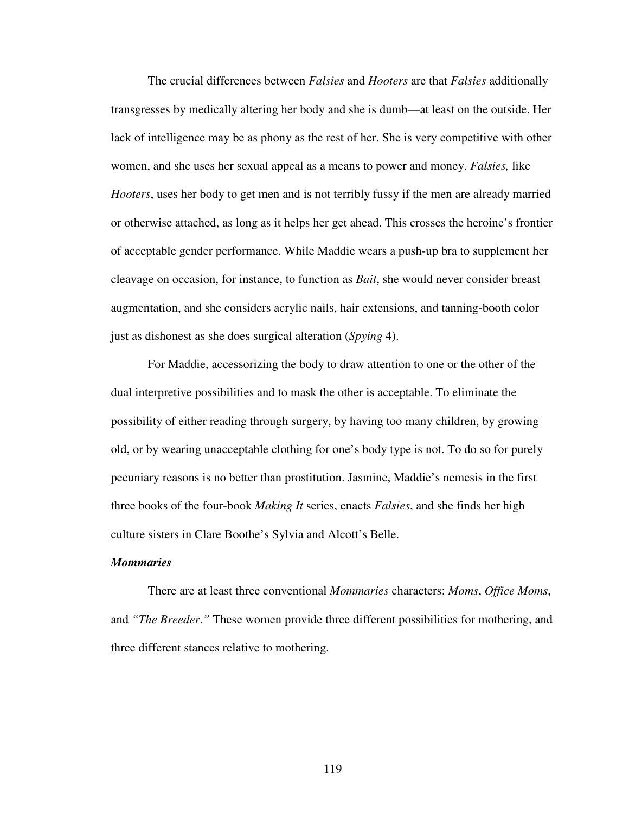The crucial differences between *Falsies* and *Hooters* are that *Falsies* additionally transgresses by medically altering her body and she is dumb—at least on the outside. Her lack of intelligence may be as phony as the rest of her. She is very competitive with other women, and she uses her sexual appeal as a means to power and money. *Falsies,* like *Hooters*, uses her body to get men and is not terribly fussy if the men are already married or otherwise attached, as long as it helps her get ahead. This crosses the heroine's frontier of acceptable gender performance. While Maddie wears a push-up bra to supplement her cleavage on occasion, for instance, to function as *Bait*, she would never consider breast augmentation, and she considers acrylic nails, hair extensions, and tanning-booth color just as dishonest as she does surgical alteration (*Spying* 4).

For Maddie, accessorizing the body to draw attention to one or the other of the dual interpretive possibilities and to mask the other is acceptable. To eliminate the possibility of either reading through surgery, by having too many children, by growing old, or by wearing unacceptable clothing for one's body type is not. To do so for purely pecuniary reasons is no better than prostitution. Jasmine, Maddie's nemesis in the first three books of the four-book *Making It* series, enacts *Falsies*, and she finds her high culture sisters in Clare Boothe's Sylvia and Alcott's Belle.

### *Mommaries*

There are at least three conventional *Mommaries* characters: *Moms*, *Office Moms*, and *"The Breeder*.*"* These women provide three different possibilities for mothering, and three different stances relative to mothering.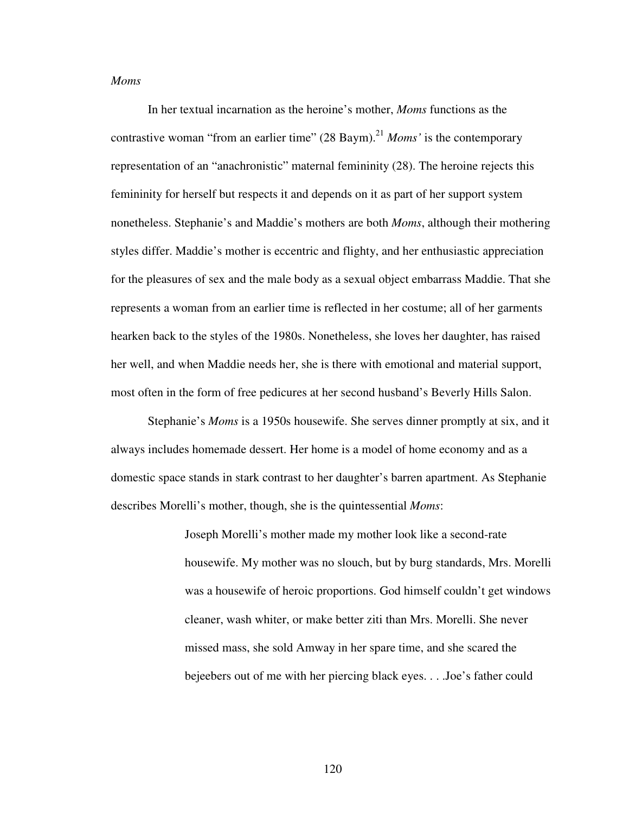*Moms* 

In her textual incarnation as the heroine's mother, *Moms* functions as the contrastive woman "from an earlier time"  $(28 \text{ Baym})$ .<sup>21</sup> *Moms*' is the contemporary representation of an "anachronistic" maternal femininity (28). The heroine rejects this femininity for herself but respects it and depends on it as part of her support system nonetheless. Stephanie's and Maddie's mothers are both *Moms*, although their mothering styles differ. Maddie's mother is eccentric and flighty, and her enthusiastic appreciation for the pleasures of sex and the male body as a sexual object embarrass Maddie. That she represents a woman from an earlier time is reflected in her costume; all of her garments hearken back to the styles of the 1980s. Nonetheless, she loves her daughter, has raised her well, and when Maddie needs her, she is there with emotional and material support, most often in the form of free pedicures at her second husband's Beverly Hills Salon.

Stephanie's *Moms* is a 1950s housewife. She serves dinner promptly at six, and it always includes homemade dessert. Her home is a model of home economy and as a domestic space stands in stark contrast to her daughter's barren apartment. As Stephanie describes Morelli's mother, though, she is the quintessential *Moms*:

> Joseph Morelli's mother made my mother look like a second-rate housewife. My mother was no slouch, but by burg standards, Mrs. Morelli was a housewife of heroic proportions. God himself couldn't get windows cleaner, wash whiter, or make better ziti than Mrs. Morelli. She never missed mass, she sold Amway in her spare time, and she scared the bejeebers out of me with her piercing black eyes. . . .Joe's father could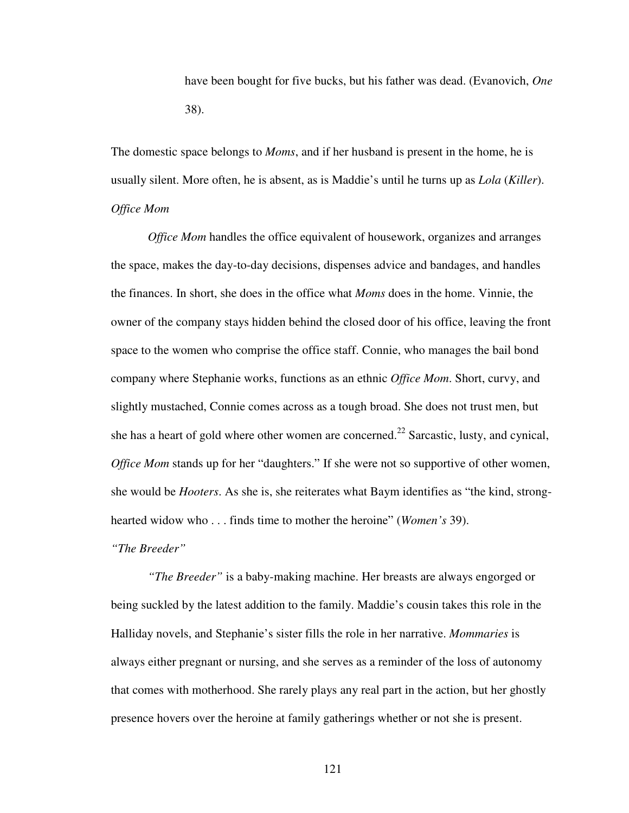have been bought for five bucks, but his father was dead. (Evanovich, *One*  38).

The domestic space belongs to *Moms*, and if her husband is present in the home, he is usually silent. More often, he is absent, as is Maddie's until he turns up as *Lola* (*Killer*). *Office Mom* 

*Office Mom* handles the office equivalent of housework, organizes and arranges the space, makes the day-to-day decisions, dispenses advice and bandages, and handles the finances. In short, she does in the office what *Moms* does in the home. Vinnie, the owner of the company stays hidden behind the closed door of his office, leaving the front space to the women who comprise the office staff. Connie, who manages the bail bond company where Stephanie works, functions as an ethnic *Office Mom*. Short, curvy, and slightly mustached, Connie comes across as a tough broad. She does not trust men, but she has a heart of gold where other women are concerned.<sup>22</sup> Sarcastic, lusty, and cynical, *Office Mom* stands up for her "daughters." If she were not so supportive of other women, she would be *Hooters*. As she is, she reiterates what Baym identifies as "the kind, stronghearted widow who . . . finds time to mother the heroine" (*Women's* 39).

*"The Breeder"* 

*"The Breeder"* is a baby-making machine. Her breasts are always engorged or being suckled by the latest addition to the family. Maddie's cousin takes this role in the Halliday novels, and Stephanie's sister fills the role in her narrative. *Mommaries* is always either pregnant or nursing, and she serves as a reminder of the loss of autonomy that comes with motherhood. She rarely plays any real part in the action, but her ghostly presence hovers over the heroine at family gatherings whether or not she is present.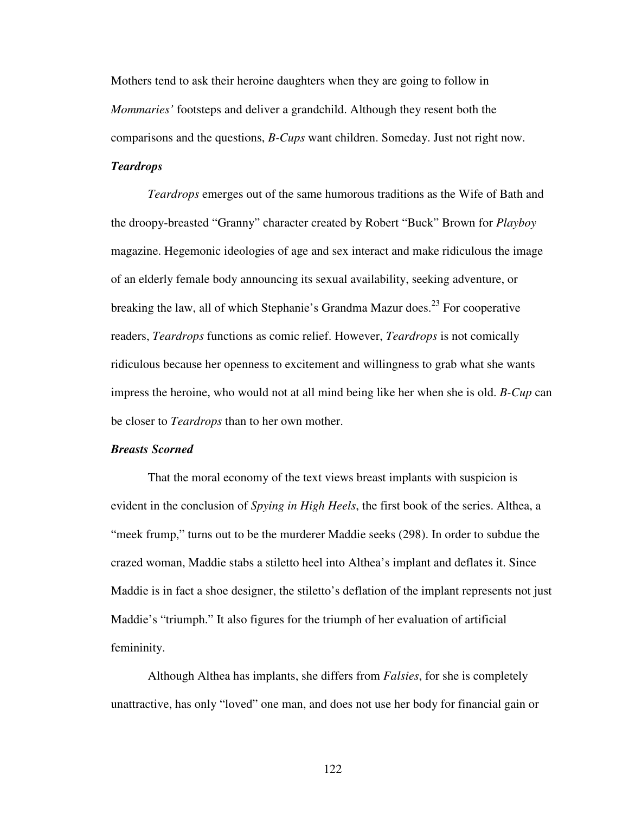Mothers tend to ask their heroine daughters when they are going to follow in *Mommaries'* footsteps and deliver a grandchild. Although they resent both the comparisons and the questions, *B-Cups* want children. Someday. Just not right now.

# *Teardrops*

*Teardrops* emerges out of the same humorous traditions as the Wife of Bath and the droopy-breasted "Granny" character created by Robert "Buck" Brown for *Playboy*  magazine. Hegemonic ideologies of age and sex interact and make ridiculous the image of an elderly female body announcing its sexual availability, seeking adventure, or breaking the law, all of which Stephanie's Grandma Mazur does.<sup>23</sup> For cooperative readers, *Teardrops* functions as comic relief. However, *Teardrops* is not comically ridiculous because her openness to excitement and willingness to grab what she wants impress the heroine, who would not at all mind being like her when she is old. *B-Cup* can be closer to *Teardrops* than to her own mother.

### *Breasts Scorned*

That the moral economy of the text views breast implants with suspicion is evident in the conclusion of *Spying in High Heels*, the first book of the series. Althea, a "meek frump," turns out to be the murderer Maddie seeks (298). In order to subdue the crazed woman, Maddie stabs a stiletto heel into Althea's implant and deflates it. Since Maddie is in fact a shoe designer, the stiletto's deflation of the implant represents not just Maddie's "triumph." It also figures for the triumph of her evaluation of artificial femininity.

Although Althea has implants, she differs from *Falsies*, for she is completely unattractive, has only "loved" one man, and does not use her body for financial gain or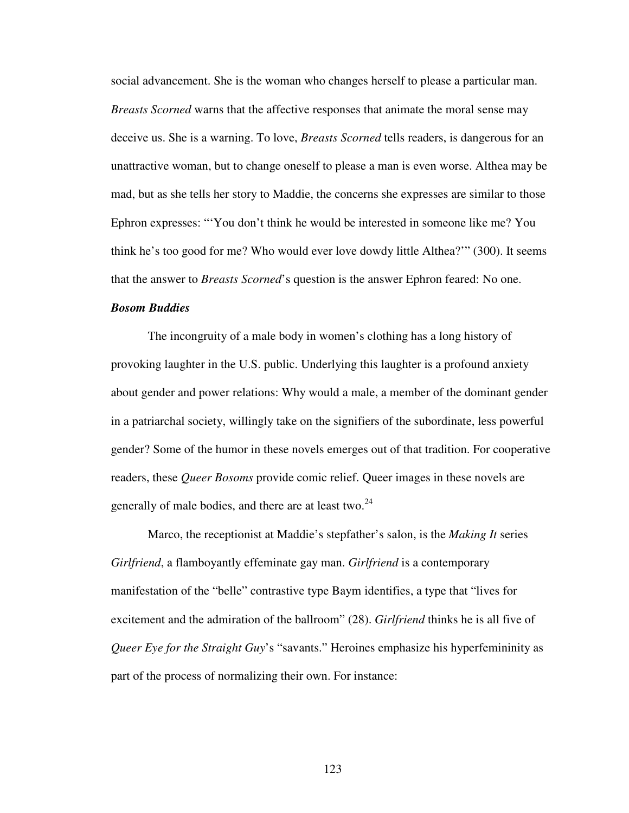social advancement. She is the woman who changes herself to please a particular man. *Breasts Scorned* warns that the affective responses that animate the moral sense may deceive us. She is a warning. To love, *Breasts Scorned* tells readers, is dangerous for an unattractive woman, but to change oneself to please a man is even worse. Althea may be mad, but as she tells her story to Maddie, the concerns she expresses are similar to those Ephron expresses: "'You don't think he would be interested in someone like me? You think he's too good for me? Who would ever love dowdy little Althea?'" (300). It seems that the answer to *Breasts Scorned*'s question is the answer Ephron feared: No one.

# *Bosom Buddies*

The incongruity of a male body in women's clothing has a long history of provoking laughter in the U.S. public. Underlying this laughter is a profound anxiety about gender and power relations: Why would a male, a member of the dominant gender in a patriarchal society, willingly take on the signifiers of the subordinate, less powerful gender? Some of the humor in these novels emerges out of that tradition. For cooperative readers, these *Queer Bosoms* provide comic relief. Queer images in these novels are generally of male bodies, and there are at least two.<sup>24</sup>

Marco, the receptionist at Maddie's stepfather's salon, is the *Making It* series *Girlfriend*, a flamboyantly effeminate gay man. *Girlfriend* is a contemporary manifestation of the "belle" contrastive type Baym identifies, a type that "lives for excitement and the admiration of the ballroom" (28). *Girlfriend* thinks he is all five of *Queer Eye for the Straight Guy*'s "savants." Heroines emphasize his hyperfemininity as part of the process of normalizing their own. For instance: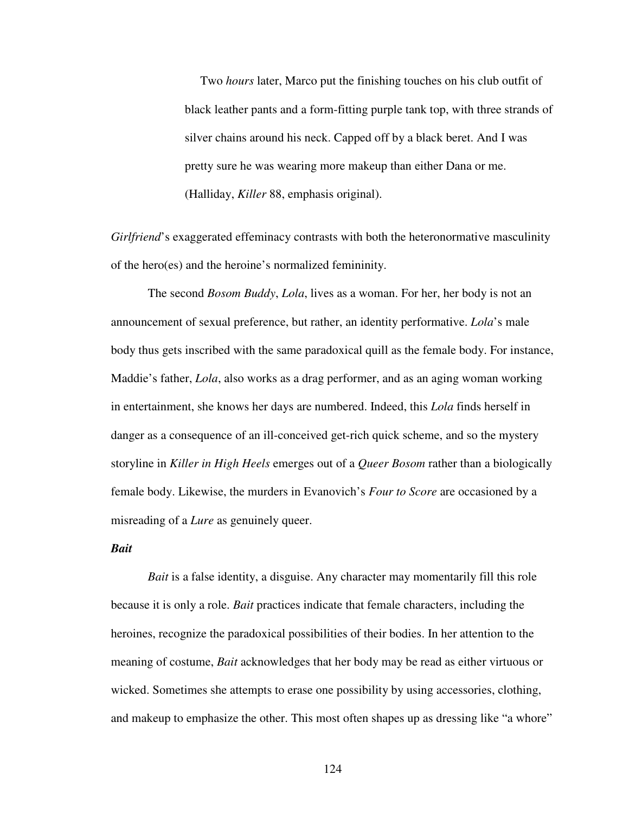Two *hours* later, Marco put the finishing touches on his club outfit of black leather pants and a form-fitting purple tank top, with three strands of silver chains around his neck. Capped off by a black beret. And I was pretty sure he was wearing more makeup than either Dana or me. (Halliday, *Killer* 88, emphasis original).

*Girlfriend*'s exaggerated effeminacy contrasts with both the heteronormative masculinity of the hero(es) and the heroine's normalized femininity.

The second *Bosom Buddy*, *Lola*, lives as a woman. For her, her body is not an announcement of sexual preference, but rather, an identity performative. *Lola*'s male body thus gets inscribed with the same paradoxical quill as the female body. For instance, Maddie's father, *Lola*, also works as a drag performer, and as an aging woman working in entertainment, she knows her days are numbered. Indeed, this *Lola* finds herself in danger as a consequence of an ill-conceived get-rich quick scheme, and so the mystery storyline in *Killer in High Heels* emerges out of a *Queer Bosom* rather than a biologically female body. Likewise, the murders in Evanovich's *Four to Score* are occasioned by a misreading of a *Lure* as genuinely queer.

# *Bait*

*Bait* is a false identity, a disguise. Any character may momentarily fill this role because it is only a role. *Bait* practices indicate that female characters, including the heroines, recognize the paradoxical possibilities of their bodies. In her attention to the meaning of costume, *Bait* acknowledges that her body may be read as either virtuous or wicked. Sometimes she attempts to erase one possibility by using accessories, clothing, and makeup to emphasize the other. This most often shapes up as dressing like "a whore"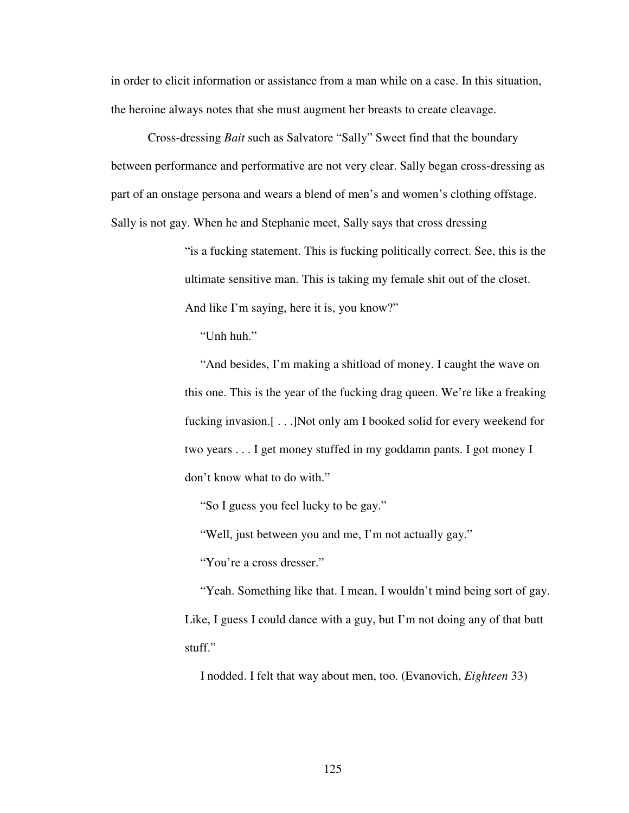in order to elicit information or assistance from a man while on a case. In this situation, the heroine always notes that she must augment her breasts to create cleavage.

Cross-dressing *Bait* such as Salvatore "Sally" Sweet find that the boundary between performance and performative are not very clear. Sally began cross-dressing as part of an onstage persona and wears a blend of men's and women's clothing offstage. Sally is not gay. When he and Stephanie meet, Sally says that cross dressing

> "is a fucking statement. This is fucking politically correct. See, this is the ultimate sensitive man. This is taking my female shit out of the closet. And like I'm saying, here it is, you know?"

"Unh huh."

 "And besides, I'm making a shitload of money. I caught the wave on this one. This is the year of the fucking drag queen. We're like a freaking fucking invasion.[ . . .]Not only am I booked solid for every weekend for two years . . . I get money stuffed in my goddamn pants. I got money I don't know what to do with."

"So I guess you feel lucky to be gay."

"Well, just between you and me, I'm not actually gay."

"You're a cross dresser."

 "Yeah. Something like that. I mean, I wouldn't mind being sort of gay. Like, I guess I could dance with a guy, but I'm not doing any of that butt stuff."

I nodded. I felt that way about men, too. (Evanovich, *Eighteen* 33)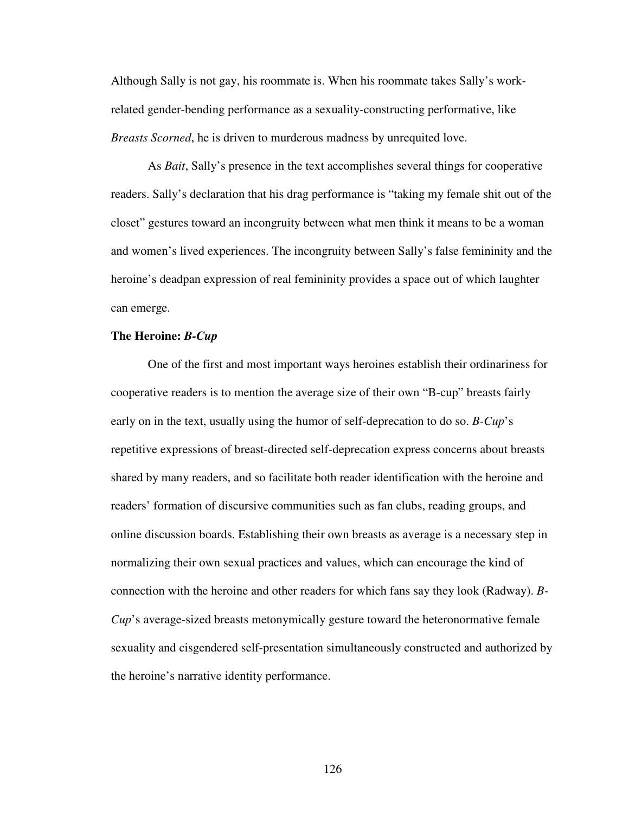Although Sally is not gay, his roommate is. When his roommate takes Sally's workrelated gender-bending performance as a sexuality-constructing performative, like *Breasts Scorned*, he is driven to murderous madness by unrequited love.

As *Bait*, Sally's presence in the text accomplishes several things for cooperative readers. Sally's declaration that his drag performance is "taking my female shit out of the closet" gestures toward an incongruity between what men think it means to be a woman and women's lived experiences. The incongruity between Sally's false femininity and the heroine's deadpan expression of real femininity provides a space out of which laughter can emerge.

# **The Heroine:** *B-Cup*

One of the first and most important ways heroines establish their ordinariness for cooperative readers is to mention the average size of their own "B-cup" breasts fairly early on in the text, usually using the humor of self-deprecation to do so. *B-Cup*'s repetitive expressions of breast-directed self-deprecation express concerns about breasts shared by many readers, and so facilitate both reader identification with the heroine and readers' formation of discursive communities such as fan clubs, reading groups, and online discussion boards. Establishing their own breasts as average is a necessary step in normalizing their own sexual practices and values, which can encourage the kind of connection with the heroine and other readers for which fans say they look (Radway). *B-Cup*'s average-sized breasts metonymically gesture toward the heteronormative female sexuality and cisgendered self-presentation simultaneously constructed and authorized by the heroine's narrative identity performance.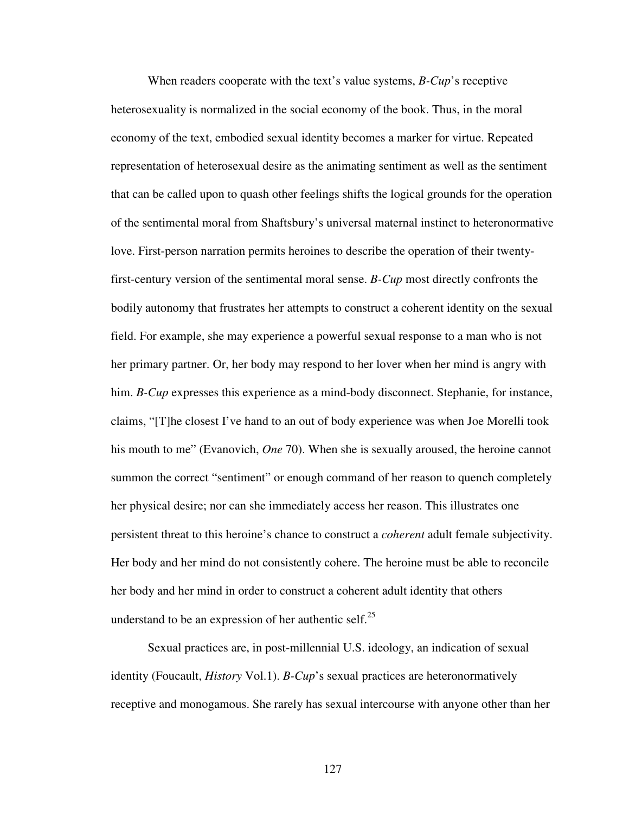When readers cooperate with the text's value systems, *B-Cup*'s receptive heterosexuality is normalized in the social economy of the book. Thus, in the moral economy of the text, embodied sexual identity becomes a marker for virtue. Repeated representation of heterosexual desire as the animating sentiment as well as the sentiment that can be called upon to quash other feelings shifts the logical grounds for the operation of the sentimental moral from Shaftsbury's universal maternal instinct to heteronormative love. First-person narration permits heroines to describe the operation of their twentyfirst-century version of the sentimental moral sense. *B-Cup* most directly confronts the bodily autonomy that frustrates her attempts to construct a coherent identity on the sexual field. For example, she may experience a powerful sexual response to a man who is not her primary partner. Or, her body may respond to her lover when her mind is angry with him. *B-Cup* expresses this experience as a mind-body disconnect. Stephanie, for instance, claims, "[T]he closest I've hand to an out of body experience was when Joe Morelli took his mouth to me" (Evanovich, *One* 70). When she is sexually aroused, the heroine cannot summon the correct "sentiment" or enough command of her reason to quench completely her physical desire; nor can she immediately access her reason. This illustrates one persistent threat to this heroine's chance to construct a *coherent* adult female subjectivity. Her body and her mind do not consistently cohere. The heroine must be able to reconcile her body and her mind in order to construct a coherent adult identity that others understand to be an expression of her authentic self. $^{25}$ 

Sexual practices are, in post-millennial U.S. ideology, an indication of sexual identity (Foucault, *History* Vol.1). *B-Cup*'s sexual practices are heteronormatively receptive and monogamous. She rarely has sexual intercourse with anyone other than her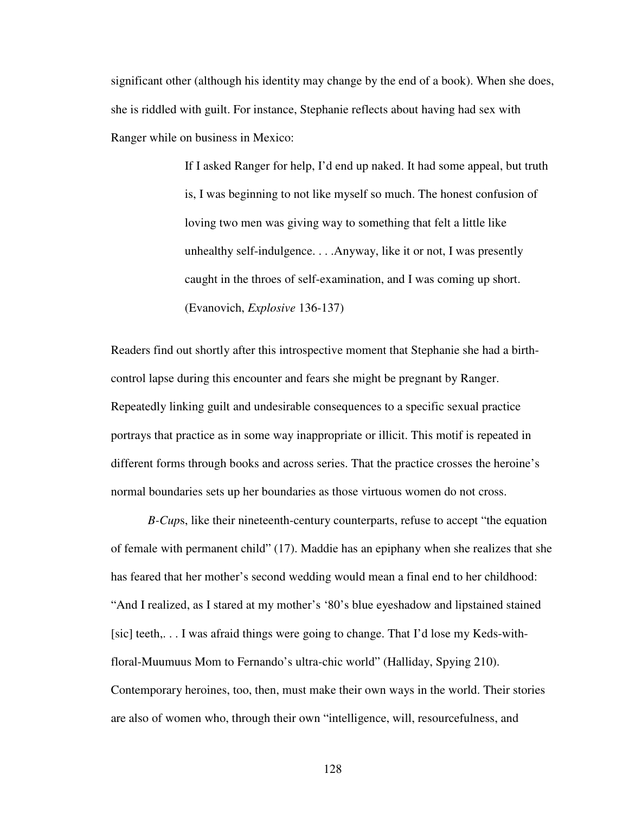significant other (although his identity may change by the end of a book). When she does, she is riddled with guilt. For instance, Stephanie reflects about having had sex with Ranger while on business in Mexico:

> If I asked Ranger for help, I'd end up naked. It had some appeal, but truth is, I was beginning to not like myself so much. The honest confusion of loving two men was giving way to something that felt a little like unhealthy self-indulgence. . . .Anyway, like it or not, I was presently caught in the throes of self-examination, and I was coming up short. (Evanovich, *Explosive* 136-137)

Readers find out shortly after this introspective moment that Stephanie she had a birthcontrol lapse during this encounter and fears she might be pregnant by Ranger. Repeatedly linking guilt and undesirable consequences to a specific sexual practice portrays that practice as in some way inappropriate or illicit. This motif is repeated in different forms through books and across series. That the practice crosses the heroine's normal boundaries sets up her boundaries as those virtuous women do not cross.

*B-Cup*s, like their nineteenth-century counterparts, refuse to accept "the equation of female with permanent child" (17). Maddie has an epiphany when she realizes that she has feared that her mother's second wedding would mean a final end to her childhood: "And I realized, as I stared at my mother's '80's blue eyeshadow and lipstained stained [sic] teeth,... I was afraid things were going to change. That I'd lose my Keds-withfloral-Muumuus Mom to Fernando's ultra-chic world" (Halliday, Spying 210). Contemporary heroines, too, then, must make their own ways in the world. Their stories are also of women who, through their own "intelligence, will, resourcefulness, and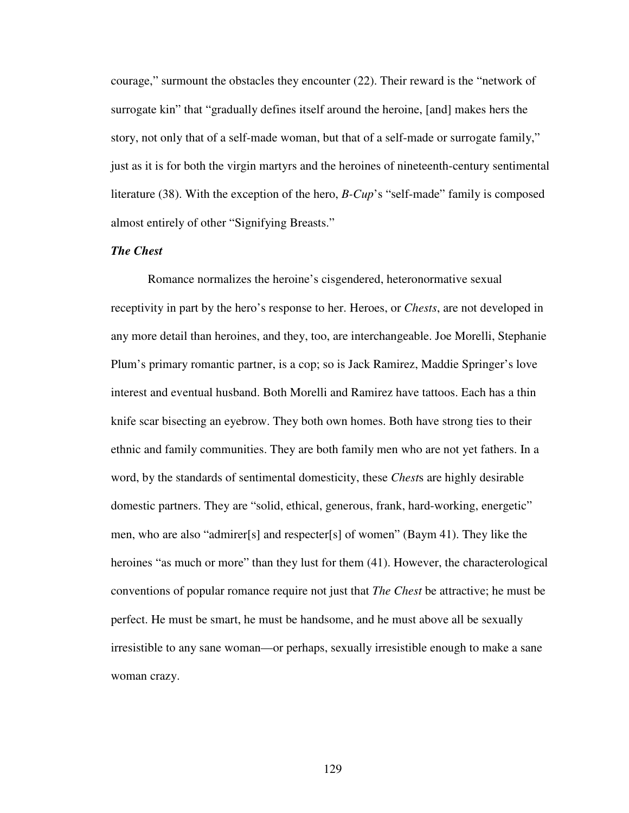courage," surmount the obstacles they encounter (22). Their reward is the "network of surrogate kin" that "gradually defines itself around the heroine, [and] makes hers the story, not only that of a self-made woman, but that of a self-made or surrogate family," just as it is for both the virgin martyrs and the heroines of nineteenth-century sentimental literature (38). With the exception of the hero, *B-Cup*'s "self-made" family is composed almost entirely of other "Signifying Breasts."

# *The Chest*

Romance normalizes the heroine's cisgendered, heteronormative sexual receptivity in part by the hero's response to her. Heroes, or *Chests*, are not developed in any more detail than heroines, and they, too, are interchangeable. Joe Morelli, Stephanie Plum's primary romantic partner, is a cop; so is Jack Ramirez, Maddie Springer's love interest and eventual husband. Both Morelli and Ramirez have tattoos. Each has a thin knife scar bisecting an eyebrow. They both own homes. Both have strong ties to their ethnic and family communities. They are both family men who are not yet fathers. In a word, by the standards of sentimental domesticity, these *Chest*s are highly desirable domestic partners. They are "solid, ethical, generous, frank, hard-working, energetic" men, who are also "admirer[s] and respecter[s] of women" (Baym 41). They like the heroines "as much or more" than they lust for them  $(41)$ . However, the characterological conventions of popular romance require not just that *The Chest* be attractive; he must be perfect. He must be smart, he must be handsome, and he must above all be sexually irresistible to any sane woman—or perhaps, sexually irresistible enough to make a sane woman crazy.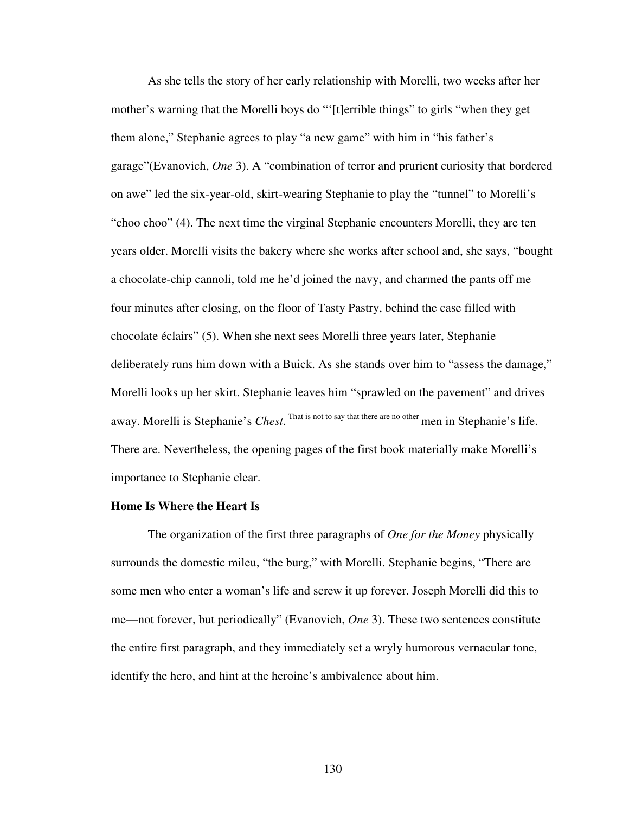As she tells the story of her early relationship with Morelli, two weeks after her mother's warning that the Morelli boys do "'[t]errible things" to girls "when they get them alone," Stephanie agrees to play "a new game" with him in "his father's garage"(Evanovich, *One* 3). A "combination of terror and prurient curiosity that bordered on awe" led the six-year-old, skirt-wearing Stephanie to play the "tunnel" to Morelli's "choo choo" (4). The next time the virginal Stephanie encounters Morelli, they are ten years older. Morelli visits the bakery where she works after school and, she says, "bought a chocolate-chip cannoli, told me he'd joined the navy, and charmed the pants off me four minutes after closing, on the floor of Tasty Pastry, behind the case filled with chocolate éclairs" (5). When she next sees Morelli three years later, Stephanie deliberately runs him down with a Buick. As she stands over him to "assess the damage," Morelli looks up her skirt. Stephanie leaves him "sprawled on the pavement" and drives away. Morelli is Stephanie's *Chest*. That is not to say that there are no other men in Stephanie's life. There are. Nevertheless, the opening pages of the first book materially make Morelli's importance to Stephanie clear.

#### **Home Is Where the Heart Is**

The organization of the first three paragraphs of *One for the Money* physically surrounds the domestic mileu, "the burg," with Morelli. Stephanie begins, "There are some men who enter a woman's life and screw it up forever. Joseph Morelli did this to me—not forever, but periodically" (Evanovich, *One* 3). These two sentences constitute the entire first paragraph, and they immediately set a wryly humorous vernacular tone, identify the hero, and hint at the heroine's ambivalence about him.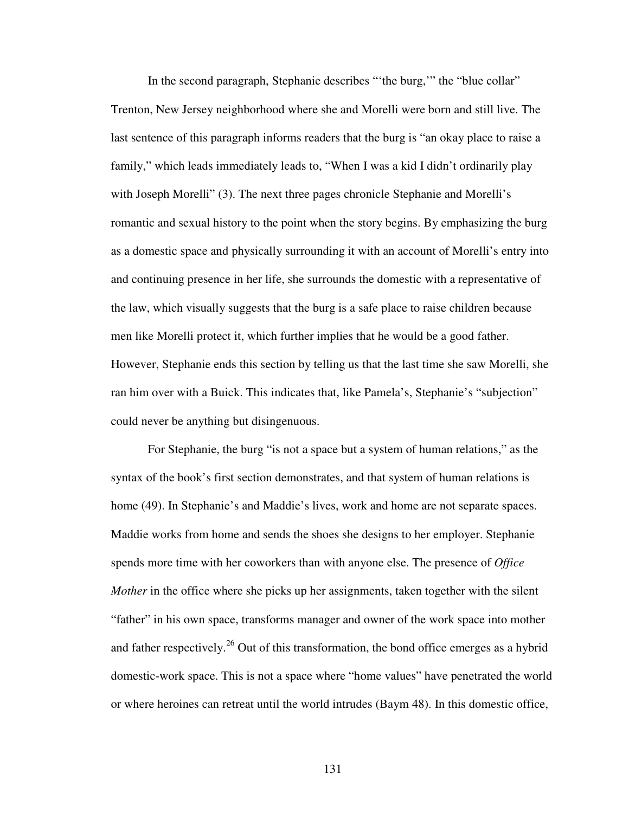In the second paragraph, Stephanie describes "'the burg,'" the "blue collar" Trenton, New Jersey neighborhood where she and Morelli were born and still live. The last sentence of this paragraph informs readers that the burg is "an okay place to raise a family," which leads immediately leads to, "When I was a kid I didn't ordinarily play with Joseph Morelli" (3). The next three pages chronicle Stephanie and Morelli's romantic and sexual history to the point when the story begins. By emphasizing the burg as a domestic space and physically surrounding it with an account of Morelli's entry into and continuing presence in her life, she surrounds the domestic with a representative of the law, which visually suggests that the burg is a safe place to raise children because men like Morelli protect it, which further implies that he would be a good father. However, Stephanie ends this section by telling us that the last time she saw Morelli, she ran him over with a Buick. This indicates that, like Pamela's, Stephanie's "subjection" could never be anything but disingenuous.

For Stephanie, the burg "is not a space but a system of human relations," as the syntax of the book's first section demonstrates, and that system of human relations is home (49). In Stephanie's and Maddie's lives, work and home are not separate spaces. Maddie works from home and sends the shoes she designs to her employer. Stephanie spends more time with her coworkers than with anyone else. The presence of *Office Mother* in the office where she picks up her assignments, taken together with the silent "father" in his own space, transforms manager and owner of the work space into mother and father respectively.<sup>26</sup> Out of this transformation, the bond office emerges as a hybrid domestic-work space. This is not a space where "home values" have penetrated the world or where heroines can retreat until the world intrudes (Baym 48). In this domestic office,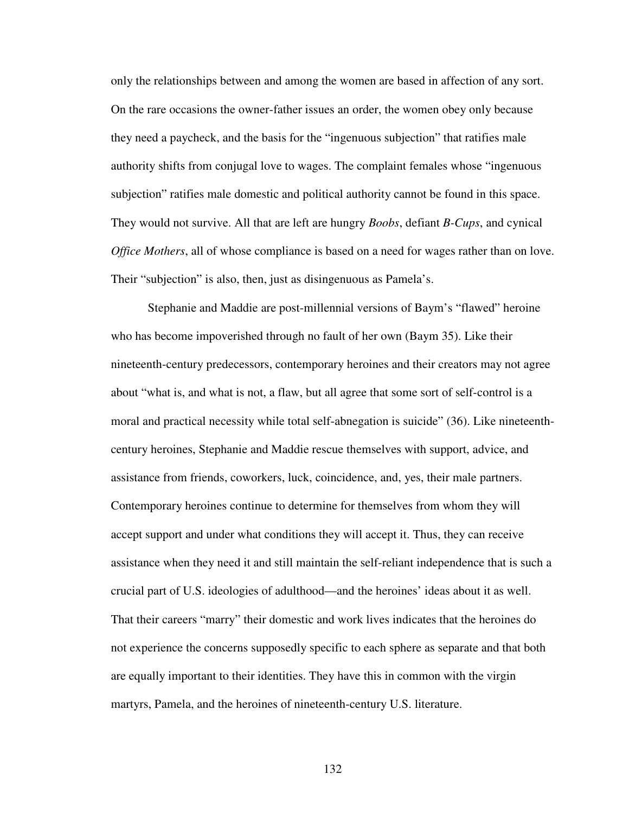only the relationships between and among the women are based in affection of any sort. On the rare occasions the owner-father issues an order, the women obey only because they need a paycheck, and the basis for the "ingenuous subjection" that ratifies male authority shifts from conjugal love to wages. The complaint females whose "ingenuous subjection" ratifies male domestic and political authority cannot be found in this space. They would not survive. All that are left are hungry *Boobs*, defiant *B-Cups*, and cynical *Office Mothers*, all of whose compliance is based on a need for wages rather than on love. Their "subjection" is also, then, just as disingenuous as Pamela's.

Stephanie and Maddie are post-millennial versions of Baym's "flawed" heroine who has become impoverished through no fault of her own (Baym 35). Like their nineteenth-century predecessors, contemporary heroines and their creators may not agree about "what is, and what is not, a flaw, but all agree that some sort of self-control is a moral and practical necessity while total self-abnegation is suicide" (36). Like nineteenthcentury heroines, Stephanie and Maddie rescue themselves with support, advice, and assistance from friends, coworkers, luck, coincidence, and, yes, their male partners. Contemporary heroines continue to determine for themselves from whom they will accept support and under what conditions they will accept it. Thus, they can receive assistance when they need it and still maintain the self-reliant independence that is such a crucial part of U.S. ideologies of adulthood—and the heroines' ideas about it as well. That their careers "marry" their domestic and work lives indicates that the heroines do not experience the concerns supposedly specific to each sphere as separate and that both are equally important to their identities. They have this in common with the virgin martyrs, Pamela, and the heroines of nineteenth-century U.S. literature.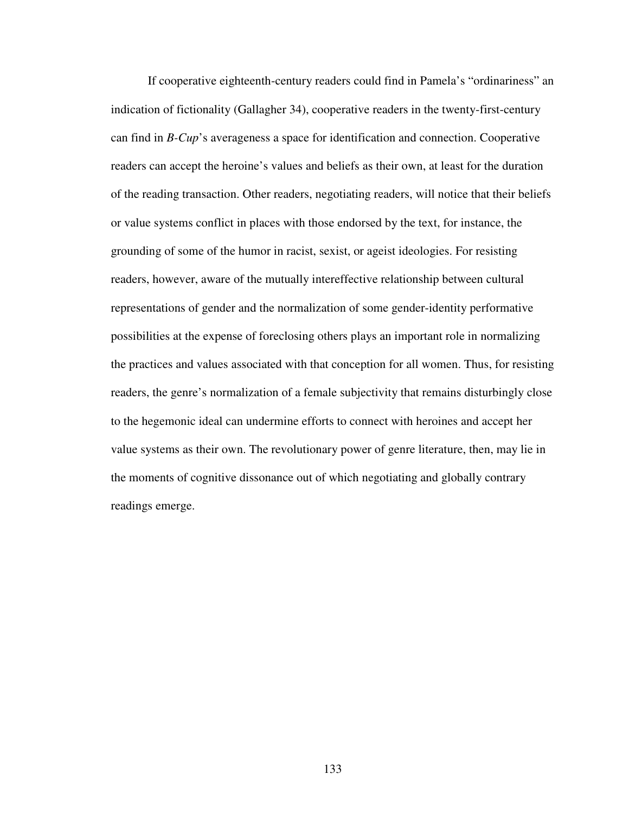If cooperative eighteenth-century readers could find in Pamela's "ordinariness" an indication of fictionality (Gallagher 34), cooperative readers in the twenty-first-century can find in *B-Cup*'s averageness a space for identification and connection. Cooperative readers can accept the heroine's values and beliefs as their own, at least for the duration of the reading transaction. Other readers, negotiating readers, will notice that their beliefs or value systems conflict in places with those endorsed by the text, for instance, the grounding of some of the humor in racist, sexist, or ageist ideologies. For resisting readers, however, aware of the mutually intereffective relationship between cultural representations of gender and the normalization of some gender-identity performative possibilities at the expense of foreclosing others plays an important role in normalizing the practices and values associated with that conception for all women. Thus, for resisting readers, the genre's normalization of a female subjectivity that remains disturbingly close to the hegemonic ideal can undermine efforts to connect with heroines and accept her value systems as their own. The revolutionary power of genre literature, then, may lie in the moments of cognitive dissonance out of which negotiating and globally contrary readings emerge.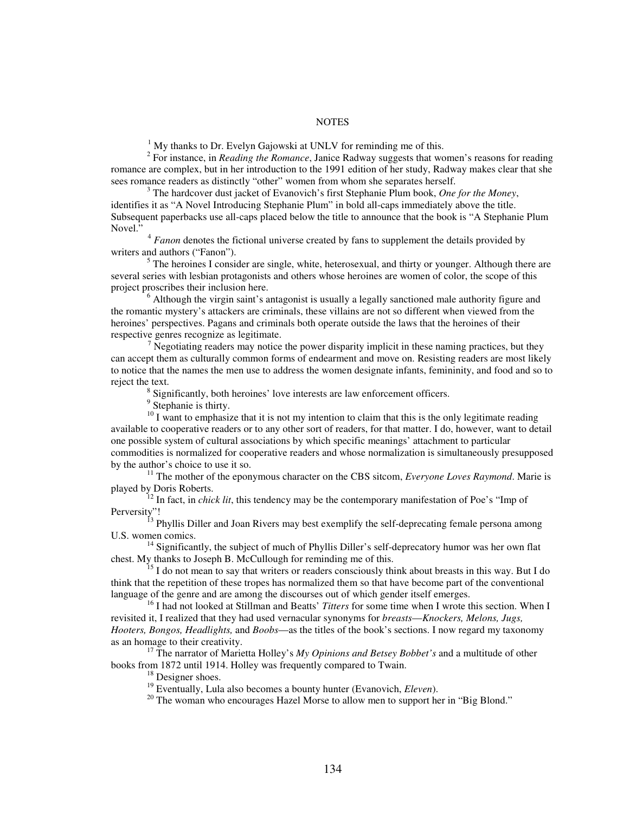#### **NOTES**

 $<sup>1</sup>$  My thanks to Dr. Evelyn Gajowski at UNLV for reminding me of this.</sup>

<sup>2</sup> For instance, in *Reading the Romance*, Janice Radway suggests that women's reasons for reading romance are complex, but in her introduction to the 1991 edition of her study, Radway makes clear that she sees romance readers as distinctly "other" women from whom she separates herself.

3 The hardcover dust jacket of Evanovich's first Stephanie Plum book, *One for the Money*, identifies it as "A Novel Introducing Stephanie Plum" in bold all-caps immediately above the title. Subsequent paperbacks use all-caps placed below the title to announce that the book is "A Stephanie Plum Novel."

<sup>4</sup> *Fanon* denotes the fictional universe created by fans to supplement the details provided by writers and authors ("Fanon").

<sup>5</sup> The heroines I consider are single, white, heterosexual, and thirty or younger. Although there are several series with lesbian protagonists and others whose heroines are women of color, the scope of this project proscribes their inclusion here.

<sup>6</sup> Although the virgin saint's antagonist is usually a legally sanctioned male authority figure and the romantic mystery's attackers are criminals, these villains are not so different when viewed from the heroines' perspectives. Pagans and criminals both operate outside the laws that the heroines of their respective genres recognize as legitimate.

7 Negotiating readers may notice the power disparity implicit in these naming practices, but they can accept them as culturally common forms of endearment and move on. Resisting readers are most likely to notice that the names the men use to address the women designate infants, femininity, and food and so to reject the text.

<sup>8</sup> Significantly, both heroines' love interests are law enforcement officers.

<sup>9</sup> Stephanie is thirty.

<sup>10</sup> I want to emphasize that it is not my intention to claim that this is the only legitimate reading  $\frac{10}{1}$ available to cooperative readers or to any other sort of readers, for that matter. I do, however, want to detail one possible system of cultural associations by which specific meanings' attachment to particular commodities is normalized for cooperative readers and whose normalization is simultaneously presupposed by the author's choice to use it so.

<sup>11</sup> The mother of the eponymous character on the CBS sitcom, *Everyone Loves Raymond*. Marie is played by Doris Roberts.

<sup>12</sup> In fact, in *chick lit*, this tendency may be the contemporary manifestation of Poe's "Imp of Perversity"!

 $13$  Phyllis Diller and Joan Rivers may best exemplify the self-deprecating female persona among U.S. women comics.

<sup>14</sup> Significantly, the subject of much of Phyllis Diller's self-deprecatory humor was her own flat chest. My thanks to Joseph B. McCullough for reminding me of this.

 $15$  I do not mean to say that writers or readers consciously think about breasts in this way. But I do think that the repetition of these tropes has normalized them so that have become part of the conventional language of the genre and are among the discourses out of which gender itself emerges.

<sup>16</sup> I had not looked at Stillman and Beatts' *Titters* for some time when I wrote this section. When I revisited it, I realized that they had used vernacular synonyms for *breasts*—*Knockers, Melons, Jugs, Hooters, Bongos, Headlights,* and *Boobs*—as the titles of the book's sections. I now regard my taxonomy as an homage to their creativity.

<sup>17</sup> The narrator of Marietta Holley's *My Opinions and Betsey Bobbet's* and a multitude of other books from 1872 until 1914. Holley was frequently compared to Twain.

<sup>18</sup> Designer shoes.

<sup>19</sup> Eventually, Lula also becomes a bounty hunter (Evanovich, *Eleven*).

<sup>20</sup> The woman who encourages Hazel Morse to allow men to support her in "Big Blond."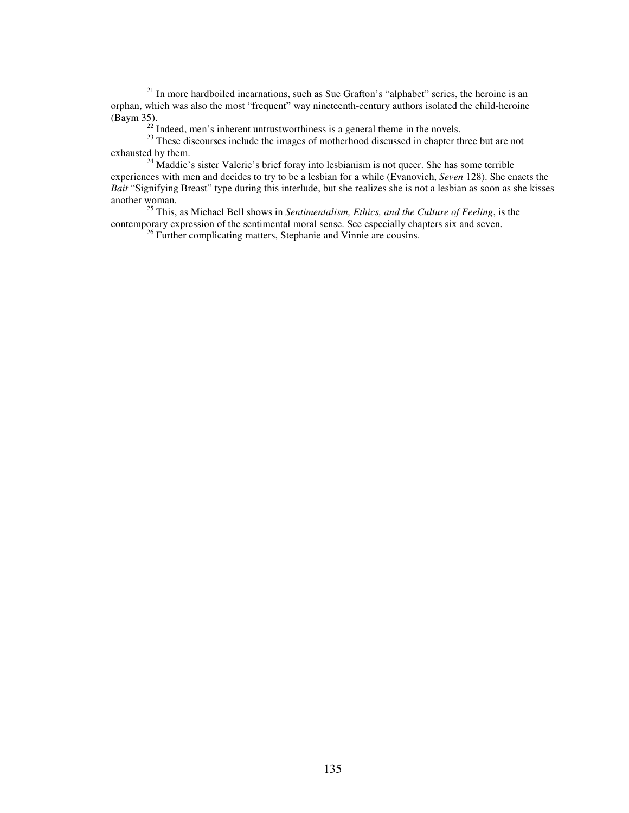$21$  In more hardboiled incarnations, such as Sue Grafton's "alphabet" series, the heroine is an orphan, which was also the most "frequent" way nineteenth-century authors isolated the child-heroine (Baym 35).

 $22$  Indeed, men's inherent untrustworthiness is a general theme in the novels.

<sup>23</sup> These discourses include the images of motherhood discussed in chapter three but are not exhausted by them.

 $24$  Maddie's sister Valerie's brief foray into lesbianism is not queer. She has some terrible experiences with men and decides to try to be a lesbian for a while (Evanovich, *Seven* 128). She enacts the *Bait* "Signifying Breast" type during this interlude, but she realizes she is not a lesbian as soon as she kisses another woman.

<sup>25</sup> This, as Michael Bell shows in *Sentimentalism, Ethics, and the Culture of Feeling*, is the contemporary expression of the sentimental moral sense. See especially chapters six and seven.

<sup>26</sup> Further complicating matters, Stephanie and Vinnie are cousins.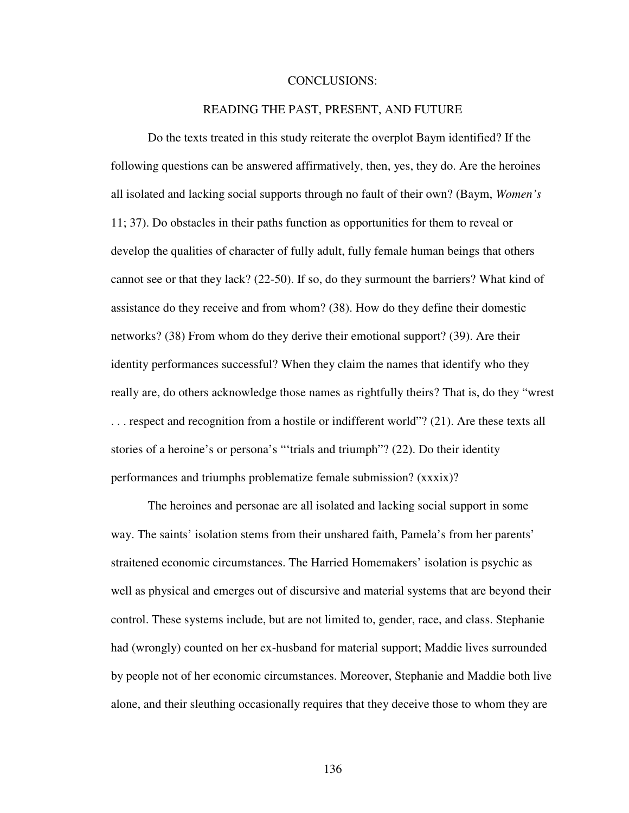#### CONCLUSIONS:

# READING THE PAST, PRESENT, AND FUTURE

Do the texts treated in this study reiterate the overplot Baym identified? If the following questions can be answered affirmatively, then, yes, they do. Are the heroines all isolated and lacking social supports through no fault of their own? (Baym, *Women's*  11; 37). Do obstacles in their paths function as opportunities for them to reveal or develop the qualities of character of fully adult, fully female human beings that others cannot see or that they lack? (22-50). If so, do they surmount the barriers? What kind of assistance do they receive and from whom? (38). How do they define their domestic networks? (38) From whom do they derive their emotional support? (39). Are their identity performances successful? When they claim the names that identify who they really are, do others acknowledge those names as rightfully theirs? That is, do they "wrest . . . respect and recognition from a hostile or indifferent world"? (21). Are these texts all stories of a heroine's or persona's "'trials and triumph"? (22). Do their identity performances and triumphs problematize female submission? (xxxix)?

The heroines and personae are all isolated and lacking social support in some way. The saints' isolation stems from their unshared faith, Pamela's from her parents' straitened economic circumstances. The Harried Homemakers' isolation is psychic as well as physical and emerges out of discursive and material systems that are beyond their control. These systems include, but are not limited to, gender, race, and class. Stephanie had (wrongly) counted on her ex-husband for material support; Maddie lives surrounded by people not of her economic circumstances. Moreover, Stephanie and Maddie both live alone, and their sleuthing occasionally requires that they deceive those to whom they are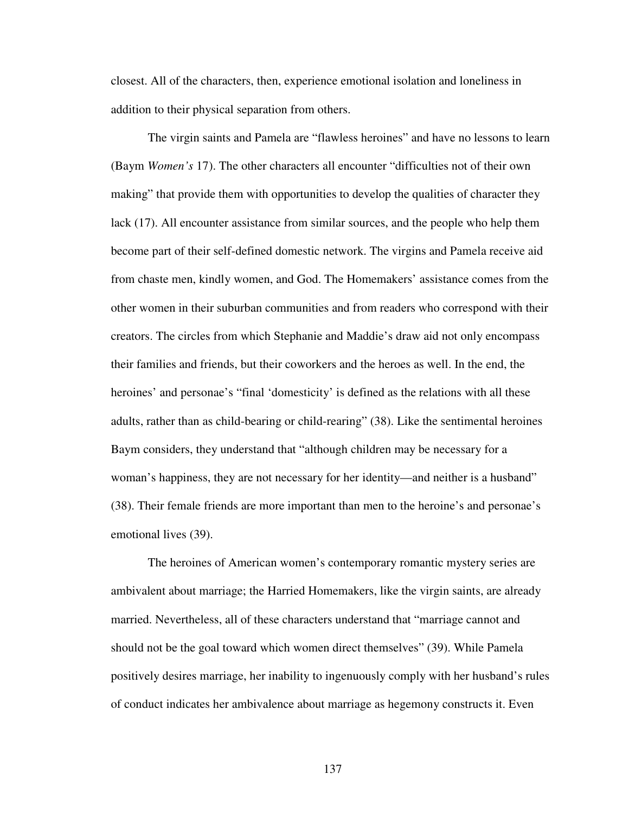closest. All of the characters, then, experience emotional isolation and loneliness in addition to their physical separation from others.

The virgin saints and Pamela are "flawless heroines" and have no lessons to learn (Baym *Women's* 17). The other characters all encounter "difficulties not of their own making" that provide them with opportunities to develop the qualities of character they lack (17). All encounter assistance from similar sources, and the people who help them become part of their self-defined domestic network. The virgins and Pamela receive aid from chaste men, kindly women, and God. The Homemakers' assistance comes from the other women in their suburban communities and from readers who correspond with their creators. The circles from which Stephanie and Maddie's draw aid not only encompass their families and friends, but their coworkers and the heroes as well. In the end, the heroines' and personae's "final 'domesticity' is defined as the relations with all these adults, rather than as child-bearing or child-rearing" (38). Like the sentimental heroines Baym considers, they understand that "although children may be necessary for a woman's happiness, they are not necessary for her identity—and neither is a husband" (38). Their female friends are more important than men to the heroine's and personae's emotional lives (39).

The heroines of American women's contemporary romantic mystery series are ambivalent about marriage; the Harried Homemakers, like the virgin saints, are already married. Nevertheless, all of these characters understand that "marriage cannot and should not be the goal toward which women direct themselves" (39). While Pamela positively desires marriage, her inability to ingenuously comply with her husband's rules of conduct indicates her ambivalence about marriage as hegemony constructs it. Even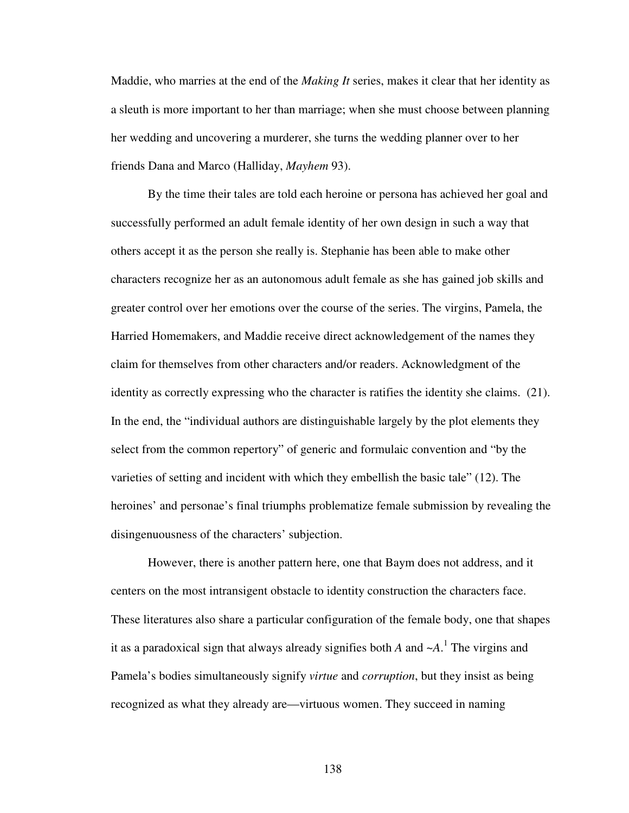Maddie, who marries at the end of the *Making It* series, makes it clear that her identity as a sleuth is more important to her than marriage; when she must choose between planning her wedding and uncovering a murderer, she turns the wedding planner over to her friends Dana and Marco (Halliday, *Mayhem* 93).

By the time their tales are told each heroine or persona has achieved her goal and successfully performed an adult female identity of her own design in such a way that others accept it as the person she really is. Stephanie has been able to make other characters recognize her as an autonomous adult female as she has gained job skills and greater control over her emotions over the course of the series. The virgins, Pamela, the Harried Homemakers, and Maddie receive direct acknowledgement of the names they claim for themselves from other characters and/or readers. Acknowledgment of the identity as correctly expressing who the character is ratifies the identity she claims. (21). In the end, the "individual authors are distinguishable largely by the plot elements they select from the common repertory" of generic and formulaic convention and "by the varieties of setting and incident with which they embellish the basic tale" (12). The heroines' and personae's final triumphs problematize female submission by revealing the disingenuousness of the characters' subjection.

However, there is another pattern here, one that Baym does not address, and it centers on the most intransigent obstacle to identity construction the characters face. These literatures also share a particular configuration of the female body, one that shapes it as a paradoxical sign that always already signifies both *A* and *~A*. 1 The virgins and Pamela's bodies simultaneously signify *virtue* and *corruption*, but they insist as being recognized as what they already are—virtuous women. They succeed in naming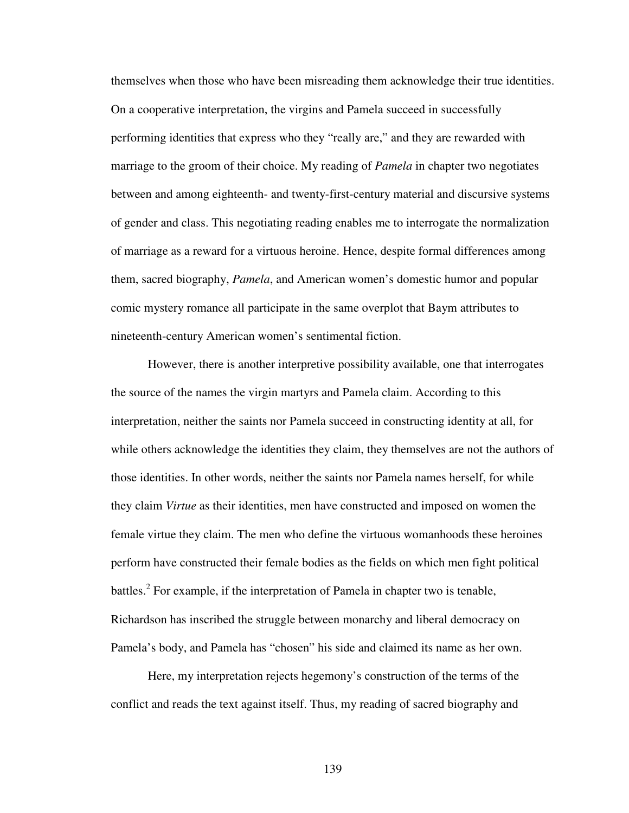themselves when those who have been misreading them acknowledge their true identities. On a cooperative interpretation, the virgins and Pamela succeed in successfully performing identities that express who they "really are," and they are rewarded with marriage to the groom of their choice. My reading of *Pamela* in chapter two negotiates between and among eighteenth- and twenty-first-century material and discursive systems of gender and class. This negotiating reading enables me to interrogate the normalization of marriage as a reward for a virtuous heroine. Hence, despite formal differences among them, sacred biography, *Pamela*, and American women's domestic humor and popular comic mystery romance all participate in the same overplot that Baym attributes to nineteenth-century American women's sentimental fiction.

However, there is another interpretive possibility available, one that interrogates the source of the names the virgin martyrs and Pamela claim. According to this interpretation, neither the saints nor Pamela succeed in constructing identity at all, for while others acknowledge the identities they claim, they themselves are not the authors of those identities. In other words, neither the saints nor Pamela names herself, for while they claim *Virtue* as their identities, men have constructed and imposed on women the female virtue they claim. The men who define the virtuous womanhoods these heroines perform have constructed their female bodies as the fields on which men fight political battles.<sup>2</sup> For example, if the interpretation of Pamela in chapter two is tenable, Richardson has inscribed the struggle between monarchy and liberal democracy on Pamela's body, and Pamela has "chosen" his side and claimed its name as her own.

Here, my interpretation rejects hegemony's construction of the terms of the conflict and reads the text against itself. Thus, my reading of sacred biography and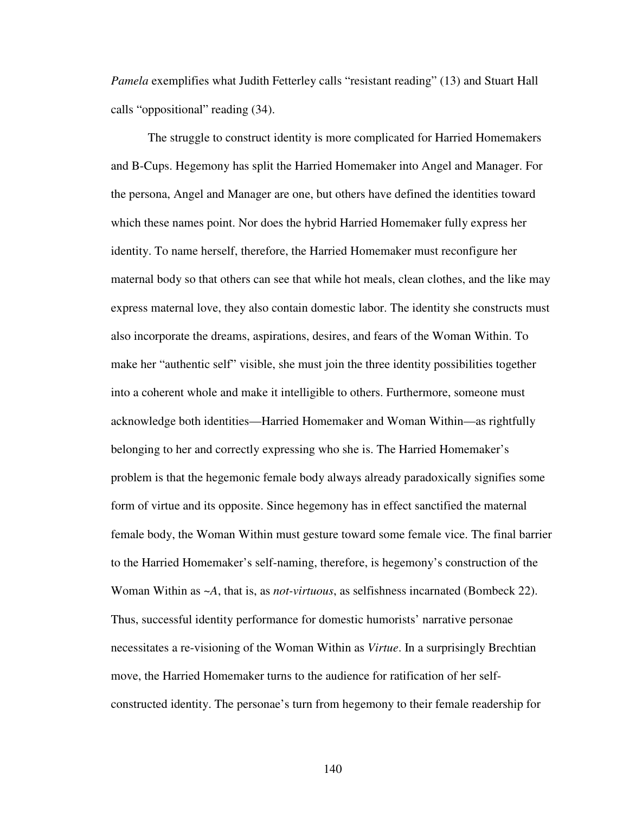*Pamela* exemplifies what Judith Fetterley calls "resistant reading" (13) and Stuart Hall calls "oppositional" reading (34).

The struggle to construct identity is more complicated for Harried Homemakers and B-Cups. Hegemony has split the Harried Homemaker into Angel and Manager. For the persona, Angel and Manager are one, but others have defined the identities toward which these names point. Nor does the hybrid Harried Homemaker fully express her identity. To name herself, therefore, the Harried Homemaker must reconfigure her maternal body so that others can see that while hot meals, clean clothes, and the like may express maternal love, they also contain domestic labor. The identity she constructs must also incorporate the dreams, aspirations, desires, and fears of the Woman Within. To make her "authentic self" visible, she must join the three identity possibilities together into a coherent whole and make it intelligible to others. Furthermore, someone must acknowledge both identities—Harried Homemaker and Woman Within—as rightfully belonging to her and correctly expressing who she is. The Harried Homemaker's problem is that the hegemonic female body always already paradoxically signifies some form of virtue and its opposite. Since hegemony has in effect sanctified the maternal female body, the Woman Within must gesture toward some female vice. The final barrier to the Harried Homemaker's self-naming, therefore, is hegemony's construction of the Woman Within as *~A*, that is, as *not-virtuous*, as selfishness incarnated (Bombeck 22). Thus, successful identity performance for domestic humorists' narrative personae necessitates a re-visioning of the Woman Within as *Virtue*. In a surprisingly Brechtian move, the Harried Homemaker turns to the audience for ratification of her selfconstructed identity. The personae's turn from hegemony to their female readership for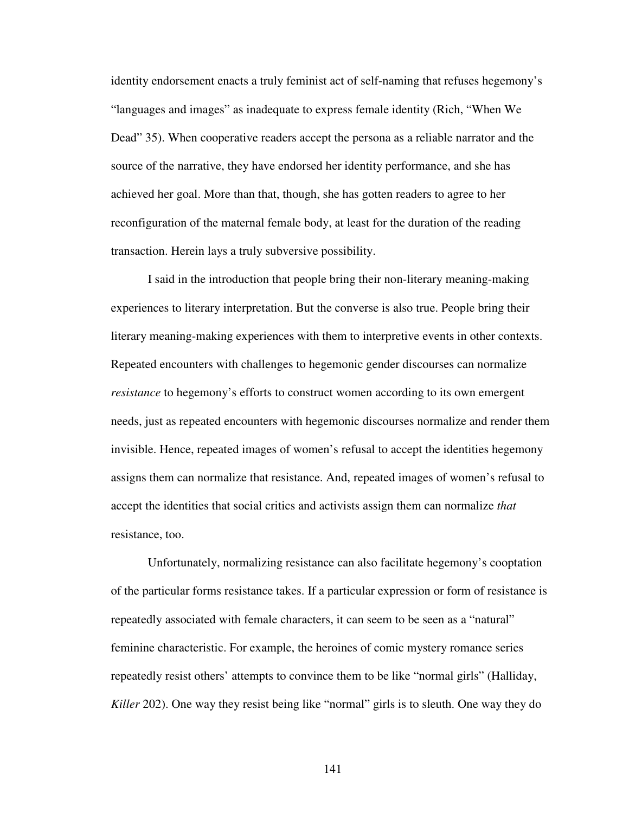identity endorsement enacts a truly feminist act of self-naming that refuses hegemony's "languages and images" as inadequate to express female identity (Rich, "When We Dead" 35). When cooperative readers accept the persona as a reliable narrator and the source of the narrative, they have endorsed her identity performance, and she has achieved her goal. More than that, though, she has gotten readers to agree to her reconfiguration of the maternal female body, at least for the duration of the reading transaction. Herein lays a truly subversive possibility.

I said in the introduction that people bring their non-literary meaning-making experiences to literary interpretation. But the converse is also true. People bring their literary meaning-making experiences with them to interpretive events in other contexts. Repeated encounters with challenges to hegemonic gender discourses can normalize *resistance* to hegemony's efforts to construct women according to its own emergent needs, just as repeated encounters with hegemonic discourses normalize and render them invisible. Hence, repeated images of women's refusal to accept the identities hegemony assigns them can normalize that resistance. And, repeated images of women's refusal to accept the identities that social critics and activists assign them can normalize *that* resistance, too.

Unfortunately, normalizing resistance can also facilitate hegemony's cooptation of the particular forms resistance takes. If a particular expression or form of resistance is repeatedly associated with female characters, it can seem to be seen as a "natural" feminine characteristic. For example, the heroines of comic mystery romance series repeatedly resist others' attempts to convince them to be like "normal girls" (Halliday, *Killer* 202). One way they resist being like "normal" girls is to sleuth. One way they do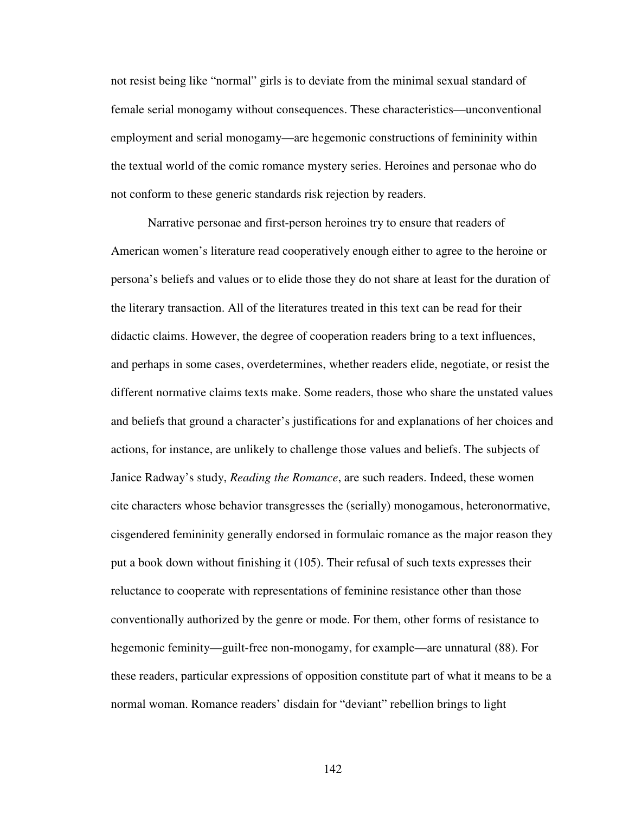not resist being like "normal" girls is to deviate from the minimal sexual standard of female serial monogamy without consequences. These characteristics—unconventional employment and serial monogamy—are hegemonic constructions of femininity within the textual world of the comic romance mystery series. Heroines and personae who do not conform to these generic standards risk rejection by readers.

Narrative personae and first-person heroines try to ensure that readers of American women's literature read cooperatively enough either to agree to the heroine or persona's beliefs and values or to elide those they do not share at least for the duration of the literary transaction. All of the literatures treated in this text can be read for their didactic claims. However, the degree of cooperation readers bring to a text influences, and perhaps in some cases, overdetermines, whether readers elide, negotiate, or resist the different normative claims texts make. Some readers, those who share the unstated values and beliefs that ground a character's justifications for and explanations of her choices and actions, for instance, are unlikely to challenge those values and beliefs. The subjects of Janice Radway's study, *Reading the Romance*, are such readers. Indeed, these women cite characters whose behavior transgresses the (serially) monogamous, heteronormative, cisgendered femininity generally endorsed in formulaic romance as the major reason they put a book down without finishing it (105). Their refusal of such texts expresses their reluctance to cooperate with representations of feminine resistance other than those conventionally authorized by the genre or mode. For them, other forms of resistance to hegemonic feminity—guilt-free non-monogamy, for example—are unnatural (88). For these readers, particular expressions of opposition constitute part of what it means to be a normal woman. Romance readers' disdain for "deviant" rebellion brings to light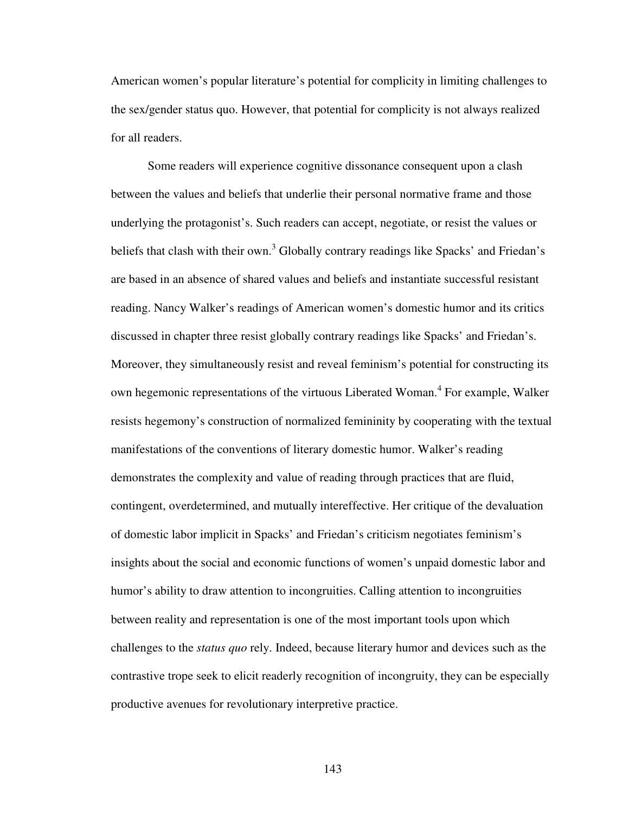American women's popular literature's potential for complicity in limiting challenges to the sex/gender status quo. However, that potential for complicity is not always realized for all readers.

Some readers will experience cognitive dissonance consequent upon a clash between the values and beliefs that underlie their personal normative frame and those underlying the protagonist's. Such readers can accept, negotiate, or resist the values or beliefs that clash with their own.<sup>3</sup> Globally contrary readings like Spacks' and Friedan's are based in an absence of shared values and beliefs and instantiate successful resistant reading. Nancy Walker's readings of American women's domestic humor and its critics discussed in chapter three resist globally contrary readings like Spacks' and Friedan's. Moreover, they simultaneously resist and reveal feminism's potential for constructing its own hegemonic representations of the virtuous Liberated Woman.<sup>4</sup> For example, Walker resists hegemony's construction of normalized femininity by cooperating with the textual manifestations of the conventions of literary domestic humor. Walker's reading demonstrates the complexity and value of reading through practices that are fluid, contingent, overdetermined, and mutually intereffective. Her critique of the devaluation of domestic labor implicit in Spacks' and Friedan's criticism negotiates feminism's insights about the social and economic functions of women's unpaid domestic labor and humor's ability to draw attention to incongruities. Calling attention to incongruities between reality and representation is one of the most important tools upon which challenges to the *status quo* rely. Indeed, because literary humor and devices such as the contrastive trope seek to elicit readerly recognition of incongruity, they can be especially productive avenues for revolutionary interpretive practice.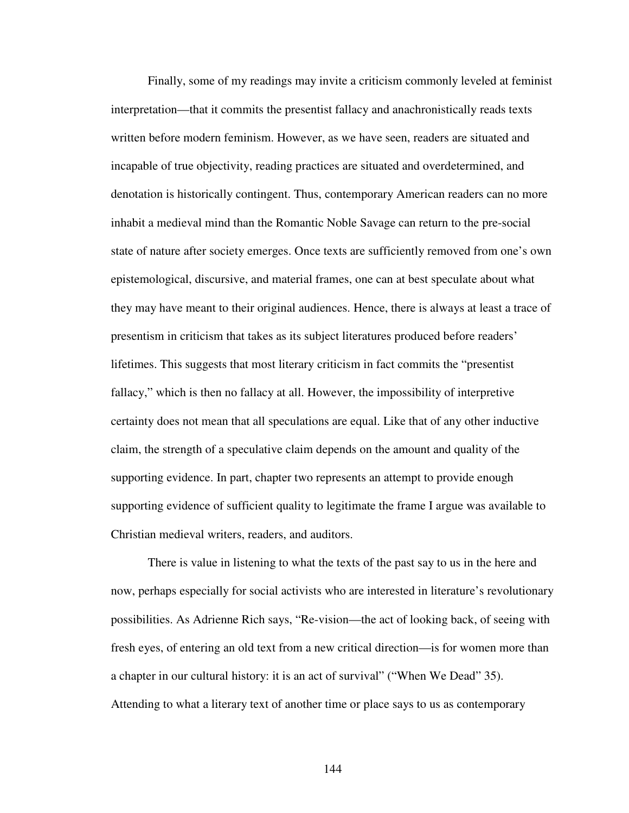Finally, some of my readings may invite a criticism commonly leveled at feminist interpretation—that it commits the presentist fallacy and anachronistically reads texts written before modern feminism. However, as we have seen, readers are situated and incapable of true objectivity, reading practices are situated and overdetermined, and denotation is historically contingent. Thus, contemporary American readers can no more inhabit a medieval mind than the Romantic Noble Savage can return to the pre-social state of nature after society emerges. Once texts are sufficiently removed from one's own epistemological, discursive, and material frames, one can at best speculate about what they may have meant to their original audiences. Hence, there is always at least a trace of presentism in criticism that takes as its subject literatures produced before readers' lifetimes. This suggests that most literary criticism in fact commits the "presentist fallacy," which is then no fallacy at all. However, the impossibility of interpretive certainty does not mean that all speculations are equal. Like that of any other inductive claim, the strength of a speculative claim depends on the amount and quality of the supporting evidence. In part, chapter two represents an attempt to provide enough supporting evidence of sufficient quality to legitimate the frame I argue was available to Christian medieval writers, readers, and auditors.

There is value in listening to what the texts of the past say to us in the here and now, perhaps especially for social activists who are interested in literature's revolutionary possibilities. As Adrienne Rich says, "Re-vision—the act of looking back, of seeing with fresh eyes, of entering an old text from a new critical direction—is for women more than a chapter in our cultural history: it is an act of survival" ("When We Dead" 35). Attending to what a literary text of another time or place says to us as contemporary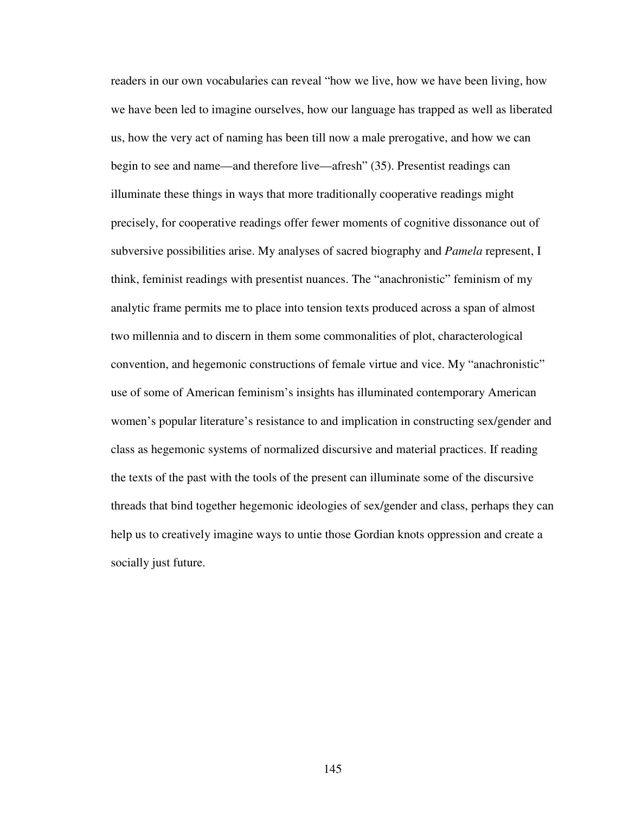readers in our own vocabularies can reveal "how we live, how we have been living, how we have been led to imagine ourselves, how our language has trapped as well as liberated us, how the very act of naming has been till now a male prerogative, and how we can begin to see and name—and therefore live—afresh" (35). Presentist readings can illuminate these things in ways that more traditionally cooperative readings might precisely, for cooperative readings offer fewer moments of cognitive dissonance out of subversive possibilities arise. My analyses of sacred biography and *Pamela* represent, I think, feminist readings with presentist nuances. The "anachronistic" feminism of my analytic frame permits me to place into tension texts produced across a span of almost two millennia and to discern in them some commonalities of plot, characterological convention, and hegemonic constructions of female virtue and vice. My "anachronistic" use of some of American feminism's insights has illuminated contemporary American women's popular literature's resistance to and implication in constructing sex/gender and class as hegemonic systems of normalized discursive and material practices. If reading the texts of the past with the tools of the present can illuminate some of the discursive threads that bind together hegemonic ideologies of sex/gender and class, perhaps they can help us to creatively imagine ways to untie those Gordian knots oppression and create a socially just future.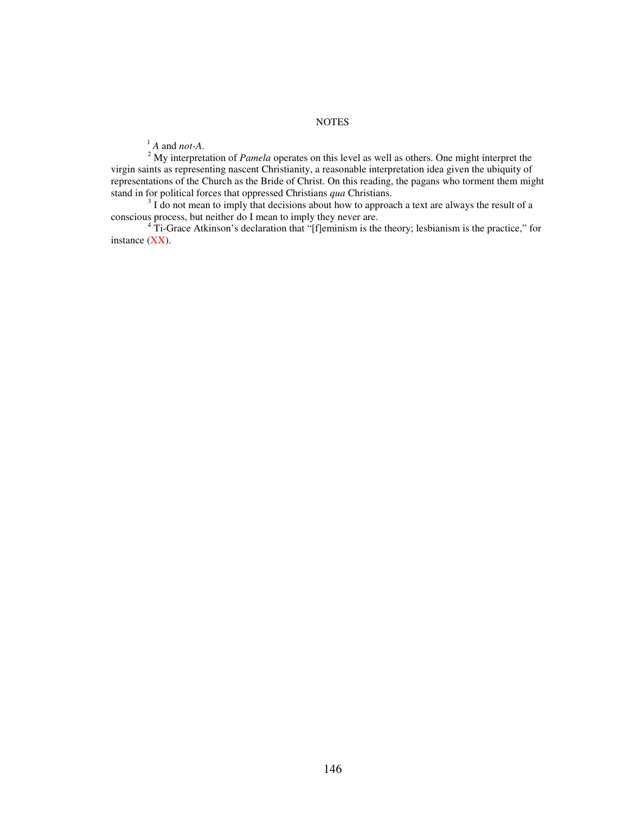# **NOTES**

<sup>1</sup> *A* and *not-A*.<br><sup>2</sup> My interpretation of *Pamela* operates on this level as well as others. One might interpret the virgin saints as representing nascent Christianity, a reasonable interpretation idea given the ubiquity of representations of the Church as the Bride of Christ. On this reading, the pagans who torment them might stand in for political forces that oppressed Christians *qua* Christians.

 $3<sup>3</sup>$  I do not mean to imply that decisions about how to approach a text are always the result of a

conscious process, but neither do I mean to imply they never are. 4 Ti-Grace Atkinson's declaration that "[f]eminism is the theory; lesbianism is the practice," for instance (XX).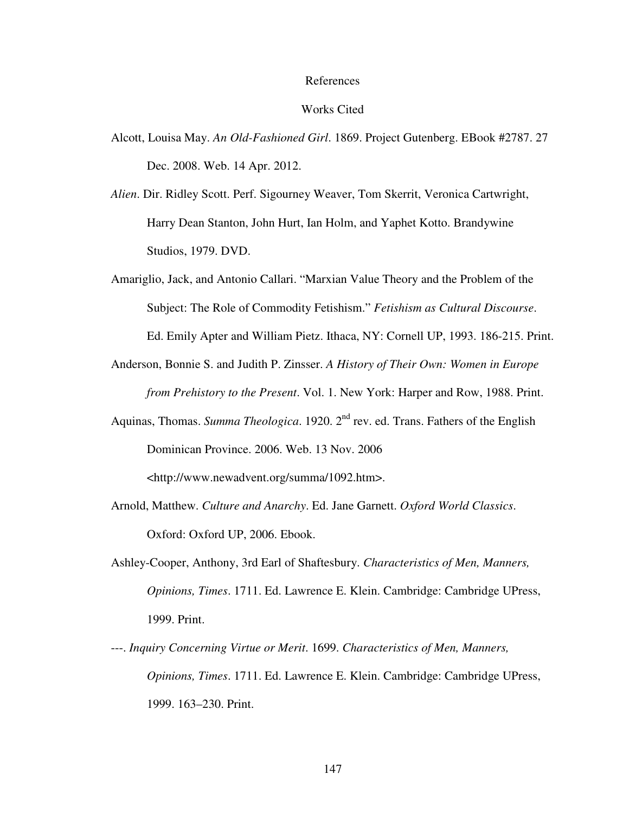## References

## Works Cited

- Alcott, Louisa May. *An Old-Fashioned Girl*. 1869. Project Gutenberg. EBook #2787. 27 Dec. 2008. Web. 14 Apr. 2012.
- *Alien*. Dir. Ridley Scott. Perf. Sigourney Weaver, Tom Skerrit, Veronica Cartwright, Harry Dean Stanton, John Hurt, Ian Holm, and Yaphet Kotto. Brandywine Studios, 1979. DVD.
- Amariglio, Jack, and Antonio Callari. "Marxian Value Theory and the Problem of the Subject: The Role of Commodity Fetishism." *Fetishism as Cultural Discourse*. Ed. Emily Apter and William Pietz. Ithaca, NY: Cornell UP, 1993. 186-215. Print.
- Anderson, Bonnie S. and Judith P. Zinsser. *A History of Their Own: Women in Europe from Prehistory to the Present*. Vol. 1. New York: Harper and Row, 1988. Print.
- Aquinas, Thomas. *Summa Theologica*. 1920. 2nd rev. ed. Trans. Fathers of the English Dominican Province. 2006. Web. 13 Nov. 2006

<http://www.newadvent.org/summa/1092.htm>.

- Arnold, Matthew. *Culture and Anarchy*. Ed. Jane Garnett. *Oxford World Classics*. Oxford: Oxford UP, 2006. Ebook.
- Ashley-Cooper, Anthony, 3rd Earl of Shaftesbury. *Characteristics of Men, Manners, Opinions, Times*. 1711. Ed. Lawrence E. Klein. Cambridge: Cambridge UPress, 1999. Print.
- ---. *Inquiry Concerning Virtue or Merit*. 1699. *Characteristics of Men, Manners, Opinions, Times*. 1711. Ed. Lawrence E. Klein. Cambridge: Cambridge UPress, 1999. 163–230. Print.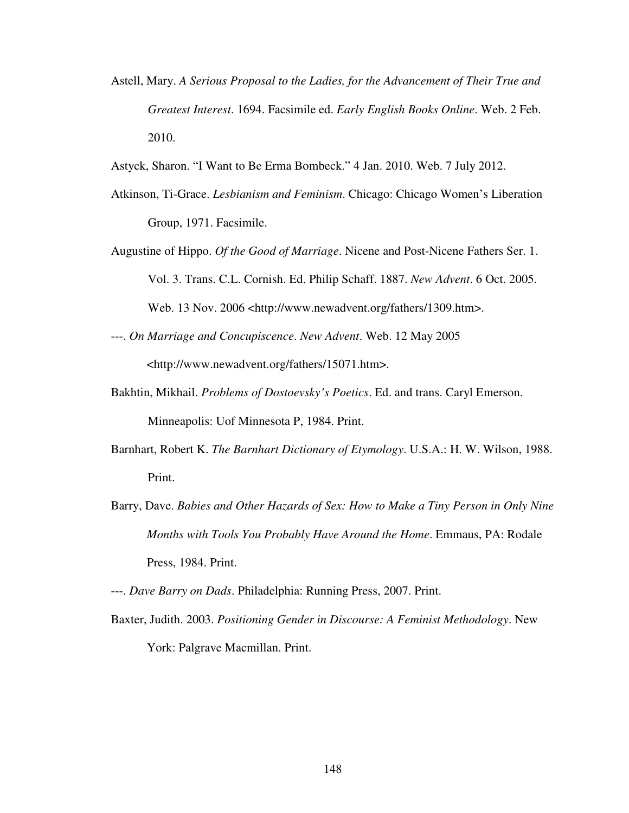- Astell, Mary. *A Serious Proposal to the Ladies, for the Advancement of Their True and Greatest Interest*. 1694. Facsimile ed. *Early English Books Online*. Web. 2 Feb. 2010.
- Astyck, Sharon. "I Want to Be Erma Bombeck." 4 Jan. 2010. Web. 7 July 2012.
- Atkinson, Ti-Grace. *Lesbianism and Feminism*. Chicago: Chicago Women's Liberation Group, 1971. Facsimile.
- Augustine of Hippo. *Of the Good of Marriage*. Nicene and Post-Nicene Fathers Ser. 1. Vol. 3. Trans. C.L. Cornish. Ed. Philip Schaff. 1887. *New Advent*. 6 Oct. 2005. Web. 13 Nov. 2006 <http://www.newadvent.org/fathers/1309.htm>.
- ---. *On Marriage and Concupiscence*. *New Advent*. Web. 12 May 2005 <http://www.newadvent.org/fathers/15071.htm>.
- Bakhtin, Mikhail. *Problems of Dostoevsky's Poetics*. Ed. and trans. Caryl Emerson. Minneapolis: Uof Minnesota P, 1984. Print.
- Barnhart, Robert K. *The Barnhart Dictionary of Etymology*. U.S.A.: H. W. Wilson, 1988. Print.
- Barry, Dave. *Babies and Other Hazards of Sex: How to Make a Tiny Person in Only Nine Months with Tools You Probably Have Around the Home*. Emmaus, PA: Rodale Press, 1984. Print.

---. *Dave Barry on Dads*. Philadelphia: Running Press, 2007. Print.

Baxter, Judith. 2003. *Positioning Gender in Discourse: A Feminist Methodology*. New York: Palgrave Macmillan. Print.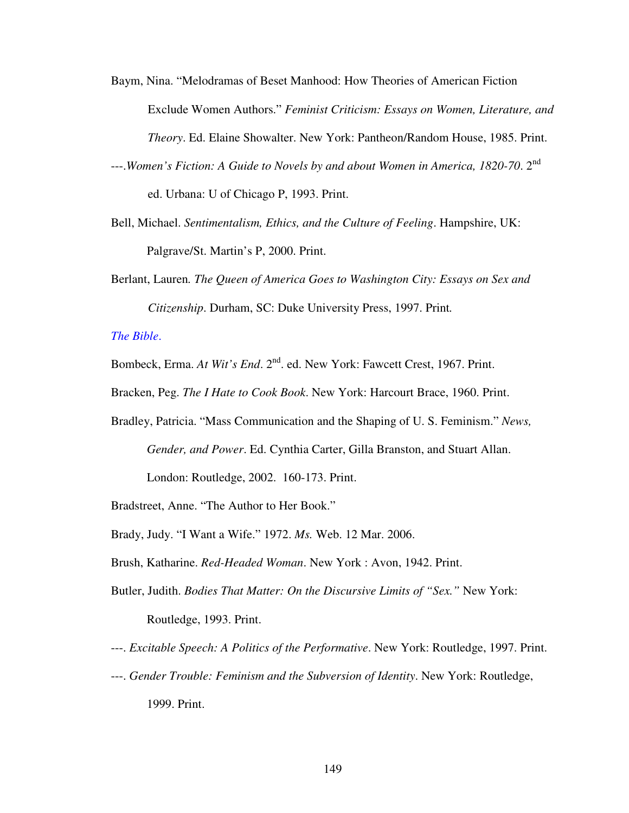- Baym, Nina. "Melodramas of Beset Manhood: How Theories of American Fiction Exclude Women Authors." *Feminist Criticism: Essays on Women, Literature, and Theory*. Ed. Elaine Showalter. New York: Pantheon/Random House, 1985. Print.
- ---.*Women's Fiction: A Guide to Novels by and about Women in America, 1820-70.* 2<sup>nd</sup> ed. Urbana: U of Chicago P, 1993. Print.
- Bell, Michael. *Sentimentalism, Ethics, and the Culture of Feeling*. Hampshire, UK: Palgrave/St. Martin's P, 2000. Print.
- Berlant, Lauren*. The Queen of America Goes to Washington City: Essays on Sex and Citizenship*. Durham, SC: Duke University Press, 1997. Print*.*

# *The Bible*.

Bombeck, Erma. *At Wit's End.* 2<sup>nd</sup>. ed. New York: Fawcett Crest, 1967. Print.

Bracken, Peg. *The I Hate to Cook Book*. New York: Harcourt Brace, 1960. Print.

Bradley, Patricia. "Mass Communication and the Shaping of U. S. Feminism." *News, Gender, and Power*. Ed. Cynthia Carter, Gilla Branston, and Stuart Allan. London: Routledge, 2002. 160-173. Print.

Bradstreet, Anne. "The Author to Her Book."

Brady, Judy. "I Want a Wife." 1972. *Ms.* Web. 12 Mar. 2006.

Brush, Katharine. *Red-Headed Woman*. New York : Avon, 1942. Print.

- Butler, Judith. *Bodies That Matter: On the Discursive Limits of "Sex."* New York: Routledge, 1993. Print.
- ---. *Excitable Speech: A Politics of the Performative*. New York: Routledge, 1997. Print.
- ---. *Gender Trouble: Feminism and the Subversion of Identity*. New York: Routledge, 1999. Print.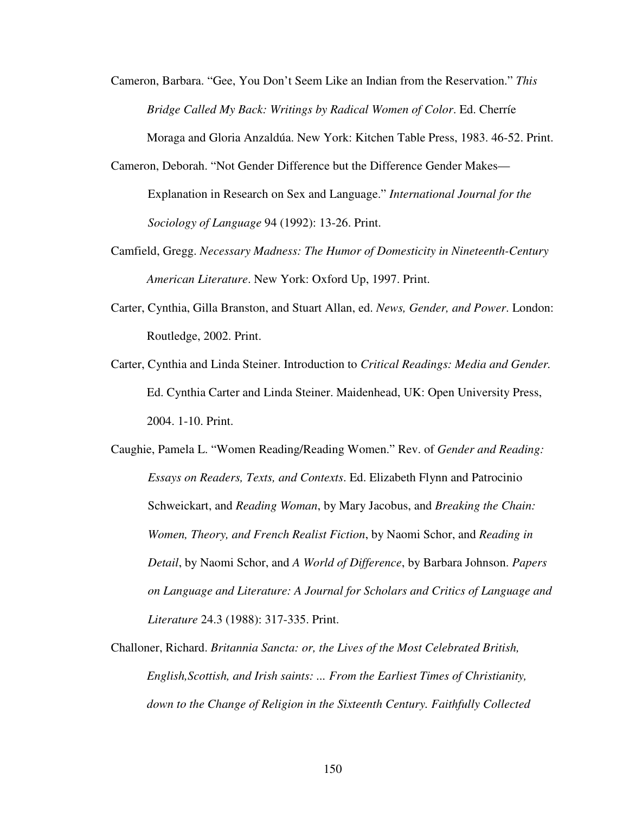- Cameron, Barbara. "Gee, You Don't Seem Like an Indian from the Reservation." *This Bridge Called My Back: Writings by Radical Women of Color*. Ed. Cherríe Moraga and Gloria Anzaldúa. New York: Kitchen Table Press, 1983. 46-52. Print.
- Cameron, Deborah. "Not Gender Difference but the Difference Gender Makes— Explanation in Research on Sex and Language." *International Journal for the Sociology of Language* 94 (1992): 13-26. Print.
- Camfield, Gregg. *Necessary Madness: The Humor of Domesticity in Nineteenth-Century American Literature*. New York: Oxford Up, 1997. Print.
- Carter, Cynthia, Gilla Branston, and Stuart Allan, ed. *News, Gender, and Power*. London: Routledge, 2002. Print.
- Carter, Cynthia and Linda Steiner. Introduction to *Critical Readings: Media and Gender.*  Ed. Cynthia Carter and Linda Steiner. Maidenhead, UK: Open University Press, 2004. 1-10. Print.
- Caughie, Pamela L. "Women Reading/Reading Women." Rev. of *Gender and Reading: Essays on Readers, Texts, and Contexts*. Ed. Elizabeth Flynn and Patrocinio Schweickart, and *Reading Woman*, by Mary Jacobus, and *Breaking the Chain: Women, Theory, and French Realist Fiction*, by Naomi Schor, and *Reading in Detail*, by Naomi Schor, and *A World of Difference*, by Barbara Johnson. *Papers on Language and Literature: A Journal for Scholars and Critics of Language and Literature* 24.3 (1988): 317-335. Print.
- Challoner, Richard. *Britannia Sancta: or, the Lives of the Most Celebrated British, English,Scottish, and Irish saints: ... From the Earliest Times of Christianity, down to the Change of Religion in the Sixteenth Century. Faithfully Collected*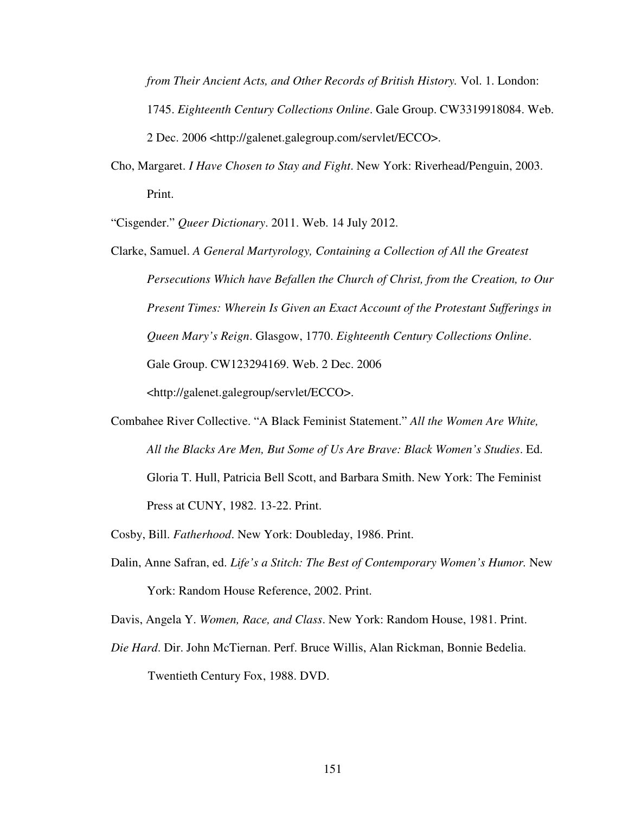*from Their Ancient Acts, and Other Records of British History.* Vol. 1. London:

1745. *Eighteenth Century Collections Online*. Gale Group. CW3319918084. Web.

2 Dec. 2006 <http://galenet.galegroup.com/servlet/ECCO>.

Cho, Margaret. *I Have Chosen to Stay and Fight*. New York: Riverhead/Penguin, 2003. Print.

"Cisgender." *Queer Dictionary*. 2011. Web. 14 July 2012.

Clarke, Samuel. *A General Martyrology, Containing a Collection of All the Greatest Persecutions Which have Befallen the Church of Christ, from the Creation, to Our Present Times: Wherein Is Given an Exact Account of the Protestant Sufferings in Queen Mary's Reign*. Glasgow, 1770. *Eighteenth Century Collections Online*. Gale Group. CW123294169. Web. 2 Dec. 2006 <http://galenet.galegroup/servlet/ECCO>.

- Combahee River Collective. "A Black Feminist Statement." *All the Women Are White, All the Blacks Are Men, But Some of Us Are Brave: Black Women's Studies*. Ed. Gloria T. Hull, Patricia Bell Scott, and Barbara Smith. New York: The Feminist Press at CUNY, 1982. 13-22. Print.
- Cosby, Bill. *Fatherhood*. New York: Doubleday, 1986. Print.
- Dalin, Anne Safran, ed. *Life's a Stitch: The Best of Contemporary Women's Humor.* New York: Random House Reference, 2002. Print.

Davis, Angela Y. *Women, Race, and Class*. New York: Random House, 1981. Print.

*Die Hard*. Dir. John McTiernan. Perf. Bruce Willis, Alan Rickman, Bonnie Bedelia. Twentieth Century Fox, 1988. DVD.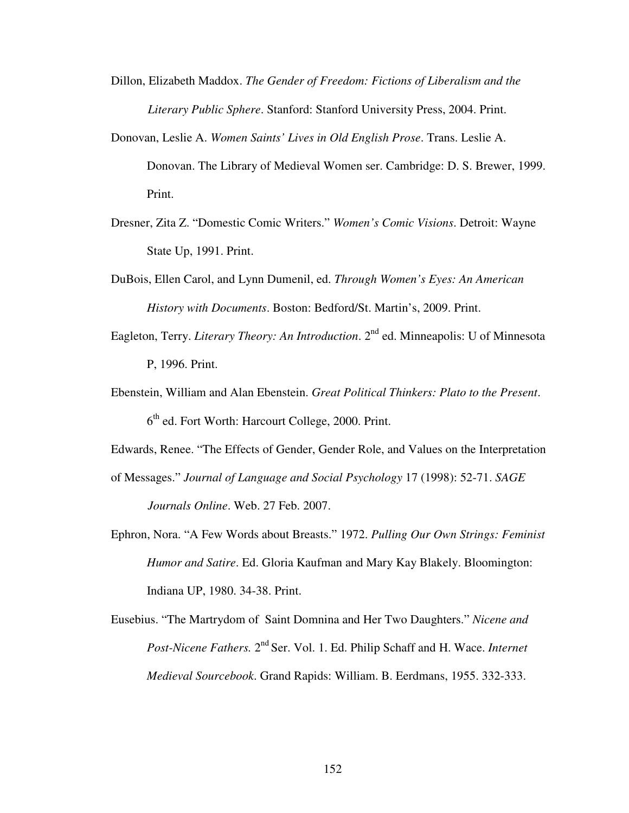- Dillon, Elizabeth Maddox. *The Gender of Freedom: Fictions of Liberalism and the Literary Public Sphere*. Stanford: Stanford University Press, 2004. Print.
- Donovan, Leslie A. *Women Saints' Lives in Old English Prose*. Trans. Leslie A. Donovan. The Library of Medieval Women ser. Cambridge: D. S. Brewer, 1999. Print.
- Dresner, Zita Z. "Domestic Comic Writers." *Women's Comic Visions*. Detroit: Wayne State Up, 1991. Print.
- DuBois, Ellen Carol, and Lynn Dumenil, ed. *Through Women's Eyes: An American History with Documents*. Boston: Bedford/St. Martin's, 2009. Print.
- Eagleton, Terry. *Literary Theory: An Introduction*. 2<sup>nd</sup> ed. Minneapolis: U of Minnesota P, 1996. Print.
- Ebenstein, William and Alan Ebenstein. *Great Political Thinkers: Plato to the Present*.  $6<sup>th</sup>$  ed. Fort Worth: Harcourt College, 2000. Print.

Edwards, Renee. "The Effects of Gender, Gender Role, and Values on the Interpretation

- of Messages." *Journal of Language and Social Psychology* 17 (1998): 52-71. *SAGE Journals Online*. Web. 27 Feb. 2007.
- Ephron, Nora. "A Few Words about Breasts." 1972. *Pulling Our Own Strings: Feminist Humor and Satire*. Ed. Gloria Kaufman and Mary Kay Blakely. Bloomington: Indiana UP, 1980. 34-38. Print.
- Eusebius. "The Martrydom of Saint Domnina and Her Two Daughters." *Nicene and Post-Nicene Fathers.* 2<sup>nd</sup> Ser. Vol. 1. Ed. Philip Schaff and H. Wace. *Internet Medieval Sourcebook*. Grand Rapids: William. B. Eerdmans, 1955. 332-333.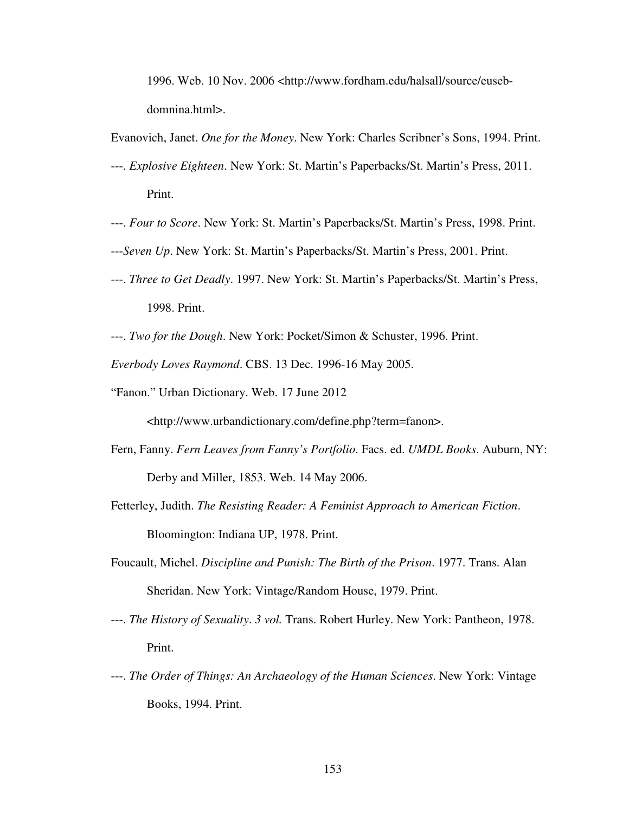1996. Web. 10 Nov. 2006 <http://www.fordham.edu/halsall/source/eusebdomnina.html>.

Evanovich, Janet. *One for the Money*. New York: Charles Scribner's Sons, 1994. Print.

- ---. *Explosive Eighteen*. New York: St. Martin's Paperbacks/St. Martin's Press, 2011. Print.
- ---. *Four to Score*. New York: St. Martin's Paperbacks/St. Martin's Press, 1998. Print.
- ---*Seven Up*. New York: St. Martin's Paperbacks/St. Martin's Press, 2001. Print.
- ---. *Three to Get Deadly*. 1997. New York: St. Martin's Paperbacks/St. Martin's Press, 1998. Print.
- ---. *Two for the Dough*. New York: Pocket/Simon & Schuster, 1996. Print.

*Everbody Loves Raymond*. CBS. 13 Dec. 1996-16 May 2005.

"Fanon." Urban Dictionary. Web. 17 June 2012

<http://www.urbandictionary.com/define.php?term=fanon>.

- Fern, Fanny. *Fern Leaves from Fanny's Portfolio*. Facs. ed. *UMDL Books*. Auburn, NY: Derby and Miller, 1853. Web. 14 May 2006.
- Fetterley, Judith. *The Resisting Reader: A Feminist Approach to American Fiction*. Bloomington: Indiana UP, 1978. Print.
- Foucault, Michel. *Discipline and Punish: The Birth of the Prison*. 1977. Trans. Alan Sheridan. New York: Vintage/Random House, 1979. Print.
- ---. *The History of Sexuality*. *3 vol.* Trans. Robert Hurley. New York: Pantheon, 1978. Print.
- ---. *The Order of Things: An Archaeology of the Human Sciences*. New York: Vintage Books, 1994. Print.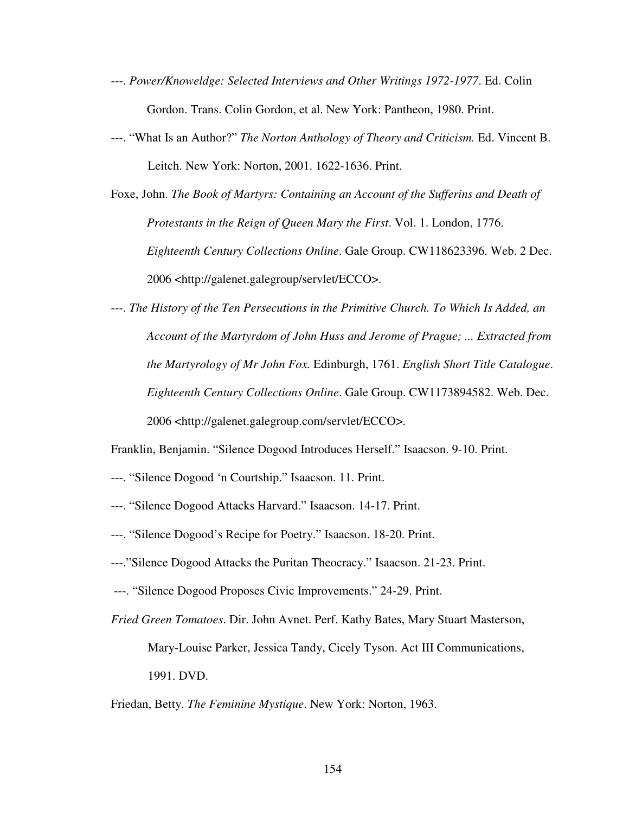- ---. *Power/Knoweldge: Selected Interviews and Other Writings 1972-1977*. Ed. Colin Gordon. Trans. Colin Gordon, et al. New York: Pantheon, 1980. Print.
- ---. "What Is an Author?" *The Norton Anthology of Theory and Criticism.* Ed. Vincent B. Leitch. New York: Norton, 2001. 1622-1636. Print.
- Foxe, John. *The Book of Martyrs: Containing an Account of the Sufferins and Death of Protestants in the Reign of Queen Mary the First*. Vol. 1. London, 1776. *Eighteenth Century Collections Online*. Gale Group. CW118623396. Web. 2 Dec. 2006 <http://galenet.galegroup/servlet/ECCO>.
- ---. *The History of the Ten Persecutions in the Primitive Church. To Which Is Added, an Account of the Martyrdom of John Huss and Jerome of Prague; ... Extracted from the Martyrology of Mr John Fox.* Edinburgh, 1761. *English Short Title Catalogue*. *Eighteenth Century Collections Online*. Gale Group. CW1173894582. Web. Dec. 2006 <http://galenet.galegroup.com/servlet/ECCO>.

Franklin, Benjamin. "Silence Dogood Introduces Herself." Isaacson. 9-10. Print.

- ---. "Silence Dogood 'n Courtship." Isaacson. 11. Print.
- ---. "Silence Dogood Attacks Harvard." Isaacson. 14-17. Print.
- ---. "Silence Dogood's Recipe for Poetry." Isaacson. 18-20. Print.
- ---."Silence Dogood Attacks the Puritan Theocracy." Isaacson. 21-23. Print.
- ---. "Silence Dogood Proposes Civic Improvements." 24-29. Print.
- *Fried Green Tomatoes*. Dir. John Avnet. Perf. Kathy Bates, Mary Stuart Masterson, Mary-Louise Parker, Jessica Tandy, Cicely Tyson. Act III Communications, 1991. DVD.
- Friedan, Betty. *The Feminine Mystique*. New York: Norton, 1963.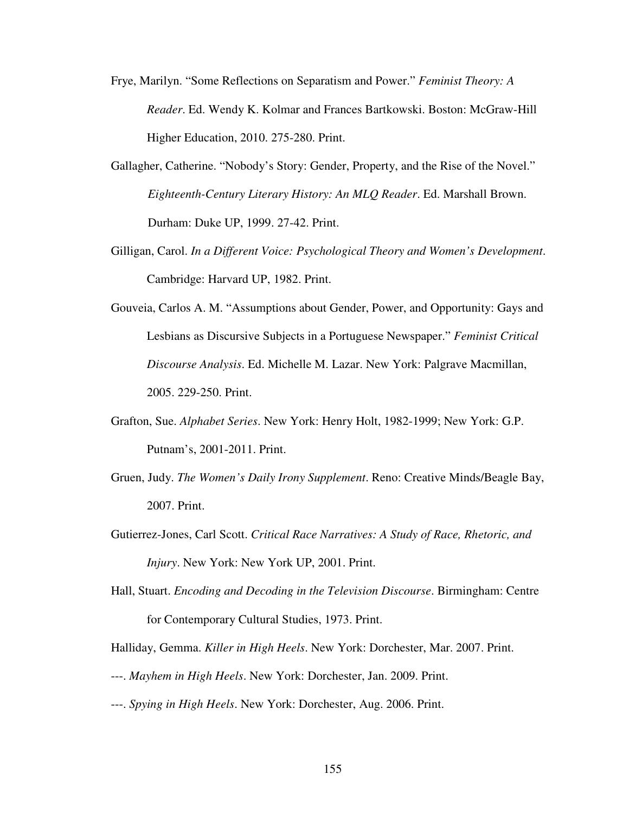- Frye, Marilyn. "Some Reflections on Separatism and Power." *Feminist Theory: A Reader*. Ed. Wendy K. Kolmar and Frances Bartkowski. Boston: McGraw-Hill Higher Education, 2010. 275-280. Print.
- Gallagher, Catherine. "Nobody's Story: Gender, Property, and the Rise of the Novel." *Eighteenth-Century Literary History: An MLQ Reader*. Ed. Marshall Brown. Durham: Duke UP, 1999. 27-42. Print.
- Gilligan, Carol. *In a Different Voice: Psychological Theory and Women's Development*. Cambridge: Harvard UP, 1982. Print.
- Gouveia, Carlos A. M. "Assumptions about Gender, Power, and Opportunity: Gays and Lesbians as Discursive Subjects in a Portuguese Newspaper." *Feminist Critical Discourse Analysis*. Ed. Michelle M. Lazar. New York: Palgrave Macmillan, 2005. 229-250. Print.
- Grafton, Sue. *Alphabet Series*. New York: Henry Holt, 1982-1999; New York: G.P. Putnam's, 2001-2011. Print.
- Gruen, Judy. *The Women's Daily Irony Supplement*. Reno: Creative Minds/Beagle Bay, 2007. Print.
- Gutierrez-Jones, Carl Scott. *Critical Race Narratives: A Study of Race, Rhetoric, and Injury*. New York: New York UP, 2001. Print.
- Hall, Stuart. *Encoding and Decoding in the Television Discourse*. Birmingham: Centre for Contemporary Cultural Studies, 1973. Print.
- Halliday, Gemma. *Killer in High Heels*. New York: Dorchester, Mar. 2007. Print.
- ---. *Mayhem in High Heels*. New York: Dorchester, Jan. 2009. Print.
- ---. *Spying in High Heels*. New York: Dorchester, Aug. 2006. Print.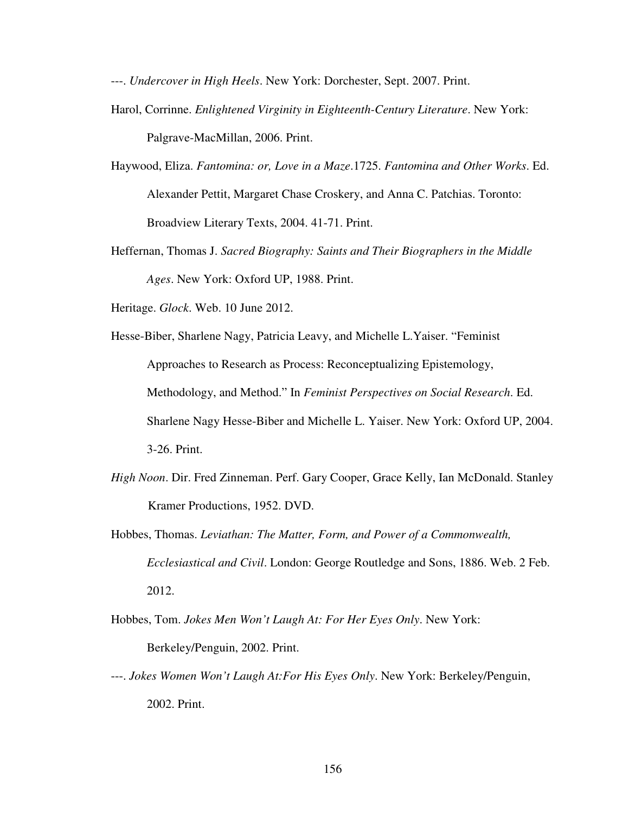---. *Undercover in High Heels*. New York: Dorchester, Sept. 2007. Print.

- Harol, Corrinne. *Enlightened Virginity in Eighteenth-Century Literature*. New York: Palgrave-MacMillan, 2006. Print.
- Haywood, Eliza. *Fantomina: or, Love in a Maze*.1725. *Fantomina and Other Works*. Ed. Alexander Pettit, Margaret Chase Croskery, and Anna C. Patchias. Toronto: Broadview Literary Texts, 2004. 41-71. Print.
- Heffernan, Thomas J. *Sacred Biography: Saints and Their Biographers in the Middle Ages*. New York: Oxford UP, 1988. Print.
- Heritage. *Glock*. Web. 10 June 2012.
- Hesse-Biber, Sharlene Nagy, Patricia Leavy, and Michelle L.Yaiser. "Feminist Approaches to Research as Process: Reconceptualizing Epistemology, Methodology, and Method." In *Feminist Perspectives on Social Research*. Ed. Sharlene Nagy Hesse-Biber and Michelle L. Yaiser. New York: Oxford UP, 2004. 3-26. Print.
- *High Noon*. Dir. Fred Zinneman. Perf. Gary Cooper, Grace Kelly, Ian McDonald. Stanley Kramer Productions, 1952. DVD.
- Hobbes, Thomas. *Leviathan: The Matter, Form, and Power of a Commonwealth, Ecclesiastical and Civil*. London: George Routledge and Sons, 1886. Web. 2 Feb. 2012.
- Hobbes, Tom. *Jokes Men Won't Laugh At: For Her Eyes Only*. New York: Berkeley/Penguin, 2002. Print.
- ---. *Jokes Women Won't Laugh At:For His Eyes Only*. New York: Berkeley/Penguin, 2002. Print.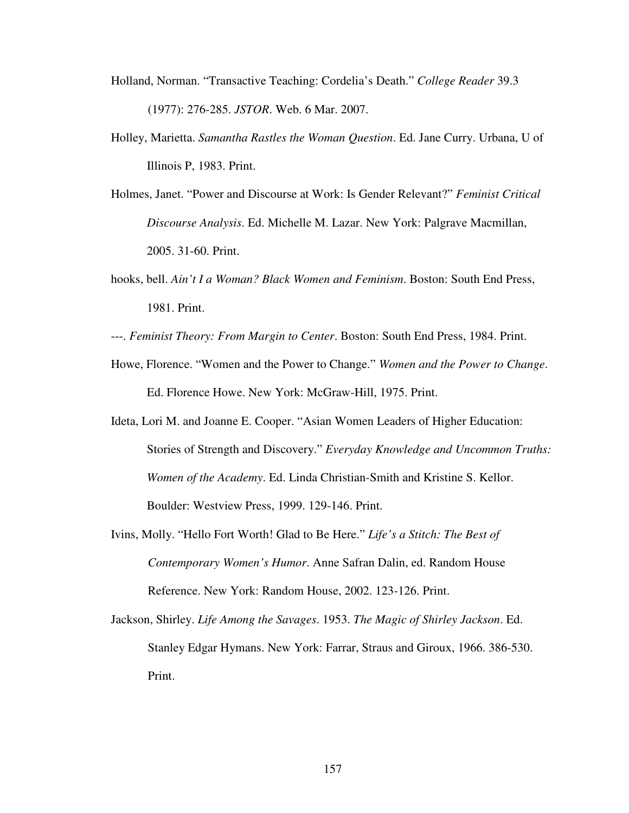- Holland, Norman. "Transactive Teaching: Cordelia's Death." *College Reader* 39.3 (1977): 276-285. *JSTOR*. Web. 6 Mar. 2007.
- Holley, Marietta. *Samantha Rastles the Woman Question*. Ed. Jane Curry. Urbana, U of Illinois P, 1983. Print.
- Holmes, Janet. "Power and Discourse at Work: Is Gender Relevant?" *Feminist Critical Discourse Analysis*. Ed. Michelle M. Lazar. New York: Palgrave Macmillan, 2005. 31-60. Print.
- hooks, bell. *Ain't I a Woman? Black Women and Feminism*. Boston: South End Press, 1981. Print.
- ---. *Feminist Theory: From Margin to Center*. Boston: South End Press, 1984. Print.
- Howe, Florence. "Women and the Power to Change." *Women and the Power to Change*. Ed. Florence Howe. New York: McGraw-Hill, 1975. Print.
- Ideta, Lori M. and Joanne E. Cooper. "Asian Women Leaders of Higher Education: Stories of Strength and Discovery." *Everyday Knowledge and Uncommon Truths: Women of the Academy*. Ed. Linda Christian-Smith and Kristine S. Kellor. Boulder: Westview Press, 1999. 129-146. Print.
- Ivins, Molly. "Hello Fort Worth! Glad to Be Here." *Life's a Stitch: The Best of Contemporary Women's Humor*. Anne Safran Dalin, ed. Random House Reference. New York: Random House, 2002. 123-126. Print.
- Jackson, Shirley. *Life Among the Savages*. 1953. *The Magic of Shirley Jackson*. Ed. Stanley Edgar Hymans. New York: Farrar, Straus and Giroux, 1966. 386-530. Print.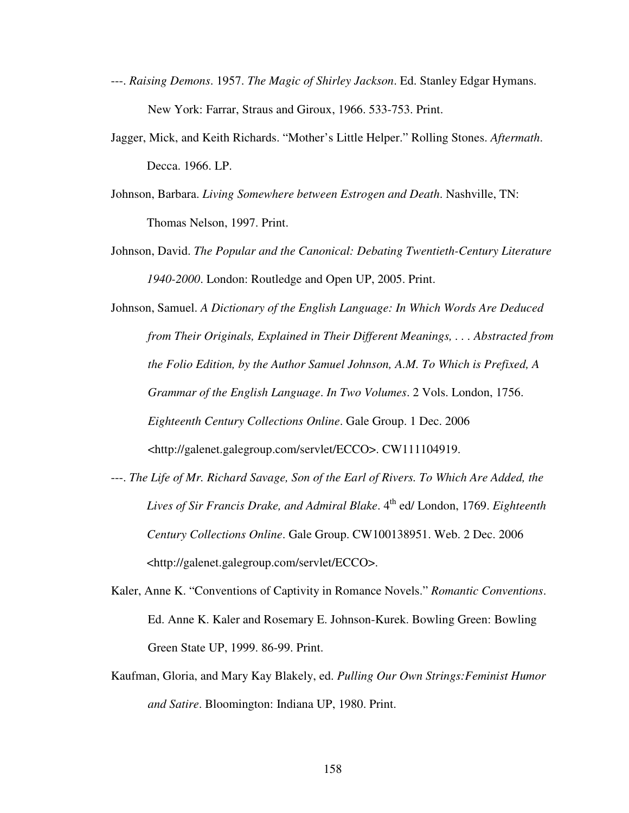- ---. *Raising Demons*. 1957. *The Magic of Shirley Jackson*. Ed. Stanley Edgar Hymans. New York: Farrar, Straus and Giroux, 1966. 533-753. Print.
- Jagger, Mick, and Keith Richards. "Mother's Little Helper." Rolling Stones. *Aftermath*. Decca. 1966. LP.
- Johnson, Barbara. *Living Somewhere between Estrogen and Death*. Nashville, TN: Thomas Nelson, 1997. Print.
- Johnson, David. *The Popular and the Canonical: Debating Twentieth-Century Literature 1940-2000*. London: Routledge and Open UP, 2005. Print.
- Johnson, Samuel. *A Dictionary of the English Language: In Which Words Are Deduced from Their Originals, Explained in Their Different Meanings, . . . Abstracted from the Folio Edition, by the Author Samuel Johnson, A.M. To Which is Prefixed, A Grammar of the English Language*. *In Two Volumes*. 2 Vols. London, 1756. *Eighteenth Century Collections Online*. Gale Group. 1 Dec. 2006 <http://galenet.galegroup.com/servlet/ECCO>. CW111104919.
- ---. *The Life of Mr. Richard Savage, Son of the Earl of Rivers. To Which Are Added, the*  Lives of Sir Francis Drake, and Admiral Blake. 4<sup>th</sup> ed/ London, 1769. *Eighteenth Century Collections Online*. Gale Group. CW100138951. Web. 2 Dec. 2006 <http://galenet.galegroup.com/servlet/ECCO>.
- Kaler, Anne K. "Conventions of Captivity in Romance Novels." *Romantic Conventions*. Ed. Anne K. Kaler and Rosemary E. Johnson-Kurek. Bowling Green: Bowling Green State UP, 1999. 86-99. Print.
- Kaufman, Gloria, and Mary Kay Blakely, ed. *Pulling Our Own Strings:Feminist Humor and Satire*. Bloomington: Indiana UP, 1980. Print.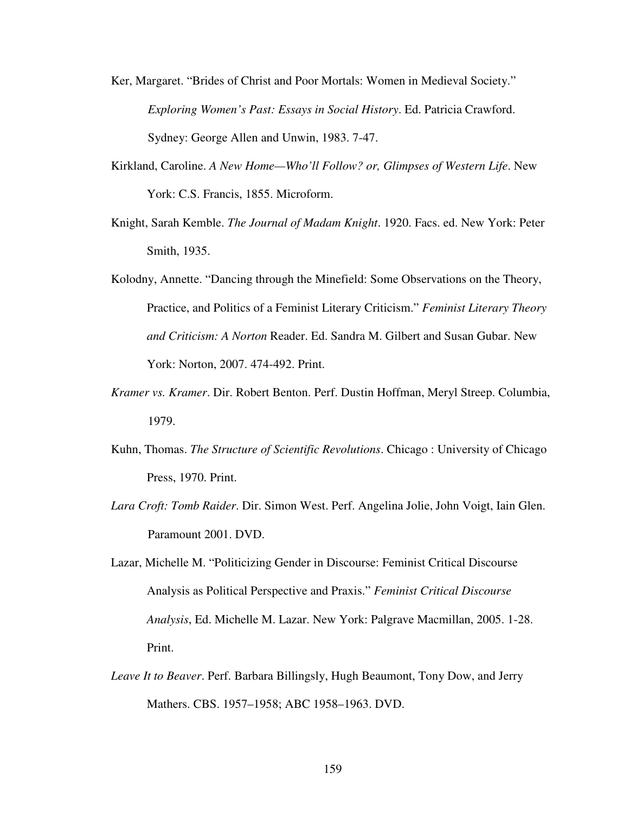- Ker, Margaret. "Brides of Christ and Poor Mortals: Women in Medieval Society." *Exploring Women's Past: Essays in Social History*. Ed. Patricia Crawford. Sydney: George Allen and Unwin, 1983. 7-47.
- Kirkland, Caroline. *A New Home—Who'll Follow? or, Glimpses of Western Life*. New York: C.S. Francis, 1855. Microform.
- Knight, Sarah Kemble. *The Journal of Madam Knight*. 1920. Facs. ed. New York: Peter Smith, 1935.
- Kolodny, Annette. "Dancing through the Minefield: Some Observations on the Theory, Practice, and Politics of a Feminist Literary Criticism." *Feminist Literary Theory and Criticism: A Norton* Reader. Ed. Sandra M. Gilbert and Susan Gubar. New York: Norton, 2007. 474-492. Print.
- *Kramer vs. Kramer*. Dir. Robert Benton. Perf. Dustin Hoffman, Meryl Streep. Columbia, 1979.
- Kuhn, Thomas. *The Structure of Scientific Revolutions*. Chicago : University of Chicago Press, 1970. Print.
- *Lara Croft: Tomb Raider*. Dir. Simon West. Perf. Angelina Jolie, John Voigt, Iain Glen. Paramount 2001. DVD.
- Lazar, Michelle M. "Politicizing Gender in Discourse: Feminist Critical Discourse Analysis as Political Perspective and Praxis." *Feminist Critical Discourse Analysis*, Ed. Michelle M. Lazar. New York: Palgrave Macmillan, 2005. 1-28. Print.
- *Leave It to Beaver*. Perf. Barbara Billingsly, Hugh Beaumont, Tony Dow, and Jerry Mathers. CBS. 1957–1958; ABC 1958–1963. DVD.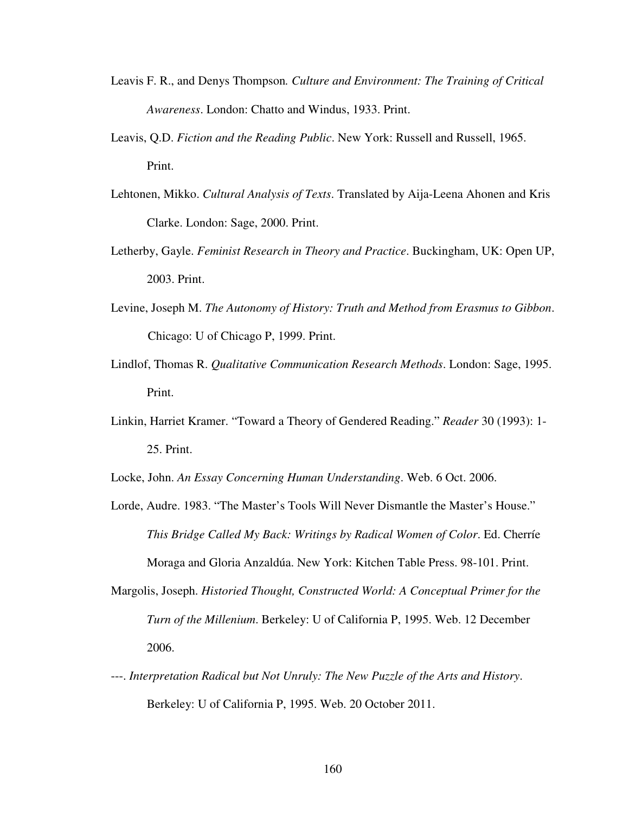- Leavis F. R., and Denys Thompson*. Culture and Environment: The Training of Critical Awareness*. London: Chatto and Windus, 1933. Print.
- Leavis, Q.D. *Fiction and the Reading Public*. New York: Russell and Russell, 1965. Print.
- Lehtonen, Mikko. *Cultural Analysis of Texts*. Translated by Aija-Leena Ahonen and Kris Clarke. London: Sage, 2000. Print.
- Letherby, Gayle. *Feminist Research in Theory and Practice*. Buckingham, UK: Open UP, 2003. Print.
- Levine, Joseph M. *The Autonomy of History: Truth and Method from Erasmus to Gibbon*. Chicago: U of Chicago P, 1999. Print.
- Lindlof, Thomas R. *Qualitative Communication Research Methods*. London: Sage, 1995. Print.
- Linkin, Harriet Kramer. "Toward a Theory of Gendered Reading." *Reader* 30 (1993): 1- 25. Print.

Locke, John. *An Essay Concerning Human Understanding*. Web. 6 Oct. 2006.

- Lorde, Audre. 1983. "The Master's Tools Will Never Dismantle the Master's House." *This Bridge Called My Back: Writings by Radical Women of Color*. Ed. Cherríe Moraga and Gloria Anzaldúa. New York: Kitchen Table Press. 98-101. Print.
- Margolis, Joseph. *Historied Thought, Constructed World: A Conceptual Primer for the Turn of the Millenium*. Berkeley: U of California P, 1995. Web. 12 December 2006.
- ---. *Interpretation Radical but Not Unruly: The New Puzzle of the Arts and History*. Berkeley: U of California P, 1995. Web. 20 October 2011.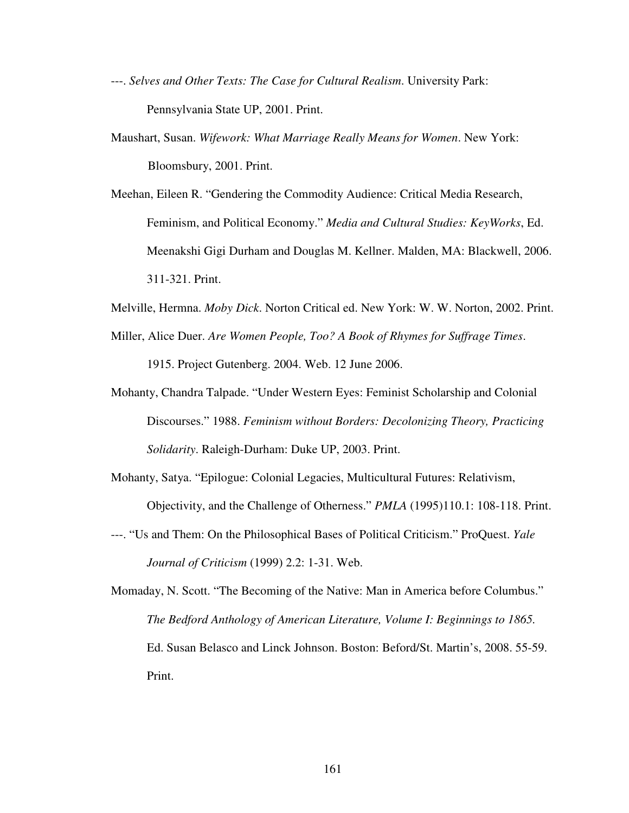- ---. *Selves and Other Texts: The Case for Cultural Realism*. University Park: Pennsylvania State UP, 2001. Print.
- Maushart, Susan. *Wifework: What Marriage Really Means for Women*. New York: Bloomsbury, 2001. Print.
- Meehan, Eileen R. "Gendering the Commodity Audience: Critical Media Research, Feminism, and Political Economy." *Media and Cultural Studies: KeyWorks*, Ed. Meenakshi Gigi Durham and Douglas M. Kellner. Malden, MA: Blackwell, 2006. 311-321. Print.
- Melville, Hermna. *Moby Dick*. Norton Critical ed. New York: W. W. Norton, 2002. Print.
- Miller, Alice Duer. *Are Women People, Too? A Book of Rhymes for Suffrage Times*. 1915. Project Gutenberg. 2004. Web. 12 June 2006.
- Mohanty, Chandra Talpade. "Under Western Eyes: Feminist Scholarship and Colonial Discourses." 1988. *Feminism without Borders: Decolonizing Theory, Practicing Solidarity*. Raleigh-Durham: Duke UP, 2003. Print.
- Mohanty, Satya. "Epilogue: Colonial Legacies, Multicultural Futures: Relativism, Objectivity, and the Challenge of Otherness." *PMLA* (1995)110.1: 108-118. Print.
- ---. "Us and Them: On the Philosophical Bases of Political Criticism." ProQuest. *Yale Journal of Criticism* (1999) 2.2: 1-31. Web.

Momaday, N. Scott. "The Becoming of the Native: Man in America before Columbus." *The Bedford Anthology of American Literature, Volume I: Beginnings to 1865.*  Ed. Susan Belasco and Linck Johnson. Boston: Beford/St. Martin's, 2008. 55-59. Print.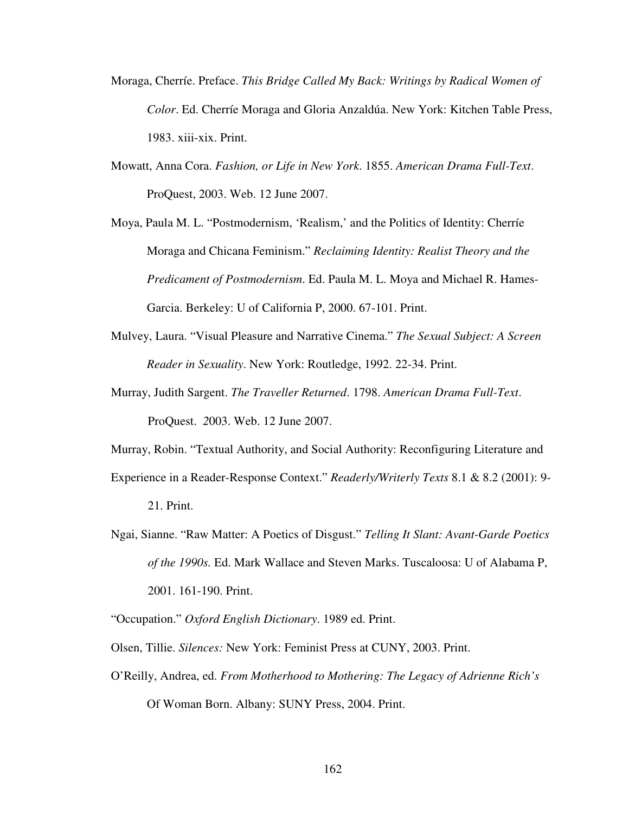- Moraga, Cherríe. Preface. *This Bridge Called My Back: Writings by Radical Women of Color*. Ed. Cherríe Moraga and Gloria Anzaldúa. New York: Kitchen Table Press, 1983. xiii-xix. Print.
- Mowatt, Anna Cora. *Fashion, or Life in New York*. 1855. *American Drama Full-Text*. ProQuest, 2003. Web. 12 June 2007.

Moya, Paula M. L. "Postmodernism, 'Realism,' and the Politics of Identity: Cherríe Moraga and Chicana Feminism." *Reclaiming Identity: Realist Theory and the Predicament of Postmodernism*. Ed. Paula M. L. Moya and Michael R. Hames-Garcia. Berkeley: U of California P, 2000. 67-101. Print.

- Mulvey, Laura. "Visual Pleasure and Narrative Cinema." *The Sexual Subject: A Screen Reader in Sexuality*. New York: Routledge, 1992. 22-34. Print.
- Murray, Judith Sargent. *The Traveller Returned*. 1798. *American Drama Full-Text*. ProQuest. *2*003. Web. 12 June 2007.

Murray, Robin. "Textual Authority, and Social Authority: Reconfiguring Literature and Experience in a Reader-Response Context." *Readerly/Writerly Texts* 8.1 & 8.2 (2001): 9-

21. Print.

Ngai, Sianne. "Raw Matter: A Poetics of Disgust." *Telling It Slant: Avant-Garde Poetics of the 1990s.* Ed. Mark Wallace and Steven Marks. Tuscaloosa: U of Alabama P, 2001. 161-190. Print.

"Occupation." *Oxford English Dictionary*. 1989 ed. Print.

Olsen, Tillie. *Silences:* New York: Feminist Press at CUNY, 2003. Print.

O'Reilly, Andrea, ed. *From Motherhood to Mothering: The Legacy of Adrienne Rich's*  Of Woman Born. Albany: SUNY Press, 2004. Print.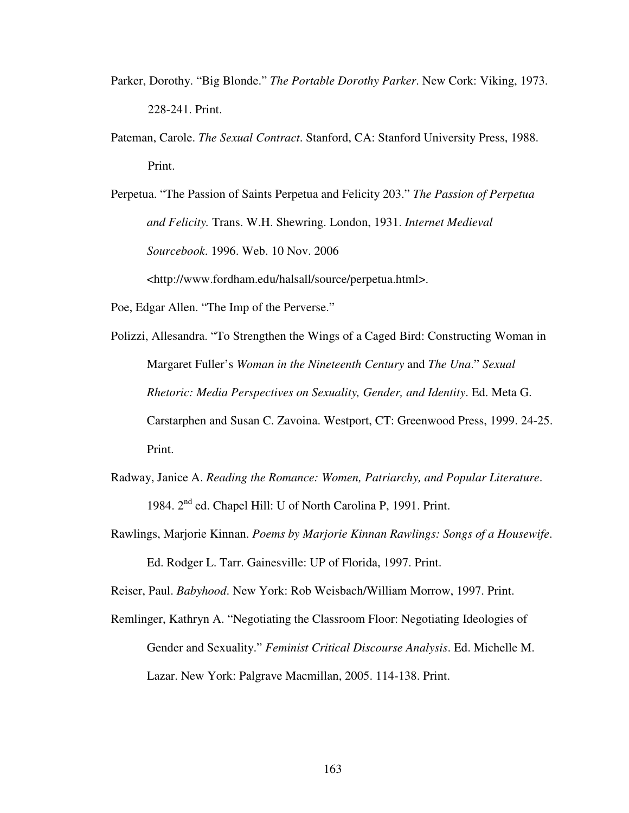- Parker, Dorothy. "Big Blonde." *The Portable Dorothy Parker*. New Cork: Viking, 1973. 228-241. Print.
- Pateman, Carole. *The Sexual Contract*. Stanford, CA: Stanford University Press, 1988. Print.
- Perpetua. "The Passion of Saints Perpetua and Felicity 203." *The Passion of Perpetua and Felicity.* Trans. W.H. Shewring. London, 1931. *Internet Medieval Sourcebook*. 1996. Web. 10 Nov. 2006 <http://www.fordham.edu/halsall/source/perpetua.html>.

Poe, Edgar Allen. "The Imp of the Perverse."

- Polizzi, Allesandra. "To Strengthen the Wings of a Caged Bird: Constructing Woman in Margaret Fuller's *Woman in the Nineteenth Century* and *The Una*." *Sexual Rhetoric: Media Perspectives on Sexuality, Gender, and Identity*. Ed. Meta G. Carstarphen and Susan C. Zavoina. Westport, CT: Greenwood Press, 1999. 24-25. Print.
- Radway, Janice A. *Reading the Romance: Women, Patriarchy, and Popular Literature*. 1984. 2nd ed. Chapel Hill: U of North Carolina P, 1991. Print.
- Rawlings, Marjorie Kinnan. *Poems by Marjorie Kinnan Rawlings: Songs of a Housewife*. Ed. Rodger L. Tarr. Gainesville: UP of Florida, 1997. Print.

Reiser, Paul. *Babyhood*. New York: Rob Weisbach/William Morrow, 1997. Print.

Remlinger, Kathryn A. "Negotiating the Classroom Floor: Negotiating Ideologies of Gender and Sexuality." *Feminist Critical Discourse Analysis*. Ed. Michelle M. Lazar. New York: Palgrave Macmillan, 2005. 114-138. Print.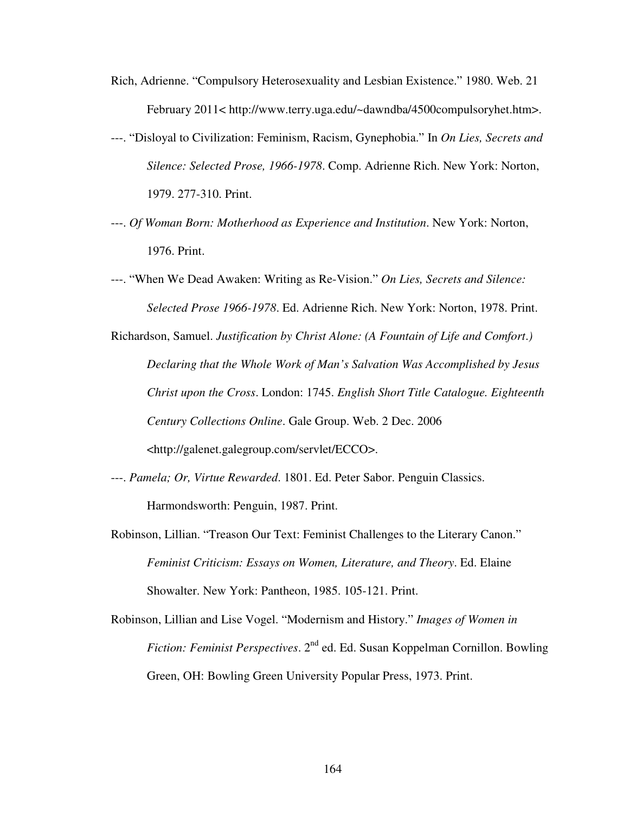- Rich, Adrienne. "Compulsory Heterosexuality and Lesbian Existence." 1980. Web. 21 February 2011< http://www.terry.uga.edu/~dawndba/4500compulsoryhet.htm>.
- ---. "Disloyal to Civilization: Feminism, Racism, Gynephobia." In *On Lies, Secrets and Silence: Selected Prose, 1966-1978*. Comp. Adrienne Rich. New York: Norton, 1979. 277-310. Print.
- ---. *Of Woman Born: Motherhood as Experience and Institution*. New York: Norton, 1976. Print.
- ---. "When We Dead Awaken: Writing as Re-Vision." *On Lies, Secrets and Silence: Selected Prose 1966-1978*. Ed. Adrienne Rich. New York: Norton, 1978. Print.
- Richardson, Samuel. *Justification by Christ Alone: (A Fountain of Life and Comfort*.*) Declaring that the Whole Work of Man's Salvation Was Accomplished by Jesus Christ upon the Cross*. London: 1745. *English Short Title Catalogue. Eighteenth Century Collections Online*. Gale Group. Web. 2 Dec. 2006 <http://galenet.galegroup.com/servlet/ECCO>.
- ---. *Pamela; Or, Virtue Rewarded*. 1801. Ed. Peter Sabor. Penguin Classics. Harmondsworth: Penguin, 1987. Print.
- Robinson, Lillian. "Treason Our Text: Feminist Challenges to the Literary Canon." *Feminist Criticism: Essays on Women, Literature, and Theory*. Ed. Elaine Showalter. New York: Pantheon, 1985. 105-121. Print.
- Robinson, Lillian and Lise Vogel. "Modernism and History." *Images of Women in Fiction: Feminist Perspectives*. 2<sup>nd</sup> ed. Ed. Susan Koppelman Cornillon. Bowling Green, OH: Bowling Green University Popular Press, 1973. Print.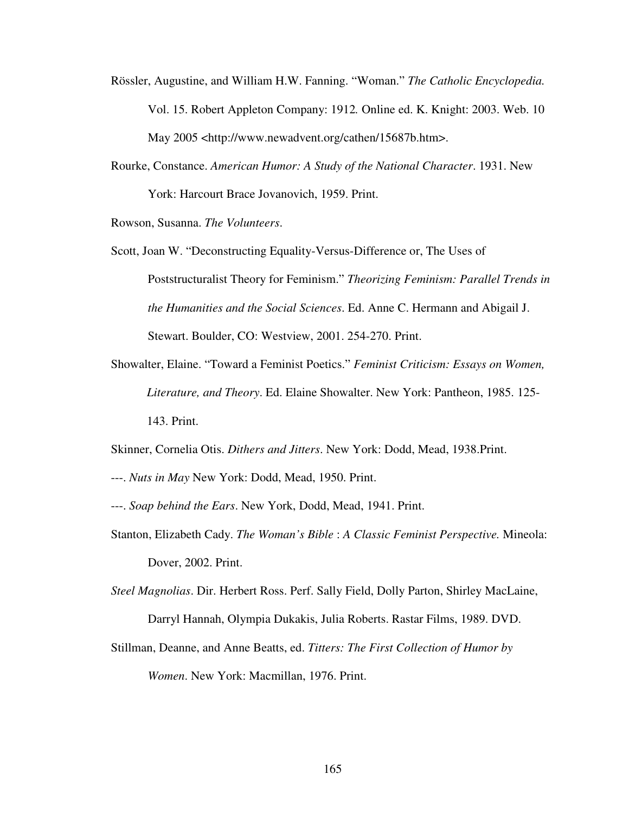- Rössler, Augustine, and William H.W. Fanning. "Woman." *The Catholic Encyclopedia.*  Vol. 15. Robert Appleton Company: 1912*.* Online ed. K. Knight: 2003. Web. 10 May 2005 <http://www.newadvent.org/cathen/15687b.htm>.
- Rourke, Constance. *American Humor: A Study of the National Character*. 1931. New

York: Harcourt Brace Jovanovich, 1959. Print.

Rowson, Susanna. *The Volunteers*.

- Scott, Joan W. "Deconstructing Equality-Versus-Difference or, The Uses of Poststructuralist Theory for Feminism." *Theorizing Feminism: Parallel Trends in the Humanities and the Social Sciences*. Ed. Anne C. Hermann and Abigail J. Stewart. Boulder, CO: Westview, 2001. 254-270. Print.
- Showalter, Elaine. "Toward a Feminist Poetics." *Feminist Criticism: Essays on Women, Literature, and Theory*. Ed. Elaine Showalter. New York: Pantheon, 1985. 125- 143. Print.
- Skinner, Cornelia Otis. *Dithers and Jitters*. New York: Dodd, Mead, 1938.Print.
- ---. *Nuts in May* New York: Dodd, Mead, 1950. Print.
- ---. *Soap behind the Ears*. New York, Dodd, Mead, 1941. Print.
- Stanton, Elizabeth Cady. *The Woman's Bible* : *A Classic Feminist Perspective.* Mineola: Dover, 2002. Print.
- *Steel Magnolias*. Dir. Herbert Ross. Perf. Sally Field, Dolly Parton, Shirley MacLaine, Darryl Hannah, Olympia Dukakis, Julia Roberts. Rastar Films, 1989. DVD.
- Stillman, Deanne, and Anne Beatts, ed. *Titters: The First Collection of Humor by Women*. New York: Macmillan, 1976. Print.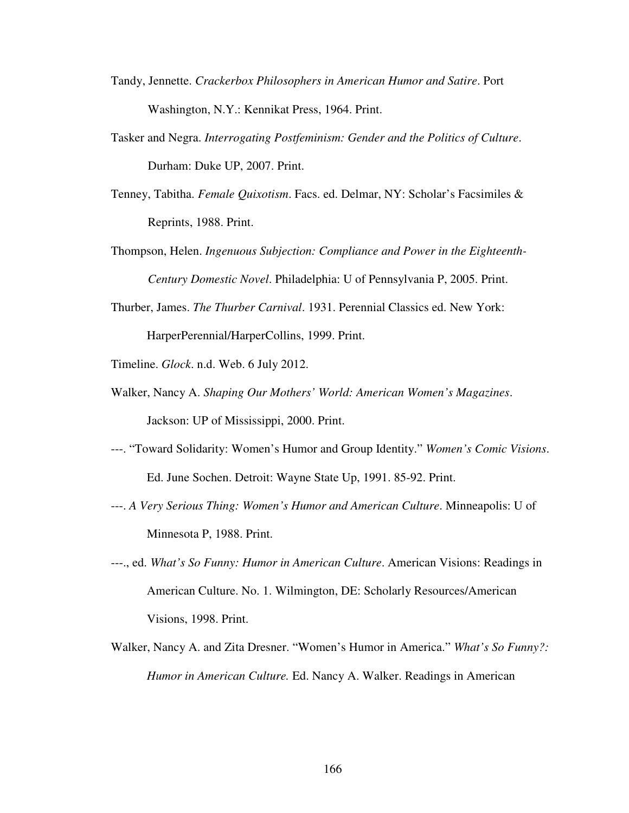- Tandy, Jennette. *Crackerbox Philosophers in American Humor and Satire*. Port Washington, N.Y.: Kennikat Press, 1964. Print.
- Tasker and Negra. *Interrogating Postfeminism: Gender and the Politics of Culture*. Durham: Duke UP, 2007. Print.
- Tenney, Tabitha. *Female Quixotism*. Facs. ed. Delmar, NY: Scholar's Facsimiles & Reprints, 1988. Print.
- Thompson, Helen. *Ingenuous Subjection: Compliance and Power in the Eighteenth-Century Domestic Novel*. Philadelphia: U of Pennsylvania P, 2005. Print.
- Thurber, James. *The Thurber Carnival*. 1931. Perennial Classics ed. New York: HarperPerennial/HarperCollins, 1999. Print.

Timeline. *Glock*. n.d. Web. 6 July 2012.

- Walker, Nancy A. *Shaping Our Mothers' World: American Women's Magazines*. Jackson: UP of Mississippi, 2000. Print.
- ---. "Toward Solidarity: Women's Humor and Group Identity." *Women's Comic Visions*. Ed. June Sochen. Detroit: Wayne State Up, 1991. 85-92. Print.
- ---. *A Very Serious Thing: Women's Humor and American Culture*. Minneapolis: U of Minnesota P, 1988. Print.
- ---., ed. *What's So Funny: Humor in American Culture*. American Visions: Readings in American Culture. No. 1. Wilmington, DE: Scholarly Resources/American Visions, 1998. Print.
- Walker, Nancy A. and Zita Dresner. "Women's Humor in America." *What's So Funny?: Humor in American Culture.* Ed. Nancy A. Walker. Readings in American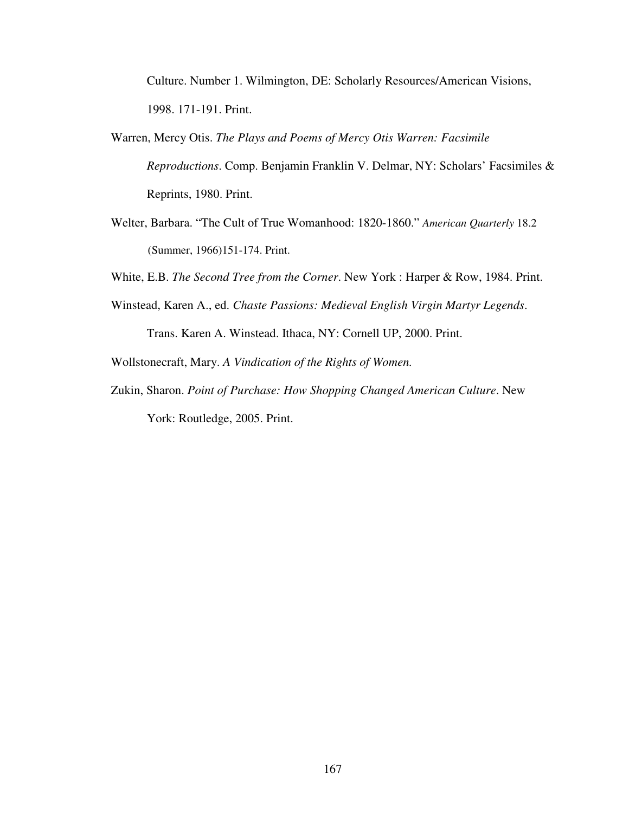Culture. Number 1. Wilmington, DE: Scholarly Resources/American Visions, 1998. 171-191. Print.

- Warren, Mercy Otis. *The Plays and Poems of Mercy Otis Warren: Facsimile Reproductions*. Comp. Benjamin Franklin V. Delmar, NY: Scholars' Facsimiles & Reprints, 1980. Print.
- Welter, Barbara. "The Cult of True Womanhood: 1820-1860." *American Quarterly* 18.2 (Summer, 1966)151-174. Print.

White, E.B. *The Second Tree from the Corner*. New York : Harper & Row, 1984. Print.

Winstead, Karen A., ed. *Chaste Passions: Medieval English Virgin Martyr Legends*. Trans. Karen A. Winstead. Ithaca, NY: Cornell UP, 2000. Print.

Wollstonecraft, Mary. *A Vindication of the Rights of Women.*

Zukin, Sharon. *Point of Purchase: How Shopping Changed American Culture*. New York: Routledge, 2005. Print.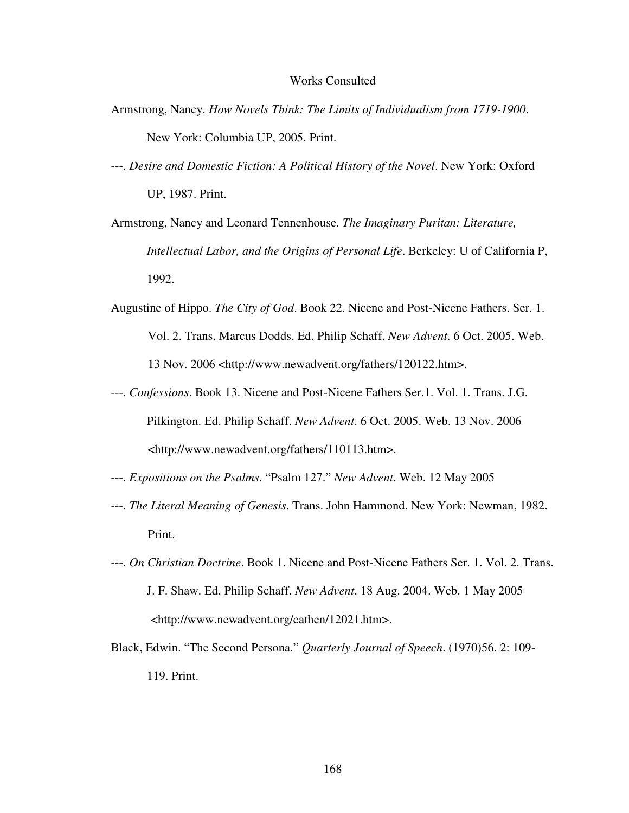# Works Consulted

- Armstrong, Nancy. *How Novels Think: The Limits of Individualism from 1719-1900*. New York: Columbia UP, 2005. Print.
- ---. *Desire and Domestic Fiction: A Political History of the Novel*. New York: Oxford UP, 1987. Print.
- Armstrong, Nancy and Leonard Tennenhouse. *The Imaginary Puritan: Literature, Intellectual Labor, and the Origins of Personal Life*. Berkeley: U of California P, 1992.
- Augustine of Hippo. *The City of God*. Book 22. Nicene and Post-Nicene Fathers. Ser. 1. Vol. 2. Trans. Marcus Dodds. Ed. Philip Schaff. *New Advent*. 6 Oct. 2005. Web. 13 Nov. 2006 <http://www.newadvent.org/fathers/120122.htm>.
- ---. *Confessions*. Book 13. Nicene and Post-Nicene Fathers Ser.1. Vol. 1. Trans. J.G. Pilkington. Ed. Philip Schaff. *New Advent*. 6 Oct. 2005. Web. 13 Nov. 2006 <http://www.newadvent.org/fathers/110113.htm>.
- ---. *Expositions on the Psalms*. "Psalm 127." *New Advent*. Web. 12 May 2005
- ---. *The Literal Meaning of Genesis*. Trans. John Hammond. New York: Newman, 1982. Print.
- ---. *On Christian Doctrine*. Book 1. Nicene and Post-Nicene Fathers Ser. 1. Vol. 2. Trans. J. F. Shaw. Ed. Philip Schaff. *New Advent*. 18 Aug. 2004. Web. 1 May 2005 <http://www.newadvent.org/cathen/12021.htm>.
- Black, Edwin. "The Second Persona." *Quarterly Journal of Speech*. (1970)56. 2: 109- 119. Print.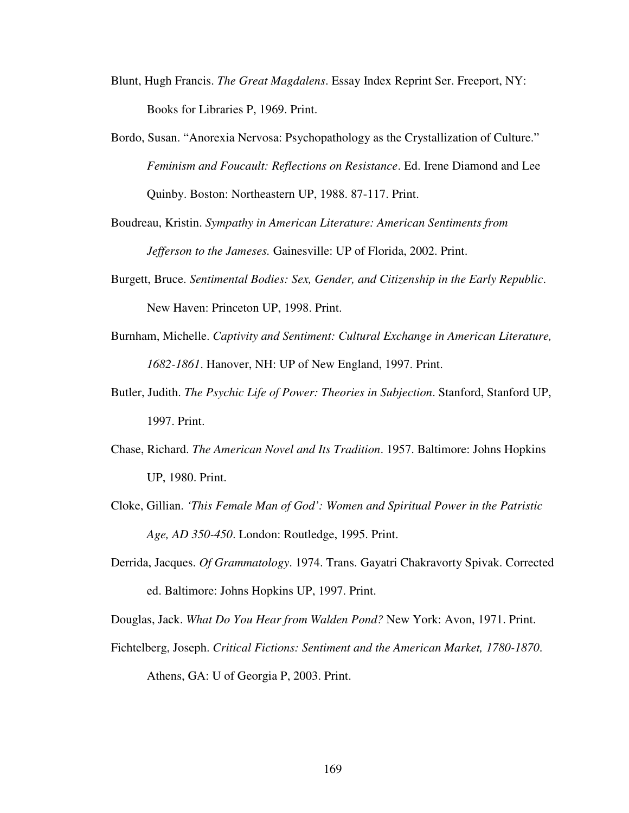- Blunt, Hugh Francis. *The Great Magdalens*. Essay Index Reprint Ser. Freeport, NY: Books for Libraries P, 1969. Print.
- Bordo, Susan. "Anorexia Nervosa: Psychopathology as the Crystallization of Culture." *Feminism and Foucault: Reflections on Resistance*. Ed. Irene Diamond and Lee Quinby. Boston: Northeastern UP, 1988. 87-117. Print.
- Boudreau, Kristin. *Sympathy in American Literature: American Sentiments from Jefferson to the Jameses.* Gainesville: UP of Florida, 2002. Print.
- Burgett, Bruce. *Sentimental Bodies: Sex, Gender, and Citizenship in the Early Republic*. New Haven: Princeton UP, 1998. Print.
- Burnham, Michelle. *Captivity and Sentiment: Cultural Exchange in American Literature, 1682-1861*. Hanover, NH: UP of New England, 1997. Print.
- Butler, Judith. *The Psychic Life of Power: Theories in Subjection*. Stanford, Stanford UP, 1997. Print.
- Chase, Richard. *The American Novel and Its Tradition*. 1957. Baltimore: Johns Hopkins UP, 1980. Print.
- Cloke, Gillian. *'This Female Man of God': Women and Spiritual Power in the Patristic Age, AD 350-450*. London: Routledge, 1995. Print.
- Derrida, Jacques. *Of Grammatology*. 1974. Trans. Gayatri Chakravorty Spivak. Corrected ed. Baltimore: Johns Hopkins UP, 1997. Print.

Douglas, Jack. *What Do You Hear from Walden Pond?* New York: Avon, 1971. Print.

Fichtelberg, Joseph. *Critical Fictions: Sentiment and the American Market, 1780-1870*.

Athens, GA: U of Georgia P, 2003. Print.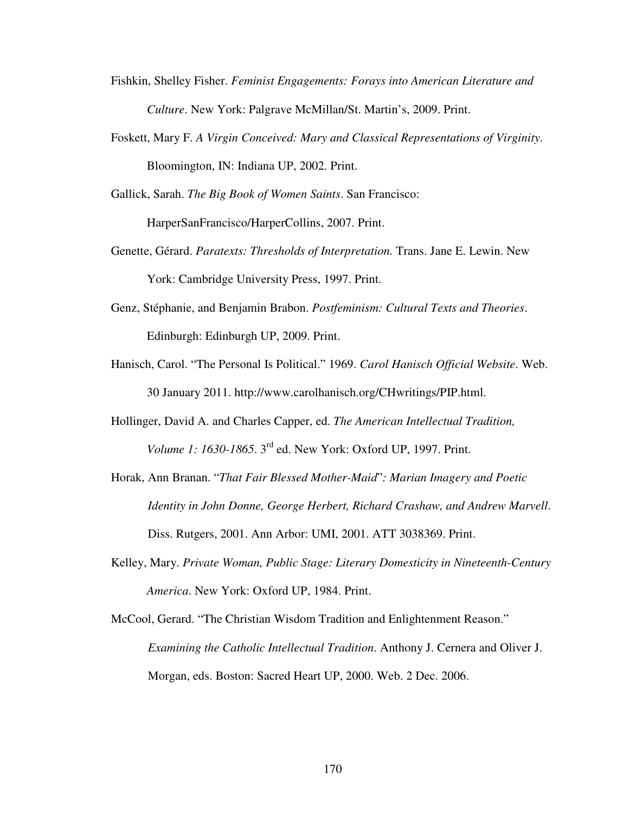- Fishkin, Shelley Fisher. *Feminist Engagements: Forays into American Literature and Culture*. New York: Palgrave McMillan/St. Martin's, 2009. Print.
- Foskett, Mary F. *A Virgin Conceived: Mary and Classical Representations of Virginity*. Bloomington, IN: Indiana UP, 2002. Print.
- Gallick, Sarah. *The Big Book of Women Saints*. San Francisco: HarperSanFrancisco/HarperCollins, 2007. Print.
- Genette, Gérard. *Paratexts: Thresholds of Interpretation.* Trans. Jane E. Lewin. New York: Cambridge University Press, 1997. Print.
- Genz, Stéphanie, and Benjamin Brabon. *Postfeminism: Cultural Texts and Theories*. Edinburgh: Edinburgh UP, 2009. Print.
- Hanisch, Carol. "The Personal Is Political." 1969. *Carol Hanisch Official Website*. Web. 30 January 2011. http://www.carolhanisch.org/CHwritings/PIP.html.
- Hollinger, David A. and Charles Capper, ed. *The American Intellectual Tradition, Volume 1: 1630-1865*. 3rd ed. New York: Oxford UP, 1997. Print.
- Horak, Ann Branan. "*That Fair Blessed Mother-Maid*"*: Marian Imagery and Poetic Identity in John Donne, George Herbert, Richard Crashaw, and Andrew Marvell*. Diss. Rutgers, 2001. Ann Arbor: UMI, 2001. ATT 3038369. Print.
- Kelley, Mary. *Private Woman, Public Stage: Literary Domesticity in Nineteenth-Century America*. New York: Oxford UP, 1984. Print.
- McCool, Gerard. "The Christian Wisdom Tradition and Enlightenment Reason." *Examining the Catholic Intellectual Tradition*. Anthony J. Cernera and Oliver J. Morgan, eds. Boston: Sacred Heart UP, 2000. Web. 2 Dec. 2006.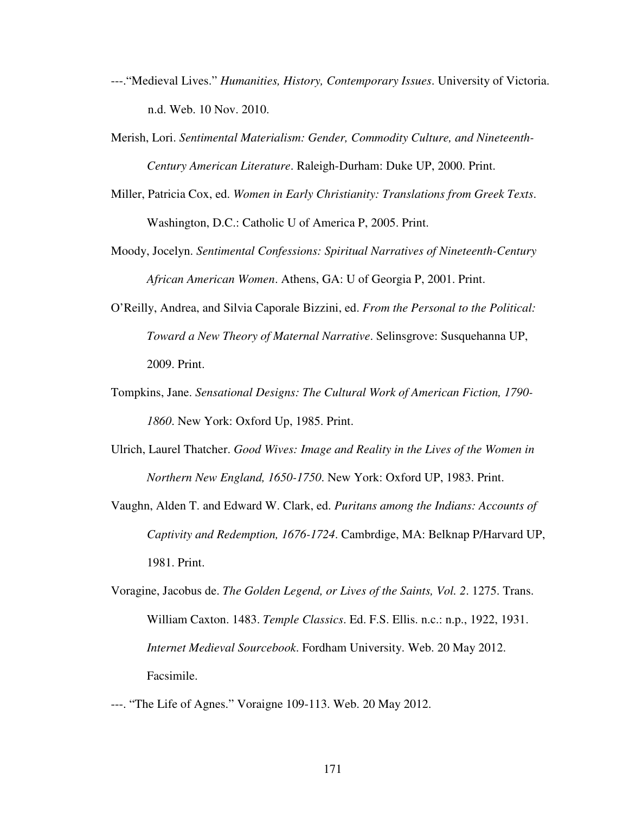- ---."Medieval Lives." *Humanities, History, Contemporary Issues*. University of Victoria. n.d. Web. 10 Nov. 2010.
- Merish, Lori. *Sentimental Materialism: Gender, Commodity Culture, and Nineteenth-Century American Literature*. Raleigh-Durham: Duke UP, 2000. Print.
- Miller, Patricia Cox, ed. *Women in Early Christianity: Translations from Greek Texts*. Washington, D.C.: Catholic U of America P, 2005. Print.
- Moody, Jocelyn. *Sentimental Confessions: Spiritual Narratives of Nineteenth-Century African American Women*. Athens, GA: U of Georgia P, 2001. Print.
- O'Reilly, Andrea, and Silvia Caporale Bizzini, ed. *From the Personal to the Political: Toward a New Theory of Maternal Narrative*. Selinsgrove: Susquehanna UP, 2009. Print.
- Tompkins, Jane. *Sensational Designs: The Cultural Work of American Fiction, 1790- 1860*. New York: Oxford Up, 1985. Print.
- Ulrich, Laurel Thatcher. *Good Wives: Image and Reality in the Lives of the Women in Northern New England, 1650-1750*. New York: Oxford UP, 1983. Print.
- Vaughn, Alden T. and Edward W. Clark, ed. *Puritans among the Indians: Accounts of Captivity and Redemption, 1676-1724*. Cambrdige, MA: Belknap P/Harvard UP, 1981. Print.
- Voragine, Jacobus de. *The Golden Legend, or Lives of the Saints, Vol. 2*. 1275. Trans. William Caxton. 1483. *Temple Classics*. Ed. F.S. Ellis. n.c.: n.p., 1922, 1931. *Internet Medieval Sourcebook*. Fordham University. Web. 20 May 2012. Facsimile.
- ---. "The Life of Agnes." Voraigne 109-113. Web. 20 May 2012.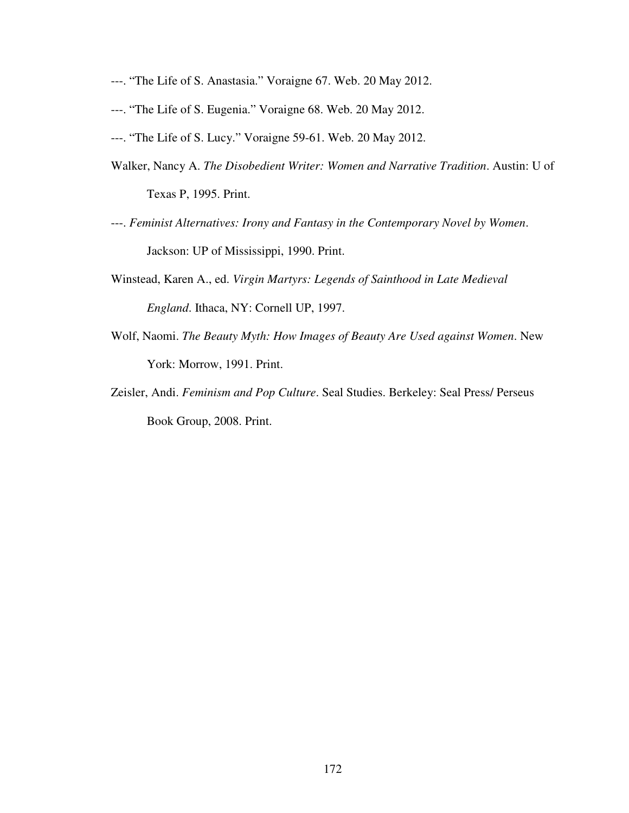- ---. "The Life of S. Anastasia." Voraigne 67. Web. 20 May 2012.
- ---. "The Life of S. Eugenia." Voraigne 68. Web. 20 May 2012.
- ---. "The Life of S. Lucy." Voraigne 59-61. Web. 20 May 2012.
- Walker, Nancy A. *The Disobedient Writer: Women and Narrative Tradition*. Austin: U of Texas P, 1995. Print.
- ---. *Feminist Alternatives: Irony and Fantasy in the Contemporary Novel by Women*. Jackson: UP of Mississippi, 1990. Print.
- Winstead, Karen A., ed. *Virgin Martyrs: Legends of Sainthood in Late Medieval England*. Ithaca, NY: Cornell UP, 1997.
- Wolf, Naomi. *The Beauty Myth: How Images of Beauty Are Used against Women*. New York: Morrow, 1991. Print.
- Zeisler, Andi. *Feminism and Pop Culture*. Seal Studies. Berkeley: Seal Press/ Perseus Book Group, 2008. Print.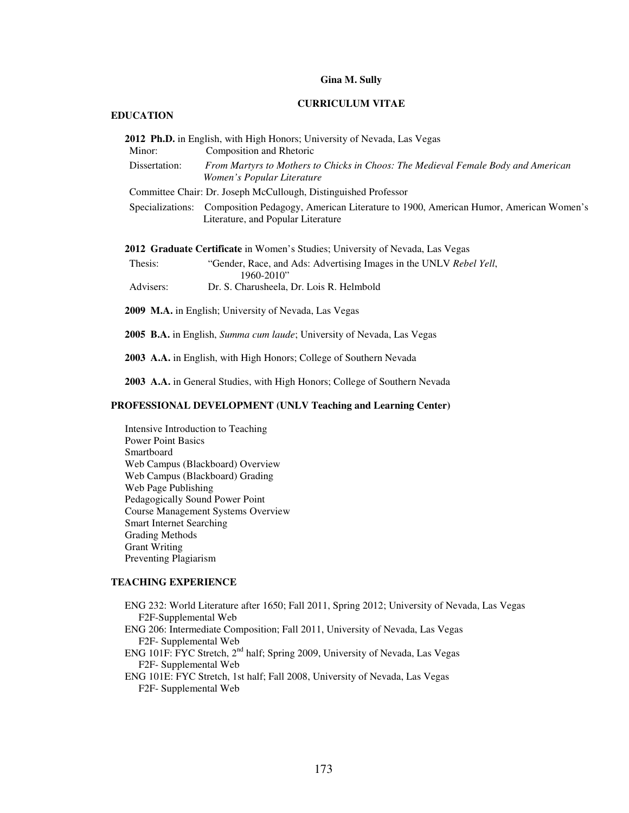#### **Gina M. Sully**

### **CURRICULUM VITAE**

### **EDUCATION**

**2012 Ph.D.** in English, with High Honors; University of Nevada, Las Vegas

- Minor: Composition and Rhetoric
- Dissertation: *From Martyrs to Mothers to Chicks in Choos: The Medieval Female Body and American Women's Popular Literature*
- Committee Chair: Dr. Joseph McCullough, Distinguished Professor
- Specializations:Composition Pedagogy, American Literature to 1900, American Humor, American Women's Literature, and Popular Literature

**2012 Graduate Certificate** in Women's Studies; University of Nevada, Las Vegas

| Thesis:   | "Gender, Race, and Ads: Advertising Images in the UNLV Rebel Yell, |
|-----------|--------------------------------------------------------------------|
|           | $1960 - 2010"$                                                     |
| Advisers: | Dr. S. Charusheela, Dr. Lois R. Helmbold                           |

**2009 M.A.** in English; University of Nevada, Las Vegas

**2005 B.A.** in English, *Summa cum laude*; University of Nevada, Las Vegas

**2003 A.A.** in English, with High Honors; College of Southern Nevada

**2003 A.A.** in General Studies, with High Honors; College of Southern Nevada

## **PROFESSIONAL DEVELOPMENT (UNLV Teaching and Learning Center)**

Intensive Introduction to Teaching Power Point Basics Smartboard Web Campus (Blackboard) Overview Web Campus (Blackboard) Grading Web Page Publishing Pedagogically Sound Power Point Course Management Systems Overview Smart Internet Searching Grading Methods Grant Writing Preventing Plagiarism

### **TEACHING EXPERIENCE**

| ENG 232: World Literature after 1650; Fall 2011, Spring 2012; University of Nevada, Las Vegas |  |
|-----------------------------------------------------------------------------------------------|--|
| F <sub>2F</sub> -Supplemental Web                                                             |  |
| ENG 206: Intermediate Composition; Fall 2011, University of Nevada, Las Vegas                 |  |
| F2F-Supplemental Web                                                                          |  |
| ENG 101F: FYC Stretch, 2 <sup>nd</sup> half; Spring 2009, University of Nevada, Las Vegas     |  |
| F <sub>2F</sub> -Supplemental Web                                                             |  |
| ENG 101E: FYC Stretch, 1st half; Fall 2008, University of Nevada, Las Vegas                   |  |
| F <sub>2F</sub> -Supplemental Web                                                             |  |
|                                                                                               |  |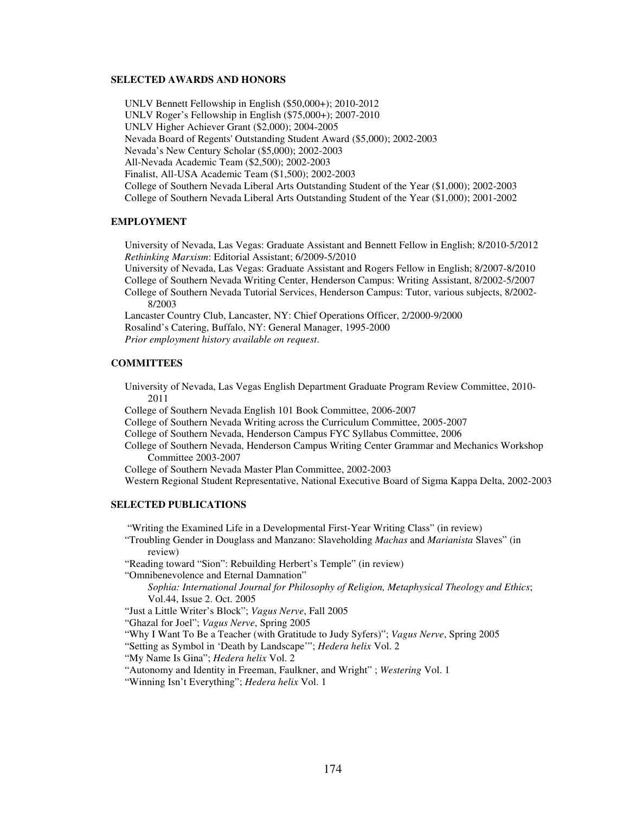# **SELECTED AWARDS AND HONORS**

UNLV Bennett Fellowship in English (\$50,000+); 2010-2012 UNLV Roger's Fellowship in English (\$75,000+); 2007-2010 UNLV Higher Achiever Grant (\$2,000); 2004-2005 Nevada Board of Regents' Outstanding Student Award (\$5,000); 2002-2003 Nevada's New Century Scholar (\$5,000); 2002-2003 All-Nevada Academic Team (\$2,500); 2002-2003 Finalist, All-USA Academic Team (\$1,500); 2002-2003 College of Southern Nevada Liberal Arts Outstanding Student of the Year (\$1,000); 2002-2003 College of Southern Nevada Liberal Arts Outstanding Student of the Year (\$1,000); 2001-2002

# **EMPLOYMENT**

University of Nevada, Las Vegas: Graduate Assistant and Bennett Fellow in English; 8/2010-5/2012 *Rethinking Marxism*: Editorial Assistant; 6/2009-5/2010

University of Nevada, Las Vegas: Graduate Assistant and Rogers Fellow in English; 8/2007-8/2010 College of Southern Nevada Writing Center, Henderson Campus: Writing Assistant, 8/2002-5/2007

College of Southern Nevada Tutorial Services, Henderson Campus: Tutor, various subjects, 8/2002- 8/2003

Lancaster Country Club, Lancaster, NY: Chief Operations Officer, 2/2000-9/2000 Rosalind's Catering, Buffalo, NY: General Manager, 1995-2000 *Prior employment history available on request*.

#### **COMMITTEES**

University of Nevada, Las Vegas English Department Graduate Program Review Committee, 2010- 2011

College of Southern Nevada English 101 Book Committee, 2006-2007

College of Southern Nevada Writing across the Curriculum Committee, 2005-2007

College of Southern Nevada, Henderson Campus FYC Syllabus Committee, 2006

College of Southern Nevada, Henderson Campus Writing Center Grammar and Mechanics Workshop Committee 2003-2007

College of Southern Nevada Master Plan Committee, 2002-2003

Western Regional Student Representative, National Executive Board of Sigma Kappa Delta, 2002-2003

## **SELECTED PUBLICATIONS**

"Writing the Examined Life in a Developmental First-Year Writing Class" (in review)

"Troubling Gender in Douglass and Manzano: Slaveholding *Machas* and *Marianista* Slaves" (in review)

"Reading toward "Sion": Rebuilding Herbert's Temple" (in review)

"Omnibenevolence and Eternal Damnation"

*Sophia: International Journal for Philosophy of Religion, Metaphysical Theology and Ethics*; Vol.44, Issue 2. Oct. 2005

"Just a Little Writer's Block"; *Vagus Nerve*, Fall 2005

"Ghazal for Joel"; *Vagus Nerve*, Spring 2005

"Why I Want To Be a Teacher (with Gratitude to Judy Syfers)"; *Vagus Nerve*, Spring 2005

"Setting as Symbol in 'Death by Landscape'"; *Hedera helix* Vol. 2

"My Name Is Gina"; *Hedera helix* Vol. 2

"Autonomy and Identity in Freeman, Faulkner, and Wright" ; *Westering* Vol. 1

"Winning Isn't Everything"; *Hedera helix* Vol. 1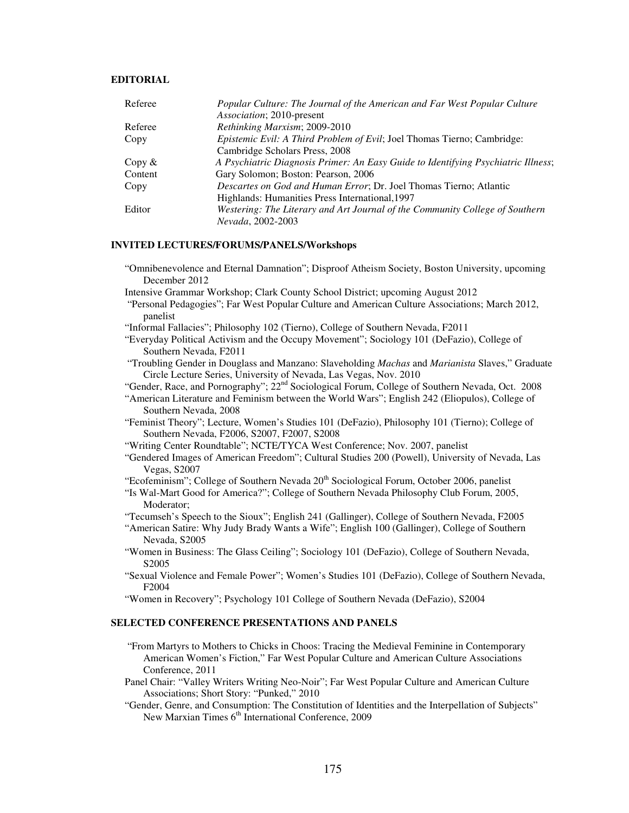# **EDITORIAL**

| Referee   | Popular Culture: The Journal of the American and Far West Popular Culture         |
|-----------|-----------------------------------------------------------------------------------|
|           | Association; 2010-present                                                         |
| Referee   | Rethinking Marxism; 2009-2010                                                     |
| Copy      | Epistemic Evil: A Third Problem of Evil; Joel Thomas Tierno; Cambridge:           |
|           | Cambridge Scholars Press, 2008                                                    |
| Copy $\&$ | A Psychiatric Diagnosis Primer: An Easy Guide to Identifying Psychiatric Illness; |
| Content   | Gary Solomon; Boston: Pearson, 2006                                               |
| Copy      | <i>Descartes on God and Human Error</i> ; Dr. Joel Thomas Tierno; Atlantic        |
|           | Highlands: Humanities Press International, 1997                                   |
| Editor    | Westering: The Literary and Art Journal of the Community College of Southern      |
|           | Nevada, 2002-2003                                                                 |

#### **INVITED LECTURES/FORUMS/PANELS/Workshops**

- "Omnibenevolence and Eternal Damnation"; Disproof Atheism Society, Boston University, upcoming December 2012 Intensive Grammar Workshop; Clark County School District; upcoming August 2012 "Personal Pedagogies"; Far West Popular Culture and American Culture Associations; March 2012,
- panelist
- "Informal Fallacies"; Philosophy 102 (Tierno), College of Southern Nevada, F2011
- "Everyday Political Activism and the Occupy Movement"; Sociology 101 (DeFazio), College of Southern Nevada, F2011
- "Troubling Gender in Douglass and Manzano: Slaveholding *Machas* and *Marianista* Slaves," Graduate Circle Lecture Series, University of Nevada, Las Vegas, Nov. 2010
- "Gender, Race, and Pornography"; 22<sup>nd</sup> Sociological Forum, College of Southern Nevada, Oct. 2008
- "American Literature and Feminism between the World Wars"; English 242 (Eliopulos), College of Southern Nevada, 2008
- "Feminist Theory"; Lecture, Women's Studies 101 (DeFazio), Philosophy 101 (Tierno); College of Southern Nevada, F2006, S2007, F2007, S2008
- "Writing Center Roundtable"; NCTE/TYCA West Conference; Nov. 2007, panelist
- "Gendered Images of American Freedom"; Cultural Studies 200 (Powell), University of Nevada, Las Vegas, S2007
- "Ecofeminism"; College of Southern Nevada 20<sup>th</sup> Sociological Forum, October 2006, panelist
- "Is Wal-Mart Good for America?"; College of Southern Nevada Philosophy Club Forum, 2005, Moderator;

"Tecumseh's Speech to the Sioux"; English 241 (Gallinger), College of Southern Nevada, F2005

- "American Satire: Why Judy Brady Wants a Wife"; English 100 (Gallinger), College of Southern Nevada, S2005
- "Women in Business: The Glass Ceiling"; Sociology 101 (DeFazio), College of Southern Nevada, S2005
- "Sexual Violence and Female Power"; Women's Studies 101 (DeFazio), College of Southern Nevada, F2004
- "Women in Recovery"; Psychology 101 College of Southern Nevada (DeFazio), S2004

# **SELECTED CONFERENCE PRESENTATIONS AND PANELS**

- "From Martyrs to Mothers to Chicks in Choos: Tracing the Medieval Feminine in Contemporary American Women's Fiction," Far West Popular Culture and American Culture Associations Conference, 2011
- Panel Chair: "Valley Writers Writing Neo-Noir"; Far West Popular Culture and American Culture Associations; Short Story: "Punked," 2010
- "Gender, Genre, and Consumption: The Constitution of Identities and the Interpellation of Subjects" New Marxian Times 6<sup>th</sup> International Conference, 2009